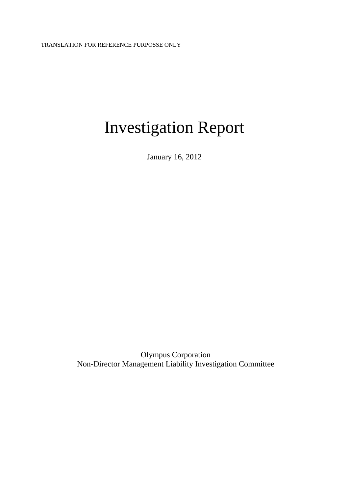# Investigation Report

January 16, 2012

Olympus Corporation Non-Director Management Liability Investigation Committee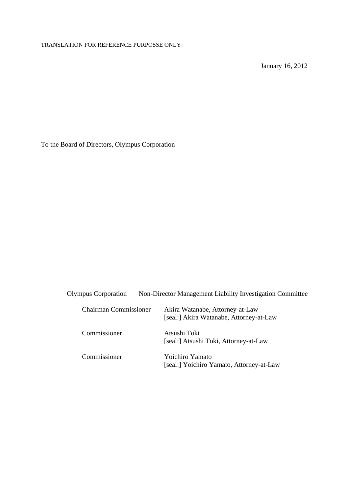# TRANSLATION FOR REFERENCE PURPOSSE ONLY

January 16, 2012

To the Board of Directors, Olympus Corporation

| <b>Olympus Corporation</b>   | Non-Director Management Liability Investigation Committee                  |
|------------------------------|----------------------------------------------------------------------------|
| <b>Chairman Commissioner</b> | Akira Watanabe, Attorney-at-Law<br>[seal:] Akira Watanabe, Attorney-at-Law |
| Commissioner                 | Atsushi Toki<br>[seal:] Atsushi Toki, Attorney-at-Law                      |
| Commissioner                 | Yoichiro Yamato<br>[seal:] Yoichiro Yamato, Attorney-at-Law                |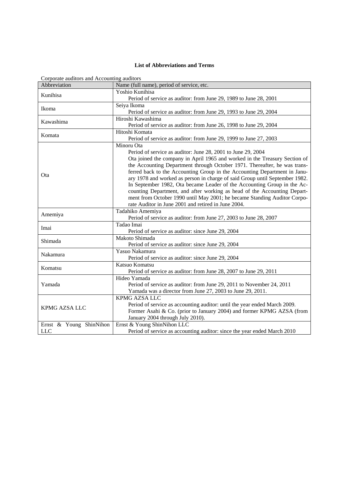# **List of Abbreviations and Terms**

| Corporate auditors and Accounting auditors |                                                                             |  |  |
|--------------------------------------------|-----------------------------------------------------------------------------|--|--|
| Abbreviation                               | Name (full name), period of service, etc.                                   |  |  |
| Kunihisa                                   | Yoshio Kunihisa                                                             |  |  |
|                                            | Period of service as auditor: from June 29, 1989 to June 28, 2001           |  |  |
| Ikoma                                      | Seiya Ikoma                                                                 |  |  |
|                                            | Period of service as auditor: from June 29, 1993 to June 29, 2004           |  |  |
| Kawashima                                  | Hiroshi Kawashima                                                           |  |  |
|                                            | Period of service as auditor: from June 26, 1998 to June 29, 2004           |  |  |
| Komata                                     | Hitoshi Komata                                                              |  |  |
|                                            | Period of service as auditor: from June 29, 1999 to June 27, 2003           |  |  |
|                                            | Minoru Ota                                                                  |  |  |
|                                            | Period of service as auditor: June 28, 2001 to June 29, 2004                |  |  |
|                                            | Ota joined the company in April 1965 and worked in the Treasury Section of  |  |  |
|                                            | the Accounting Department through October 1971. Thereafter, he was trans-   |  |  |
| Ota                                        | ferred back to the Accounting Group in the Accounting Department in Janu-   |  |  |
|                                            | ary 1978 and worked as person in charge of said Group until September 1982. |  |  |
|                                            | In September 1982, Ota became Leader of the Accounting Group in the Ac-     |  |  |
|                                            | counting Department, and after working as head of the Accounting Depart-    |  |  |
|                                            | ment from October 1990 until May 2001; he became Standing Auditor Corpo-    |  |  |
|                                            | rate Auditor in June 2001 and retired in June 2004.                         |  |  |
|                                            | Tadahiko Amemiya                                                            |  |  |
| Amemiya                                    | Period of service as auditor: from June 27, 2003 to June 28, 2007           |  |  |
| Imai                                       | Tadao Imai                                                                  |  |  |
|                                            | Period of service as auditor: since June 29, 2004                           |  |  |
| Shimada                                    | Makoto Shimada                                                              |  |  |
|                                            | Period of service as auditor: since June 29, 2004                           |  |  |
| Nakamura                                   | Yasuo Nakamura                                                              |  |  |
|                                            | Period of service as auditor: since June 29, 2004                           |  |  |
| Komatsu                                    | Katsuo Komatsu                                                              |  |  |
|                                            | Period of service as auditor: from June 28, 2007 to June 29, 2011           |  |  |
|                                            | Hideo Yamada                                                                |  |  |
| Yamada                                     | Period of service as auditor: from June 29, 2011 to November 24, 2011       |  |  |
|                                            | Yamada was a director from June 27, 2003 to June 29, 2011.                  |  |  |
|                                            | KPMG AZSA LLC                                                               |  |  |
| KPMG AZSA LLC                              | Period of service as accounting auditor: until the year ended March 2009.   |  |  |
|                                            | Former Asahi & Co. (prior to January 2004) and former KPMG AZSA (from       |  |  |
|                                            | January 2004 through July 2010).                                            |  |  |
| Ernst & Young ShinNihon                    | Ernst & Young ShinNihon LLC                                                 |  |  |
| <b>LLC</b>                                 | Period of service as accounting auditor: since the year ended March 2010    |  |  |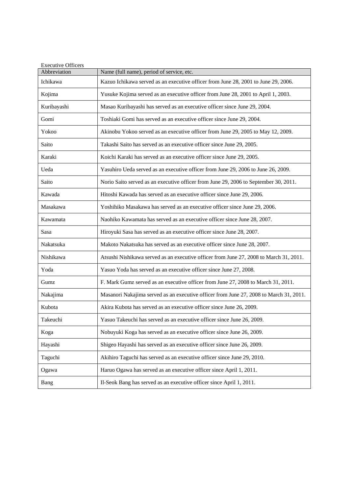| <b>Executive Officers</b> |                                                                                        |
|---------------------------|----------------------------------------------------------------------------------------|
| Abbreviation              | Name (full name), period of service, etc.                                              |
| Ichikawa                  | Kazuo Ichikawa served as an executive officer from June 28, 2001 to June 29, 2006.     |
| Kojima                    | Yusuke Kojima served as an executive officer from June 28, 2001 to April 1, 2003.      |
| Kuribayashi               | Masao Kuribayashi has served as an executive officer since June 29, 2004.              |
| Gomi                      | Toshiaki Gomi has served as an executive officer since June 29, 2004.                  |
| Yokoo                     | Akinobu Yokoo served as an executive officer from June 29, 2005 to May 12, 2009.       |
| Saito                     | Takashi Saito has served as an executive officer since June 29, 2005.                  |
| Karaki                    | Koichi Karaki has served as an executive officer since June 29, 2005.                  |
| Ueda                      | Yasuhiro Ueda served as an executive officer from June 29, 2006 to June 26, 2009.      |
| Saito                     | Norio Saito served as an executive officer from June 29, 2006 to September 30, 2011.   |
| Kawada                    | Hitoshi Kawada has served as an executive officer since June 29, 2006.                 |
| Masakawa                  | Yoshihiko Masakawa has served as an executive officer since June 29, 2006.             |
| Kawamata                  | Naohiko Kawamata has served as an executive officer since June 28, 2007.               |
| Sasa                      | Hiroyuki Sasa has served as an executive officer since June 28, 2007.                  |
| Nakatsuka                 | Makoto Nakatsuka has served as an executive officer since June 28, 2007.               |
| Nishikawa                 | Atsushi Nishikawa served as an executive officer from June 27, 2008 to March 31, 2011. |
| Yoda                      | Yasuo Yoda has served as an executive officer since June 27, 2008.                     |
| Gumz                      | F. Mark Gumz served as an executive officer from June 27, 2008 to March 31, 2011.      |
| Nakajima                  | Masanori Nakajima served as an executive officer from June 27, 2008 to March 31, 2011. |
| Kubota                    | Akira Kubota has served as an executive officer since June 26, 2009.                   |
| Takeuchi                  | Yasuo Takeuchi has served as an executive officer since June 26, 2009.                 |
| Koga                      | Nobuyuki Koga has served as an executive officer since June 26, 2009.                  |
| Hayashi                   | Shigeo Hayashi has served as an executive officer since June 26, 2009.                 |
| Taguchi                   | Akihiro Taguchi has served as an executive officer since June 29, 2010.                |
| Ogawa                     | Haruo Ogawa has served as an executive officer since April 1, 2011.                    |
| Bang                      | Il-Seok Bang has served as an executive officer since April 1, 2011.                   |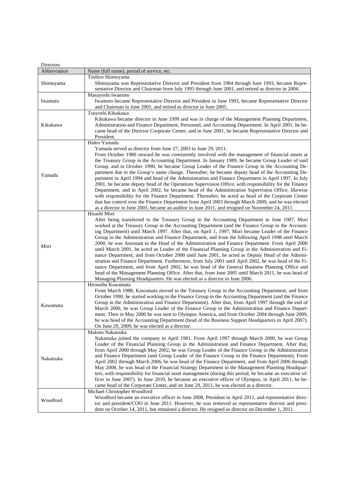| Directors    |                                                                                                                                                                                                        |
|--------------|--------------------------------------------------------------------------------------------------------------------------------------------------------------------------------------------------------|
| Abbreviation | Name (full name), period of service, etc.                                                                                                                                                              |
|              | Toshiro Shimoyama                                                                                                                                                                                      |
| Shimoyama    | Shimoyama was Representative Director and President from 1984 through June 1993, became Repre-                                                                                                         |
|              | sentative Director and Chairman from July 1993 through June 2001, and retired as director in 2004.                                                                                                     |
|              | Masayoshi Iwamoto                                                                                                                                                                                      |
| Iwamoto      | Iwamoto became Representative Director and President in June 1993, became Representative Director                                                                                                      |
|              | and Chairman in June 2001, and retired as director in June 2005.                                                                                                                                       |
|              | Tsuyoshi Kikukawa                                                                                                                                                                                      |
|              | Kikukawa became director in June 1999 and was in charge of the Management Planning Department,                                                                                                         |
| Kikukawa     | Administration and Finance Department, Personnel, and Accounting Department. In April 2001, he be-                                                                                                     |
|              | came head of the Director Corporate Center, and in June 2001, he became Representative Director and<br>President.                                                                                      |
|              | Hideo Yamada                                                                                                                                                                                           |
|              | Yamada served as director from June 27, 2003 to June 29, 2011.                                                                                                                                         |
|              | From October 1980 onward he was consistently involved with the management of financial assets at                                                                                                       |
|              | the Treasury Group in the Accounting Department. In January 1989, he became Group Leader of said                                                                                                       |
|              | Group, and in October 1990, he became Group Leader of the Finance Group in the Accounting De-                                                                                                          |
|              | partment due to the Group's name change. Thereafter, he became deputy head of the Accounting De-                                                                                                       |
| Yamada       | partment in April 1994 and head of the Administration and Finance Department in April 1997. In July                                                                                                    |
|              | 2001, he became deputy head of the Operations Supervision Office, with responsibility for the Finance                                                                                                  |
|              | Department, and in April 2002, he became head of the Administration Supervision Office, likewise                                                                                                       |
|              | with responsibility for the Finance Department. Thereafter, he acted as head of the Corporate Center                                                                                                   |
|              | that has control over the Finance Department from April 2003 through March 2009, and he was elected                                                                                                    |
|              | as a director in June 2003, became an auditor in June 2011, and resigned on November 24, 2011.                                                                                                         |
|              | Hisashi Mori                                                                                                                                                                                           |
|              | After being transferred to the Treasury Group in the Accounting Department in June 1987, Mori                                                                                                          |
|              | worked at the Treasury Group in the Accounting Department (and the Finance Group in the Account-                                                                                                       |
|              | ing Department) until March 1997. After that, on April 1, 1997, Mori became Leader of the Finance                                                                                                      |
|              | Group in the Administration and Finance Department, and from the following April 1998 until March                                                                                                      |
| Mori         | 2000, he was Assistant to the Head of the Administration and Finance Department. From April 2000<br>until March 2001, he acted as Leader of the Financial Planning Group in the Administration and Fi- |
|              | nance Department, and from October 2000 until June 2001, he acted as Deputy Head of the Admini-                                                                                                        |
|              | stration and Finance Department. Furthermore, from July 2001 until April 2002, he was head of the Fi-                                                                                                  |
|              | nance Department, and from April 2002, he was head of the General Business Planning Office and                                                                                                         |
|              | head of the Management Planning Office. After that, from June 2005 until March 2011, he was head of                                                                                                    |
|              | Managing Planning Headquarters. He was elected as a director in June 2006.                                                                                                                             |
|              | Hironobu Kawamata                                                                                                                                                                                      |
|              | From March 1988, Kawamata moved to the Treasury Group in the Accounting Department, and from                                                                                                           |
|              | October 1990, he started working in the Finance Group in the Accounting Department (and the Finance                                                                                                    |
| Kawamata     | Group in the Administration and Finance Department). After that, from April 1997 through the end of                                                                                                    |
|              | March 2000, he was Group Leader of the Finance Group in the Administration and Finance Depart-                                                                                                         |
|              | ment. Then in May 2000 he was sent to Olympus America, and from October 2004 through June 2009,                                                                                                        |
|              | he was head of the Accounting Department (head of the Business Support Headquarters in April 2007).                                                                                                    |
|              | On June 29, 2009, he was elected as a director.                                                                                                                                                        |
|              | Makoto Nakatsuka                                                                                                                                                                                       |
|              | Nakatsuka joined the company in April 1981. From April 1997 through March 2000, he was Group<br>Leader of the Financial Planning Group in the Administration and Finance Department. After that,       |
|              | from April 2000 through May 2002, he was Group Leader of the Finance Group in the Administration                                                                                                       |
|              | and Finance Department (and Group Leader of the Finance Group in the Finance Department). From                                                                                                         |
| Nakatsuka    | April 2002 through March 2006, he was head of the Finance Department, and from April 2006 through                                                                                                      |
|              | May 2008, he was head of the Financial Strategy Department in the Management Planning Headquar-                                                                                                        |
|              | ters, with responsibility for financial asset management (during this period, he became an executive of-                                                                                               |
|              | ficer in June 2007). In June 2010, he because an executive officer of Olympus, in April 2011, he be-                                                                                                   |
|              | came head of the Corporate Center, and on June 29, 2011, he was elected as a director.                                                                                                                 |
|              | Michael Christopher Woodford                                                                                                                                                                           |
| Woodford     | Woodford became an executive officer in June 2008, President in April 2011, and representative direc-                                                                                                  |
|              | tor and president/COO in June 2011. However, he was removed as representative director and presi-                                                                                                      |
|              | dent on October 14, 2011, but remained a director. He resigned as director on December 1, 2011.                                                                                                        |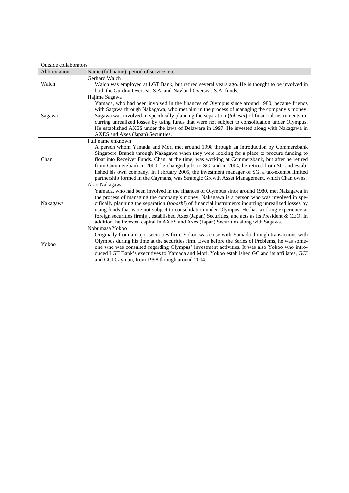| Outside collaborators |                                                                                                                                                                                                                                                                                                                                                                                                                                                                                                                                                                                                                     |  |
|-----------------------|---------------------------------------------------------------------------------------------------------------------------------------------------------------------------------------------------------------------------------------------------------------------------------------------------------------------------------------------------------------------------------------------------------------------------------------------------------------------------------------------------------------------------------------------------------------------------------------------------------------------|--|
| Abbreviation          | Name (full name), period of service, etc.                                                                                                                                                                                                                                                                                                                                                                                                                                                                                                                                                                           |  |
| Walch                 | Gerhard Walch<br>Walch was employed at LGT Bank, but retired several years ago. He is thought to be involved in<br>both the Gurdon Overseas S.A. and Nayland Overseas S.A. funds.                                                                                                                                                                                                                                                                                                                                                                                                                                   |  |
| Sagawa                | Hajime Sagawa<br>Yamada, who had been involved in the finances of Olympus since around 1980, became friends<br>with Sagawa through Nakagawa, who met him in the process of managing the company's money.<br>Sagawa was involved in specifically planning the separation (tobashi) of financial instruments in-<br>curring unrealized losses by using funds that were not subject to consolidation under Olympus.<br>He established AXES under the laws of Delaware in 1997. He invested along with Nakagawa in<br>AXES and Axes (Japan) Securities.                                                                 |  |
| Chan                  | Full name unknown<br>A person whom Yamada and Mori met around 1998 through an introduction by Commerzbank<br>Singapore Branch through Nakagawa when they were looking for a place to procure funding to<br>float into Receiver Funds. Chan, at the time, was working at Commerzbank, but after he retired<br>from Commerzbank in 2000, he changed jobs to SG, and in 2004, he retired from SG and estab-<br>lished his own company. In February 2005, the investment manager of SG, a tax-exempt limited<br>partnership formed in the Caymans, was Strategic Growth Asset Management, which Chan owns.              |  |
| Nakagawa              | Akio Nakagawa<br>Yamada, who had been involved in the finances of Olympus since around 1980, met Nakagawa in<br>the process of managing the company's money. Nakagawa is a person who was involved in spe-<br>cifically planning the separation (tobashi) of financial instruments incurring unrealized losses by<br>using funds that were not subject to consolidation under Olympus. He has working experience at<br>foreign securities firm[s], established Axes (Japan) Securities, and acts as its President & CEO. In<br>addition, he invested capital in AXES and Axes (Japan) Securities along with Sagawa. |  |
| Yokoo                 | Nobumasa Yokoo<br>Originally from a major securities firm, Yokoo was close with Yamada through transactions with<br>Olympus during his time at the securities firm. Even before the Series of Problems, he was some-<br>one who was consulted regarding Olympus' investment activities. It was also Yokoo who intro-<br>duced LGT Bank's executives to Yamada and Mori. Yokoo established GC and its affiliates, GCI<br>and GCI Cayman, from 1998 through around 2004.                                                                                                                                              |  |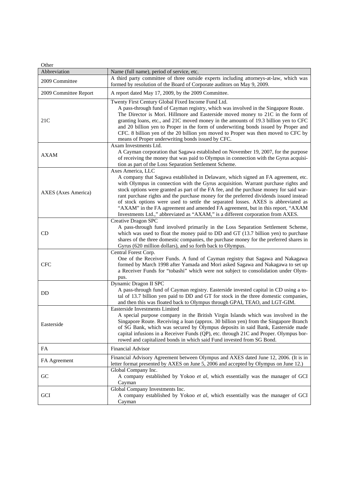$Oth$ 

| Other                 |                                                                                                                                                                                                                                                                                                                                                                                                                                                                                                                                                                                                                                            |
|-----------------------|--------------------------------------------------------------------------------------------------------------------------------------------------------------------------------------------------------------------------------------------------------------------------------------------------------------------------------------------------------------------------------------------------------------------------------------------------------------------------------------------------------------------------------------------------------------------------------------------------------------------------------------------|
| Abbreviation          | Name (full name), period of service, etc.                                                                                                                                                                                                                                                                                                                                                                                                                                                                                                                                                                                                  |
| 2009 Committee        | A third party committee of three outside experts including attorneys-at-law, which was<br>formed by resolution of the Board of Corporate auditors on May 9, 2009.                                                                                                                                                                                                                                                                                                                                                                                                                                                                          |
| 2009 Committee Report | A report dated May 17, 2009, by the 2009 Committee.                                                                                                                                                                                                                                                                                                                                                                                                                                                                                                                                                                                        |
| 21C                   | Twenty First Century Global Fixed Income Fund Ltd.<br>A pass-through fund of Cayman registry, which was involved in the Singapore Route.<br>The Director is Mori. Hillmore and Easterside moved money to 21C in the form of<br>granting loans, etc., and 21C moved money in the amounts of 19.3 billion yen to CFC<br>and 20 billion yen to Proper in the form of underwriting bonds issued by Proper and<br>CFC. 8 billion yen of the 20 billion yen moved to Proper was then moved to CFC by<br>means of Proper underwriting bonds issued by CFC.                                                                                        |
| <b>AXAM</b>           | Axam Investments Ltd.<br>A Cayman corporation that Sagawa established on November 19, 2007, for the purpose<br>of receiving the money that was paid to Olympus in connection with the Gyrus acquisi-<br>tion as part of the Loss Separation Settlement Scheme.                                                                                                                                                                                                                                                                                                                                                                             |
| AXES (Axes America)   | Axes America, LLC<br>A company that Sagawa established in Delaware, which signed an FA agreement, etc.<br>with Olympus in connection with the Gyrus acquisition. Warrant purchase rights and<br>stock options were granted as part of the FA fee, and the purchase money for said war-<br>rant purchase rights and the purchase money for the preferred dividends issued instead<br>of stock options were used to settle the separated losses. AXES is abbreviated as<br>"AXAM" in the FA agreement and amended FA agreement, but in this report, "AXAM<br>Investments Ltd.," abbreviated as "AXAM," is a different corporation from AXES. |
| CD                    | Creative Dragon SPC<br>A pass-through fund involved primarily in the Loss Separation Settlement Scheme,<br>which was used to float the money paid to DD and GT (13.7 billion yen) to purchase<br>shares of the three domestic companies, the purchase money for the preferred shares in<br>Gyrus (620 million dollars), and so forth back to Olympus.                                                                                                                                                                                                                                                                                      |
| <b>CFC</b>            | Central Forest Corp.<br>One of the Receiver Funds. A fund of Cayman registry that Sagawa and Nakagawa<br>formed by March 1998 after Yamada and Mori asked Sagawa and Nakagawa to set up<br>a Receiver Funds for "tobashi" which were not subject to consolidation under Olym-<br>pus.                                                                                                                                                                                                                                                                                                                                                      |
| <b>DD</b>             | Dynamic Dragon II SPC<br>A pass-through fund of Cayman registry. Easterside invested capital in CD using a to-<br>tal of 13.7 billion yen paid to DD and GT for stock in the three domestic companies,<br>and then this was floated back to Olympus through GPAI, TEAO, and LGT-GIM.                                                                                                                                                                                                                                                                                                                                                       |
| Easterside            | <b>Easterside Investments Limited</b><br>A special purpose company in the British Virgin Islands which was involved in the<br>Singapore Route. Receiving a loan (approx. 30 billion yen) from the Singapore Branch<br>of SG Bank, which was secured by Olympus deposits in said Bank, Easterside made<br>capital infusions in a Receiver Funds (QP), etc. through 21C and Proper. Olympus bor-<br>rowed and capitalized bonds in which said Fund invested from SG Bond.                                                                                                                                                                    |
| ${\rm FA}$            | <b>Financial Advisor</b>                                                                                                                                                                                                                                                                                                                                                                                                                                                                                                                                                                                                                   |
| FA Agreement          | Financial Advisory Agreement between Olympus and AXES dated June 12, 2006. (It is in<br>letter format presented by AXES on June 5, 2006 and accepted by Olympus on June 12.)                                                                                                                                                                                                                                                                                                                                                                                                                                                               |
| GC                    | Global Company Inc.<br>A company established by Yokoo et al, which essentially was the manager of GCI<br>Cayman                                                                                                                                                                                                                                                                                                                                                                                                                                                                                                                            |
| GCI                   | Global Company Investments Inc.<br>A company established by Yokoo et al, which essentially was the manager of GCI<br>Cayman                                                                                                                                                                                                                                                                                                                                                                                                                                                                                                                |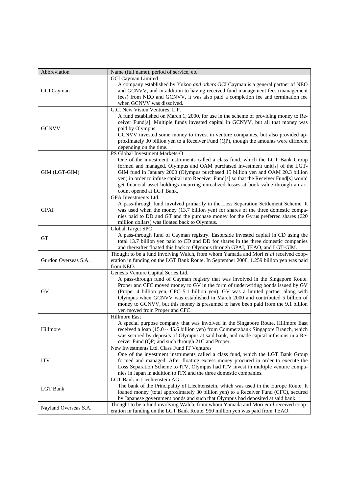| Abbreviation          | Name (full name), period of service, etc.                                                                                                                                                                                                                                                                                                                                                                                                                                                              |
|-----------------------|--------------------------------------------------------------------------------------------------------------------------------------------------------------------------------------------------------------------------------------------------------------------------------------------------------------------------------------------------------------------------------------------------------------------------------------------------------------------------------------------------------|
|                       | <b>GCI</b> Cayman Limited                                                                                                                                                                                                                                                                                                                                                                                                                                                                              |
| <b>GCI</b> Cayman     | A company established by Yokoo and others GCI Cayman is a general partner of NEO<br>and GCNVV, and in addition to having received fund management fees (management<br>fees) from NEO and GCNVV, it was also paid a completion fee and termination fee                                                                                                                                                                                                                                                  |
|                       | when GCNVV was dissolved.                                                                                                                                                                                                                                                                                                                                                                                                                                                                              |
| <b>GCNVV</b>          | G.C. New Vision Ventures, L.P.<br>A fund established on March 1, 2000, for use in the scheme of providing money to Re-<br>ceiver Fund[s]. Multiple funds invested capital in GCNVV, but all that money was<br>paid by Olympus.<br>GCNVV invested some money to invest in venture companies, but also provided ap-                                                                                                                                                                                      |
|                       | proximately 30 billion yen to a Receiver Fund (QP), though the amounts were different                                                                                                                                                                                                                                                                                                                                                                                                                  |
|                       | depending on the time.<br>PS Global Investment Markets-O                                                                                                                                                                                                                                                                                                                                                                                                                                               |
| GIM (LGT-GIM)         | One of the investment instruments called a class fund, which the LGT Bank Group<br>formed and managed. Olympus and OAM purchased investment unit[s] of the LGT-<br>GIM fund in January 2000 (Olympus purchased 15 billion yen and OAM 20.3 billion<br>yen) in order to infuse capital into Receiver Fund[s] so that the Receiver Fund[s] would<br>get financial asset holdings incurring unrealized losses at book value through an ac-<br>count opened at LGT Bank.                                   |
| <b>GPAI</b>           | GPA Investments Ltd.<br>A pass-through fund involved primarily in the Loss Separation Settlement Scheme. It<br>was used when the money (13.7 billion yen) for shares of the three domestic compa-<br>nies paid to DD and GT and the purchase money for the Gyrus preferred shares (620<br>million dollars) was floated back to Olympus.                                                                                                                                                                |
|                       | <b>Global Target SPC</b>                                                                                                                                                                                                                                                                                                                                                                                                                                                                               |
| <b>GT</b>             | A pass-through fund of Cayman registry. Easterside invested capital in CD using the<br>total 13.7 billion yen paid to CD and DD for shares in the three domestic companies<br>and thereafter floated this back to Olympus through GPAI, TEAO, and LGT-GIM.                                                                                                                                                                                                                                             |
| Gurdon Overseas S.A.  | Thought to be a fund involving Walch, from whom Yamada and Mori et al received coop-<br>eration in funding on the LGT Bank Route. In September 2008, 1.259 billion yen was paid<br>from NEO.                                                                                                                                                                                                                                                                                                           |
| GV                    | Genesis Venture Capital Series Ltd.<br>A pass-through fund of Cayman registry that was involved in the Singapore Route.<br>Proper and CFC moved money to GV in the form of underwriting bonds issued by GV<br>(Proper 4 billion yen, CFC 5.1 billion yen). GV was a limited partner along with<br>Olympus when GCNVV was established in March 2000 and contributed 5 billion of<br>money to GCNVV, but this money is presumed to have been paid from the 9.1 billion<br>yen moved from Proper and CFC. |
| Hillmore              | Hillmore East<br>A special purpose company that was involved in the Singapore Route. Hillmore East<br>received a loan $(15.0 \sim 45.6$ billion yen) from Commerzbank Singapore Branch, which<br>was secured by deposits of Olympus at said bank, and made capital infusions in a Re-<br>ceiver Fund (QP) and such through 21C and Proper.                                                                                                                                                             |
| <b>ITV</b>            | New Investments Ltd. Class Fund IT Ventures<br>One of the investment instruments called a class fund, which the LGT Bank Group<br>formed and managed. After floating excess money procured in order to execute the<br>Loss Separation Scheme to ITV, Olympus had ITV invest in multiple venture compa-<br>nies in Japan in addition to ITX and the three domestic companies.                                                                                                                           |
| <b>LGT</b> Bank       | LGT Bank in Liechtenstein AG<br>The bank of the Principality of Liechtenstein, which was used in the Europe Route. It<br>loaned money (total approximately 30 billion yen) to a Receiver Fund (CFC), secured<br>by Japanese government bonds and such that Olympus had deposited at said bank.                                                                                                                                                                                                         |
| Nayland Overseas S.A. | Thought to be a fund involving Walch, from whom Yamada and Mori et al received coop-<br>eration in funding on the LGT Bank Route. 950 million yen was paid from TEAO.                                                                                                                                                                                                                                                                                                                                  |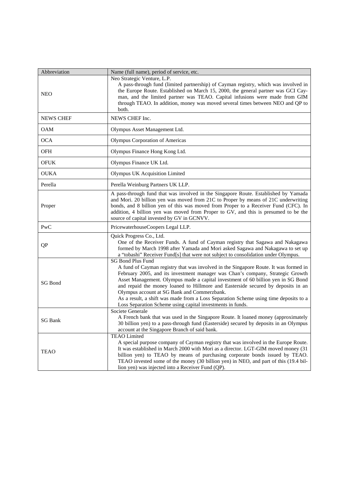| Abbreviation     | Name (full name), period of service, etc.                                                                                                                                                                                                                                                                                                                                                                                                                                                                                                                                       |
|------------------|---------------------------------------------------------------------------------------------------------------------------------------------------------------------------------------------------------------------------------------------------------------------------------------------------------------------------------------------------------------------------------------------------------------------------------------------------------------------------------------------------------------------------------------------------------------------------------|
| <b>NEO</b>       | Neo Strategic Venture, L.P.<br>A pass-through fund (limited partnership) of Cayman registry, which was involved in<br>the Europe Route. Established on March 15, 2000, the general partner was GCI Cay-<br>man, and the limited partner was TEAO. Capital infusions were made from GIM<br>through TEAO. In addition, money was moved several times between NEO and QP to<br>both.                                                                                                                                                                                               |
| <b>NEWS CHEF</b> | NEWS CHEF Inc.                                                                                                                                                                                                                                                                                                                                                                                                                                                                                                                                                                  |
| <b>OAM</b>       | Olympus Asset Management Ltd.                                                                                                                                                                                                                                                                                                                                                                                                                                                                                                                                                   |
| <b>OCA</b>       | <b>Olympus Corporation of Americas</b>                                                                                                                                                                                                                                                                                                                                                                                                                                                                                                                                          |
| <b>OFH</b>       | Olympus Finance Hong Kong Ltd.                                                                                                                                                                                                                                                                                                                                                                                                                                                                                                                                                  |
| <b>OFUK</b>      | Olympus Finance UK Ltd.                                                                                                                                                                                                                                                                                                                                                                                                                                                                                                                                                         |
| <b>OUKA</b>      | Olympus UK Acquisition Limited                                                                                                                                                                                                                                                                                                                                                                                                                                                                                                                                                  |
| Perella          | Perella Weinburg Partners UK LLP.                                                                                                                                                                                                                                                                                                                                                                                                                                                                                                                                               |
| Proper           | A pass-through fund that was involved in the Singapore Route. Established by Yamada<br>and Mori. 20 billion yen was moved from 21C to Proper by means of 21C underwriting<br>bonds, and 8 billion yen of this was moved from Proper to a Receiver Fund (CFC). In<br>addition, 4 billion yen was moved from Proper to GV, and this is presumed to be the<br>source of capital invested by GV in GCNVV.                                                                                                                                                                           |
| PwC              | PricewaterhouseCoopers Legal LLP.                                                                                                                                                                                                                                                                                                                                                                                                                                                                                                                                               |
| QP               | Quick Progress Co., Ltd.<br>One of the Receiver Funds. A fund of Cayman registry that Sagawa and Nakagawa<br>formed by March 1998 after Yamada and Mori asked Sagawa and Nakagawa to set up<br>a "tobashi" Receiver Fund[s] that were not subject to consolidation under Olympus.                                                                                                                                                                                                                                                                                               |
| <b>SG Bond</b>   | <b>SG Bond Plus Fund</b><br>A fund of Cayman registry that was involved in the Singapore Route. It was formed in<br>February 2005, and its investment manager was Chan's company, Strategic Growth<br>Asset Management. Olympus made a capital investment of 60 billion yen in SG Bond<br>and repaid the money loaned to Hillmore and Easterside secured by deposits in an<br>Olympus account at SG Bank and Commerzbank.<br>As a result, a shift was made from a Loss Separation Scheme using time deposits to a<br>Loss Separation Scheme using capital investments in funds. |
| <b>SG Bank</b>   | Societe Generale<br>A French bank that was used in the Singapore Route. It loaned money (approximately<br>30 billion yen) to a pass-through fund (Easterside) secured by deposits in an Olympus<br>account at the Singapore Branch of said bank.                                                                                                                                                                                                                                                                                                                                |
| <b>TEAO</b>      | <b>TEAO Limited</b><br>A special purpose company of Cayman registry that was involved in the Europe Route.<br>It was established in March 2000 with Mori as a director. LGT-GIM moved money (31)<br>billion yen) to TEAO by means of purchasing corporate bonds issued by TEAO.<br>TEAO invested some of the money (30 billion yen) in NEO, and part of this (19.4 bil-<br>lion yen) was injected into a Receiver Fund (QP).                                                                                                                                                    |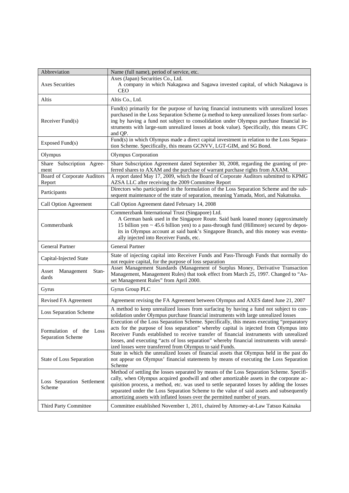| Abbreviation                                        | Name (full name), period of service, etc.                                                                                                                                                                                                                                                                                                                                                                                                                  |
|-----------------------------------------------------|------------------------------------------------------------------------------------------------------------------------------------------------------------------------------------------------------------------------------------------------------------------------------------------------------------------------------------------------------------------------------------------------------------------------------------------------------------|
| <b>Axes Securities</b>                              | Axes (Japan) Securities Co., Ltd.<br>A company in which Nakagawa and Sagawa invested capital, of which Nakagawa is                                                                                                                                                                                                                                                                                                                                         |
| Altis                                               | <b>CEO</b><br>Altis Co., Ltd.                                                                                                                                                                                                                                                                                                                                                                                                                              |
|                                                     | Fund(s) primarily for the purpose of having financial instruments with unrealized losses                                                                                                                                                                                                                                                                                                                                                                   |
| Receiver Fund(s)                                    | purchased in the Loss Separation Scheme (a method to keep unrealized losses from surfac-<br>ing by having a fund not subject to consolidation under Olympus purchase financial in-<br>struments with large-sum unrealized losses at book value). Specifically, this means CFC<br>and OP.                                                                                                                                                                   |
| Exposed Fund(s)                                     | Fund(s) in which Olympus made a direct capital investment in relation to the Loss Separa-<br>tion Scheme. Specifically, this means GCNVV, LGT-GIM, and SG Bond.                                                                                                                                                                                                                                                                                            |
| Olympus                                             | <b>Olympus Corporation</b>                                                                                                                                                                                                                                                                                                                                                                                                                                 |
| Share Subscription Agree-<br>ment                   | Share Subscription Agreement dated September 30, 2008, regarding the granting of pre-<br>ferred shares to AXAM and the purchase of warrant purchase rights from AXAM.                                                                                                                                                                                                                                                                                      |
| Board of Corporate Auditors<br>Report               | A report dated May 17, 2009, which the Board of Corporate Auditors submitted to KPMG<br>AZSA LLC after receiving the 2009 Committee Report                                                                                                                                                                                                                                                                                                                 |
| Participants                                        | Directors who participated in the formulation of the Loss Separation Scheme and the sub-<br>sequent maintenance of the state of separation, meaning Yamada, Mori, and Nakatsuka.                                                                                                                                                                                                                                                                           |
| Call Option Agreement                               | Call Option Agreement dated February 14, 2008                                                                                                                                                                                                                                                                                                                                                                                                              |
| Commerzbank                                         | Commerzbank International Trust (Singapore) Ltd.<br>A German bank used in the Singapore Route. Said bank loaned money (approximately<br>15 billion yen $\sim$ 45.6 billion yen) to a pass-through fund (Hillmore) secured by depos-<br>its in Olympus account at said bank's Singapore Branch, and this money was eventu-<br>ally injected into Receiver Funds, etc.                                                                                       |
| <b>General Partner</b>                              | <b>General Partner</b>                                                                                                                                                                                                                                                                                                                                                                                                                                     |
| Capital-Injected State                              | State of injecting capital into Receiver Funds and Pass-Through Funds that normally do<br>not require capital, for the purpose of loss separation                                                                                                                                                                                                                                                                                                          |
| Asset<br>Management<br>Stan-<br>dards               | Asset Management Standards (Management of Surplus Money, Derivative Transaction<br>Management, Management Rules) that took effect from March 25, 1997. Changed to "As-<br>set Management Rules" from April 2000.                                                                                                                                                                                                                                           |
| Gyrus                                               | Gyrus Group PLC                                                                                                                                                                                                                                                                                                                                                                                                                                            |
| Revised FA Agreement                                | Agreement revising the FA Agreement between Olympus and AXES dated June 21, 2007                                                                                                                                                                                                                                                                                                                                                                           |
| <b>Loss Separation Scheme</b>                       | A method to keep unrealized losses from surfacing by having a fund not subject to con-<br>solidation under Olympus purchase financial instruments with large unrealized losses                                                                                                                                                                                                                                                                             |
| Formulation of the Loss<br><b>Separation Scheme</b> | Execution of the Loss Separation Scheme. Specifically, this means executing "preparatory<br>acts for the purpose of loss separation" whereby capital is injected from Olympus into<br>Receiver Funds established to receive transfer of financial instruments with unrealized<br>losses, and executing "acts of loss separation" whereby financial instruments with unreal-<br>ized losses were transferred from Olympus to said Funds.                    |
| State of Loss Separation                            | State in which the unrealized losses of financial assets that Olympus held in the past do<br>not appear on Olympus' financial statements by means of executing the Loss Separation<br>Scheme                                                                                                                                                                                                                                                               |
| Loss Separation Settlement<br>Scheme                | Method of settling the losses separated by means of the Loss Separation Scheme. Specifi-<br>cally, when Olympus acquired goodwill and other amortizable assets in the corporate ac-<br>quisition process, a method, etc. was used to settle separated losses by adding the losses<br>separated under the Loss Separation Scheme to the value of said assets and subsequently<br>amortizing assets with inflated losses over the permitted number of years. |
| Third Party Committee                               | Committee established November 1, 2011, chaired by Attorney-at-Law Tatsuo Kainaka                                                                                                                                                                                                                                                                                                                                                                          |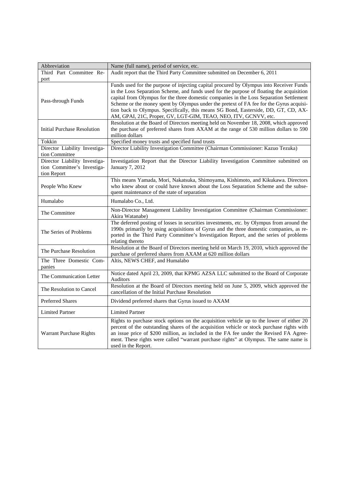| Abbreviation                                                                | Name (full name), period of service, etc.                                                                                                                                                                                                                                                                                                                                                                                                                                                                                            |
|-----------------------------------------------------------------------------|--------------------------------------------------------------------------------------------------------------------------------------------------------------------------------------------------------------------------------------------------------------------------------------------------------------------------------------------------------------------------------------------------------------------------------------------------------------------------------------------------------------------------------------|
| Third Part Committee Re-<br>port                                            | Audit report that the Third Party Committee submitted on December 6, 2011                                                                                                                                                                                                                                                                                                                                                                                                                                                            |
| Pass-through Funds                                                          | Funds used for the purpose of injecting capital procured by Olympus into Receiver Funds<br>in the Loss Separation Scheme, and funds used for the purpose of floating the acquisition<br>capital from Olympus for the three domestic companies in the Loss Separation Settlement<br>Scheme or the money spent by Olympus under the pretext of FA fee for the Gyrus acquisi-<br>tion back to Olympus. Specifically, this means SG Bond, Easterside, DD, GT, CD, AX-<br>AM, GPAI, 21C, Proper, GV, LGT-GIM, TEAO, NEO, ITV, GCNVV, etc. |
| <b>Initial Purchase Resolution</b>                                          | Resolution at the Board of Directors meeting held on November 18, 2008, which approved<br>the purchase of preferred shares from AXAM at the range of 530 million dollars to 590<br>million dollars                                                                                                                                                                                                                                                                                                                                   |
| Tokkin                                                                      | Specified money trusts and specified fund trusts                                                                                                                                                                                                                                                                                                                                                                                                                                                                                     |
| Director Liability Investiga-<br>tion Committee                             | Director Liability Investigation Committee (Chairman Commissioner: Kazuo Tezuka)                                                                                                                                                                                                                                                                                                                                                                                                                                                     |
| Director Liability Investiga-<br>tion Committee's Investiga-<br>tion Report | Investigation Report that the Director Liability Investigation Committee submitted on<br>January 7, 2012                                                                                                                                                                                                                                                                                                                                                                                                                             |
| People Who Knew                                                             | This means Yamada, Mori, Nakatsuka, Shimoyama, Kishimoto, and Kikukawa. Directors<br>who knew about or could have known about the Loss Separation Scheme and the subse-<br>quent maintenance of the state of separation                                                                                                                                                                                                                                                                                                              |
| Humalabo                                                                    | Humalabo Co., Ltd.                                                                                                                                                                                                                                                                                                                                                                                                                                                                                                                   |
| The Committee                                                               | Non-Director Management Liability Investigation Committee (Chairman Commissioner:<br>Akira Watanabe)                                                                                                                                                                                                                                                                                                                                                                                                                                 |
| The Series of Problems                                                      | The deferred posting of losses in securities investments, etc. by Olympus from around the<br>1990s primarily by using acquisitions of Gyrus and the three domestic companies, as re-<br>ported in the Third Party Committee's Investigation Report, and the series of problems<br>relating thereto                                                                                                                                                                                                                                   |
| The Purchase Resolution                                                     | Resolution at the Board of Directors meeting held on March 19, 2010, which approved the<br>purchase of preferred shares from AXAM at 620 million dollars                                                                                                                                                                                                                                                                                                                                                                             |
| The Three Domestic Com-<br>panies                                           | Altis, NEWS CHEF, and Humalabo                                                                                                                                                                                                                                                                                                                                                                                                                                                                                                       |
| The Communication Letter                                                    | Notice dated April 23, 2009, that KPMG AZSA LLC submitted to the Board of Corporate<br>Auditors                                                                                                                                                                                                                                                                                                                                                                                                                                      |
| The Resolution to Cancel                                                    | Resolution at the Board of Directors meeting held on June 5, 2009, which approved the<br>cancellation of the Initial Purchase Resolution                                                                                                                                                                                                                                                                                                                                                                                             |
| <b>Preferred Shares</b>                                                     | Dividend preferred shares that Gyrus issued to AXAM                                                                                                                                                                                                                                                                                                                                                                                                                                                                                  |
| <b>Limited Partner</b>                                                      | <b>Limited Partner</b>                                                                                                                                                                                                                                                                                                                                                                                                                                                                                                               |
| Warrant Purchase Rights                                                     | Rights to purchase stock options on the acquisition vehicle up to the lower of either 20<br>percent of the outstanding shares of the acquisition vehicle or stock purchase rights with<br>an issue price of \$200 million, as included in the FA fee under the Revised FA Agree-<br>ment. These rights were called "warrant purchase rights" at Olympus. The same name is<br>used in the Report.                                                                                                                                     |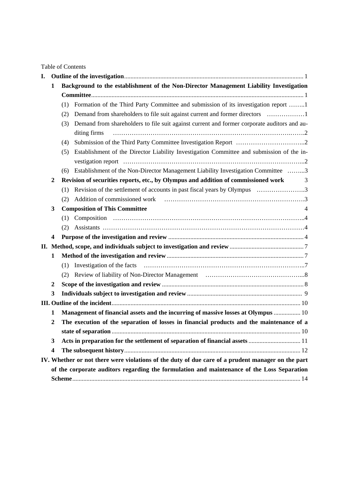Table of Contents

| I. |                                                                                                             |                                                                                        |                                                                                                             |  |
|----|-------------------------------------------------------------------------------------------------------------|----------------------------------------------------------------------------------------|-------------------------------------------------------------------------------------------------------------|--|
|    | 1                                                                                                           | Background to the establishment of the Non-Director Management Liability Investigation |                                                                                                             |  |
|    |                                                                                                             |                                                                                        |                                                                                                             |  |
|    |                                                                                                             | (1)                                                                                    | Formation of the Third Party Committee and submission of its investigation report 1                         |  |
|    |                                                                                                             | (2)                                                                                    | Demand from shareholders to file suit against current and former directors                                  |  |
|    |                                                                                                             | (3)                                                                                    | Demand from shareholders to file suit against current and former corporate auditors and au-<br>diting firms |  |
|    |                                                                                                             | (4)                                                                                    |                                                                                                             |  |
|    |                                                                                                             | (5)                                                                                    | Establishment of the Director Liability Investigation Committee and submission of the in-                   |  |
|    |                                                                                                             |                                                                                        |                                                                                                             |  |
|    |                                                                                                             | (6)                                                                                    | Establishment of the Non-Director Management Liability Investigation Committee 3                            |  |
|    | Revision of securities reports, etc., by Olympus and addition of commissioned work<br>$\boldsymbol{2}$<br>3 |                                                                                        |                                                                                                             |  |
|    |                                                                                                             | (1)                                                                                    |                                                                                                             |  |
|    |                                                                                                             | (2)                                                                                    | Addition of commissioned work                                                                               |  |
|    | <b>Composition of This Committee</b><br>3                                                                   |                                                                                        |                                                                                                             |  |
|    |                                                                                                             |                                                                                        |                                                                                                             |  |
|    |                                                                                                             | (2)                                                                                    |                                                                                                             |  |
|    | 4                                                                                                           |                                                                                        |                                                                                                             |  |
|    |                                                                                                             |                                                                                        |                                                                                                             |  |
|    | 1                                                                                                           |                                                                                        |                                                                                                             |  |
|    |                                                                                                             | (1)                                                                                    | Investigation of the facts                                                                                  |  |
|    |                                                                                                             | (2)                                                                                    |                                                                                                             |  |
|    | 2                                                                                                           |                                                                                        |                                                                                                             |  |
|    | 3                                                                                                           |                                                                                        |                                                                                                             |  |
|    |                                                                                                             |                                                                                        |                                                                                                             |  |
|    | 1                                                                                                           |                                                                                        | Management of financial assets and the incurring of massive losses at Olympus  10                           |  |
|    | 2                                                                                                           |                                                                                        | The execution of the separation of losses in financial products and the maintenance of a                    |  |
|    |                                                                                                             |                                                                                        |                                                                                                             |  |
|    | 3                                                                                                           |                                                                                        |                                                                                                             |  |
|    | 4                                                                                                           |                                                                                        |                                                                                                             |  |
|    |                                                                                                             |                                                                                        | IV. Whether or not there were violations of the duty of due care of a prudent manager on the part           |  |
|    | of the corporate auditors regarding the formulation and maintenance of the Loss Separation                  |                                                                                        |                                                                                                             |  |
|    |                                                                                                             |                                                                                        |                                                                                                             |  |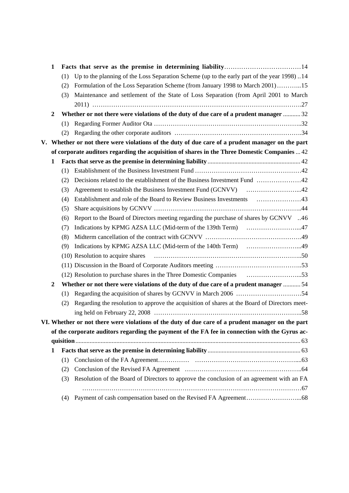|    | 1                |     |                                                                                                   |
|----|------------------|-----|---------------------------------------------------------------------------------------------------|
|    |                  | (1) | Up to the planning of the Loss Separation Scheme (up to the early part of the year 1998). 14      |
|    |                  | (2) | Formulation of the Loss Separation Scheme (from January 1998 to March 2001)15                     |
|    |                  | (3) | Maintenance and settlement of the State of Loss Separation (from April 2001 to March              |
|    |                  |     |                                                                                                   |
|    | $\mathbf{2}$     |     | Whether or not there were violations of the duty of due care of a prudent manager  32             |
|    |                  | (1) |                                                                                                   |
|    |                  | (2) |                                                                                                   |
| V. |                  |     | Whether or not there were violations of the duty of due care of a prudent manager on the part     |
|    |                  |     | of corporate auditors regarding the acquisition of shares in the Three Domestic Companies  42     |
|    | 1                |     |                                                                                                   |
|    |                  | (1) |                                                                                                   |
|    |                  | (2) | Decisions related to the establishment of the Business Investment Fund 42                         |
|    |                  | (3) |                                                                                                   |
|    |                  | (4) |                                                                                                   |
|    |                  | (5) |                                                                                                   |
|    |                  | (6) | Report to the Board of Directors meeting regarding the purchase of shares by GCNVV 46             |
|    |                  | (7) | Indications by KPMG AZSA LLC (Mid-term of the 139th Term) 47                                      |
|    |                  | (8) |                                                                                                   |
|    |                  | (9) | Indications by KPMG AZSA LLC (Mid-term of the 140th Term) 49                                      |
|    |                  |     | (10) Resolution to acquire shares                                                                 |
|    |                  |     |                                                                                                   |
|    |                  |     |                                                                                                   |
|    | $\boldsymbol{2}$ |     | Whether or not there were violations of the duty of due care of a prudent manager  54             |
|    |                  | (1) |                                                                                                   |
|    |                  | (2) | Regarding the resolution to approve the acquisition of shares at the Board of Directors meet-     |
|    |                  |     |                                                                                                   |
|    |                  |     | VI. Whether or not there were violations of the duty of due care of a prudent manager on the part |
|    |                  |     | of the corporate auditors regarding the payment of the FA fee in connection with the Gyrus ac-    |
|    |                  |     |                                                                                                   |
|    | 1                |     |                                                                                                   |
|    |                  | (1) |                                                                                                   |
|    |                  | (2) |                                                                                                   |
|    |                  | (3) | Resolution of the Board of Directors to approve the conclusion of an agreement with an FA         |
|    |                  |     |                                                                                                   |
|    |                  | (4) |                                                                                                   |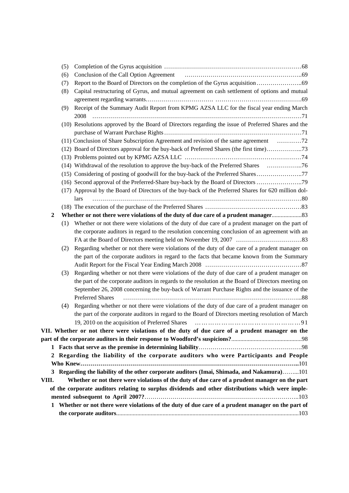|       | (5) |                                                                                                                                                                                                                                                                                                                                    |
|-------|-----|------------------------------------------------------------------------------------------------------------------------------------------------------------------------------------------------------------------------------------------------------------------------------------------------------------------------------------|
|       | (6) | Conclusion of the Call Option Agreement                                                                                                                                                                                                                                                                                            |
|       | (7) |                                                                                                                                                                                                                                                                                                                                    |
|       | (8) | Capital restructuring of Gyrus, and mutual agreement on cash settlement of options and mutual                                                                                                                                                                                                                                      |
|       |     |                                                                                                                                                                                                                                                                                                                                    |
|       | (9) | Receipt of the Summary Audit Report from KPMG AZSA LLC for the fiscal year ending March<br>2008                                                                                                                                                                                                                                    |
|       |     | (10) Resolutions approved by the Board of Directors regarding the issue of Preferred Shares and the                                                                                                                                                                                                                                |
|       |     | (11) Conclusion of Share Subscription Agreement and revision of the same agreement 72                                                                                                                                                                                                                                              |
|       |     | (12) Board of Directors approval for the buy-back of Preferred Shares (the first time)73                                                                                                                                                                                                                                           |
|       |     |                                                                                                                                                                                                                                                                                                                                    |
|       |     |                                                                                                                                                                                                                                                                                                                                    |
|       |     | (15) Considering of posting of goodwill for the buy-back of the Preferred Shares77                                                                                                                                                                                                                                                 |
|       |     |                                                                                                                                                                                                                                                                                                                                    |
|       |     | (17) Approval by the Board of Directors of the buy-back of the Preferred Shares for 620 million dol-<br>lars                                                                                                                                                                                                                       |
|       |     |                                                                                                                                                                                                                                                                                                                                    |
| 2     |     | Whether or not there were violations of the duty of due care of a prudent manager                                                                                                                                                                                                                                                  |
|       | (1) | Whether or not there were violations of the duty of due care of a prudent manager on the part of                                                                                                                                                                                                                                   |
|       |     | the corporate auditors in regard to the resolution concerning conclusion of an agreement with an                                                                                                                                                                                                                                   |
|       |     |                                                                                                                                                                                                                                                                                                                                    |
|       | (2) | Regarding whether or not there were violations of the duty of due care of a prudent manager on                                                                                                                                                                                                                                     |
|       |     | the part of the corporate auditors in regard to the facts that became known from the Summary                                                                                                                                                                                                                                       |
|       | (3) | Regarding whether or not there were violations of the duty of due care of a prudent manager on<br>the part of the corporate auditors in regards to the resolution at the Board of Directors meeting on<br>September 26, 2008 concerning the buy-back of Warrant Purchase Rights and the issuance of the<br><b>Preferred Shares</b> |
|       | (4) | Regarding whether or not there were violations of the duty of due care of a prudent manager on                                                                                                                                                                                                                                     |
|       |     | the part of the corporate auditors in regard to the Board of Directors meeting resolution of March                                                                                                                                                                                                                                 |
|       |     | VII. Whether or not there were violations of the duty of due care of a prudent manager on the                                                                                                                                                                                                                                      |
|       |     |                                                                                                                                                                                                                                                                                                                                    |
|       |     |                                                                                                                                                                                                                                                                                                                                    |
|       |     | 2 Regarding the liability of the corporate auditors who were Participants and People                                                                                                                                                                                                                                               |
|       |     |                                                                                                                                                                                                                                                                                                                                    |
|       |     | 3 Regarding the liability of the other corporate auditors (Imai, Shimada, and Nakamura)101                                                                                                                                                                                                                                         |
| VIII. |     | Whether or not there were violations of the duty of due care of a prudent manager on the part                                                                                                                                                                                                                                      |
|       |     | of the corporate auditors relating to surplus dividends and other distributions which were imple-                                                                                                                                                                                                                                  |
|       |     |                                                                                                                                                                                                                                                                                                                                    |
|       |     | 1 Whether or not there were violations of the duty of due care of a prudent manager on the part of                                                                                                                                                                                                                                 |
|       |     |                                                                                                                                                                                                                                                                                                                                    |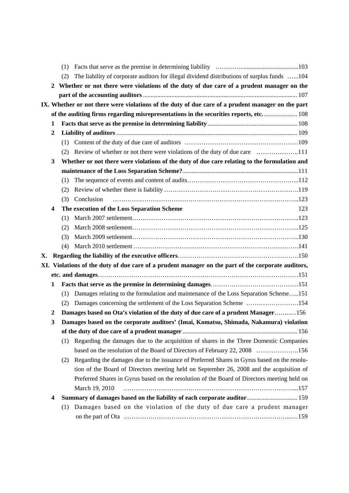|    |                  | (1)                                                                                                |     |  |  |
|----|------------------|----------------------------------------------------------------------------------------------------|-----|--|--|
|    |                  | The liability of corporate auditors for illegal dividend distributions of surplus funds 104<br>(2) |     |  |  |
|    | $\mathbf{2}$     | Whether or not there were violations of the duty of due care of a prudent manager on the           |     |  |  |
|    |                  |                                                                                                    |     |  |  |
|    |                  | IX. Whether or not there were violations of the duty of due care of a prudent manager on the part  |     |  |  |
|    |                  | of the auditing firms regarding misrepresentations in the securities reports, etc.  108            |     |  |  |
|    | 1                |                                                                                                    |     |  |  |
|    | $\boldsymbol{2}$ |                                                                                                    |     |  |  |
|    |                  | (1)                                                                                                |     |  |  |
|    |                  | Review of whether or not there were violations of the duty of due care 111<br>(2)                  |     |  |  |
|    | 3                | Whether or not there were violations of the duty of due care relating to the formulation and       |     |  |  |
|    |                  |                                                                                                    |     |  |  |
|    |                  | (1)                                                                                                |     |  |  |
|    |                  | (2)                                                                                                |     |  |  |
|    |                  | Conclusion<br>(3)                                                                                  |     |  |  |
|    | 4                | The execution of the Loss Separation Scheme                                                        | 123 |  |  |
|    |                  | (1)                                                                                                |     |  |  |
|    |                  | (2)                                                                                                |     |  |  |
|    |                  | (3)                                                                                                |     |  |  |
|    |                  | (4)                                                                                                |     |  |  |
| Х. |                  |                                                                                                    |     |  |  |
|    |                  | XI. Violations of the duty of due care of a prudent manager on the part of the corporate auditors, |     |  |  |
|    |                  |                                                                                                    |     |  |  |
|    | 1                |                                                                                                    |     |  |  |
|    |                  | Damages relating to the formulation and maintenance of the Loss Separation Scheme151<br>(1)        |     |  |  |
|    |                  | Damages concerning the settlement of the Loss Separation Scheme 154<br>(2)                         |     |  |  |
|    | $\boldsymbol{2}$ | Damages based on Ota's violation of the duty of due care of a prudent Manager156                   |     |  |  |
|    | 3                | Damages based on the corporate auditors' (Imai, Komatsu, Shimada, Nakamura) violation              |     |  |  |
|    |                  |                                                                                                    |     |  |  |
|    |                  | (1) Regarding the damages due to the acquisition of shares in the Three Domestic Companies         |     |  |  |
|    |                  | based on the resolution of the Board of Directors of February 22, 2008 156                         |     |  |  |
|    |                  | Regarding the damages due to the issuance of Preferred Shares in Gyrus based on the resolu-<br>(2) |     |  |  |
|    |                  | tion of the Board of Directors meeting held on September 26, 2008 and the acquisition of           |     |  |  |
|    |                  | Preferred Shares in Gyrus based on the resolution of the Board of Directors meeting held on        |     |  |  |
|    |                  | March 19, 2010                                                                                     |     |  |  |
|    | 4                | Summary of damages based on the liability of each corporate auditor 159                            |     |  |  |
|    |                  | Damages based on the violation of the duty of due care a prudent manager<br>(1)                    |     |  |  |
|    |                  |                                                                                                    |     |  |  |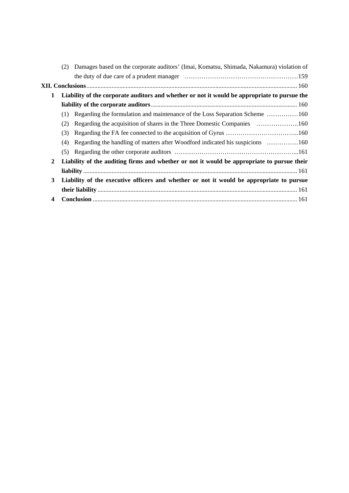| Damages based on the corporate auditors' (Imai, Komatsu, Shimada, Nakamura) violation of<br>(2) |  |                                                                                                                                                                                                                                                                                                                                                        |  |
|-------------------------------------------------------------------------------------------------|--|--------------------------------------------------------------------------------------------------------------------------------------------------------------------------------------------------------------------------------------------------------------------------------------------------------------------------------------------------------|--|
|                                                                                                 |  |                                                                                                                                                                                                                                                                                                                                                        |  |
|                                                                                                 |  |                                                                                                                                                                                                                                                                                                                                                        |  |
| Liability of the corporate auditors and whether or not it would be appropriate to pursue the    |  |                                                                                                                                                                                                                                                                                                                                                        |  |
|                                                                                                 |  |                                                                                                                                                                                                                                                                                                                                                        |  |
| (1)                                                                                             |  |                                                                                                                                                                                                                                                                                                                                                        |  |
| (2)                                                                                             |  |                                                                                                                                                                                                                                                                                                                                                        |  |
| (3)                                                                                             |  |                                                                                                                                                                                                                                                                                                                                                        |  |
| (4)                                                                                             |  |                                                                                                                                                                                                                                                                                                                                                        |  |
| (5)                                                                                             |  |                                                                                                                                                                                                                                                                                                                                                        |  |
| $\mathbf{2}$                                                                                    |  |                                                                                                                                                                                                                                                                                                                                                        |  |
|                                                                                                 |  |                                                                                                                                                                                                                                                                                                                                                        |  |
|                                                                                                 |  |                                                                                                                                                                                                                                                                                                                                                        |  |
|                                                                                                 |  |                                                                                                                                                                                                                                                                                                                                                        |  |
|                                                                                                 |  |                                                                                                                                                                                                                                                                                                                                                        |  |
|                                                                                                 |  | Regarding the formulation and maintenance of the Loss Separation Scheme 160<br>Regarding the handling of matters after Woodford indicated his suspicions 160<br>Liability of the auditing firms and whether or not it would be appropriate to pursue their<br>Liability of the executive officers and whether or not it would be appropriate to pursue |  |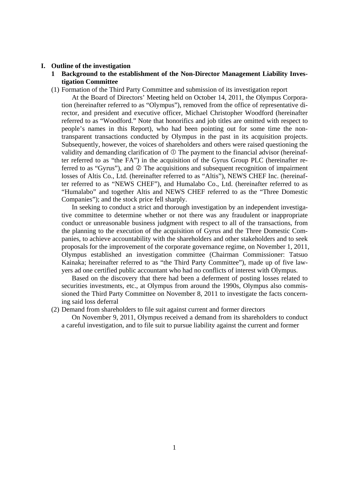#### **I. Outline of the investigation**

- **1 Background to the establishment of the Non-Director Management Liability Investigation Committee**
- (1) Formation of the Third Party Committee and submission of its investigation report

 At the Board of Directors' Meeting held on October 14, 2011, the Olympus Corporation (hereinafter referred to as "Olympus"), removed from the office of representative director, and president and executive officer, Michael Christopher Woodford (hereinafter referred to as "Woodford." Note that honorifics and job titles are omitted with respect to people's names in this Report), who had been pointing out for some time the nontransparent transactions conducted by Olympus in the past in its acquisition projects. Subsequently, however, the voices of shareholders and others were raised questioning the validity and demanding clarification of  $\mathbb O$  The payment to the financial advisor (hereinafter referred to as "the FA") in the acquisition of the Gyrus Group PLC (hereinafter referred to as "Gyrus"), and  $\oslash$  The acquisitions and subsequent recognition of impairment losses of Altis Co., Ltd. (hereinafter referred to as "Altis"), NEWS CHEF Inc. (hereinafter referred to as "NEWS CHEF"), and Humalabo Co., Ltd. (hereinafter referred to as "Humalabo" and together Altis and NEWS CHEF referred to as the "Three Domestic Companies"); and the stock price fell sharply.

 In seeking to conduct a strict and thorough investigation by an independent investigative committee to determine whether or not there was any fraudulent or inappropriate conduct or unreasonable business judgment with respect to all of the transactions, from the planning to the execution of the acquisition of Gyrus and the Three Domestic Companies, to achieve accountability with the shareholders and other stakeholders and to seek proposals for the improvement of the corporate governance regime, on November 1, 2011, Olympus established an investigation committee (Chairman Commissioner: Tatsuo Kainaka; hereinafter referred to as "the Third Party Committee"), made up of five lawyers ad one certified public accountant who had no conflicts of interest with Olympus.

 Based on the discovery that there had been a deferment of posting losses related to securities investments, etc., at Olympus from around the 1990s, Olympus also commissioned the Third Party Committee on November 8, 2011 to investigate the facts concerning said loss deferral

(2) Demand from shareholders to file suit against current and former directors

 On November 9, 2011, Olympus received a demand from its shareholders to conduct a careful investigation, and to file suit to pursue liability against the current and former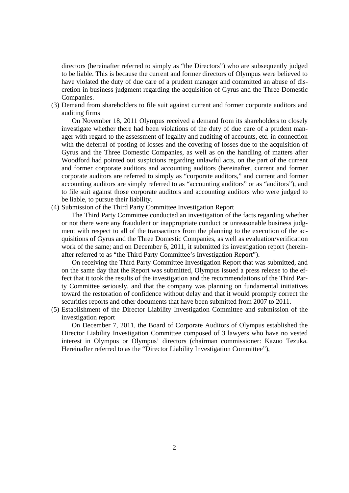directors (hereinafter referred to simply as "the Directors") who are subsequently judged to be liable. This is because the current and former directors of Olympus were believed to have violated the duty of due care of a prudent manager and committed an abuse of discretion in business judgment regarding the acquisition of Gyrus and the Three Domestic Companies.

(3) Demand from shareholders to file suit against current and former corporate auditors and auditing firms

 On November 18, 2011 Olympus received a demand from its shareholders to closely investigate whether there had been violations of the duty of due care of a prudent manager with regard to the assessment of legality and auditing of accounts, etc. in connection with the deferral of posting of losses and the covering of losses due to the acquisition of Gyrus and the Three Domestic Companies, as well as on the handling of matters after Woodford had pointed out suspicions regarding unlawful acts, on the part of the current and former corporate auditors and accounting auditors (hereinafter, current and former corporate auditors are referred to simply as "corporate auditors," and current and former accounting auditors are simply referred to as "accounting auditors" or as "auditors"), and to file suit against those corporate auditors and accounting auditors who were judged to be liable, to pursue their liability.

(4) Submission of the Third Party Committee Investigation Report

 The Third Party Committee conducted an investigation of the facts regarding whether or not there were any fraudulent or inappropriate conduct or unreasonable business judgment with respect to all of the transactions from the planning to the execution of the acquisitions of Gyrus and the Three Domestic Companies, as well as evaluation/verification work of the same; and on December 6, 2011, it submitted its investigation report (hereinafter referred to as "the Third Party Committee's Investigation Report").

 On receiving the Third Party Committee Investigation Report that was submitted, and on the same day that the Report was submitted, Olympus issued a press release to the effect that it took the results of the investigation and the recommendations of the Third Party Committee seriously, and that the company was planning on fundamental initiatives toward the restoration of confidence without delay and that it would promptly correct the securities reports and other documents that have been submitted from 2007 to 2011.

(5) Establishment of the Director Liability Investigation Committee and submission of the investigation report

 On December 7, 2011, the Board of Corporate Auditors of Olympus established the Director Liability Investigation Committee composed of 3 lawyers who have no vested interest in Olympus or Olympus' directors (chairman commissioner: Kazuo Tezuka. Hereinafter referred to as the "Director Liability Investigation Committee"),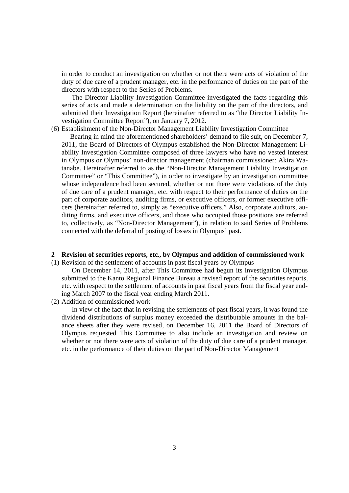in order to conduct an investigation on whether or not there were acts of violation of the duty of due care of a prudent manager, etc. in the performance of duties on the part of the directors with respect to the Series of Problems.

 The Director Liability Investigation Committee investigated the facts regarding this series of acts and made a determination on the liability on the part of the directors, and submitted their Investigation Report (hereinafter referred to as "the Director Liability Investigation Committee Report"), on January 7, 2012.

(6) Establishment of the Non-Director Management Liability Investigation Committee

 Bearing in mind the aforementioned shareholders' demand to file suit, on December 7, 2011, the Board of Directors of Olympus established the Non-Director Management Liability Investigation Committee composed of three lawyers who have no vested interest in Olympus or Olympus' non-director management (chairman commissioner: Akira Watanabe. Hereinafter referred to as the "Non-Director Management Liability Investigation Committee" or "This Committee"), in order to investigate by an investigation committee whose independence had been secured, whether or not there were violations of the duty of due care of a prudent manager, etc. with respect to their performance of duties on the part of corporate auditors, auditing firms, or executive officers, or former executive officers (hereinafter referred to, simply as "executive officers." Also, corporate auditors, auditing firms, and executive officers, and those who occupied those positions are referred to, collectively, as "Non-Director Management"), in relation to said Series of Problems connected with the deferral of posting of losses in Olympus' past.

#### **2 Revision of securities reports, etc., by Olympus and addition of commissioned work**

(1) Revision of the settlement of accounts in past fiscal years by Olympus

 On December 14, 2011, after This Committee had begun its investigation Olympus submitted to the Kanto Regional Finance Bureau a revised report of the securities reports, etc. with respect to the settlement of accounts in past fiscal years from the fiscal year ending March 2007 to the fiscal year ending March 2011.

(2) Addition of commissioned work

 In view of the fact that in revising the settlements of past fiscal years, it was found the dividend distributions of surplus money exceeded the distributable amounts in the balance sheets after they were revised, on December 16, 2011 the Board of Directors of Olympus requested This Committee to also include an investigation and review on whether or not there were acts of violation of the duty of due care of a prudent manager, etc. in the performance of their duties on the part of Non-Director Management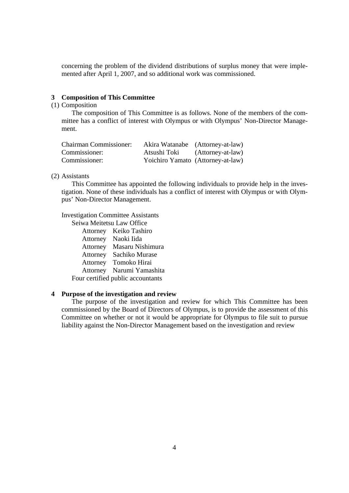concerning the problem of the dividend distributions of surplus money that were implemented after April 1, 2007, and so additional work was commissioned.

## **3 Composition of This Committee**

# (1) Composition

 The composition of This Committee is as follows. None of the members of the committee has a conflict of interest with Olympus or with Olympus' Non-Director Management.

| <b>Chairman Commissioner:</b> |              | Akira Watanabe (Attorney-at-law)  |
|-------------------------------|--------------|-----------------------------------|
| Commissioner:                 | Atsushi Toki | (Attorney-at-law)                 |
| Commissioner:                 |              | Yoichiro Yamato (Attorney-at-law) |

## (2) Assistants

This Committee has appointed the following individuals to provide help in the investigation. None of these individuals has a conflict of interest with Olympus or with Olympus' Non-Director Management.

Investigation Committee Assistants

Seiwa Meitetsu Law Office Attorney Keiko Tashiro Attorney Naoki Iida Attorney Masaru Nishimura Attorney Sachiko Murase Attorney Tomoko Hirai Attorney Narumi Yamashita Four certified public accountants

## **4 Purpose of the investigation and review**

 The purpose of the investigation and review for which This Committee has been commissioned by the Board of Directors of Olympus, is to provide the assessment of this Committee on whether or not it would be appropriate for Olympus to file suit to pursue liability against the Non-Director Management based on the investigation and review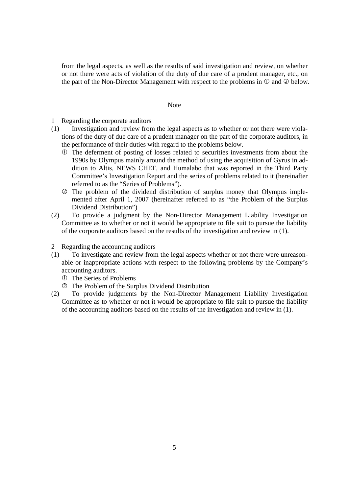from the legal aspects, as well as the results of said investigation and review, on whether or not there were acts of violation of the duty of due care of a prudent manager, etc., on the part of the Non-Director Management with respect to the problems in  $\mathbb O$  and  $\mathbb Q$  below.

#### Note

- 1 Regarding the corporate auditors
- (1) Investigation and review from the legal aspects as to whether or not there were violations of the duty of due care of a prudent manager on the part of the corporate auditors, in the performance of their duties with regard to the problems below.
	- The deferment of posting of losses related to securities investments from about the 1990s by Olympus mainly around the method of using the acquisition of Gyrus in addition to Altis, NEWS CHEF, and Humalabo that was reported in the Third Party Committee's Investigation Report and the series of problems related to it (hereinafter referred to as the "Series of Problems").
	- The problem of the dividend distribution of surplus money that Olympus implemented after April 1, 2007 (hereinafter referred to as "the Problem of the Surplus Dividend Distribution")
- (2) To provide a judgment by the Non-Director Management Liability Investigation Committee as to whether or not it would be appropriate to file suit to pursue the liability of the corporate auditors based on the results of the investigation and review in (1).
- 2 Regarding the accounting auditors
- (1) To investigate and review from the legal aspects whether or not there were unreasonable or inappropriate actions with respect to the following problems by the Company's accounting auditors.
	- The Series of Problems
	- The Problem of the Surplus Dividend Distribution
- (2) To provide judgments by the Non-Director Management Liability Investigation Committee as to whether or not it would be appropriate to file suit to pursue the liability of the accounting auditors based on the results of the investigation and review in (1).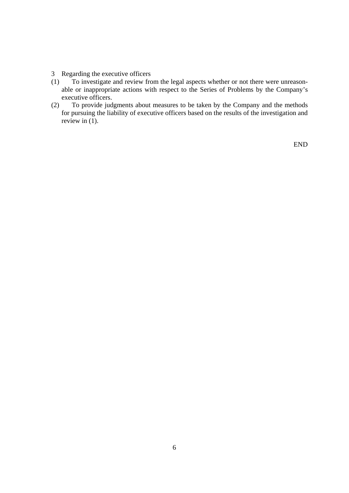- 3 Regarding the executive officers
- (1) To investigate and review from the legal aspects whether or not there were unreasonable or inappropriate actions with respect to the Series of Problems by the Company's executive officers.
- (2) To provide judgments about measures to be taken by the Company and the methods for pursuing the liability of executive officers based on the results of the investigation and review in  $(1)$ .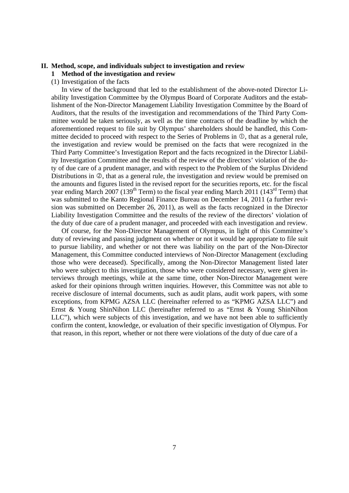# **II. Method, scope, and individuals subject to investigation and review**

**1 Method of the investigation and review** 

(1) Investigation of the facts

 In view of the background that led to the establishment of the above-noted Director Liability Investigation Committee by the Olympus Board of Corporate Auditors and the establishment of the Non-Director Management Liability Investigation Committee by the Board of Auditors, that the results of the investigation and recommendations of the Third Party Committee would be taken seriously, as well as the time contracts of the deadline by which the aforementioned request to file suit by Olympus' shareholders should be handled, this Committee decided to proceed with respect to the Series of Problems in  $\mathbb{O}$ , that as a general rule, the investigation and review would be premised on the facts that were recognized in the Third Party Committee's Investigation Report and the facts recognized in the Director Liability Investigation Committee and the results of the review of the directors' violation of the duty of due care of a prudent manager, and with respect to the Problem of the Surplus Dividend Distributions in  $\mathcal{D}$ , that as a general rule, the investigation and review would be premised on the amounts and figures listed in the revised report for the securities reports, etc. for the fiscal year ending March 2007 (139<sup>th</sup> Term) to the fiscal year ending March 2011 (143<sup>rd</sup> Term) that was submitted to the Kanto Regional Finance Bureau on December 14, 2011 (a further revision was submitted on December 26, 2011), as well as the facts recognized in the Director Liability Investigation Committee and the results of the review of the directors' violation of the duty of due care of a prudent manager, and proceeded with each investigation and review.

 Of course, for the Non-Director Management of Olympus, in light of this Committee's duty of reviewing and passing judgment on whether or not it would be appropriate to file suit to pursue liability, and whether or not there was liability on the part of the Non-Director Management, this Committee conducted interviews of Non-Director Management (excluding those who were deceased). Specifically, among the Non-Director Management listed later who were subject to this investigation, those who were considered necessary, were given interviews through meetings, while at the same time, other Non-Director Management were asked for their opinions through written inquiries. However, this Committee was not able to receive disclosure of internal documents, such as audit plans, audit work papers, with some exceptions, from KPMG AZSA LLC (hereinafter referred to as "KPMG AZSA LLC") and Ernst & Young ShinNihon LLC (hereinafter referred to as "Ernst & Young ShinNihon LLC"), which were subjects of this investigation, and we have not been able to sufficiently confirm the content, knowledge, or evaluation of their specific investigation of Olympus. For that reason, in this report, whether or not there were violations of the duty of due care of a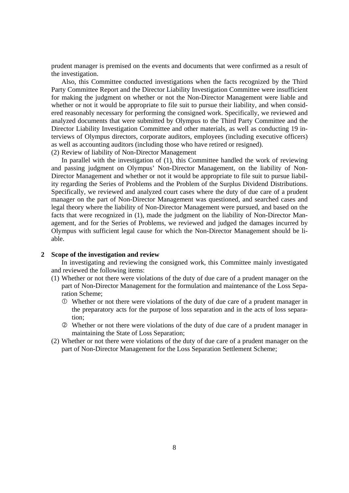prudent manager is premised on the events and documents that were confirmed as a result of the investigation.

 Also, this Committee conducted investigations when the facts recognized by the Third Party Committee Report and the Director Liability Investigation Committee were insufficient for making the judgment on whether or not the Non-Director Management were liable and whether or not it would be appropriate to file suit to pursue their liability, and when considered reasonably necessary for performing the consigned work. Specifically, we reviewed and analyzed documents that were submitted by Olympus to the Third Party Committee and the Director Liability Investigation Committee and other materials, as well as conducting 19 interviews of Olympus directors, corporate auditors, employees (including executive officers) as well as accounting auditors (including those who have retired or resigned). (2) Review of liability of Non-Director Management

In parallel with the investigation of (1), this Committee handled the work of reviewing

and passing judgment on Olympus' Non-Director Management, on the liability of Non-Director Management and whether or not it would be appropriate to file suit to pursue liability regarding the Series of Problems and the Problem of the Surplus Dividend Distributions. Specifically, we reviewed and analyzed court cases where the duty of due care of a prudent manager on the part of Non-Director Management was questioned, and searched cases and legal theory where the liability of Non-Director Management were pursued, and based on the facts that were recognized in (1), made the judgment on the liability of Non-Director Management, and for the Series of Problems, we reviewed and judged the damages incurred by Olympus with sufficient legal cause for which the Non-Director Management should be liable.

# **2 Scope of the investigation and review**

 In investigating and reviewing the consigned work, this Committee mainly investigated and reviewed the following items:

- (1) Whether or not there were violations of the duty of due care of a prudent manager on the part of Non-Director Management for the formulation and maintenance of the Loss Separation Scheme;
	- Whether or not there were violations of the duty of due care of a prudent manager in the preparatory acts for the purpose of loss separation and in the acts of loss separation;
	- Whether or not there were violations of the duty of due care of a prudent manager in maintaining the State of Loss Separation;
- (2) Whether or not there were violations of the duty of due care of a prudent manager on the part of Non-Director Management for the Loss Separation Settlement Scheme;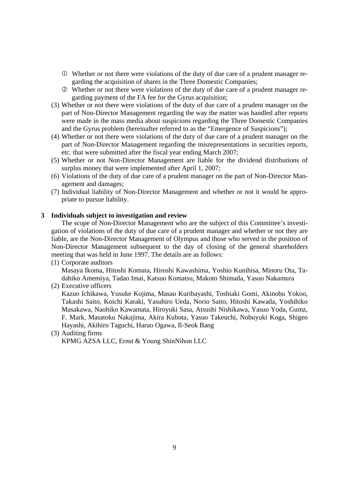- Whether or not there were violations of the duty of due care of a prudent manager regarding the acquisition of shares in the Three Domestic Companies;
- Whether or not there were violations of the duty of due care of a prudent manager regarding payment of the FA fee for the Gyrus acquisition;
- (3) Whether or not there were violations of the duty of due care of a prudent manager on the part of Non-Director Management regarding the way the matter was handled after reports were made in the mass media about suspicions regarding the Three Domestic Companies and the Gyrus problem (hereinafter referred to as the "Emergence of Suspicions");
- (4) Whether or not there were violations of the duty of due care of a prudent manager on the part of Non-Director Management regarding the misrepresentations in securities reports, etc. that were submitted after the fiscal year ending March 2007;
- (5) Whether or not Non-Director Management are liable for the dividend distributions of surplus money that were implemented after April 1, 2007;
- (6) Violations of the duty of due care of a prudent manager on the part of Non-Director Management and damages;
- (7) Individual liability of Non-Director Management and whether or not it would be appropriate to pursue liability.

## **3 Individuals subject to investigation and review**

 The scope of Non-Director Management who are the subject of this Committee's investigation of violations of the duty of due care of a prudent manager and whether or not they are liable, are the Non-Director Management of Olympus and those who served in the position of Non-Director Management subsequent to the day of closing of the general shareholders meeting that was held in June 1997. The details are as follows:

(1) Corporate auditors

Masaya Ikoma, Hitoshi Komata, Hiroshi Kawashima, Yoshio Kunihisa, Minoru Ota, Tadahiko Amemiya, Tadao Imai, Katsuo Komatsu, Makoto Shimada, Yasuo Nakamura

(2) Executive officers

Kazuo Ichikawa, Yusuke Kojima, Masao Kuribayashi, Toshiaki Gomi, Akinobu Yokoo, Takashi Saito, Koichi Karaki, Yasuhiro Ueda, Norio Saito, Hitoshi Kawada, Yoshihiko Masakawa, Naohiko Kawamata, Hiroyuki Sasa, Atsushi Nishikawa, Yasuo Yoda, Gumz, F. Mark, Masatoku Nakajima, Akira Kubota, Yasuo Takeuchi, Nobuyuki Koga, Shigeo Hayashi, Akihiro Taguchi, Haruo Ogawa, Il-Seok Bang

## (3) Auditing firms KPMG AZSA LLC, Ernst & Young ShinNihon LLC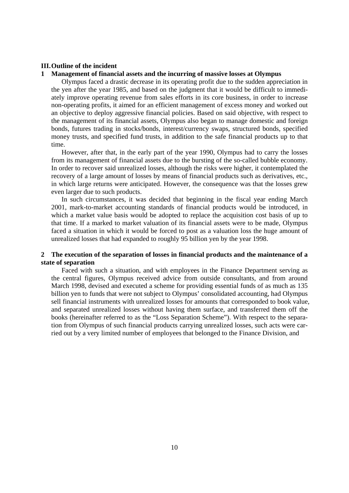#### **III. Outline of the incident**

## **1 Management of financial assets and the incurring of massive losses at Olympus**

 Olympus faced a drastic decrease in its operating profit due to the sudden appreciation in the yen after the year 1985, and based on the judgment that it would be difficult to immediately improve operating revenue from sales efforts in its core business, in order to increase non-operating profits, it aimed for an efficient management of excess money and worked out an objective to deploy aggressive financial policies. Based on said objective, with respect to the management of its financial assets, Olympus also began to manage domestic and foreign bonds, futures trading in stocks/bonds, interest/currency swaps, structured bonds, specified money trusts, and specified fund trusts, in addition to the safe financial products up to that time.

 However, after that, in the early part of the year 1990, Olympus had to carry the losses from its management of financial assets due to the bursting of the so-called bubble economy. In order to recover said unrealized losses, although the risks were higher, it contemplated the recovery of a large amount of losses by means of financial products such as derivatives, etc., in which large returns were anticipated. However, the consequence was that the losses grew even larger due to such products.

 In such circumstances, it was decided that beginning in the fiscal year ending March 2001, mark-to-market accounting standards of financial products would be introduced, in which a market value basis would be adopted to replace the acquisition cost basis of up to that time. If a marked to market valuation of its financial assets were to be made, Olympus faced a situation in which it would be forced to post as a valuation loss the huge amount of unrealized losses that had expanded to roughly 95 billion yen by the year 1998.

# **2 The execution of the separation of losses in financial products and the maintenance of a state of separation**

 Faced with such a situation, and with employees in the Finance Department serving as the central figures, Olympus received advice from outside consultants, and from around March 1998, devised and executed a scheme for providing essential funds of as much as 135 billion yen to funds that were not subject to Olympus' consolidated accounting, had Olympus sell financial instruments with unrealized losses for amounts that corresponded to book value, and separated unrealized losses without having them surface, and transferred them off the books (hereinafter referred to as the "Loss Separation Scheme"). With respect to the separation from Olympus of such financial products carrying unrealized losses, such acts were carried out by a very limited number of employees that belonged to the Finance Division, and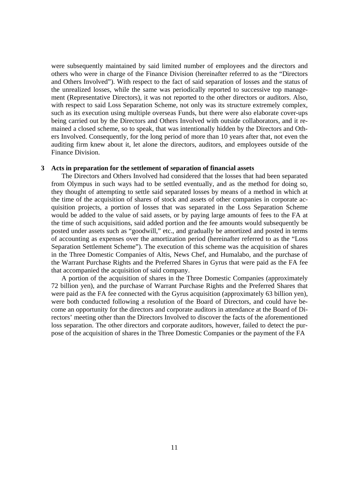were subsequently maintained by said limited number of employees and the directors and others who were in charge of the Finance Division (hereinafter referred to as the "Directors and Others Involved"). With respect to the fact of said separation of losses and the status of the unrealized losses, while the same was periodically reported to successive top management (Representative Directors), it was not reported to the other directors or auditors. Also, with respect to said Loss Separation Scheme, not only was its structure extremely complex, such as its execution using multiple overseas Funds, but there were also elaborate cover-ups being carried out by the Directors and Others Involved with outside collaborators, and it remained a closed scheme, so to speak, that was intentionally hidden by the Directors and Others Involved. Consequently, for the long period of more than 10 years after that, not even the auditing firm knew about it, let alone the directors, auditors, and employees outside of the Finance Division.

#### **3 Acts in preparation for the settlement of separation of financial assets**

 The Directors and Others Involved had considered that the losses that had been separated from Olympus in such ways had to be settled eventually, and as the method for doing so, they thought of attempting to settle said separated losses by means of a method in which at the time of the acquisition of shares of stock and assets of other companies in corporate acquisition projects, a portion of losses that was separated in the Loss Separation Scheme would be added to the value of said assets, or by paying large amounts of fees to the FA at the time of such acquisitions, said added portion and the fee amounts would subsequently be posted under assets such as "goodwill," etc., and gradually be amortized and posted in terms of accounting as expenses over the amortization period (hereinafter referred to as the "Loss Separation Settlement Scheme"). The execution of this scheme was the acquisition of shares in the Three Domestic Companies of Altis, News Chef, and Humalabo, and the purchase of the Warrant Purchase Rights and the Preferred Shares in Gyrus that were paid as the FA fee that accompanied the acquisition of said company.

 A portion of the acquisition of shares in the Three Domestic Companies (approximately 72 billion yen), and the purchase of Warrant Purchase Rights and the Preferred Shares that were paid as the FA fee connected with the Gyrus acquisition (approximately 63 billion yen), were both conducted following a resolution of the Board of Directors, and could have become an opportunity for the directors and corporate auditors in attendance at the Board of Directors' meeting other than the Directors Involved to discover the facts of the aforementioned loss separation. The other directors and corporate auditors, however, failed to detect the purpose of the acquisition of shares in the Three Domestic Companies or the payment of the FA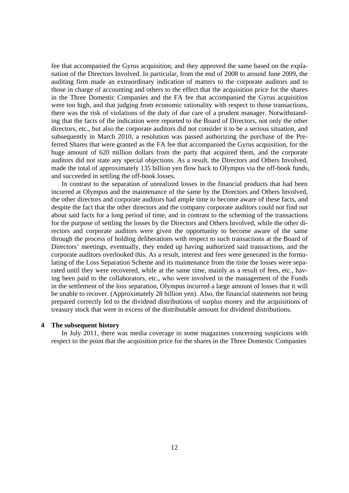fee that accompanied the Gyrus acquisition, and they approved the same based on the explanation of the Directors Involved. In particular, from the end of 2008 to around June 2009, the auditing firm made an extraordinary indication of matters to the corporate auditors and to those in charge of accounting and others to the effect that the acquisition price for the shares in the Three Domestic Companies and the FA fee that accompanied the Gyrus acquisition were too high, and that judging from economic rationality with respect to those transactions, there was the risk of violations of the duty of due care of a prudent manager. Notwithstanding that the facts of the indication were reported to the Board of Directors, not only the other directors, etc., but also the corporate auditors did not consider it to be a serious situation, and subsequently in March 2010, a resolution was passed authorizing the purchase of the Preferred Shares that were granted as the FA fee that accompanied the Gyrus acquisition, for the huge amount of 620 million dollars from the party that acquired them, and the corporate auditors did not state any special objections. As a result, the Directors and Others Involved, made the total of approximately 135 billion yen flow back to Olympus via the off-book funds, and succeeded in settling the off-book losses.

 In contrast to the separation of unrealized losses in the financial products that had been incurred at Olympus and the maintenance of the same by the Directors and Others Involved, the other directors and corporate auditors had ample time to become aware of these facts, and despite the fact that the other directors and the company corporate auditors could not find out about said facts for a long period of time, and in contrast to the scheming of the transactions for the purpose of settling the losses by the Directors and Others Involved, while the other directors and corporate auditors were given the opportunity to become aware of the same through the process of holding deliberations with respect to such transactions at the Board of Directors' meetings, eventually, they ended up having authorized said transactions, and the corporate auditors overlooked this. As a result, interest and fees were generated in the formulating of the Loss Separation Scheme and its maintenance from the time the losses were separated until they were recovered, while at the same time, mainly as a result of fees, etc., having been paid to the collaborators, etc., who were involved in the management of the Funds in the settlement of the loss separation, Olympus incurred a large amount of losses that it will be unable to recover. (Approximately 28 billion yen). Also, the financial statements not being prepared correctly led to the dividend distributions of surplus money and the acquisitions of treasury stock that were in excess of the distributable amount for dividend distributions.

#### **4 The subsequent history**

 In July 2011, there was media coverage in some magazines concerning suspicions with respect to the point that the acquisition price for the shares in the Three Domestic Companies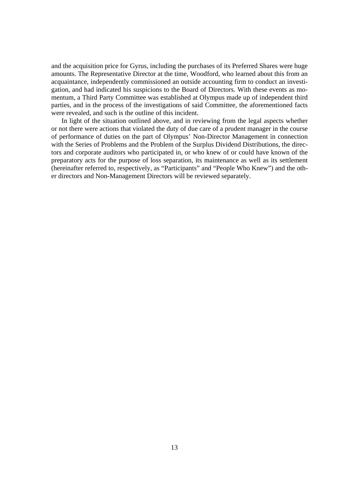and the acquisition price for Gyrus, including the purchases of its Preferred Shares were huge amounts. The Representative Director at the time, Woodford, who learned about this from an acquaintance, independently commissioned an outside accounting firm to conduct an investigation, and had indicated his suspicions to the Board of Directors. With these events as momentum, a Third Party Committee was established at Olympus made up of independent third parties, and in the process of the investigations of said Committee, the aforementioned facts were revealed, and such is the outline of this incident.

 In light of the situation outlined above, and in reviewing from the legal aspects whether or not there were actions that violated the duty of due care of a prudent manager in the course of performance of duties on the part of Olympus' Non-Director Management in connection with the Series of Problems and the Problem of the Surplus Dividend Distributions, the directors and corporate auditors who participated in, or who knew of or could have known of the preparatory acts for the purpose of loss separation, its maintenance as well as its settlement (hereinafter referred to, respectively, as "Participants" and "People Who Knew") and the other directors and Non-Management Directors will be reviewed separately.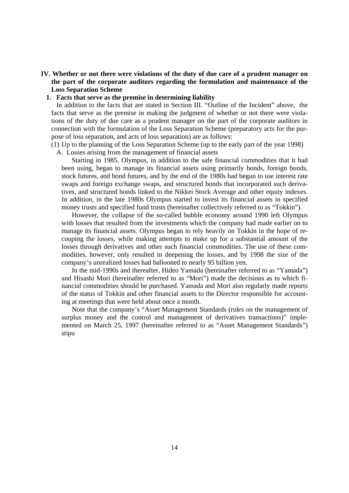# **IV. Whether or not there were violations of the duty of due care of a prudent manager on the part of the corporate auditors regarding the formulation and maintenance of the Loss Separation Scheme**

## **1. Facts that serve as the premise in determining liability**

In addition to the facts that are stated in Section III. "Outline of the Incident" above, the facts that serve as the premise in making the judgment of whether or not there were violations of the duty of due care as a prudent manager on the part of the corporate auditors in connection with the formulation of the Loss Separation Scheme (preparatory acts for the purpose of loss separation, and acts of loss separation) are as follows:

(1) Up to the planning of the Loss Separation Scheme (up to the early part of the year 1998) A. Losses arising from the management of financial assets

Starting in 1985, Olympus, in addition to the safe financial commodities that it had been using, began to manage its financial assets using primarily bonds, foreign bonds, stock futures, and bond futures, and by the end of the 1980s had begun to use interest rate swaps and foreign exchange swaps, and structured bonds that incorporated such derivatives, and structured bonds linked to the Nikkei Stock Average and other equity indexes. In addition, in the late 1980s Olympus started to invest its financial assets in specified money trusts and specified fund trusts (hereinafter collectively referred to as "Tokkin").

However, the collapse of the so-called bubble economy around 1990 left Olympus with losses that resulted from the investments which the company had made earlier on to manage its financial assets. Olympus began to rely heavily on Tokkin in the hope of recouping the losses, while making attempts to make up for a substantial amount of the losses through derivatives and other such financial commodities. The use of these commodities, however, only resulted in deepening the losses, and by 1998 the size of the company's unrealized losses had ballooned to nearly 95 billion yen.

In the mid-1990s and thereafter, Hideo Yamada (hereinafter referred to as "Yamada") and Hisashi Mori (hereinafter referred to as "Mori") made the decisions as to which financial commodities should be purchased. Yamada and Mori also regularly made reports of the status of Tokkin and other financial assets to the Director responsible for accounting at meetings that were held about once a month.

Note that the company's "Asset Management Standards (rules on the management of surplus money and the control and management of derivatives transactions)" implemented on March 25, 1997 (hereinafter referred to as "Asset Management Standards") stipu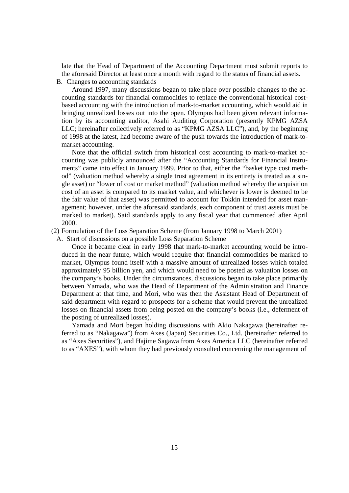late that the Head of Department of the Accounting Department must submit reports to the aforesaid Director at least once a month with regard to the status of financial assets.

B. Changes to accounting standards

Around 1997, many discussions began to take place over possible changes to the accounting standards for financial commodities to replace the conventional historical costbased accounting with the introduction of mark-to-market accounting, which would aid in bringing unrealized losses out into the open. Olympus had been given relevant information by its accounting auditor, Asahi Auditing Corporation (presently KPMG AZSA LLC; hereinafter collectively referred to as "KPMG AZSA LLC"), and, by the beginning of 1998 at the latest, had become aware of the push towards the introduction of mark-tomarket accounting.

Note that the official switch from historical cost accounting to mark-to-market accounting was publicly announced after the "Accounting Standards for Financial Instruments" came into effect in January 1999. Prior to that, either the "basket type cost method" (valuation method whereby a single trust agreement in its entirety is treated as a single asset) or "lower of cost or market method" (valuation method whereby the acquisition cost of an asset is compared to its market value, and whichever is lower is deemed to be the fair value of that asset) was permitted to account for Tokkin intended for asset management; however, under the aforesaid standards, each component of trust assets must be marked to market). Said standards apply to any fiscal year that commenced after April 2000.

(2) Formulation of the Loss Separation Scheme (from January 1998 to March 2001)

A. Start of discussions on a possible Loss Separation Scheme

Once it became clear in early 1998 that mark-to-market accounting would be introduced in the near future, which would require that financial commodities be marked to market, Olympus found itself with a massive amount of unrealized losses which totaled approximately 95 billion yen, and which would need to be posted as valuation losses on the company's books. Under the circumstances, discussions began to take place primarily between Yamada, who was the Head of Department of the Administration and Finance Department at that time, and Mori, who was then the Assistant Head of Department of said department with regard to prospects for a scheme that would prevent the unrealized losses on financial assets from being posted on the company's books (i.e., deferment of the posting of unrealized losses).

Yamada and Mori began holding discussions with Akio Nakagawa (hereinafter referred to as "Nakagawa") from Axes (Japan) Securities Co., Ltd. (hereinafter referred to as "Axes Securities"), and Hajime Sagawa from Axes America LLC (hereinafter referred to as "AXES"), with whom they had previously consulted concerning the management of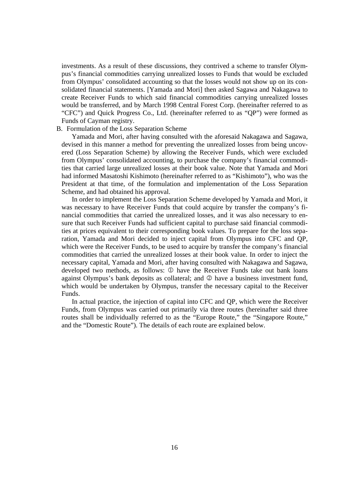investments. As a result of these discussions, they contrived a scheme to transfer Olympus's financial commodities carrying unrealized losses to Funds that would be excluded from Olympus' consolidated accounting so that the losses would not show up on its consolidated financial statements. [Yamada and Mori] then asked Sagawa and Nakagawa to create Receiver Funds to which said financial commodities carrying unrealized losses would be transferred, and by March 1998 Central Forest Corp. (hereinafter referred to as "CFC") and Quick Progress Co., Ltd. (hereinafter referred to as "QP") were formed as Funds of Cayman registry.

#### B. Formulation of the Loss Separation Scheme

Yamada and Mori, after having consulted with the aforesaid Nakagawa and Sagawa, devised in this manner a method for preventing the unrealized losses from being uncovered (Loss Separation Scheme) by allowing the Receiver Funds, which were excluded from Olympus' consolidated accounting, to purchase the company's financial commodities that carried large unrealized losses at their book value. Note that Yamada and Mori had informed Masatoshi Kishimoto (hereinafter referred to as "Kishimoto"), who was the President at that time, of the formulation and implementation of the Loss Separation Scheme, and had obtained his approval.

In order to implement the Loss Separation Scheme developed by Yamada and Mori, it was necessary to have Receiver Funds that could acquire by transfer the company's financial commodities that carried the unrealized losses, and it was also necessary to ensure that such Receiver Funds had sufficient capital to purchase said financial commodities at prices equivalent to their corresponding book values. To prepare for the loss separation, Yamada and Mori decided to inject capital from Olympus into CFC and QP, which were the Receiver Funds, to be used to acquire by transfer the company's financial commodities that carried the unrealized losses at their book value. In order to inject the necessary capital, Yamada and Mori, after having consulted with Nakagawa and Sagawa, developed two methods, as follows:  $\mathbb D$  have the Receiver Funds take out bank loans against Olympus's bank deposits as collateral; and  $\oslash$  have a business investment fund, which would be undertaken by Olympus, transfer the necessary capital to the Receiver Funds.

In actual practice, the injection of capital into CFC and QP, which were the Receiver Funds, from Olympus was carried out primarily via three routes (hereinafter said three routes shall be individually referred to as the "Europe Route," the "Singapore Route," and the "Domestic Route"). The details of each route are explained below.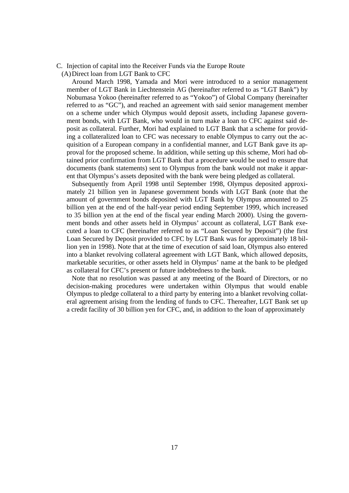C. Injection of capital into the Receiver Funds via the Europe Route (A) Direct loan from LGT Bank to CFC

Around March 1998, Yamada and Mori were introduced to a senior management member of LGT Bank in Liechtenstein AG (hereinafter referred to as "LGT Bank") by Nobumasa Yokoo (hereinafter referred to as "Yokoo") of Global Company (hereinafter referred to as "GC"), and reached an agreement with said senior management member on a scheme under which Olympus would deposit assets, including Japanese government bonds, with LGT Bank, who would in turn make a loan to CFC against said deposit as collateral. Further, Mori had explained to LGT Bank that a scheme for providing a collateralized loan to CFC was necessary to enable Olympus to carry out the acquisition of a European company in a confidential manner, and LGT Bank gave its approval for the proposed scheme. In addition, while setting up this scheme, Mori had obtained prior confirmation from LGT Bank that a procedure would be used to ensure that documents (bank statements) sent to Olympus from the bank would not make it apparent that Olympus's assets deposited with the bank were being pledged as collateral.

Subsequently from April 1998 until September 1998, Olympus deposited approximately 21 billion yen in Japanese government bonds with LGT Bank (note that the amount of government bonds deposited with LGT Bank by Olympus amounted to 25 billion yen at the end of the half-year period ending September 1999, which increased to 35 billion yen at the end of the fiscal year ending March 2000). Using the government bonds and other assets held in Olympus' account as collateral, LGT Bank executed a loan to CFC (hereinafter referred to as "Loan Secured by Deposit") (the first Loan Secured by Deposit provided to CFC by LGT Bank was for approximately 18 billion yen in 1998). Note that at the time of execution of said loan, Olympus also entered into a blanket revolving collateral agreement with LGT Bank, which allowed deposits, marketable securities, or other assets held in Olympus' name at the bank to be pledged as collateral for CFC's present or future indebtedness to the bank.

Note that no resolution was passed at any meeting of the Board of Directors, or no decision-making procedures were undertaken within Olympus that would enable Olympus to pledge collateral to a third party by entering into a blanket revolving collateral agreement arising from the lending of funds to CFC. Thereafter, LGT Bank set up a credit facility of 30 billion yen for CFC, and, in addition to the loan of approximately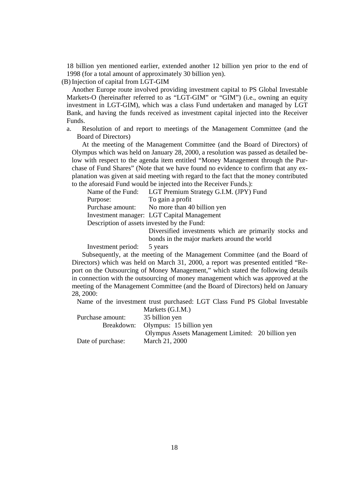18 billion yen mentioned earlier, extended another 12 billion yen prior to the end of 1998 (for a total amount of approximately 30 billion yen).

(B) Injection of capital from LGT-GIM

Another Europe route involved providing investment capital to PS Global Investable Markets-O (hereinafter referred to as "LGT-GIM" or "GIM") (i.e., owning an equity investment in LGT-GIM), which was a class Fund undertaken and managed by LGT Bank, and having the funds received as investment capital injected into the Receiver Funds.

a. Resolution of and report to meetings of the Management Committee (and the Board of Directors)

At the meeting of the Management Committee (and the Board of Directors) of Olympus which was held on January 28, 2000, a resolution was passed as detailed below with respect to the agenda item entitled "Money Management through the Purchase of Fund Shares" (Note that we have found no evidence to confirm that any explanation was given at said meeting with regard to the fact that the money contributed to the aforesaid Fund would be injected into the Receiver Funds.):

| Name of the Fund:                           | LGT Premium Strategy G.I.M. (JPY) Fund           |  |  |  |
|---------------------------------------------|--------------------------------------------------|--|--|--|
| Purpose:                                    | To gain a profit                                 |  |  |  |
| Purchase amount:                            | No more than 40 billion yen                      |  |  |  |
|                                             | Investment manager: LGT Capital Management       |  |  |  |
| Description of assets invested by the Fund: |                                                  |  |  |  |
|                                             | Divormitied investments which are numerally stee |  |  |  |

 Diversified investments which are primarily stocks and bonds in the major markets around the world

Investment period: 5 years

Subsequently, at the meeting of the Management Committee (and the Board of Directors) which was held on March 31, 2000, a report was presented entitled "Report on the Outsourcing of Money Management," which stated the following details in connection with the outsourcing of money management which was approved at the meeting of the Management Committee (and the Board of Directors) held on January 28, 2000:

Name of the investment trust purchased: LGT Class Fund PS Global Investable  $M_{\odot}$  1.4. (G.I.M.)

|                   | Markets (U.I.M.)                                  |  |
|-------------------|---------------------------------------------------|--|
| Purchase amount:  | 35 billion yen                                    |  |
|                   | Breakdown: Olympus: 15 billion yen                |  |
|                   | Olympus Assets Management Limited: 20 billion yen |  |
| Date of purchase: | March 21, 2000                                    |  |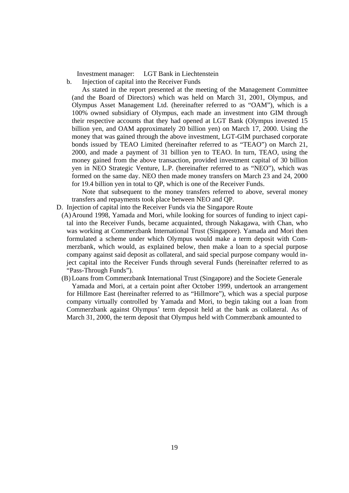Investment manager: LGT Bank in Liechtenstein

b. Injection of capital into the Receiver Funds

As stated in the report presented at the meeting of the Management Committee (and the Board of Directors) which was held on March 31, 2001, Olympus, and Olympus Asset Management Ltd. (hereinafter referred to as "OAM"), which is a 100% owned subsidiary of Olympus, each made an investment into GIM through their respective accounts that they had opened at LGT Bank (Olympus invested 15 billion yen, and OAM approximately 20 billion yen) on March 17, 2000. Using the money that was gained through the above investment, LGT-GIM purchased corporate bonds issued by TEAO Limited (hereinafter referred to as "TEAO") on March 21, 2000, and made a payment of 31 billion yen to TEAO. In turn, TEAO, using the money gained from the above transaction, provided investment capital of 30 billion yen in NEO Strategic Venture, L.P. (hereinafter referred to as "NEO"), which was formed on the same day. NEO then made money transfers on March 23 and 24, 2000 for 19.4 billion yen in total to QP, which is one of the Receiver Funds.

Note that subsequent to the money transfers referred to above, several money transfers and repayments took place between NEO and QP.

- D. Injection of capital into the Receiver Funds via the Singapore Route
	- (A) Around 1998, Yamada and Mori, while looking for sources of funding to inject capital into the Receiver Funds, became acquainted, through Nakagawa, with Chan, who was working at Commerzbank International Trust (Singapore). Yamada and Mori then formulated a scheme under which Olympus would make a term deposit with Commerzbank, which would, as explained below, then make a loan to a special purpose company against said deposit as collateral, and said special purpose company would inject capital into the Receiver Funds through several Funds (hereinafter referred to as "Pass-Through Funds").
	- (B) Loans from Commerzbank International Trust (Singapore) and the Societe Generale

Yamada and Mori, at a certain point after October 1999, undertook an arrangement for Hillmore East (hereinafter referred to as "Hillmore"), which was a special purpose company virtually controlled by Yamada and Mori, to begin taking out a loan from Commerzbank against Olympus' term deposit held at the bank as collateral. As of March 31, 2000, the term deposit that Olympus held with Commerzbank amounted to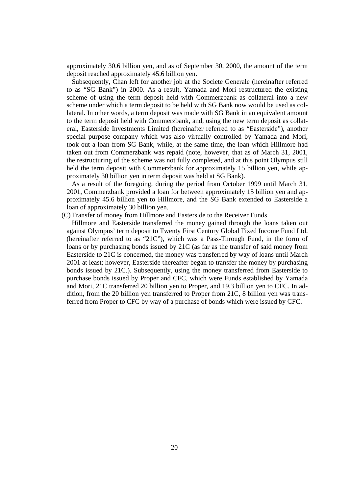approximately 30.6 billion yen, and as of September 30, 2000, the amount of the term deposit reached approximately 45.6 billion yen.

Subsequently, Chan left for another job at the Societe Generale (hereinafter referred to as "SG Bank") in 2000. As a result, Yamada and Mori restructured the existing scheme of using the term deposit held with Commerzbank as collateral into a new scheme under which a term deposit to be held with SG Bank now would be used as collateral. In other words, a term deposit was made with SG Bank in an equivalent amount to the term deposit held with Commerzbank, and, using the new term deposit as collateral, Easterside Investments Limited (hereinafter referred to as "Easterside"), another special purpose company which was also virtually controlled by Yamada and Mori, took out a loan from SG Bank, while, at the same time, the loan which Hillmore had taken out from Commerzbank was repaid (note, however, that as of March 31, 2001, the restructuring of the scheme was not fully completed, and at this point Olympus still held the term deposit with Commerzbank for approximately 15 billion yen, while approximately 30 billion yen in term deposit was held at SG Bank).

As a result of the foregoing, during the period from October 1999 until March 31, 2001, Commerzbank provided a loan for between approximately 15 billion yen and approximately 45.6 billion yen to Hillmore, and the SG Bank extended to Easterside a loan of approximately 30 billion yen.

(C) Transfer of money from Hillmore and Easterside to the Receiver Funds

Hillmore and Easterside transferred the money gained through the loans taken out against Olympus' term deposit to Twenty First Century Global Fixed Income Fund Ltd. (hereinafter referred to as "21C"), which was a Pass-Through Fund, in the form of loans or by purchasing bonds issued by 21C (as far as the transfer of said money from Easterside to 21C is concerned, the money was transferred by way of loans until March 2001 at least; however, Easterside thereafter began to transfer the money by purchasing bonds issued by 21C.). Subsequently, using the money transferred from Easterside to purchase bonds issued by Proper and CFC, which were Funds established by Yamada and Mori, 21C transferred 20 billion yen to Proper, and 19.3 billion yen to CFC. In addition, from the 20 billion yen transferred to Proper from 21C, 8 billion yen was transferred from Proper to CFC by way of a purchase of bonds which were issued by CFC.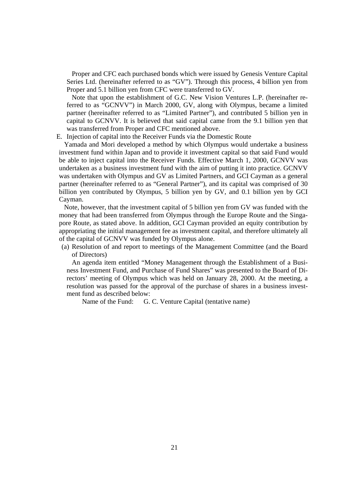Proper and CFC each purchased bonds which were issued by Genesis Venture Capital Series Ltd. (hereinafter referred to as "GV"). Through this process, 4 billion yen from Proper and 5.1 billion yen from CFC were transferred to GV.

Note that upon the establishment of G.C. New Vision Ventures L.P. (hereinafter referred to as "GCNVV") in March 2000, GV, along with Olympus, became a limited partner (hereinafter referred to as "Limited Partner"), and contributed 5 billion yen in capital to GCNVV. It is believed that said capital came from the 9.1 billion yen that was transferred from Proper and CFC mentioned above.

#### E. Injection of capital into the Receiver Funds via the Domestic Route

Yamada and Mori developed a method by which Olympus would undertake a business investment fund within Japan and to provide it investment capital so that said Fund would be able to inject capital into the Receiver Funds. Effective March 1, 2000, GCNVV was undertaken as a business investment fund with the aim of putting it into practice. GCNVV was undertaken with Olympus and GV as Limited Partners, and GCI Cayman as a general partner (hereinafter referred to as "General Partner"), and its capital was comprised of 30 billion yen contributed by Olympus, 5 billion yen by GV, and 0.1 billion yen by GCI Cayman.

Note, however, that the investment capital of 5 billion yen from GV was funded with the money that had been transferred from Olympus through the Europe Route and the Singapore Route, as stated above. In addition, GCI Cayman provided an equity contribution by appropriating the initial management fee as investment capital, and therefore ultimately all of the capital of GCNVV was funded by Olympus alone.

(a) Resolution of and report to meetings of the Management Committee (and the Board of Directors)

An agenda item entitled "Money Management through the Establishment of a Business Investment Fund, and Purchase of Fund Shares" was presented to the Board of Directors' meeting of Olympus which was held on January 28, 2000. At the meeting, a resolution was passed for the approval of the purchase of shares in a business investment fund as described below:

Name of the Fund: G. C. Venture Capital (tentative name)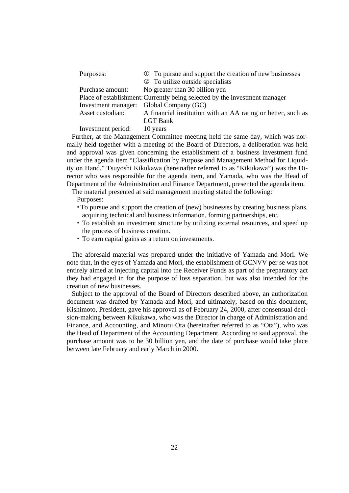| Purposes:                              | ① To pursue and support the creation of new businesses                     |
|----------------------------------------|----------------------------------------------------------------------------|
|                                        | 2 To utilize outside specialists                                           |
| Purchase amount:                       | No greater than 30 billion yen                                             |
|                                        | Place of establishment: Currently being selected by the investment manager |
|                                        | Investment manager: Global Company (GC)                                    |
| Asset custodian:                       | A financial institution with an AA rating or better, such as               |
|                                        | <b>LGT</b> Bank                                                            |
| $\mathbf{r}$ . The set of $\mathbf{r}$ |                                                                            |

Investment period: 10 years

Further, at the Management Committee meeting held the same day, which was normally held together with a meeting of the Board of Directors, a deliberation was held and approval was given concerning the establishment of a business investment fund under the agenda item "Classification by Purpose and Management Method for Liquidity on Hand." Tsuyoshi Kikukawa (hereinafter referred to as "Kikukawa") was the Director who was responsible for the agenda item, and Yamada, who was the Head of Department of the Administration and Finance Department, presented the agenda item.

The material presented at said management meeting stated the following:

Purposes:

- To pursue and support the creation of (new) businesses by creating business plans, acquiring technical and business information, forming partnerships, etc.
- To establish an investment structure by utilizing external resources, and speed up the process of business creation.
- To earn capital gains as a return on investments.

The aforesaid material was prepared under the initiative of Yamada and Mori. We note that, in the eyes of Yamada and Mori, the establishment of GCNVV per se was not entirely aimed at injecting capital into the Receiver Funds as part of the preparatory act they had engaged in for the purpose of loss separation, but was also intended for the creation of new businesses.

Subject to the approval of the Board of Directors described above, an authorization document was drafted by Yamada and Mori, and ultimately, based on this document, Kishimoto, President, gave his approval as of February 24, 2000, after consensual decision-making between Kikukawa, who was the Director in charge of Administration and Finance, and Accounting, and Minoru Ota (hereinafter referred to as "Ota"), who was the Head of Department of the Accounting Department. According to said approval, the purchase amount was to be 30 billion yen, and the date of purchase would take place between late February and early March in 2000.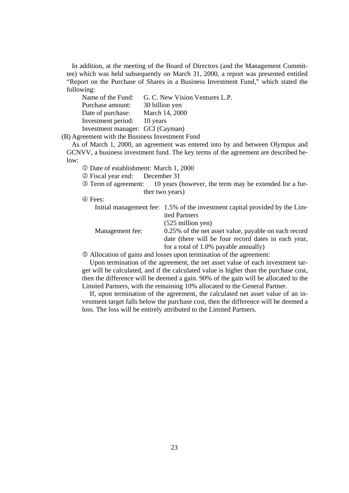In addition, at the meeting of the Board of Directors (and the Management Committee) which was held subsequently on March 31, 2000, a report was presented entitled "Report on the Purchase of Shares in a Business Investment Fund," which stated the following:

|                                  | Name of the Fund: G. C. New Vision Ventures L.P. |
|----------------------------------|--------------------------------------------------|
| Purchase amount:                 | 30 billion yen                                   |
| Date of purchase:                | March 14, 2000                                   |
| Investment period: 10 years      |                                                  |
| Investment manager: GCI (Cayman) |                                                  |

(B) Agreement with the Business Investment Fund

As of March 1, 2000, an agreement was entered into by and between Olympus and GCNVV, a business investment fund. The key terms of the agreement are described below:

Date of establishment: March 1, 2000

Fiscal year end: December 31

 Term of agreement: 10 years (however, the term may be extended for a further two years)

Fees:

|                 | Initial management fee: 1.5% of the investment capital provided by the Lim- |
|-----------------|-----------------------------------------------------------------------------|
|                 | ited Partners                                                               |
|                 | $(525$ million yen)                                                         |
| Management fee: | 0.25% of the net asset value, payable on each record                        |
|                 | date (there will be four record dates in each year,                         |
|                 | for a total of $1.0\%$ payable annually)                                    |
|                 | Allocation of gains and losses upon termination of the agreement.           |

Allocation of gains and losses upon termination of the agreement:

Upon termination of the agreement, the net asset value of each investment target will be calculated, and if the calculated value is higher than the purchase cost, then the difference will be deemed a gain. 90% of the gain will be allocated to the Limited Partners, with the remaining 10% allocated to the General Partner.

If, upon termination of the agreement, the calculated net asset value of an investment target falls below the purchase cost, then the difference will be deemed a loss. The loss will be entirely attributed to the Limited Partners.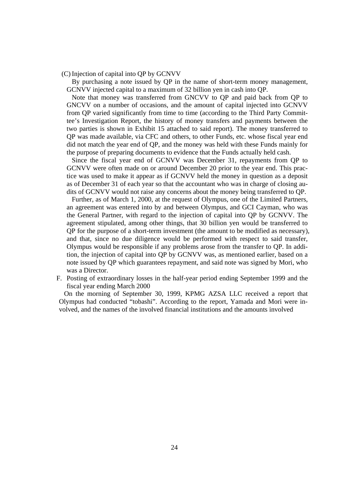(C) Injection of capital into QP by GCNVV

By purchasing a note issued by QP in the name of short-term money management, GCNVV injected capital to a maximum of 32 billion yen in cash into QP.

Note that money was transferred from GNCVV to QP and paid back from QP to GNCVV on a number of occasions, and the amount of capital injected into GCNVV from QP varied significantly from time to time (according to the Third Party Committee's Investigation Report, the history of money transfers and payments between the two parties is shown in Exhibit 15 attached to said report). The money transferred to QP was made available, via CFC and others, to other Funds, etc. whose fiscal year end did not match the year end of QP, and the money was held with these Funds mainly for the purpose of preparing documents to evidence that the Funds actually held cash.

Since the fiscal year end of GCNVV was December 31, repayments from QP to GCNVV were often made on or around December 20 prior to the year end. This practice was used to make it appear as if GCNVV held the money in question as a deposit as of December 31 of each year so that the accountant who was in charge of closing audits of GCNVV would not raise any concerns about the money being transferred to QP.

Further, as of March 1, 2000, at the request of Olympus, one of the Limited Partners, an agreement was entered into by and between Olympus, and GCI Cayman, who was the General Partner, with regard to the injection of capital into QP by GCNVV. The agreement stipulated, among other things, that 30 billion yen would be transferred to QP for the purpose of a short-term investment (the amount to be modified as necessary), and that, since no due diligence would be performed with respect to said transfer, Olympus would be responsible if any problems arose from the transfer to QP. In addition, the injection of capital into QP by GCNVV was, as mentioned earlier, based on a note issued by QP which guarantees repayment, and said note was signed by Mori, who was a Director.

F. Posting of extraordinary losses in the half-year period ending September 1999 and the fiscal year ending March 2000

On the morning of September 30, 1999, KPMG AZSA LLC received a report that Olympus had conducted "tobashi". According to the report, Yamada and Mori were involved, and the names of the involved financial institutions and the amounts involved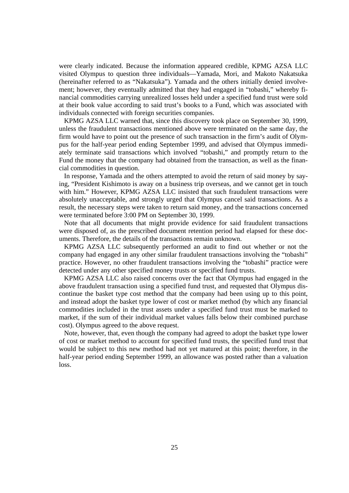were clearly indicated. Because the information appeared credible, KPMG AZSA LLC visited Olympus to question three individuals—Yamada, Mori, and Makoto Nakatsuka (hereinafter referred to as "Nakatsuka"). Yamada and the others initially denied involvement; however, they eventually admitted that they had engaged in "tobashi," whereby financial commodities carrying unrealized losses held under a specified fund trust were sold at their book value according to said trust's books to a Fund, which was associated with individuals connected with foreign securities companies.

KPMG AZSA LLC warned that, since this discovery took place on September 30, 1999, unless the fraudulent transactions mentioned above were terminated on the same day, the firm would have to point out the presence of such transaction in the firm's audit of Olympus for the half-year period ending September 1999, and advised that Olympus immediately terminate said transactions which involved "tobashi," and promptly return to the Fund the money that the company had obtained from the transaction, as well as the financial commodities in question.

In response, Yamada and the others attempted to avoid the return of said money by saying, "President Kishimoto is away on a business trip overseas, and we cannot get in touch with him." However, KPMG AZSA LLC insisted that such fraudulent transactions were absolutely unacceptable, and strongly urged that Olympus cancel said transactions. As a result, the necessary steps were taken to return said money, and the transactions concerned were terminated before 3:00 PM on September 30, 1999.

Note that all documents that might provide evidence for said fraudulent transactions were disposed of, as the prescribed document retention period had elapsed for these documents. Therefore, the details of the transactions remain unknown.

KPMG AZSA LLC subsequently performed an audit to find out whether or not the company had engaged in any other similar fraudulent transactions involving the "tobashi" practice. However, no other fraudulent transactions involving the "tobashi" practice were detected under any other specified money trusts or specified fund trusts.

KPMG AZSA LLC also raised concerns over the fact that Olympus had engaged in the above fraudulent transaction using a specified fund trust, and requested that Olympus discontinue the basket type cost method that the company had been using up to this point, and instead adopt the basket type lower of cost or market method (by which any financial commodities included in the trust assets under a specified fund trust must be marked to market, if the sum of their individual market values falls below their combined purchase cost). Olympus agreed to the above request.

Note, however, that, even though the company had agreed to adopt the basket type lower of cost or market method to account for specified fund trusts, the specified fund trust that would be subject to this new method had not yet matured at this point; therefore, in the half-year period ending September 1999, an allowance was posted rather than a valuation loss.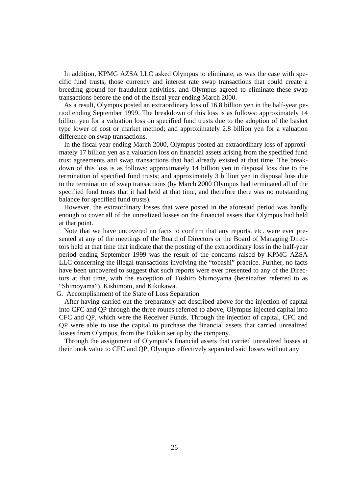In addition, KPMG AZSA LLC asked Olympus to eliminate, as was the case with specific fund trusts, those currency and interest rate swap transactions that could create a breeding ground for fraudulent activities, and Olympus agreed to eliminate these swap transactions before the end of the fiscal year ending March 2000.

As a result, Olympus posted an extraordinary loss of 16.8 billion yen in the half-year period ending September 1999. The breakdown of this loss is as follows: approximately 14 billion yen for a valuation loss on specified fund trusts due to the adoption of the basket type lower of cost or market method; and approximately 2.8 billion yen for a valuation difference on swap transactions.

In the fiscal year ending March 2000, Olympus posted an extraordinary loss of approximately 17 billion yen as a valuation loss on financial assets arising from the specified fund trust agreements and swap transactions that had already existed at that time. The breakdown of this loss is as follows: approximately 14 billion yen in disposal loss due to the termination of specified fund trusts; and approximately 3 billion yen in disposal loss due to the termination of swap transactions (by March 2000 Olympus had terminated all of the specified fund trusts that it had held at that time, and therefore there was no outstanding balance for specified fund trusts).

However, the extraordinary losses that were posted in the aforesaid period was hardly enough to cover all of the unrealized losses on the financial assets that Olympus had held at that point.

Note that we have uncovered no facts to confirm that any reports, etc. were ever presented at any of the meetings of the Board of Directors or the Board of Managing Directors held at that time that indicate that the posting of the extraordinary loss in the half-year period ending September 1999 was the result of the concerns raised by KPMG AZSA LLC concerning the illegal transactions involving the "tobashi" practice. Further, no facts have been uncovered to suggest that such reports were ever presented to any of the Directors at that time, with the exception of Toshiro Shimoyama (hereinafter referred to as "Shimoyama"), Kishimoto, and Kikukawa.

### G. Accomplishment of the State of Loss Separation

After having carried out the preparatory act described above for the injection of capital into CFC and QP through the three routes referred to above, Olympus injected capital into CFC and QP, which were the Receiver Funds. Through the injection of capital, CFC and QP were able to use the capital to purchase the financial assets that carried unrealized losses from Olympus, from the Tokkin set up by the company.

Through the assignment of Olympus's financial assets that carried unrealized losses at their book value to CFC and QP, Olympus effectively separated said losses without any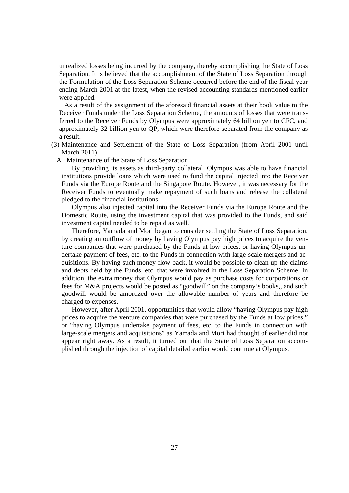unrealized losses being incurred by the company, thereby accomplishing the State of Loss Separation. It is believed that the accomplishment of the State of Loss Separation through the Formulation of the Loss Separation Scheme occurred before the end of the fiscal year ending March 2001 at the latest, when the revised accounting standards mentioned earlier were applied.

As a result of the assignment of the aforesaid financial assets at their book value to the Receiver Funds under the Loss Separation Scheme, the amounts of losses that were transferred to the Receiver Funds by Olympus were approximately 64 billion yen to CFC, and approximately 32 billion yen to QP, which were therefore separated from the company as a result.

- (3) Maintenance and Settlement of the State of Loss Separation (from April 2001 until March 2011)
	- A. Maintenance of the State of Loss Separation

By providing its assets as third-party collateral, Olympus was able to have financial institutions provide loans which were used to fund the capital injected into the Receiver Funds via the Europe Route and the Singapore Route. However, it was necessary for the Receiver Funds to eventually make repayment of such loans and release the collateral pledged to the financial institutions.

Olympus also injected capital into the Receiver Funds via the Europe Route and the Domestic Route, using the investment capital that was provided to the Funds, and said investment capital needed to be repaid as well.

Therefore, Yamada and Mori began to consider settling the State of Loss Separation, by creating an outflow of money by having Olympus pay high prices to acquire the venture companies that were purchased by the Funds at low prices, or having Olympus undertake payment of fees, etc. to the Funds in connection with large-scale mergers and acquisitions. By having such money flow back, it would be possible to clean up the claims and debts held by the Funds, etc. that were involved in the Loss Separation Scheme. In addition, the extra money that Olympus would pay as purchase costs for corporations or fees for M&A projects would be posted as "goodwill" on the company's books,, and such goodwill would be amortized over the allowable number of years and therefore be charged to expenses.

However, after April 2001, opportunities that would allow "having Olympus pay high prices to acquire the venture companies that were purchased by the Funds at low prices," or "having Olympus undertake payment of fees, etc. to the Funds in connection with large-scale mergers and acquisitions" as Yamada and Mori had thought of earlier did not appear right away. As a result, it turned out that the State of Loss Separation accomplished through the injection of capital detailed earlier would continue at Olympus.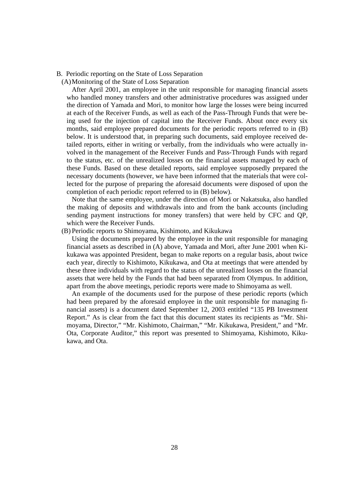B. Periodic reporting on the State of Loss Separation

(A) Monitoring of the State of Loss Separation

After April 2001, an employee in the unit responsible for managing financial assets who handled money transfers and other administrative procedures was assigned under the direction of Yamada and Mori, to monitor how large the losses were being incurred at each of the Receiver Funds, as well as each of the Pass-Through Funds that were being used for the injection of capital into the Receiver Funds. About once every six months, said employee prepared documents for the periodic reports referred to in (B) below. It is understood that, in preparing such documents, said employee received detailed reports, either in writing or verbally, from the individuals who were actually involved in the management of the Receiver Funds and Pass-Through Funds with regard to the status, etc. of the unrealized losses on the financial assets managed by each of these Funds. Based on these detailed reports, said employee supposedly prepared the necessary documents (however, we have been informed that the materials that were collected for the purpose of preparing the aforesaid documents were disposed of upon the completion of each periodic report referred to in (B) below).

Note that the same employee, under the direction of Mori or Nakatsuka, also handled the making of deposits and withdrawals into and from the bank accounts (including sending payment instructions for money transfers) that were held by CFC and QP, which were the Receiver Funds.

(B) Periodic reports to Shimoyama, Kishimoto, and Kikukawa

Using the documents prepared by the employee in the unit responsible for managing financial assets as described in (A) above, Yamada and Mori, after June 2001 when Kikukawa was appointed President, began to make reports on a regular basis, about twice each year, directly to Kishimoto, Kikukawa, and Ota at meetings that were attended by these three individuals with regard to the status of the unrealized losses on the financial assets that were held by the Funds that had been separated from Olympus. In addition, apart from the above meetings, periodic reports were made to Shimoyama as well.

An example of the documents used for the purpose of these periodic reports (which had been prepared by the aforesaid employee in the unit responsible for managing financial assets) is a document dated September 12, 2003 entitled "135 PB Investment Report." As is clear from the fact that this document states its recipients as "Mr. Shimoyama, Director," "Mr. Kishimoto, Chairman," "Mr. Kikukawa, President," and "Mr. Ota, Corporate Auditor," this report was presented to Shimoyama, Kishimoto, Kikukawa, and Ota.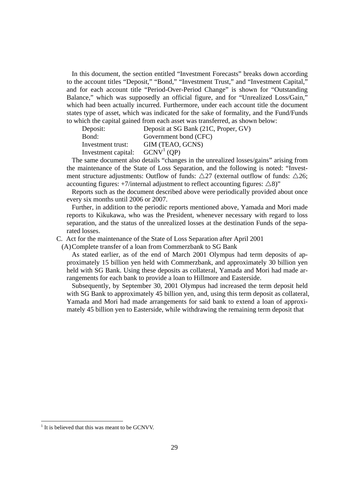In this document, the section entitled "Investment Forecasts" breaks down according to the account titles "Deposit," "Bond," "Investment Trust," and "Investment Capital," and for each account title "Period-Over-Period Change" is shown for "Outstanding Balance," which was supposedly an official figure, and for "Unrealized Loss/Gain," which had been actually incurred. Furthermore, under each account title the document states type of asset, which was indicated for the sake of formality, and the Fund/Funds to which the capital gained from each asset was transferred, as shown below:

| Deposit:            | Deposit at SG Bank (21C, Proper, GV) |
|---------------------|--------------------------------------|
| Bond:               | Government bond (CFC)                |
| Investment trust:   | GIM (TEAO, GCNS)                     |
| Investment capital: | GCNV <sup>1</sup> (OP)               |

The same document also details "changes in the unrealized losses/gains" arising from the maintenance of the State of Loss Separation, and the following is noted: "Investment structure adjustments: Outflow of funds:  $\triangle 27$  (external outflow of funds:  $\triangle 26$ ; accounting figures:  $+7$ /internal adjustment to reflect accounting figures:  $\triangle 8$ )"

Reports such as the document described above were periodically provided about once every six months until 2006 or 2007.

Further, in addition to the periodic reports mentioned above, Yamada and Mori made reports to Kikukawa, who was the President, whenever necessary with regard to loss separation, and the status of the unrealized losses at the destination Funds of the separated losses.

C. Act for the maintenance of the State of Loss Separation after April 2001

(A) Complete transfer of a loan from Commerzbank to SG Bank

As stated earlier, as of the end of March 2001 Olympus had term deposits of approximately 15 billion yen held with Commerzbank, and approximately 30 billion yen held with SG Bank. Using these deposits as collateral, Yamada and Mori had made arrangements for each bank to provide a loan to Hillmore and Easterside.

Subsequently, by September 30, 2001 Olympus had increased the term deposit held with SG Bank to approximately 45 billion yen, and, using this term deposit as collateral, Yamada and Mori had made arrangements for said bank to extend a loan of approximately 45 billion yen to Easterside, while withdrawing the remaining term deposit that

-

<sup>&</sup>lt;sup>1</sup> It is believed that this was meant to be GCNVV.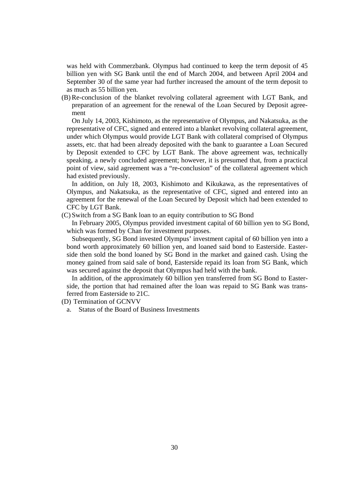was held with Commerzbank. Olympus had continued to keep the term deposit of 45 billion yen with SG Bank until the end of March 2004, and between April 2004 and September 30 of the same year had further increased the amount of the term deposit to as much as 55 billion yen.

(B) Re-conclusion of the blanket revolving collateral agreement with LGT Bank, and preparation of an agreement for the renewal of the Loan Secured by Deposit agreement

On July 14, 2003, Kishimoto, as the representative of Olympus, and Nakatsuka, as the representative of CFC, signed and entered into a blanket revolving collateral agreement, under which Olympus would provide LGT Bank with collateral comprised of Olympus assets, etc. that had been already deposited with the bank to guarantee a Loan Secured by Deposit extended to CFC by LGT Bank. The above agreement was, technically speaking, a newly concluded agreement; however, it is presumed that, from a practical point of view, said agreement was a "re-conclusion" of the collateral agreement which had existed previously.

In addition, on July 18, 2003, Kishimoto and Kikukawa, as the representatives of Olympus, and Nakatsuka, as the representative of CFC, signed and entered into an agreement for the renewal of the Loan Secured by Deposit which had been extended to CFC by LGT Bank.

(C) Switch from a SG Bank loan to an equity contribution to SG Bond

In February 2005, Olympus provided investment capital of 60 billion yen to SG Bond, which was formed by Chan for investment purposes.

Subsequently, SG Bond invested Olympus' investment capital of 60 billion yen into a bond worth approximately 60 billion yen, and loaned said bond to Easterside. Easterside then sold the bond loaned by SG Bond in the market and gained cash. Using the money gained from said sale of bond, Easterside repaid its loan from SG Bank, which was secured against the deposit that Olympus had held with the bank.

In addition, of the approximately 60 billion yen transferred from SG Bond to Easterside, the portion that had remained after the loan was repaid to SG Bank was transferred from Easterside to 21C.

(D) Termination of GCNVV

a. Status of the Board of Business Investments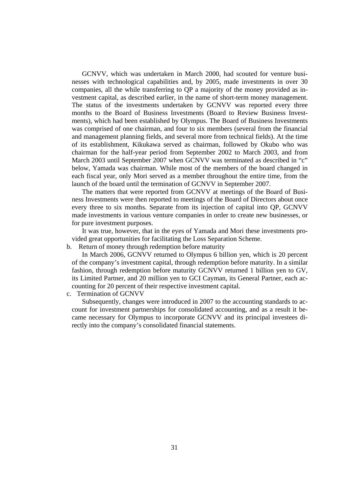GCNVV, which was undertaken in March 2000, had scouted for venture businesses with technological capabilities and, by 2005, made investments in over 30 companies, all the while transferring to QP a majority of the money provided as investment capital, as described earlier, in the name of short-term money management. The status of the investments undertaken by GCNVV was reported every three months to the Board of Business Investments (Board to Review Business Investments), which had been established by Olympus. The Board of Business Investments was comprised of one chairman, and four to six members (several from the financial and management planning fields, and several more from technical fields). At the time of its establishment, Kikukawa served as chairman, followed by Okubo who was chairman for the half-year period from September 2002 to March 2003, and from March 2003 until September 2007 when GCNVV was terminated as described in "c" below, Yamada was chairman. While most of the members of the board changed in each fiscal year, only Mori served as a member throughout the entire time, from the launch of the board until the termination of GCNVV in September 2007.

The matters that were reported from GCNVV at meetings of the Board of Business Investments were then reported to meetings of the Board of Directors about once every three to six months. Separate from its injection of capital into QP, GCNVV made investments in various venture companies in order to create new businesses, or for pure investment purposes.

It was true, however, that in the eyes of Yamada and Mori these investments provided great opportunities for facilitating the Loss Separation Scheme.

### b. Return of money through redemption before maturity

In March 2006, GCNVV returned to Olympus 6 billion yen, which is 20 percent of the company's investment capital, through redemption before maturity. In a similar fashion, through redemption before maturity GCNVV returned 1 billion yen to GV, its Limited Partner, and 20 million yen to GCI Cayman, its General Partner, each accounting for 20 percent of their respective investment capital.

c. Termination of GCNVV

Subsequently, changes were introduced in 2007 to the accounting standards to account for investment partnerships for consolidated accounting, and as a result it became necessary for Olympus to incorporate GCNVV and its principal investees directly into the company's consolidated financial statements.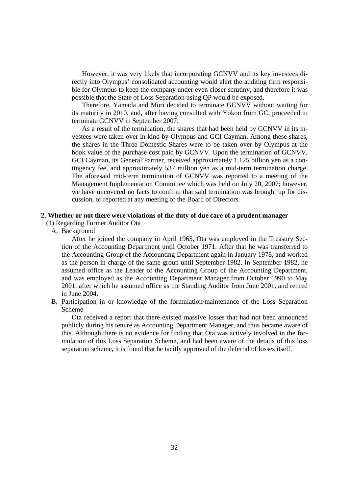However, it was very likely that incorporating GCNVV and its key investees directly into Olympus' consolidated accounting would alert the auditing firm responsible for Olympus to keep the company under even closer scrutiny, and therefore it was possible that the State of Loss Separation using QP would be exposed.

Therefore, Yamada and Mori decided to terminate GCNVV without waiting for its maturity in 2010, and, after having consulted with Yokoo from GC, proceeded to terminate GCNVV in September 2007.

As a result of the termination, the shares that had been held by GCNVV in its investees were taken over in kind by Olympus and GCI Cayman. Among these shares, the shares in the Three Domestic Shares were to be taken over by Olympus at the book value of the purchase cost paid by GCNVV. Upon the termination of GCNVV, GCI Cayman, its General Partner, received approximately 1.125 billion yen as a contingency fee, and approximately 537 million yen as a mid-term termination charge. The aforesaid mid-term termination of GCNVV was reported to a meeting of the Management Implementation Committee which was held on July 20, 2007; however, we have uncovered no facts to confirm that said termination was brought up for discussion, or reported at any meeting of the Board of Directors.

## **2. Whether or not there were violations of the duty of due care of a prudent manager**

# (1) Regarding Former Auditor Ota

A. Background

 After he joined the company in April 1965, Ota was employed in the Treasury Section of the Accounting Department until October 1971. After that he was transferred to the Accounting Group of the Accounting Department again in January 1978, and worked as the person in charge of the same group until September 1982. In September 1982, he assumed office as the Leader of the Accounting Group of the Accounting Department, and was employed as the Accounting Department Manager from October 1990 to May 2001, after which he assumed office as the Standing Auditor from June 2001, and retired in June 2004.

B. Participation in or knowledge of the formulation/maintenance of the Loss Separation Scheme

 Ota received a report that there existed massive losses that had not been announced publicly during his tenure as Accounting Department Manager, and thus became aware of this. Although there is no evidence for finding that Ota was actively involved in the formulation of this Loss Separation Scheme, and had been aware of the details of this loss separation scheme, it is found that he tacitly approved of the deferral of losses itself.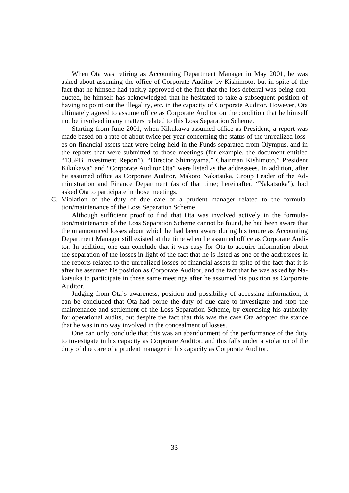When Ota was retiring as Accounting Department Manager in May 2001, he was asked about assuming the office of Corporate Auditor by Kishimoto, but in spite of the fact that he himself had tacitly approved of the fact that the loss deferral was being conducted, he himself has acknowledged that he hesitated to take a subsequent position of having to point out the illegality, etc. in the capacity of Corporate Auditor. However, Ota ultimately agreed to assume office as Corporate Auditor on the condition that he himself not be involved in any matters related to this Loss Separation Scheme.

Starting from June 2001, when Kikukawa assumed office as President, a report was made based on a rate of about twice per year concerning the status of the unrealized losses on financial assets that were being held in the Funds separated from Olympus, and in the reports that were submitted to those meetings (for example, the document entitled "135PB Investment Report"), "Director Shimoyama," Chairman Kishimoto," President Kikukawa" and "Corporate Auditor Ota" were listed as the addressees. In addition, after he assumed office as Corporate Auditor, Makoto Nakatsuka, Group Leader of the Administration and Finance Department (as of that time; hereinafter, "Nakatsuka"), had asked Ota to participate in those meetings.

C. Violation of the duty of due care of a prudent manager related to the formulation/maintenance of the Loss Separation Scheme

Although sufficient proof to find that Ota was involved actively in the formulation/maintenance of the Loss Separation Scheme cannot be found, he had been aware that the unannounced losses about which he had been aware during his tenure as Accounting Department Manager still existed at the time when he assumed office as Corporate Auditor. In addition, one can conclude that it was easy for Ota to acquire information about the separation of the losses in light of the fact that he is listed as one of the addressees in the reports related to the unrealized losses of financial assets in spite of the fact that it is after he assumed his position as Corporate Auditor, and the fact that he was asked by Nakatsuka to participate in those same meetings after he assumed his position as Corporate Auditor.

Judging from Ota's awareness, position and possibility of accessing information, it can be concluded that Ota had borne the duty of due care to investigate and stop the maintenance and settlement of the Loss Separation Scheme, by exercising his authority for operational audits, but despite the fact that this was the case Ota adopted the stance that he was in no way involved in the concealment of losses.

One can only conclude that this was an abandonment of the performance of the duty to investigate in his capacity as Corporate Auditor, and this falls under a violation of the duty of due care of a prudent manager in his capacity as Corporate Auditor.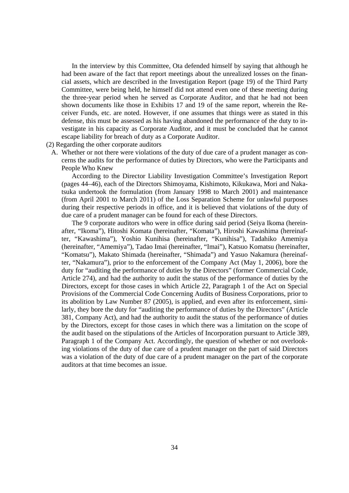In the interview by this Committee, Ota defended himself by saying that although he had been aware of the fact that report meetings about the unrealized losses on the financial assets, which are described in the Investigation Report (page 19) of the Third Party Committee, were being held, he himself did not attend even one of these meeting during the three-year period when he served as Corporate Auditor, and that he had not been shown documents like those in Exhibits 17 and 19 of the same report, wherein the Receiver Funds, etc. are noted. However, if one assumes that things were as stated in this defense, this must be assessed as his having abandoned the performance of the duty to investigate in his capacity as Corporate Auditor, and it must be concluded that he cannot escape liability for breach of duty as a Corporate Auditor.

### (2) Regarding the other corporate auditors

A. Whether or not there were violations of the duty of due care of a prudent manager as concerns the audits for the performance of duties by Directors, who were the Participants and People Who Knew

According to the Director Liability Investigation Committee's Investigation Report (pages 44–46), each of the Directors Shimoyama, Kishimoto, Kikukawa, Mori and Nakatsuka undertook the formulation (from January 1998 to March 2001) and maintenance (from April 2001 to March 2011) of the Loss Separation Scheme for unlawful purposes during their respective periods in office, and it is believed that violations of the duty of due care of a prudent manager can be found for each of these Directors.

The 9 corporate auditors who were in office during said period (Seiya Ikoma (hereinafter, "Ikoma"), Hitoshi Komata (hereinafter, "Komata"), Hiroshi Kawashima (hereinafter, "Kawashima"), Yoshio Kunihisa (hereinafter, "Kunihisa"), Tadahiko Amemiya (hereinafter, "Amemiya"), Tadao Imai (hereinafter, "Imai"), Katsuo Komatsu (hereinafter, "Komatsu"), Makato Shimada (hereinafter, "Shimada") and Yasuo Nakamura (hereinafter, "Nakamura"), prior to the enforcement of the Company Act (May 1, 2006), bore the duty for "auditing the performance of duties by the Directors" (former Commercial Code, Article 274), and had the authority to audit the status of the performance of duties by the Directors, except for those cases in which Article 22, Paragraph 1 of the Act on Special Provisions of the Commercial Code Concerning Audits of Business Corporations, prior to its abolition by Law Number 87 (2005), is applied, and even after its enforcement, similarly, they bore the duty for "auditing the performance of duties by the Directors" (Article 381, Company Act), and had the authority to audit the status of the performance of duties by the Directors, except for those cases in which there was a limitation on the scope of the audit based on the stipulations of the Articles of Incorporation pursuant to Article 389, Paragraph 1 of the Company Act. Accordingly, the question of whether or not overlooking violations of the duty of due care of a prudent manager on the part of said Directors was a violation of the duty of due care of a prudent manager on the part of the corporate auditors at that time becomes an issue.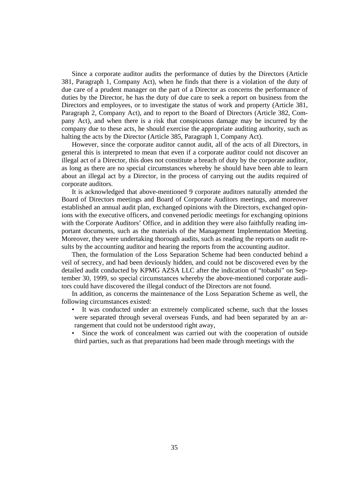Since a corporate auditor audits the performance of duties by the Directors (Article 381, Paragraph 1, Company Act), when he finds that there is a violation of the duty of due care of a prudent manager on the part of a Director as concerns the performance of duties by the Director, he has the duty of due care to seek a report on business from the Directors and employees, or to investigate the status of work and property (Article 381, Paragraph 2, Company Act), and to report to the Board of Directors (Article 382, Company Act), and when there is a risk that conspicuous damage may be incurred by the company due to these acts, he should exercise the appropriate auditing authority, such as halting the acts by the Director (Article 385, Paragraph 1, Company Act).

However, since the corporate auditor cannot audit, all of the acts of all Directors, in general this is interpreted to mean that even if a corporate auditor could not discover an illegal act of a Director, this does not constitute a breach of duty by the corporate auditor, as long as there are no special circumstances whereby he should have been able to learn about an illegal act by a Director, in the process of carrying out the audits required of corporate auditors.

It is acknowledged that above-mentioned 9 corporate auditors naturally attended the Board of Directors meetings and Board of Corporate Auditors meetings, and moreover established an annual audit plan, exchanged opinions with the Directors, exchanged opinions with the executive officers, and convened periodic meetings for exchanging opinions with the Corporate Auditors' Office, and in addition they were also faithfully reading important documents, such as the materials of the Management Implementation Meeting. Moreover, they were undertaking thorough audits, such as reading the reports on audit results by the accounting auditor and hearing the reports from the accounting auditor.

Then, the formulation of the Loss Separation Scheme had been conducted behind a veil of secrecy, and had been deviously hidden, and could not be discovered even by the detailed audit conducted by KPMG AZSA LLC after the indication of "tobashi" on September 30, 1999, so special circumstances whereby the above-mentioned corporate auditors could have discovered the illegal conduct of the Directors are not found.

In addition, as concerns the maintenance of the Loss Separation Scheme as well, the following circumstances existed:

- It was conducted under an extremely complicated scheme, such that the losses were separated through several overseas Funds, and had been separated by an arrangement that could not be understood right away,
- Since the work of concealment was carried out with the cooperation of outside third parties, such as that preparations had been made through meetings with the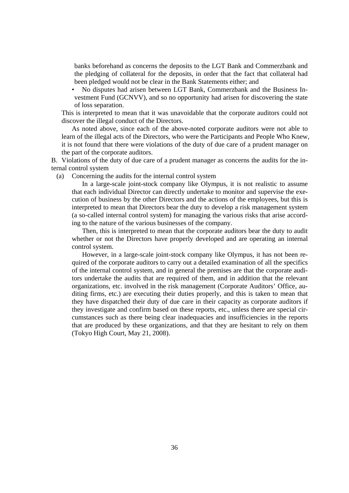banks beforehand as concerns the deposits to the LGT Bank and Commerzbank and the pledging of collateral for the deposits, in order that the fact that collateral had been pledged would not be clear in the Bank Statements either; and

• No disputes had arisen between LGT Bank, Commerzbank and the Business Investment Fund (GCNVV), and so no opportunity had arisen for discovering the state of loss separation.

This is interpreted to mean that it was unavoidable that the corporate auditors could not discover the illegal conduct of the Directors.

As noted above, since each of the above-noted corporate auditors were not able to learn of the illegal acts of the Directors, who were the Participants and People Who Knew, it is not found that there were violations of the duty of due care of a prudent manager on the part of the corporate auditors.

B. Violations of the duty of due care of a prudent manager as concerns the audits for the internal control system

(a) Concerning the audits for the internal control system

In a large-scale joint-stock company like Olympus, it is not realistic to assume that each individual Director can directly undertake to monitor and supervise the execution of business by the other Directors and the actions of the employees, but this is interpreted to mean that Directors bear the duty to develop a risk management system (a so-called internal control system) for managing the various risks that arise according to the nature of the various businesses of the company.

Then, this is interpreted to mean that the corporate auditors bear the duty to audit whether or not the Directors have properly developed and are operating an internal control system.

However, in a large-scale joint-stock company like Olympus, it has not been required of the corporate auditors to carry out a detailed examination of all the specifics of the internal control system, and in general the premises are that the corporate auditors undertake the audits that are required of them, and in addition that the relevant organizations, etc. involved in the risk management (Corporate Auditors' Office, auditing firms, etc.) are executing their duties properly, and this is taken to mean that they have dispatched their duty of due care in their capacity as corporate auditors if they investigate and confirm based on these reports, etc., unless there are special circumstances such as there being clear inadequacies and insufficiencies in the reports that are produced by these organizations, and that they are hesitant to rely on them (Tokyo High Court, May 21, 2008).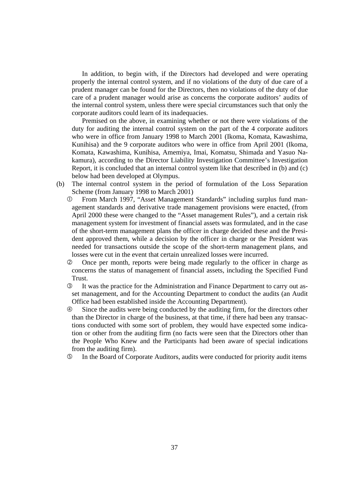In addition, to begin with, if the Directors had developed and were operating properly the internal control system, and if no violations of the duty of due care of a prudent manager can be found for the Directors, then no violations of the duty of due care of a prudent manager would arise as concerns the corporate auditors' audits of the internal control system, unless there were special circumstances such that only the corporate auditors could learn of its inadequacies.

Premised on the above, in examining whether or not there were violations of the duty for auditing the internal control system on the part of the 4 corporate auditors who were in office from January 1998 to March 2001 (Ikoma, Komata, Kawashima, Kunihisa) and the 9 corporate auditors who were in office from April 2001 (Ikoma, Komata, Kawashima, Kunihisa, Amemiya, Imai, Komatsu, Shimada and Yasuo Nakamura), according to the Director Liability Investigation Committee's Investigation Report, it is concluded that an internal control system like that described in (b) and (c) below had been developed at Olympus.

- (b) The internal control system in the period of formulation of the Loss Separation Scheme (from January 1998 to March 2001)
	- From March 1997, "Asset Management Standards" including surplus fund management standards and derivative trade management provisions were enacted, (from April 2000 these were changed to the "Asset management Rules"), and a certain risk management system for investment of financial assets was formulated, and in the case of the short-term management plans the officer in charge decided these and the President approved them, while a decision by the officer in charge or the President was needed for transactions outside the scope of the short-term management plans, and losses were cut in the event that certain unrealized losses were incurred.
	- Once per month, reports were being made regularly to the officer in charge as concerns the status of management of financial assets, including the Specified Fund Trust.
	- It was the practice for the Administration and Finance Department to carry out asset management, and for the Accounting Department to conduct the audits (an Audit Office had been established inside the Accounting Department).
	- Since the audits were being conducted by the auditing firm, for the directors other than the Director in charge of the business, at that time, if there had been any transactions conducted with some sort of problem, they would have expected some indication or other from the auditing firm (no facts were seen that the Directors other than the People Who Knew and the Participants had been aware of special indications from the auditing firm).
	- In the Board of Corporate Auditors, audits were conducted for priority audit items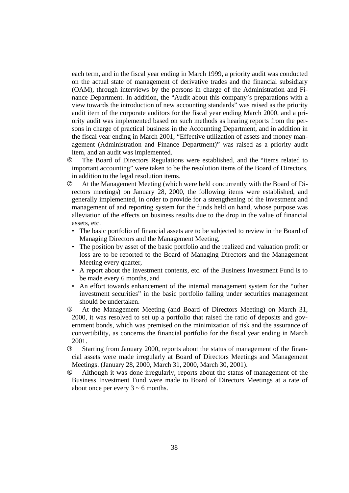each term, and in the fiscal year ending in March 1999, a priority audit was conducted on the actual state of management of derivative trades and the financial subsidiary (OAM), through interviews by the persons in charge of the Administration and Finance Department. In addition, the "Audit about this company's preparations with a view towards the introduction of new accounting standards" was raised as the priority audit item of the corporate auditors for the fiscal year ending March 2000, and a priority audit was implemented based on such methods as hearing reports from the persons in charge of practical business in the Accounting Department, and in addition in the fiscal year ending in March 2001, "Effective utilization of assets and money management (Administration and Finance Department)" was raised as a priority audit item, and an audit was implemented.

- The Board of Directors Regulations were established, and the "items related to important accounting" were taken to be the resolution items of the Board of Directors, in addition to the legal resolution items.
- At the Management Meeting (which were held concurrently with the Board of Directors meetings) on January 28, 2000, the following items were established, and generally implemented, in order to provide for a strengthening of the investment and management of and reporting system for the funds held on hand, whose purpose was alleviation of the effects on business results due to the drop in the value of financial assets, etc.
	- The basic portfolio of financial assets are to be subjected to review in the Board of Managing Directors and the Management Meeting,
	- The position by asset of the basic portfolio and the realized and valuation profit or loss are to be reported to the Board of Managing Directors and the Management Meeting every quarter,
	- A report about the investment contents, etc. of the Business Investment Fund is to be made every 6 months, and
	- An effort towards enhancement of the internal management system for the "other investment securities" in the basic portfolio falling under securities management should be undertaken.
- At the Management Meeting (and Board of Directors Meeting) on March 31, 2000, it was resolved to set up a portfolio that raised the ratio of deposits and government bonds, which was premised on the minimization of risk and the assurance of convertibility, as concerns the financial portfolio for the fiscal year ending in March 2001.
- Starting from January 2000, reports about the status of management of the financial assets were made irregularly at Board of Directors Meetings and Management Meetings. (January 28, 2000, March 31, 2000, March 30, 2001).
- Although it was done irregularly, reports about the status of management of the Business Investment Fund were made to Board of Directors Meetings at a rate of about once per every  $3 \sim 6$  months.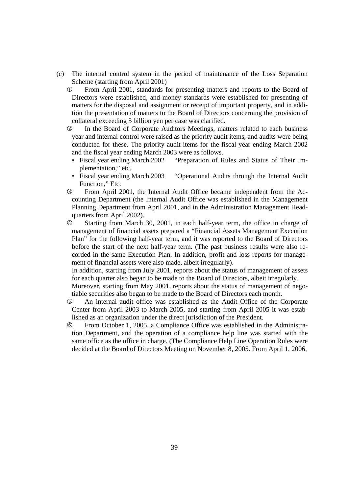- (c) The internal control system in the period of maintenance of the Loss Separation Scheme (starting from April 2001)
	- From April 2001, standards for presenting matters and reports to the Board of Directors were established, and money standards were established for presenting of matters for the disposal and assignment or receipt of important property, and in addition the presentation of matters to the Board of Directors concerning the provision of collateral exceeding 5 billion yen per case was clarified.
	- In the Board of Corporate Auditors Meetings, matters related to each business year and internal control were raised as the priority audit items, and audits were being conducted for these. The priority audit items for the fiscal year ending March 2002 and the fiscal year ending March 2003 were as follows.
		- Fiscal year ending March 2002 "Preparation of Rules and Status of Their Implementation," etc.
		- Fiscal year ending March 2003 "Operational Audits through the Internal Audit Function," Etc.
	- From April 2001, the Internal Audit Office became independent from the Accounting Department (the Internal Audit Office was established in the Management Planning Department from April 2001, and in the Administration Management Headquarters from April 2002).

 Starting from March 30, 2001, in each half-year term, the office in charge of management of financial assets prepared a "Financial Assets Management Execution Plan" for the following half-year term, and it was reported to the Board of Directors before the start of the next half-year term. (The past business results were also recorded in the same Execution Plan. In addition, profit and loss reports for management of financial assets were also made, albeit irregularly).

 In addition, starting from July 2001, reports about the status of management of assets for each quarter also began to be made to the Board of Directors, albeit irregularly.

 Moreover, starting from May 2001, reports about the status of management of negotiable securities also began to be made to the Board of Directors each month.

- An internal audit office was established as the Audit Office of the Corporate Center from April 2003 to March 2005, and starting from April 2005 it was established as an organization under the direct jurisdiction of the President.
- From October 1, 2005, a Compliance Office was established in the Administration Department, and the operation of a compliance help line was started with the same office as the office in charge. (The Compliance Help Line Operation Rules were decided at the Board of Directors Meeting on November 8, 2005. From April 1, 2006,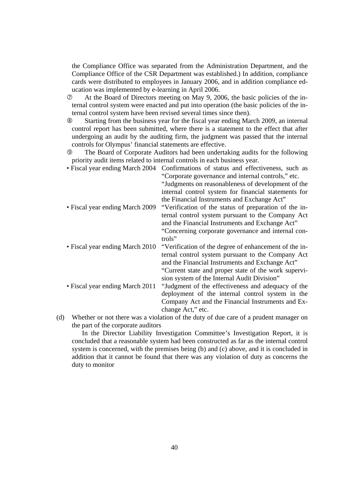the Compliance Office was separated from the Administration Department, and the Compliance Office of the CSR Department was established.) In addition, compliance cards were distributed to employees in January 2006, and in addition compliance education was implemented by e-learning in April 2006.

 At the Board of Directors meeting on May 9, 2006, the basic policies of the internal control system were enacted and put into operation (the basic policies of the internal control system have been revised several times since then).

 Starting from the business year for the fiscal year ending March 2009, an internal control report has been submitted, where there is a statement to the effect that after undergoing an audit by the auditing firm, the judgment was passed that the internal controls for Olympus' financial statements are effective.

 The Board of Corporate Auditors had been undertaking audits for the following priority audit items related to internal controls in each business year.

- Fiscal year ending March 2004 Confirmations of status and effectiveness, such as "Corporate governance and internal controls," etc. "Judgments on reasonableness of development of the internal control system for financial statements for the Financial Instruments and Exchange Act" • Fiscal year ending March 2009 "Verification of the status of preparation of the internal control system pursuant to the Company Act and the Financial Instruments and Exchange Act" "Concerning corporate governance and internal controls" • Fiscal year ending March 2010 "Verification of the degree of enhancement of the internal control system pursuant to the Company Act and the Financial Instruments and Exchange Act" "Current state and proper state of the work supervision system of the Internal Audit Division" • Fiscal year ending March 2011 "Judgment of the effectiveness and adequacy of the deployment of the internal control system in the Company Act and the Financial Instruments and Exchange Act," etc. (d) Whether or not there was a violation of the duty of due care of a prudent manager on
- the part of the corporate auditors

 In the Director Liability Investigation Committee's Investigation Report, it is concluded that a reasonable system had been constructed as far as the internal control system is concerned, with the premises being (b) and (c) above, and it is concluded in addition that it cannot be found that there was any violation of duty as concerns the duty to monitor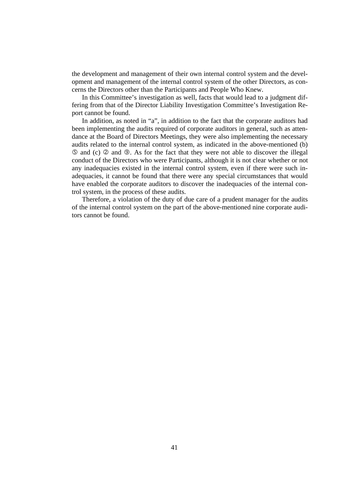the development and management of their own internal control system and the development and management of the internal control system of the other Directors, as concerns the Directors other than the Participants and People Who Knew.

 In this Committee's investigation as well, facts that would lead to a judgment differing from that of the Director Liability Investigation Committee's Investigation Report cannot be found.

 In addition, as noted in "a", in addition to the fact that the corporate auditors had been implementing the audits required of corporate auditors in general, such as attendance at the Board of Directors Meetings, they were also implementing the necessary audits related to the internal control system, as indicated in the above-mentioned (b)  $\circled{a}$  and  $\circled{c}$  and  $\circled{b}$ . As for the fact that they were not able to discover the illegal conduct of the Directors who were Participants, although it is not clear whether or not any inadequacies existed in the internal control system, even if there were such inadequacies, it cannot be found that there were any special circumstances that would have enabled the corporate auditors to discover the inadequacies of the internal control system, in the process of these audits.

 Therefore, a violation of the duty of due care of a prudent manager for the audits of the internal control system on the part of the above-mentioned nine corporate auditors cannot be found.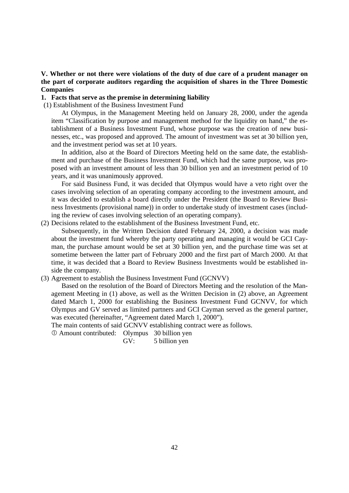## **V. Whether or not there were violations of the duty of due care of a prudent manager on the part of corporate auditors regarding the acquisition of shares in the Three Domestic Companies**

#### **1. Facts that serve as the premise in determining liability**

(1) Establishment of the Business Investment Fund

 At Olympus, in the Management Meeting held on January 28, 2000, under the agenda item "Classification by purpose and management method for the liquidity on hand," the establishment of a Business Investment Fund, whose purpose was the creation of new businesses, etc., was proposed and approved. The amount of investment was set at 30 billion yen, and the investment period was set at 10 years.

 In addition, also at the Board of Directors Meeting held on the same date, the establishment and purchase of the Business Investment Fund, which had the same purpose, was proposed with an investment amount of less than 30 billion yen and an investment period of 10 years, and it was unanimously approved.

 For said Business Fund, it was decided that Olympus would have a veto right over the cases involving selection of an operating company according to the investment amount, and it was decided to establish a board directly under the President (the Board to Review Business Investments (provisional name)) in order to undertake study of investment cases (including the review of cases involving selection of an operating company).

(2) Decisions related to the establishment of the Business Investment Fund, etc.

 Subsequently, in the Written Decision dated February 24, 2000, a decision was made about the investment fund whereby the party operating and managing it would be GCI Cayman, the purchase amount would be set at 30 billion yen, and the purchase time was set at sometime between the latter part of February 2000 and the first part of March 2000. At that time, it was decided that a Board to Review Business Investments would be established inside the company.

(3) Agreement to establish the Business Investment Fund (GCNVV)

 Based on the resolution of the Board of Directors Meeting and the resolution of the Management Meeting in (1) above, as well as the Written Decision in (2) above, an Agreement dated March 1, 2000 for establishing the Business Investment Fund GCNVV, for which Olympus and GV served as limited partners and GCI Cayman served as the general partner, was executed (hereinafter, "Agreement dated March 1, 2000").

The main contents of said GCNVV establishing contract were as follows.

Amount contributed: Olympus 30 billion yen

GV: 5 billion yen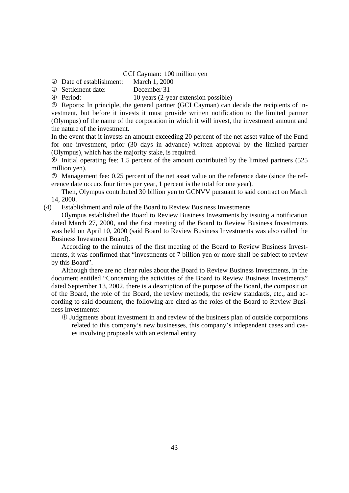GCI Cayman: 100 million yen

Date of establishment: March 1, 2000

Settlement date: December 31

Period: 10 years (2-year extension possible)

 Reports: In principle, the general partner (GCI Cayman) can decide the recipients of investment, but before it invests it must provide written notification to the limited partner (Olympus) of the name of the corporation in which it will invest, the investment amount and the nature of the investment.

In the event that it invests an amount exceeding 20 percent of the net asset value of the Fund for one investment, prior (30 days in advance) written approval by the limited partner (Olympus), which has the majority stake, is required.

 Initial operating fee: 1.5 percent of the amount contributed by the limited partners (525 million yen).

 Management fee: 0.25 percent of the net asset value on the reference date (since the reference date occurs four times per year, 1 percent is the total for one year).

 Then, Olympus contributed 30 billion yen to GCNVV pursuant to said contract on March 14, 2000.

(4) Establishment and role of the Board to Review Business Investments

 Olympus established the Board to Review Business Investments by issuing a notification dated March 27, 2000, and the first meeting of the Board to Review Business Investments was held on April 10, 2000 (said Board to Review Business Investments was also called the Business Investment Board).

 According to the minutes of the first meeting of the Board to Review Business Investments, it was confirmed that "investments of 7 billion yen or more shall be subject to review by this Board".

 Although there are no clear rules about the Board to Review Business Investments, in the document entitled "Concerning the activities of the Board to Review Business Investments" dated September 13, 2002, there is a description of the purpose of the Board, the composition of the Board, the role of the Board, the review methods, the review standards, etc., and according to said document, the following are cited as the roles of the Board to Review Business Investments:

 Judgments about investment in and review of the business plan of outside corporations related to this company's new businesses, this company's independent cases and cases involving proposals with an external entity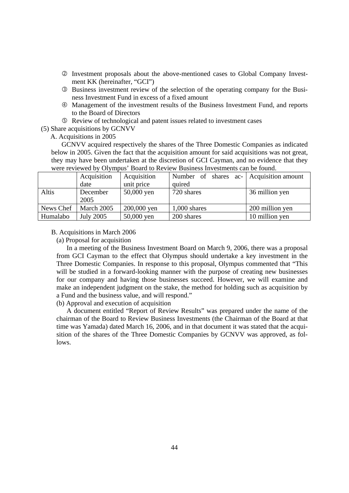- Investment proposals about the above-mentioned cases to Global Company Investment KK (hereinafter, "GCI")
- Business investment review of the selection of the operating company for the Business Investment Fund in excess of a fixed amount
- Management of the investment results of the Business Investment Fund, and reports to the Board of Directors
- Review of technological and patent issues related to investment cases
- (5) Share acquisitions by GCNVV

A. Acquisitions in 2005

 GCNVV acquired respectively the shares of the Three Domestic Companies as indicated below in 2005. Given the fact that the acquisition amount for said acquisitions was not great, they may have been undertaken at the discretion of GCI Cayman, and no evidence that they were reviewed by Olympus' Board to Review Business Investments can be found.

|           | Acquisition      | Acquisition | Number of shares ac- Acquisition amount |                 |  |
|-----------|------------------|-------------|-----------------------------------------|-----------------|--|
|           | date             | unit price  | quired                                  |                 |  |
| Altis     | December         | 50,000 yen  | 720 shares                              | 36 million yen  |  |
|           | 2005             |             |                                         |                 |  |
| News Chef | March 2005       | 200,000 yen | $1,000$ shares                          | 200 million yen |  |
| Humalabo  | <b>July 2005</b> | 50,000 yen  | 200 shares                              | 10 million yen  |  |

#### B. Acquisitions in March 2006

(a) Proposal for acquisition

In a meeting of the Business Investment Board on March 9, 2006, there was a proposal from GCI Cayman to the effect that Olympus should undertake a key investment in the Three Domestic Companies. In response to this proposal, Olympus commented that "This will be studied in a forward-looking manner with the purpose of creating new businesses for our company and having those businesses succeed. However, we will examine and make an independent judgment on the stake, the method for holding such as acquisition by a Fund and the business value, and will respond."

(b) Approval and execution of acquisition

A document entitled "Report of Review Results" was prepared under the name of the chairman of the Board to Review Business Investments (the Chairman of the Board at that time was Yamada) dated March 16, 2006, and in that document it was stated that the acquisition of the shares of the Three Domestic Companies by GCNVV was approved, as follows.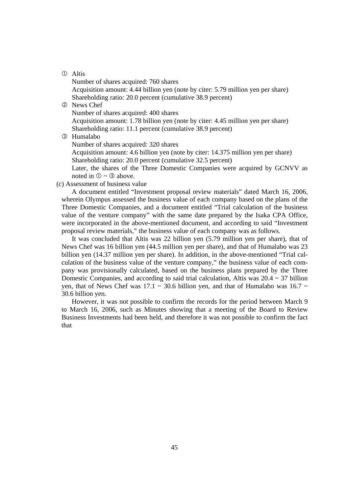### Altis

 Number of shares acquired: 760 shares Acquisition amount: 4.44 billion yen (note by citer: 5.79 million yen per share) Shareholding ratio: 20.0 percent (cumulative 38.9 percent)

News Chef

Number of shares acquired: 400 shares

 Acquisition amount: 1.78 billion yen (note by citer: 4.45 million yen per share) Shareholding ratio: 11.1 percent (cumulative 38.9 percent)

Humalabo

Number of shares acquired: 320 shares

 Acquisition amount: 4.6 billion yen (note by citer: 14.375 million yen per share) Shareholding ratio: 20.0 percent (cumulative 32.5 percent)

 Later, the shares of the Three Domestic Companies were acquired by GCNVV as noted in  $\mathbb{O} \sim \mathbb{O}$  above.

(c) Assessment of business value

 A document entitled "Investment proposal review materials" dated March 16, 2006, wherein Olympus assessed the business value of each company based on the plans of the Three Domestic Companies, and a document entitled "Trial calculation of the business value of the venture company" with the same date prepared by the Isaka CPA Office, were incorporated in the above-mentioned document, and according to said "Investment proposal review materials," the business value of each company was as follows.

 It was concluded that Altis was 22 billion yen (5.79 million yen per share), that of News Chef was 16 billion yen (44.5 million yen per share), and that of Humalabo was 23 billion yen (14.37 million yen per share). In addition, in the above-mentioned "Trial calculation of the business value of the venture company," the business value of each company was provisionally calculated, based on the business plans prepared by the Three Domestic Companies, and according to said trial calculation, Altis was  $20.4 \sim 37$  billion yen, that of News Chef was 17.1  $\sim$  30.6 billion yen, and that of Humalabo was 16.7  $\sim$ 30.6 billion yen.

 However, it was not possible to confirm the records for the period between March 9 to March 16, 2006, such as Minutes showing that a meeting of the Board to Review Business Investments had been held, and therefore it was not possible to confirm the fact that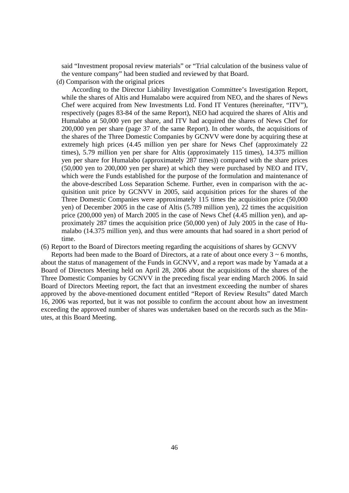said "Investment proposal review materials" or "Trial calculation of the business value of the venture company" had been studied and reviewed by that Board.

(d) Comparison with the original prices

According to the Director Liability Investigation Committee's Investigation Report, while the shares of Altis and Humalabo were acquired from NEO, and the shares of News Chef were acquired from New Investments Ltd. Fond IT Ventures (hereinafter, "ITV"), respectively (pages 83-84 of the same Report), NEO had acquired the shares of Altis and Humalabo at 50,000 yen per share, and ITV had acquired the shares of News Chef for 200,000 yen per share (page 37 of the same Report). In other words, the acquisitions of the shares of the Three Domestic Companies by GCNVV were done by acquiring these at extremely high prices (4.45 million yen per share for News Chef (approximately 22 times), 5.79 million yen per share for Altis (approximately 115 times), 14.375 million yen per share for Humalabo (approximately 287 times)) compared with the share prices (50,000 yen to 200,000 yen per share) at which they were purchased by NEO and ITV, which were the Funds established for the purpose of the formulation and maintenance of the above-described Loss Separation Scheme. Further, even in comparison with the acquisition unit price by GCNVV in 2005, said acquisition prices for the shares of the Three Domestic Companies were approximately 115 times the acquisition price (50,000 yen) of December 2005 in the case of Altis (5.789 million yen), 22 times the acquisition price (200,000 yen) of March 2005 in the case of News Chef (4.45 million yen), and approximately 287 times the acquisition price (50,000 yen) of July 2005 in the case of Humalabo (14.375 million yen), and thus were amounts that had soared in a short period of time.

(6) Report to the Board of Directors meeting regarding the acquisitions of shares by GCNVV

Reports had been made to the Board of Directors, at a rate of about once every  $3 \sim 6$  months, about the status of management of the Funds in GCNVV, and a report was made by Yamada at a Board of Directors Meeting held on April 28, 2006 about the acquisitions of the shares of the Three Domestic Companies by GCNVV in the preceding fiscal year ending March 2006. In said Board of Directors Meeting report, the fact that an investment exceeding the number of shares approved by the above-mentioned document entitled "Report of Review Results" dated March 16, 2006 was reported, but it was not possible to confirm the account about how an investment exceeding the approved number of shares was undertaken based on the records such as the Minutes, at this Board Meeting.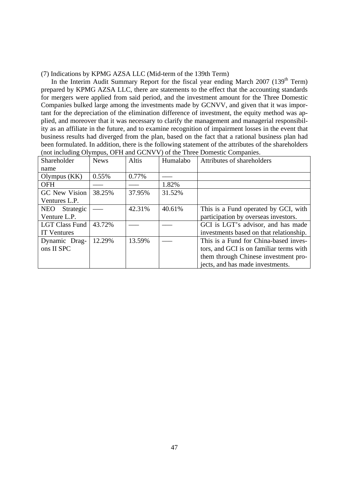(7) Indications by KPMG AZSA LLC (Mid-term of the 139th Term)

In the Interim Audit Summary Report for the fiscal year ending March  $2007$  (139<sup>th</sup> Term) prepared by KPMG AZSA LLC, there are statements to the effect that the accounting standards for mergers were applied from said period, and the investment amount for the Three Domestic Companies bulked large among the investments made by GCNVV, and given that it was important for the depreciation of the elimination difference of investment, the equity method was applied, and moreover that it was necessary to clarify the management and managerial responsibility as an affiliate in the future, and to examine recognition of impairment losses in the event that business results had diverged from the plan, based on the fact that a rational business plan had been formulated. In addition, there is the following statement of the attributes of the shareholders (not including Olympus, OFH and GCNVV) of the Three Domestic Companies.

| Shareholder             | <b>News</b> | Altis  | Humalabo | Attributes of shareholders              |
|-------------------------|-------------|--------|----------|-----------------------------------------|
| name                    |             |        |          |                                         |
| Olympus $(KK)$          | 0.55%       | 0.77%  |          |                                         |
| <b>OFH</b>              |             |        | 1.82%    |                                         |
| GC New Vision           | 38.25%      | 37.95% | 31.52%   |                                         |
| Ventures L.P.           |             |        |          |                                         |
| Strategic<br><b>NEO</b> |             | 42.31% | 40.61%   | This is a Fund operated by GCI, with    |
| Venture L.P.            |             |        |          | participation by overseas investors.    |
| <b>LGT Class Fund</b>   | 43.72%      |        |          | GCI is LGT's advisor, and has made      |
| <b>IT</b> Ventures      |             |        |          | investments based on that relationship. |
| Dynamic Drag-           | 12.29%      | 13.59% |          | This is a Fund for China-based inves-   |
| ons II SPC              |             |        |          | tors, and GCI is on familiar terms with |
|                         |             |        |          | them through Chinese investment pro-    |
|                         |             |        |          | jects, and has made investments.        |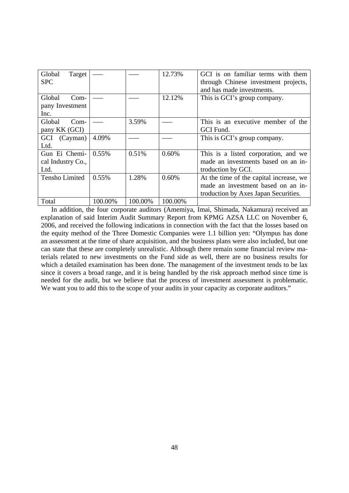| Global<br>Target<br><b>SPC</b>              |          |         | 12.73%  | GCI is on familiar terms with them<br>through Chinese investment projects,<br>and has made investments.               |  |  |  |
|---------------------------------------------|----------|---------|---------|-----------------------------------------------------------------------------------------------------------------------|--|--|--|
| Global<br>$Com-$<br>pany Investment<br>Inc. |          |         | 12.12%  | This is GCI's group company.                                                                                          |  |  |  |
| Global<br>$Com-$<br>pany KK (GCI)           |          | 3.59%   |         | This is an executive member of the<br>GCI Fund.                                                                       |  |  |  |
| GCI (Cayman)<br>Ltd.                        | 4.09%    |         |         | This is GCI's group company.                                                                                          |  |  |  |
| Gun Ei Chemi-<br>cal Industry Co.,<br>Ltd.  | $0.55\%$ | 0.51%   | 0.60%   | This is a listed corporation, and we<br>made an investments based on an in-<br>troduction by GCI.                     |  |  |  |
| <b>Tensho Limited</b>                       | $0.55\%$ | 1.28%   | 0.60%   | At the time of the capital increase, we<br>made an investment based on an in-<br>troduction by Axes Japan Securities. |  |  |  |
| Total                                       | 100.00%  | 100.00% | 100.00% |                                                                                                                       |  |  |  |

 In addition, the four corporate auditors (Amemiya, Imai, Shimada, Nakamura) received an explanation of said Interim Audit Summary Report from KPMG AZSA LLC on November 6, 2006, and received the following indications in connection with the fact that the losses based on the equity method of the Three Domestic Companies were 1.1 billion yen: "Olympus has done an assessment at the time of share acquisition, and the business plans were also included, but one can state that these are completely unrealistic. Although there remain some financial review materials related to new investments on the Fund side as well, there are no business results for which a detailed examination has been done. The management of the investment tends to be lax since it covers a broad range, and it is being handled by the risk approach method since time is needed for the audit, but we believe that the process of investment assessment is problematic. We want you to add this to the scope of your audits in your capacity as corporate auditors."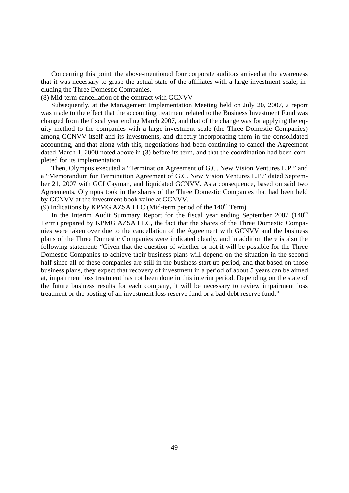Concerning this point, the above-mentioned four corporate auditors arrived at the awareness that it was necessary to grasp the actual state of the affiliates with a large investment scale, including the Three Domestic Companies.

(8) Mid-term cancellation of the contract with GCNVV

 Subsequently, at the Management Implementation Meeting held on July 20, 2007, a report was made to the effect that the accounting treatment related to the Business Investment Fund was changed from the fiscal year ending March 2007, and that of the change was for applying the equity method to the companies with a large investment scale (the Three Domestic Companies) among GCNVV itself and its investments, and directly incorporating them in the consolidated accounting, and that along with this, negotiations had been continuing to cancel the Agreement dated March 1, 2000 noted above in (3) before its term, and that the coordination had been completed for its implementation.

 Then, Olympus executed a "Termination Agreement of G.C. New Vision Ventures L.P." and a "Memorandum for Termination Agreement of G.C. New Vision Ventures L.P." dated September 21, 2007 with GCI Cayman, and liquidated GCNVV. As a consequence, based on said two Agreements, Olympus took in the shares of the Three Domestic Companies that had been held by GCNVV at the investment book value at GCNVV.

(9) Indications by KPMG AZSA LLC (Mid-term period of the  $140<sup>th</sup>$  Term)

In the Interim Audit Summary Report for the fiscal year ending September 2007  $(140<sup>th</sup>$ Term) prepared by KPMG AZSA LLC, the fact that the shares of the Three Domestic Companies were taken over due to the cancellation of the Agreement with GCNVV and the business plans of the Three Domestic Companies were indicated clearly, and in addition there is also the following statement: "Given that the question of whether or not it will be possible for the Three Domestic Companies to achieve their business plans will depend on the situation in the second half since all of these companies are still in the business start-up period, and that based on those business plans, they expect that recovery of investment in a period of about 5 years can be aimed at, impairment loss treatment has not been done in this interim period. Depending on the state of the future business results for each company, it will be necessary to review impairment loss treatment or the posting of an investment loss reserve fund or a bad debt reserve fund."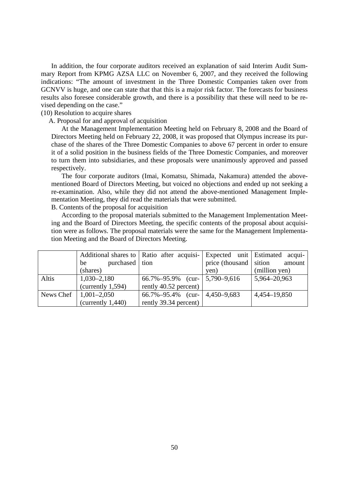In addition, the four corporate auditors received an explanation of said Interim Audit Summary Report from KPMG AZSA LLC on November 6, 2007, and they received the following indications: "The amount of investment in the Three Domestic Companies taken over from GCNVV is huge, and one can state that that this is a major risk factor. The forecasts for business results also foresee considerable growth, and there is a possibility that these will need to be revised depending on the case."

(10) Resolution to acquire shares

A. Proposal for and approval of acquisition

 At the Management Implementation Meeting held on February 8, 2008 and the Board of Directors Meeting held on February 22, 2008, it was proposed that Olympus increase its purchase of the shares of the Three Domestic Companies to above 67 percent in order to ensure it of a solid position in the business fields of the Three Domestic Companies, and moreover to turn them into subsidiaries, and these proposals were unanimously approved and passed respectively.

 The four corporate auditors (Imai, Komatsu, Shimada, Nakamura) attended the abovementioned Board of Directors Meeting, but voiced no objections and ended up not seeking a re-examination. Also, while they did not attend the above-mentioned Management Implementation Meeting, they did read the materials that were submitted.

B. Contents of the proposal for acquisition

 According to the proposal materials submitted to the Management Implementation Meeting and the Board of Directors Meeting, the specific contents of the proposal about acquisition were as follows. The proposal materials were the same for the Management Implementation Meeting and the Board of Directors Meeting.

|       |                           | Additional shares to   Ratio after acquisi- |                        | Expected unit Estimated acqui- |
|-------|---------------------------|---------------------------------------------|------------------------|--------------------------------|
|       | purchased tion<br>be      |                                             | price (thousand sition | amount                         |
|       | (shares)                  |                                             | yen)                   | (million yen)                  |
| Altis | $1,030 - 2,180$           | 66.7%-95.9% (cur-   5,790-9,616             |                        | 5,964-20,963                   |
|       | (currenty 1,594)          | rently 40.52 percent)                       |                        |                                |
|       | News Chef   $1,001-2,050$ | $66.7\% - 95.4\%$ (cur-                     | 4,450-9,683            | 4,454–19,850                   |
|       | (currenty 1,440)          | rently 39.34 percent)                       |                        |                                |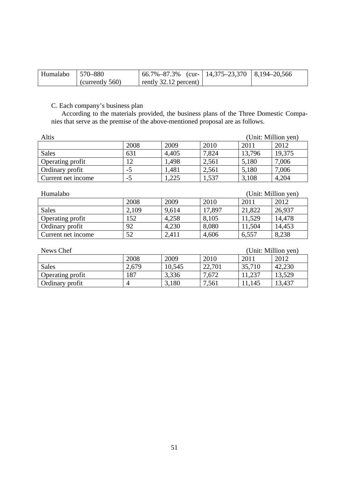| Humalabo | $ 570 - 880$       | $166.7\% - 87.3\%$ (cur-   14,375–23,370   8,194–20,566 |  |
|----------|--------------------|---------------------------------------------------------|--|
|          | (currently $560$ ) | rently $32.12$ percent)                                 |  |

C. Each company's business plan

 According to the materials provided, the business plans of the Three Domestic Companies that serve as the premise of the above-mentioned proposal are as follows.

| Altis<br>(Unit: Million yen)    |                                   |                      |                      |                      |                      |
|---------------------------------|-----------------------------------|----------------------|----------------------|----------------------|----------------------|
|                                 | 2008                              | 2009                 | 2010                 | 2011                 | 2012                 |
| <b>Sales</b>                    | 631                               | 4,405                | 7,824                | 13,796               | 19,375               |
| Operating profit                | 12                                | 1,498                | 2,561                | 5,180                | 7,006                |
| Ordinary profit                 | -5                                | 1,481                | 2,561                | 5,180                | 7,006                |
| Current net income              | $-5$                              | ,225                 | 1,537                | 3,108                | 4,204                |
|                                 |                                   |                      |                      |                      |                      |
| (Unit: Million yen)<br>Humalabo |                                   |                      |                      |                      |                      |
|                                 | $\bullet \bullet \bullet \bullet$ | $\sim$ $\sim$ $\sim$ | $\sim$ $\sim$ $\sim$ | $\sim$ $\sim$ $\sim$ | $\sim$ $\sim$ $\sim$ |

|                    | 2008  | 2009  | 2010   | 2011   | 2012   |
|--------------------|-------|-------|--------|--------|--------|
| Sales              | 2,109 | 9,614 | 17,897 | 21,822 | 26,937 |
| Operating profit   | 152   | 4,258 | 8,105  | 11,529 | 14,478 |
| Ordinary profit    | 92    | 4,230 | 8,080  | 11,504 | 14,453 |
| Current net income | 52    | 2,411 | 4,606  | 6,557  | 8,238  |

| News Chef        | (Unit: Million yen) |        |        |        |        |
|------------------|---------------------|--------|--------|--------|--------|
|                  | 2008                | 2009   | 2010   | 2011   | 2012   |
| <b>Sales</b>     | 2,679               | 10,545 | 22,701 | 35,710 | 42,230 |
| Operating profit | 187                 | 3,336  | 7,672  | 11,237 | 13,529 |
| Ordinary profit  | 4                   | 3,180  | 7,561  | 1,145  | 13,437 |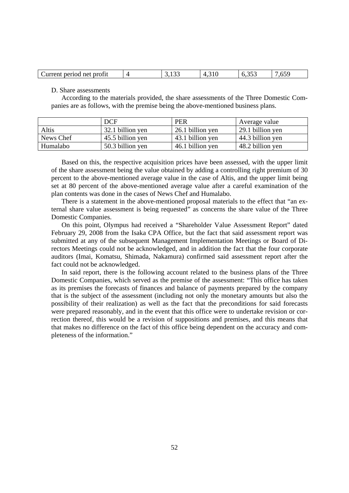| profit<br>neriod<br>net<br>aurrent<br>. .<br>.<br>.<br>.vJ<br>ບ.ບມ<br>ت<br>. |
|------------------------------------------------------------------------------|
|------------------------------------------------------------------------------|

D. Share assessments

According to the materials provided, the share assessments of the Three Domestic Companies are as follows, with the premise being the above-mentioned business plans.

|           | <b>DCF</b>       | <b>PER</b>       | Average value    |
|-----------|------------------|------------------|------------------|
| Altis     | 32.1 billion yen | 26.1 billion yen | 29.1 billion yen |
| News Chef | 45.5 billion yen | 43.1 billion yen | 44.3 billion yen |
| Humalabo  | 50.3 billion yen | 46.1 billion yen | 48.2 billion yen |

 Based on this, the respective acquisition prices have been assessed, with the upper limit of the share assessment being the value obtained by adding a controlling right premium of 30 percent to the above-mentioned average value in the case of Altis, and the upper limit being set at 80 percent of the above-mentioned average value after a careful examination of the plan contents was done in the cases of News Chef and Humalabo.

 There is a statement in the above-mentioned proposal materials to the effect that "an external share value assessment is being requested" as concerns the share value of the Three Domestic Companies.

 On this point, Olympus had received a "Shareholder Value Assessment Report" dated February 29, 2008 from the Isaka CPA Office, but the fact that said assessment report was submitted at any of the subsequent Management Implementation Meetings or Board of Directors Meetings could not be acknowledged, and in addition the fact that the four corporate auditors (Imai, Komatsu, Shimada, Nakamura) confirmed said assessment report after the fact could not be acknowledged.

 In said report, there is the following account related to the business plans of the Three Domestic Companies, which served as the premise of the assessment: "This office has taken as its premises the forecasts of finances and balance of payments prepared by the company that is the subject of the assessment (including not only the monetary amounts but also the possibility of their realization) as well as the fact that the preconditions for said forecasts were prepared reasonably, and in the event that this office were to undertake revision or correction thereof, this would be a revision of suppositions and premises, and this means that that makes no difference on the fact of this office being dependent on the accuracy and completeness of the information."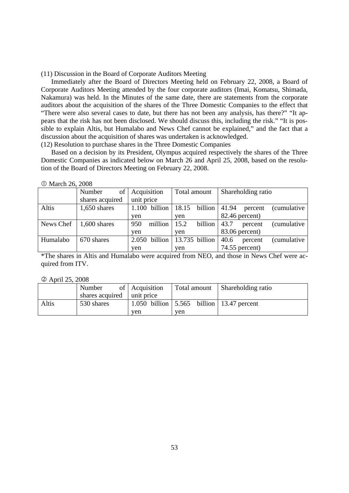(11) Discussion in the Board of Corporate Auditors Meeting

 Immediately after the Board of Directors Meeting held on February 22, 2008, a Board of Corporate Auditors Meeting attended by the four corporate auditors (Imai, Komatsu, Shimada, Nakamura) was held. In the Minutes of the same date, there are statements from the corporate auditors about the acquisition of the shares of the Three Domestic Companies to the effect that "There were also several cases to date, but there has not been any analysis, has there?" "It appears that the risk has not been disclosed. We should discuss this, including the risk." "It is possible to explain Altis, but Humalabo and News Chef cannot be explained," and the fact that a discussion about the acquisition of shares was undertaken is acknowledged.

(12) Resolution to purchase shares in the Three Domestic Companies

 Based on a decision by its President, Olympus acquired respectively the shares of the Three Domestic Companies as indicated below on March 26 and April 25, 2008, based on the resolution of the Board of Directors Meeting on February 22, 2008.

|  | <b>10 March 26, 2008</b> |  |  |
|--|--------------------------|--|--|
|--|--------------------------|--|--|

|           | of<br>Number    | Acquisition     | Total amount     | Shareholding ratio                      |  |  |
|-----------|-----------------|-----------------|------------------|-----------------------------------------|--|--|
|           | shares acquired | unit price      |                  |                                         |  |  |
| Altis     | $1,650$ shares  | $1.100$ billion | 18.15<br>billion | 41.94<br><i>(cumulative)</i><br>percent |  |  |
|           |                 | yen             | ven              | $82.46$ percent)                        |  |  |
| News Chef | $1,600$ shares  | million<br>950  | 15.2<br>billion  | 43.7<br><i>(cumulative)</i><br>percent  |  |  |
|           |                 | ven             | yen              | 83.06 percent)                          |  |  |
| Humalabo  | 670 shares      | 2.050 billion   | $13.735$ billion | <i>(cumulative)</i><br>40.6<br>percent  |  |  |
|           |                 | yen             | ven              | 74.55 percent)                          |  |  |

\*The shares in Altis and Humalabo were acquired from NEO, and those in News Chef were acquired from ITV.

#### April 25, 2008

|       | Number                     | of Acquisition |                                                           | Total amount Shareholding ratio |  |  |
|-------|----------------------------|----------------|-----------------------------------------------------------|---------------------------------|--|--|
|       | shares acquired unit price |                |                                                           |                                 |  |  |
| Altis | 530 shares                 |                | 1.050 billion $\vert 5.565$ billion $\vert 13.47$ percent |                                 |  |  |
|       |                            | ven            | ven                                                       |                                 |  |  |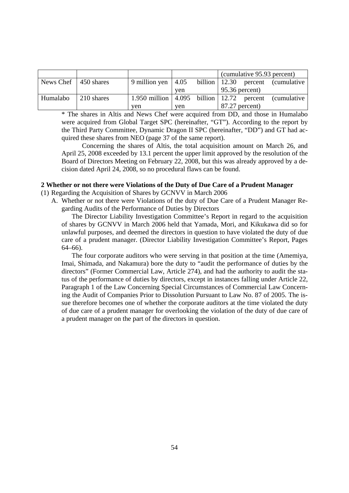|                              |            |                                                                            |     | (cumulative 95.93 percent) |  |                                     |
|------------------------------|------------|----------------------------------------------------------------------------|-----|----------------------------|--|-------------------------------------|
| News Chef $\vert$ 450 shares |            | 9 million yen $\vert 4.05 \vert$                                           |     |                            |  | billion   12.30 percent (cumulative |
|                              |            |                                                                            | ven | $95.36$ percent)           |  |                                     |
| Humalabo                     | 210 shares | $\mid$ 1.950 million $\mid$ 4.095 billion $\mid$ 12.72 percent (cumulative |     |                            |  |                                     |
|                              |            | ven                                                                        | ven | $87.27$ percent)           |  |                                     |

\* The shares in Altis and News Chef were acquired from DD, and those in Humalabo were acquired from Global Target SPC (hereinafter, "GT"). According to the report by the Third Party Committee, Dynamic Dragon II SPC (hereinafter, "DD") and GT had acquired these shares from NEO (page 37 of the same report).

 Concerning the shares of Altis, the total acquisition amount on March 26, and April 25, 2008 exceeded by 13.1 percent the upper limit approved by the resolution of the Board of Directors Meeting on February 22, 2008, but this was already approved by a decision dated April 24, 2008, so no procedural flaws can be found.

## **2 Whether or not there were Violations of the Duty of Due Care of a Prudent Manager**

(1) Regarding the Acquisition of Shares by GCNVV in March 2006

A. Whether or not there were Violations of the duty of Due Care of a Prudent Manager Regarding Audits of the Performance of Duties by Directors

The Director Liability Investigation Committee's Report in regard to the acquisition of shares by GCNVV in March 2006 held that Yamada, Mori, and Kikukawa did so for unlawful purposes, and deemed the directors in question to have violated the duty of due care of a prudent manager. (Director Liability Investigation Committee's Report, Pages 64–66).

The four corporate auditors who were serving in that position at the time (Amemiya, Imai, Shimada, and Nakamura) bore the duty to "audit the performance of duties by the directors" (Former Commercial Law, Article 274), and had the authority to audit the status of the performance of duties by directors, except in instances falling under Article 22, Paragraph 1 of the Law Concerning Special Circumstances of Commercial Law Concerning the Audit of Companies Prior to Dissolution Pursuant to Law No. 87 of 2005. The issue therefore becomes one of whether the corporate auditors at the time violated the duty of due care of a prudent manager for overlooking the violation of the duty of due care of a prudent manager on the part of the directors in question.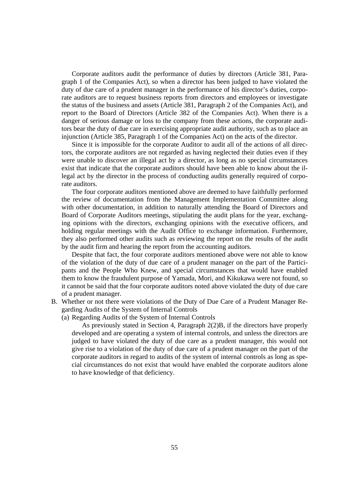Corporate auditors audit the performance of duties by directors (Article 381, Paragraph 1 of the Companies Act), so when a director has been judged to have violated the duty of due care of a prudent manager in the performance of his director's duties, corporate auditors are to request business reports from directors and employees or investigate the status of the business and assets (Article 381, Paragraph 2 of the Companies Act), and report to the Board of Directors (Article 382 of the Companies Act). When there is a danger of serious damage or loss to the company from these actions, the corporate auditors bear the duty of due care in exercising appropriate audit authority, such as to place an injunction (Article 385, Paragraph 1 of the Companies Act) on the acts of the director.

Since it is impossible for the corporate Auditor to audit all of the actions of all directors, the corporate auditors are not regarded as having neglected their duties even if they were unable to discover an illegal act by a director, as long as no special circumstances exist that indicate that the corporate auditors should have been able to know about the illegal act by the director in the process of conducting audits generally required of corporate auditors.

The four corporate auditors mentioned above are deemed to have faithfully performed the review of documentation from the Management Implementation Committee along with other documentation, in addition to naturally attending the Board of Directors and Board of Corporate Auditors meetings, stipulating the audit plans for the year, exchanging opinions with the directors, exchanging opinions with the executive officers, and holding regular meetings with the Audit Office to exchange information. Furthermore, they also performed other audits such as reviewing the report on the results of the audit by the audit firm and hearing the report from the accounting auditors.

Despite that fact, the four corporate auditors mentioned above were not able to know of the violation of the duty of due care of a prudent manager on the part of the Participants and the People Who Knew, and special circumstances that would have enabled them to know the fraudulent purpose of Yamada, Mori, and Kikukawa were not found, so it cannot be said that the four corporate auditors noted above violated the duty of due care of a prudent manager.

- B. Whether or not there were violations of the Duty of Due Care of a Prudent Manager Regarding Audits of the System of Internal Controls
	- (a) Regarding Audits of the System of Internal Controls

As previously stated in Section 4, Paragraph 2(2)B, if the directors have properly developed and are operating a system of internal controls, and unless the directors are judged to have violated the duty of due care as a prudent manager, this would not give rise to a violation of the duty of due care of a prudent manager on the part of the corporate auditors in regard to audits of the system of internal controls as long as special circumstances do not exist that would have enabled the corporate auditors alone to have knowledge of that deficiency.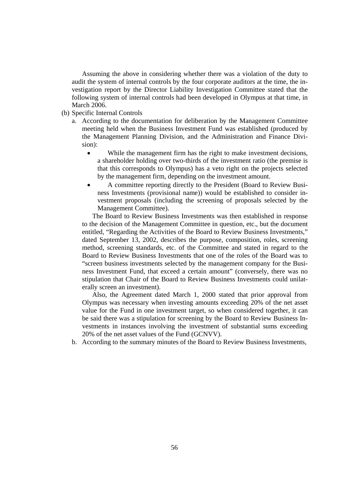Assuming the above in considering whether there was a violation of the duty to audit the system of internal controls by the four corporate auditors at the time, the investigation report by the Director Liability Investigation Committee stated that the following system of internal controls had been developed in Olympus at that time, in March 2006.

- (b) Specific Internal Controls
	- a. According to the documentation for deliberation by the Management Committee meeting held when the Business Investment Fund was established (produced by the Management Planning Division, and the Administration and Finance Division):
		- While the management firm has the right to make investment decisions, a shareholder holding over two-thirds of the investment ratio (the premise is that this corresponds to Olympus) has a veto right on the projects selected by the management firm, depending on the investment amount.
		- A committee reporting directly to the President (Board to Review Business Investments (provisional name)) would be established to consider investment proposals (including the screening of proposals selected by the Management Committee).

The Board to Review Business Investments was then established in response to the decision of the Management Committee in question, etc., but the document entitled, "Regarding the Activities of the Board to Review Business Investments," dated September 13, 2002, describes the purpose, composition, roles, screening method, screening standards, etc. of the Committee and stated in regard to the Board to Review Business Investments that one of the roles of the Board was to "screen business investments selected by the management company for the Business Investment Fund, that exceed a certain amount" (conversely, there was no stipulation that Chair of the Board to Review Business Investments could unilaterally screen an investment).

Also, the Agreement dated March 1, 2000 stated that prior approval from Olympus was necessary when investing amounts exceeding 20% of the net asset value for the Fund in one investment target, so when considered together, it can be said there was a stipulation for screening by the Board to Review Business Investments in instances involving the investment of substantial sums exceeding 20% of the net asset values of the Fund (GCNVV).

b. According to the summary minutes of the Board to Review Business Investments,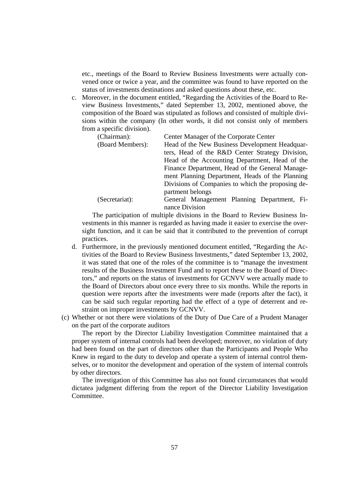etc., meetings of the Board to Review Business Investments were actually convened once or twice a year, and the committee was found to have reported on the status of investments destinations and asked questions about these, etc.

c. Moreover, in the document entitled, "Regarding the Activities of the Board to Review Business Investments," dated September 13, 2002, mentioned above, the composition of the Board was stipulated as follows and consisted of multiple divisions within the company (In other words, it did not consist only of members from a specific division).

| (Chairman):      | Center Manager of the Corporate Center            |  |  |  |
|------------------|---------------------------------------------------|--|--|--|
| (Board Members): | Head of the New Business Development Headquar-    |  |  |  |
|                  | ters, Head of the R&D Center Strategy Division,   |  |  |  |
|                  | Head of the Accounting Department, Head of the    |  |  |  |
|                  | Finance Department, Head of the General Manage-   |  |  |  |
|                  | ment Planning Department, Heads of the Planning   |  |  |  |
|                  | Divisions of Companies to which the proposing de- |  |  |  |
|                  | partment belongs                                  |  |  |  |
| (Secretariat):   | General Management Planning Department, Fi-       |  |  |  |
|                  | nance Division                                    |  |  |  |

The participation of multiple divisions in the Board to Review Business Investments in this manner is regarded as having made it easier to exercise the oversight function, and it can be said that it contributed to the prevention of corrupt practices.

- d. Furthermore, in the previously mentioned document entitled, "Regarding the Activities of the Board to Review Business Investments," dated September 13, 2002, it was stated that one of the roles of the committee is to "manage the investment results of the Business Investment Fund and to report these to the Board of Directors," and reports on the status of investments for GCNVV were actually made to the Board of Directors about once every three to six months. While the reports in question were reports after the investments were made (reports after the fact), it can be said such regular reporting had the effect of a type of deterrent and restraint on improper investments by GCNVV.
- (c) Whether or not there were violations of the Duty of Due Care of a Prudent Manager on the part of the corporate auditors

The report by the Director Liability Investigation Committee maintained that a proper system of internal controls had been developed; moreover, no violation of duty had been found on the part of directors other than the Participants and People Who Knew in regard to the duty to develop and operate a system of internal control themselves, or to monitor the development and operation of the system of internal controls by other directors.

The investigation of this Committee has also not found circumstances that would dictatea judgment differing from the report of the Director Liability Investigation Committee.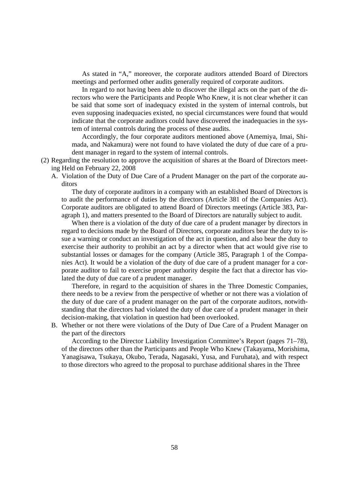As stated in "A," moreover, the corporate auditors attended Board of Directors meetings and performed other audits generally required of corporate auditors.

In regard to not having been able to discover the illegal acts on the part of the directors who were the Participants and People Who Knew, it is not clear whether it can be said that some sort of inadequacy existed in the system of internal controls, but even supposing inadequacies existed, no special circumstances were found that would indicate that the corporate auditors could have discovered the inadequacies in the system of internal controls during the process of these audits.

Accordingly, the four corporate auditors mentioned above (Amemiya, Imai, Shimada, and Nakamura) were not found to have violated the duty of due care of a prudent manager in regard to the system of internal controls.

- (2) Regarding the resolution to approve the acquisition of shares at the Board of Directors meeting Held on February 22, 2008
	- A. Violation of the Duty of Due Care of a Prudent Manager on the part of the corporate auditors

The duty of corporate auditors in a company with an established Board of Directors is to audit the performance of duties by the directors (Article 381 of the Companies Act). Corporate auditors are obligated to attend Board of Directors meetings (Article 383, Paragraph 1), and matters presented to the Board of Directors are naturally subject to audit.

When there is a violation of the duty of due care of a prudent manager by directors in regard to decisions made by the Board of Directors, corporate auditors bear the duty to issue a warning or conduct an investigation of the act in question, and also bear the duty to exercise their authority to prohibit an act by a director when that act would give rise to substantial losses or damages for the company (Article 385, Paragraph 1 of the Companies Act). It would be a violation of the duty of due care of a prudent manager for a corporate auditor to fail to exercise proper authority despite the fact that a director has violated the duty of due care of a prudent manager.

Therefore, in regard to the acquisition of shares in the Three Domestic Companies, there needs to be a review from the perspective of whether or not there was a violation of the duty of due care of a prudent manager on the part of the corporate auditors, notwithstanding that the directors had violated the duty of due care of a prudent manager in their decision-making, that violation in question had been overlooked.

B. Whether or not there were violations of the Duty of Due Care of a Prudent Manager on the part of the directors

According to the Director Liability Investigation Committee's Report (pages 71–78), of the directors other than the Participants and People Who Knew (Takayama, Morishima, Yanagisawa, Tsukaya, Okubo, Terada, Nagasaki, Yusa, and Furuhata), and with respect to those directors who agreed to the proposal to purchase additional shares in the Three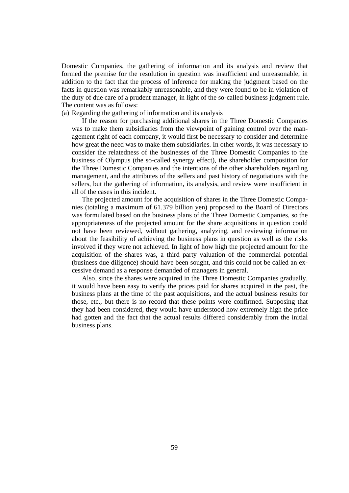Domestic Companies, the gathering of information and its analysis and review that formed the premise for the resolution in question was insufficient and unreasonable, in addition to the fact that the process of inference for making the judgment based on the facts in question was remarkably unreasonable, and they were found to be in violation of the duty of due care of a prudent manager, in light of the so-called business judgment rule. The content was as follows:

### (a) Regarding the gathering of information and its analysis

If the reason for purchasing additional shares in the Three Domestic Companies was to make them subsidiaries from the viewpoint of gaining control over the management right of each company, it would first be necessary to consider and determine how great the need was to make them subsidiaries. In other words, it was necessary to consider the relatedness of the businesses of the Three Domestic Companies to the business of Olympus (the so-called synergy effect), the shareholder composition for the Three Domestic Companies and the intentions of the other shareholders regarding management, and the attributes of the sellers and past history of negotiations with the sellers, but the gathering of information, its analysis, and review were insufficient in all of the cases in this incident.

The projected amount for the acquisition of shares in the Three Domestic Companies (totaling a maximum of 61.379 billion yen) proposed to the Board of Directors was formulated based on the business plans of the Three Domestic Companies, so the appropriateness of the projected amount for the share acquisitions in question could not have been reviewed, without gathering, analyzing, and reviewing information about the feasibility of achieving the business plans in question as well as the risks involved if they were not achieved. In light of how high the projected amount for the acquisition of the shares was, a third party valuation of the commercial potential (business due diligence) should have been sought, and this could not be called an excessive demand as a response demanded of managers in general.

Also, since the shares were acquired in the Three Domestic Companies gradually, it would have been easy to verify the prices paid for shares acquired in the past, the business plans at the time of the past acquisitions, and the actual business results for those, etc., but there is no record that these points were confirmed. Supposing that they had been considered, they would have understood how extremely high the price had gotten and the fact that the actual results differed considerably from the initial business plans.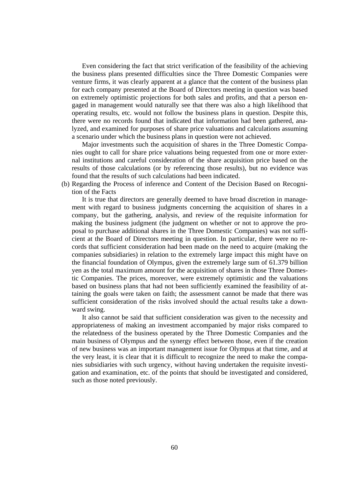Even considering the fact that strict verification of the feasibility of the achieving the business plans presented difficulties since the Three Domestic Companies were venture firms, it was clearly apparent at a glance that the content of the business plan for each company presented at the Board of Directors meeting in question was based on extremely optimistic projections for both sales and profits, and that a person engaged in management would naturally see that there was also a high likelihood that operating results, etc. would not follow the business plans in question. Despite this, there were no records found that indicated that information had been gathered, analyzed, and examined for purposes of share price valuations and calculations assuming a scenario under which the business plans in question were not achieved.

Major investments such the acquisition of shares in the Three Domestic Companies ought to call for share price valuations being requested from one or more external institutions and careful consideration of the share acquisition price based on the results of those calculations (or by referencing those results), but no evidence was found that the results of such calculations had been indicated.

(b) Regarding the Process of inference and Content of the Decision Based on Recognition of the Facts

It is true that directors are generally deemed to have broad discretion in management with regard to business judgments concerning the acquisition of shares in a company, but the gathering, analysis, and review of the requisite information for making the business judgment (the judgment on whether or not to approve the proposal to purchase additional shares in the Three Domestic Companies) was not sufficient at the Board of Directors meeting in question. In particular, there were no records that sufficient consideration had been made on the need to acquire (making the companies subsidiaries) in relation to the extremely large impact this might have on the financial foundation of Olympus, given the extremely large sum of 61.379 billion yen as the total maximum amount for the acquisition of shares in those Three Domestic Companies. The prices, moreover, were extremely optimistic and the valuations based on business plans that had not been sufficiently examined the feasibility of attaining the goals were taken on faith; the assessment cannot be made that there was sufficient consideration of the risks involved should the actual results take a downward swing.

It also cannot be said that sufficient consideration was given to the necessity and appropriateness of making an investment accompanied by major risks compared to the relatedness of the business operated by the Three Domestic Companies and the main business of Olympus and the synergy effect between those, even if the creation of new business was an important management issue for Olympus at that time, and at the very least, it is clear that it is difficult to recognize the need to make the companies subsidiaries with such urgency, without having undertaken the requisite investigation and examination, etc. of the points that should be investigated and considered, such as those noted previously.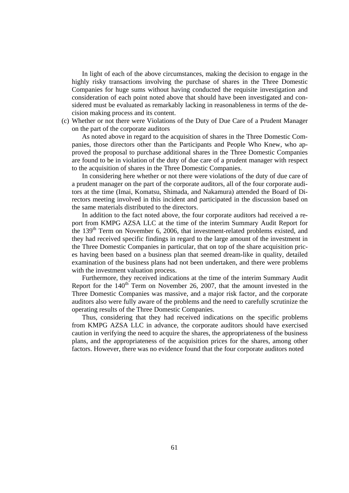In light of each of the above circumstances, making the decision to engage in the highly risky transactions involving the purchase of shares in the Three Domestic Companies for huge sums without having conducted the requisite investigation and consideration of each point noted above that should have been investigated and considered must be evaluated as remarkably lacking in reasonableness in terms of the decision making process and its content.

(c) Whether or not there were Violations of the Duty of Due Care of a Prudent Manager on the part of the corporate auditors

As noted above in regard to the acquisition of shares in the Three Domestic Companies, those directors other than the Participants and People Who Knew, who approved the proposal to purchase additional shares in the Three Domestic Companies are found to be in violation of the duty of due care of a prudent manager with respect to the acquisition of shares in the Three Domestic Companies.

In considering here whether or not there were violations of the duty of due care of a prudent manager on the part of the corporate auditors, all of the four corporate auditors at the time (Imai, Komatsu, Shimada, and Nakamura) attended the Board of Directors meeting involved in this incident and participated in the discussion based on the same materials distributed to the directors.

In addition to the fact noted above, the four corporate auditors had received a report from KMPG AZSA LLC at the time of the interim Summary Audit Report for the 139<sup>th</sup> Term on November 6, 2006, that investment-related problems existed, and they had received specific findings in regard to the large amount of the investment in the Three Domestic Companies in particular, that on top of the share acquisition prices having been based on a business plan that seemed dream-like in quality, detailed examination of the business plans had not been undertaken, and there were problems with the investment valuation process.

Furthermore, they received indications at the time of the interim Summary Audit Report for the  $140^{th}$  Term on November 26, 2007, that the amount invested in the Three Domestic Companies was massive, and a major risk factor, and the corporate auditors also were fully aware of the problems and the need to carefully scrutinize the operating results of the Three Domestic Companies.

Thus, considering that they had received indications on the specific problems from KMPG AZSA LLC in advance, the corporate auditors should have exercised caution in verifying the need to acquire the shares, the appropriateness of the business plans, and the appropriateness of the acquisition prices for the shares, among other factors. However, there was no evidence found that the four corporate auditors noted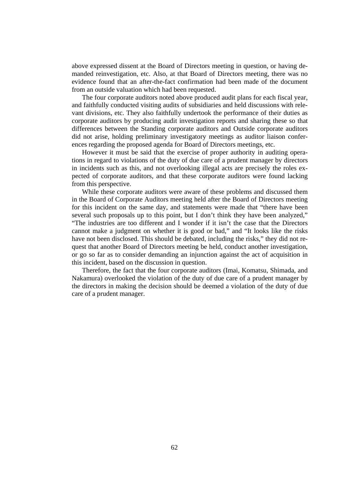above expressed dissent at the Board of Directors meeting in question, or having demanded reinvestigation, etc. Also, at that Board of Directors meeting, there was no evidence found that an after-the-fact confirmation had been made of the document from an outside valuation which had been requested.

The four corporate auditors noted above produced audit plans for each fiscal year, and faithfully conducted visiting audits of subsidiaries and held discussions with relevant divisions, etc. They also faithfully undertook the performance of their duties as corporate auditors by producing audit investigation reports and sharing these so that differences between the Standing corporate auditors and Outside corporate auditors did not arise, holding preliminary investigatory meetings as auditor liaison conferences regarding the proposed agenda for Board of Directors meetings, etc.

However it must be said that the exercise of proper authority in auditing operations in regard to violations of the duty of due care of a prudent manager by directors in incidents such as this, and not overlooking illegal acts are precisely the roles expected of corporate auditors, and that these corporate auditors were found lacking from this perspective.

While these corporate auditors were aware of these problems and discussed them in the Board of Corporate Auditors meeting held after the Board of Directors meeting for this incident on the same day, and statements were made that "there have been several such proposals up to this point, but I don't think they have been analyzed," "The industries are too different and I wonder if it isn't the case that the Directors cannot make a judgment on whether it is good or bad," and "It looks like the risks have not been disclosed. This should be debated, including the risks," they did not request that another Board of Directors meeting be held, conduct another investigation, or go so far as to consider demanding an injunction against the act of acquisition in this incident, based on the discussion in question.

Therefore, the fact that the four corporate auditors (Imai, Komatsu, Shimada, and Nakamura) overlooked the violation of the duty of due care of a prudent manager by the directors in making the decision should be deemed a violation of the duty of due care of a prudent manager.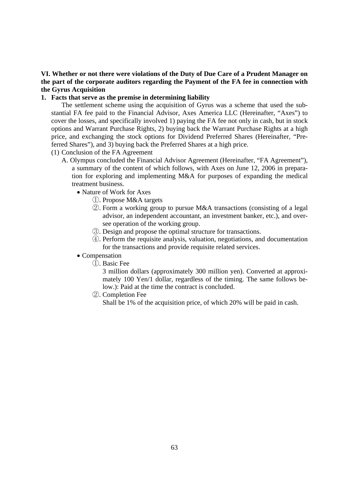# **VI. Whether or not there were violations of the Duty of Due Care of a Prudent Manager on the part of the corporate auditors regarding the Payment of the FA fee in connection with the Gyrus Acquisition**

### **1. Facts that serve as the premise in determining liability**

The settlement scheme using the acquisition of Gyrus was a scheme that used the substantial FA fee paid to the Financial Advisor, Axes America LLC (Hereinafter, "Axes") to cover the losses, and specifically involved 1) paying the FA fee not only in cash, but in stock options and Warrant Purchase Rights, 2) buying back the Warrant Purchase Rights at a high price, and exchanging the stock options for Dividend Preferred Shares (Hereinafter, "Preferred Shares"), and 3) buying back the Preferred Shares at a high price.

(1) Conclusion of the FA Agreement

- A. Olympus concluded the Financial Advisor Agreement (Hereinafter, "FA Agreement"), a summary of the content of which follows, with Axes on June 12, 2006 in preparation for exploring and implementing M&A for purposes of expanding the medical treatment business.
	- Nature of Work for Axes
		- ①. Propose M&A targets
		- ②. Form a working group to pursue M&A transactions (consisting of a legal advisor, an independent accountant, an investment banker, etc.), and oversee operation of the working group.
		- ③. Design and propose the optimal structure for transactions.
		- ④. Perform the requisite analysis, valuation, negotiations, and documentation for the transactions and provide requisite related services.

## • Compensation

①. Basic Fee

3 million dollars (approximately 300 million yen). Converted at approximately 100 Yen/1 dollar, regardless of the timing. The same follows below.): Paid at the time the contract is concluded.

②. Completion Fee

Shall be 1% of the acquisition price, of which 20% will be paid in cash.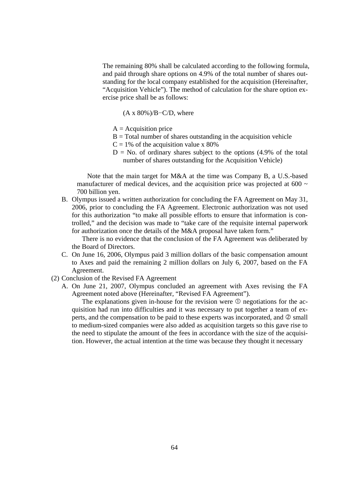The remaining 80% shall be calculated according to the following formula, and paid through share options on 4.9% of the total number of shares outstanding for the local company established for the acquisition (Hereinafter, "Acquisition Vehicle"). The method of calculation for the share option exercise price shall be as follows:

 $(A \times 80\%)/B$ –C/D, where

- $A =$ Acquisition price
- $B = Total number of shares outstanding in the acquisition vehicle$
- $C = 1\%$  of the acquisition value x 80%
- $D = No$ . of ordinary shares subject to the options (4.9% of the total number of shares outstanding for the Acquisition Vehicle)

Note that the main target for M&A at the time was Company B, a U.S.-based manufacturer of medical devices, and the acquisition price was projected at 600  $\sim$ 700 billion yen.

B. Olympus issued a written authorization for concluding the FA Agreement on May 31, 2006, prior to concluding the FA Agreement. Electronic authorization was not used for this authorization "to make all possible efforts to ensure that information is controlled," and the decision was made to "take care of the requisite internal paperwork for authorization once the details of the M&A proposal have taken form."

There is no evidence that the conclusion of the FA Agreement was deliberated by the Board of Directors.

- C. On June 16, 2006, Olympus paid 3 million dollars of the basic compensation amount to Axes and paid the remaining 2 million dollars on July 6, 2007, based on the FA Agreement.
- (2) Conclusion of the Revised FA Agreement
	- A. On June 21, 2007, Olympus concluded an agreement with Axes revising the FA Agreement noted above (Hereinafter, "Revised FA Agreement").

The explanations given in-house for the revision were  $\mathcal D$  negotiations for the acquisition had run into difficulties and it was necessary to put together a team of experts, and the compensation to be paid to these experts was incorporated, and  $\oslash$  small to medium-sized companies were also added as acquisition targets so this gave rise to the need to stipulate the amount of the fees in accordance with the size of the acquisition. However, the actual intention at the time was because they thought it necessary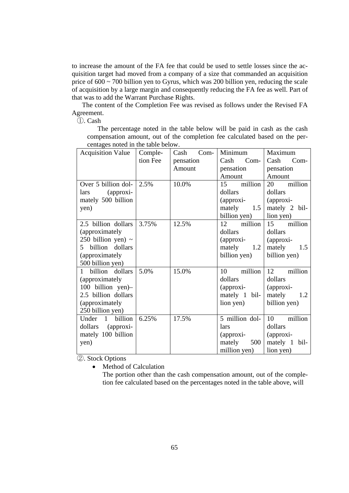to increase the amount of the FA fee that could be used to settle losses since the acquisition target had moved from a company of a size that commanded an acquisition price of 600 ~ 700 billion yen to Gyrus, which was 200 billion yen, reducing the scale of acquisition by a large margin and consequently reducing the FA fee as well. Part of that was to add the Warrant Purchase Rights.

The content of the Completion Fee was revised as follows under the Revised FA Agreement.

①. Cash

The percentage noted in the table below will be paid in cash as the cash compensation amount, out of the completion fee calculated based on the percentages noted in the table below.

| <b>Acquisition Value</b>         | Comple-  | $Com-$<br>Cash | Minimum        | Maximum       |
|----------------------------------|----------|----------------|----------------|---------------|
|                                  | tion Fee | pensation      | $Com-$<br>Cash | Cash<br>Com-  |
|                                  |          | Amount         | pensation      | pensation     |
|                                  |          |                | Amount         | Amount        |
| Over 5 billion dol- $\vert$ 2.5% |          | 10.0%          | 15 million     | million<br>20 |
| (approxi-<br>lars                |          |                | dollars        | dollars       |
| mately 500 billion               |          |                | $\alpha$       | (approxi-     |
| yen)                             |          |                | mately 1.5     | mately 2 bil- |
|                                  |          |                | billion yen)   | lion yen)     |
| 2.5 billion dollars              | 3.75%    | 12.5%          | 12 million     | 15<br>million |
| (approximately                   |          |                | dollars        | dollars       |
| 250 billion yen) $\sim$          |          |                | (approxi-      | (approxi-     |
| billion dollars<br>5             |          |                | mately<br>1.2  | mately<br>1.5 |
| (approximately)                  |          |                | billion yen)   | billion yen)  |
| 500 billion yen)                 |          |                |                |               |
| 1 billion dollars                | 5.0%     | 15.0%          | 10<br>million  | 12<br>million |
| (approximately                   |          |                | dollars        | dollars       |
| 100 billion yen)-                |          |                | (approxi-      | (approxi-     |
| 2.5 billion dollars              |          |                | mately 1 bil-  | mately<br>1.2 |
| (approximately                   |          |                | lion yen)      | billion yen)  |
| 250 billion yen)                 |          |                |                |               |
| Under 1<br>billion               | 6.25%    | 17.5%          | 5 million dol- | 10<br>million |
| dollars (approxi-                |          |                | <i>lars</i>    | dollars       |
| mately 100 billion               |          |                | $\alpha$       | (approxi-     |
| yen)                             |          |                | mately<br>500  | mately 1 bil- |
|                                  |          |                | million yen)   | lion yen)     |

②. Stock Options

• Method of Calculation

The portion other than the cash compensation amount, out of the completion fee calculated based on the percentages noted in the table above, will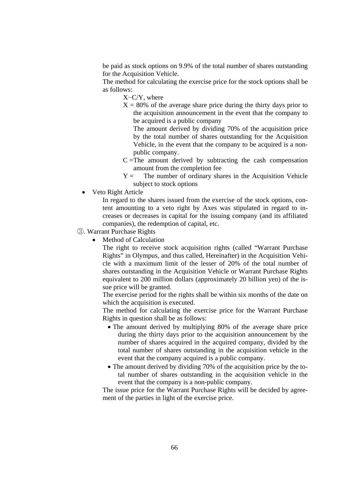be paid as stock options on 9.9% of the total number of shares outstanding for the Acquisition Vehicle.

The method for calculating the exercise price for the stock options shall be as follows:

X−C/Y, where

 $X = 80\%$  of the average share price during the thirty days prior to the acquisition announcement in the event that the company to be acquired is a public company

 The amount derived by dividing 70% of the acquisition price by the total number of shares outstanding for the Acquisition Vehicle, in the event that the company to be acquired is a nonpublic company.

- $C = The amount derived by subtracting the cash compensation$ amount from the completion fee
- $Y =$  The number of ordinary shares in the Acquisition Vehicle subject to stock options
- Veto Right Article

In regard to the shares issued from the exercise of the stock options, content amounting to a veto right by Axes was stipulated in regard to increases or decreases in capital for the issuing company (and its affiliated companies), the redemption of capital, etc.

- ③. Warrant Purchase Rights
	- Method of Calculation

The right to receive stock acquisition rights (called "Warrant Purchase Rights" in Olympus, and thus called, Hereinafter) in the Acquisition Vehicle with a maximum limit of the lesser of 20% of the total number of shares outstanding in the Acquisition Vehicle or Warrant Purchase Rights equivalent to 200 million dollars (approximately 20 billion yen) of the issue price will be granted.

The exercise period for the rights shall be within six months of the date on which the acquisition is executed.

The method for calculating the exercise price for the Warrant Purchase Rights in question shall be as follows:

- The amount derived by multiplying 80% of the average share price during the thirty days prior to the acquisition announcement by the number of shares acquired in the acquired company, divided by the total number of shares outstanding in the acquisition vehicle in the event that the company acquired is a public company.
- The amount derived by dividing 70% of the acquisition price by the total number of shares outstanding in the acquisition vehicle in the event that the company is a non-public company.

The issue price for the Warrant Purchase Rights will be decided by agreement of the parties in light of the exercise price.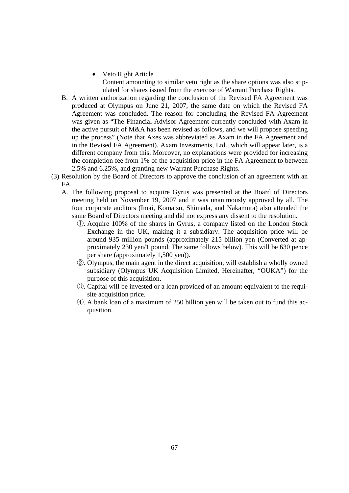- Veto Right Article Content amounting to similar veto right as the share options was also stipulated for shares issued from the exercise of Warrant Purchase Rights.
- B. A written authorization regarding the conclusion of the Revised FA Agreement was produced at Olympus on June 21, 2007, the same date on which the Revised FA Agreement was concluded. The reason for concluding the Revised FA Agreement was given as "The Financial Advisor Agreement currently concluded with Axam in the active pursuit of M&A has been revised as follows, and we will propose speeding up the process" (Note that Axes was abbreviated as Axam in the FA Agreement and in the Revised FA Agreement). Axam Investments, Ltd., which will appear later, is a different company from this. Moreover, no explanations were provided for increasing the completion fee from 1% of the acquisition price in the FA Agreement to between 2.5% and 6.25%, and granting new Warrant Purchase Rights.
- (3) Resolution by the Board of Directors to approve the conclusion of an agreement with an FA
	- A. The following proposal to acquire Gyrus was presented at the Board of Directors meeting held on November 19, 2007 and it was unanimously approved by all. The four corporate auditors (Imai, Komatsu, Shimada, and Nakamura) also attended the same Board of Directors meeting and did not express any dissent to the resolution.
		- ①. Acquire 100% of the shares in Gyrus, a company listed on the London Stock Exchange in the UK, making it a subsidiary. The acquisition price will be around 935 million pounds (approximately 215 billion yen (Converted at approximately 230 yen/1 pound. The same follows below). This will be 630 pence per share (approximately 1,500 yen)).
		- ②. Olympus, the main agent in the direct acquisition, will establish a wholly owned subsidiary (Olympus UK Acquisition Limited, Hereinafter, "OUKA") for the purpose of this acquisition.
		- ③. Capital will be invested or a loan provided of an amount equivalent to the requisite acquisition price.
		- ④. A bank loan of a maximum of 250 billion yen will be taken out to fund this acquisition.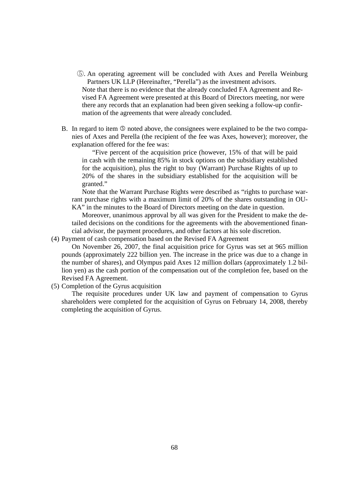- ⑤. An operating agreement will be concluded with Axes and Perella Weinburg Partners UK LLP (Hereinafter, "Perella") as the investment advisors. Note that there is no evidence that the already concluded FA Agreement and Revised FA Agreement were presented at this Board of Directors meeting, nor were there any records that an explanation had been given seeking a follow-up confirmation of the agreements that were already concluded.
- B. In regard to item  $\circledcirc$  noted above, the consignees were explained to be the two companies of Axes and Perella (the recipient of the fee was Axes, however); moreover, the explanation offered for the fee was:

"Five percent of the acquisition price (however, 15% of that will be paid in cash with the remaining 85% in stock options on the subsidiary established for the acquisition), plus the right to buy (Warrant) Purchase Rights of up to 20% of the shares in the subsidiary established for the acquisition will be granted."

Note that the Warrant Purchase Rights were described as "rights to purchase warrant purchase rights with a maximum limit of 20% of the shares outstanding in OU-KA" in the minutes to the Board of Directors meeting on the date in question.

Moreover, unanimous approval by all was given for the President to make the detailed decisions on the conditions for the agreements with the abovementioned financial advisor, the payment procedures, and other factors at his sole discretion.

(4) Payment of cash compensation based on the Revised FA Agreement

On November 26, 2007, the final acquisition price for Gyrus was set at 965 million pounds (approximately 222 billion yen. The increase in the price was due to a change in the number of shares), and Olympus paid Axes 12 million dollars (approximately 1.2 billion yen) as the cash portion of the compensation out of the completion fee, based on the Revised FA Agreement.

(5) Completion of the Gyrus acquisition

The requisite procedures under UK law and payment of compensation to Gyrus shareholders were completed for the acquisition of Gyrus on February 14, 2008, thereby completing the acquisition of Gyrus.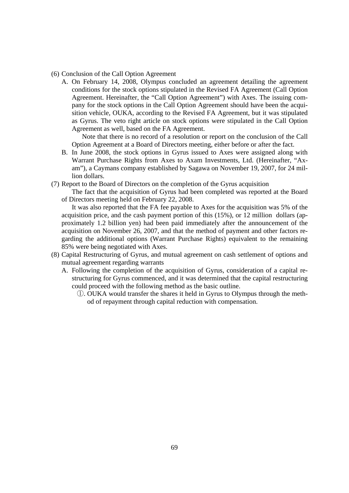- (6) Conclusion of the Call Option Agreement
	- A. On February 14, 2008, Olympus concluded an agreement detailing the agreement conditions for the stock options stipulated in the Revised FA Agreement (Call Option Agreement. Hereinafter, the "Call Option Agreement") with Axes. The issuing company for the stock options in the Call Option Agreement should have been the acquisition vehicle, OUKA, according to the Revised FA Agreement, but it was stipulated as Gyrus. The veto right article on stock options were stipulated in the Call Option Agreement as well, based on the FA Agreement.

Note that there is no record of a resolution or report on the conclusion of the Call Option Agreement at a Board of Directors meeting, either before or after the fact.

- B. In June 2008, the stock options in Gyrus issued to Axes were assigned along with Warrant Purchase Rights from Axes to Axam Investments, Ltd. (Hereinafter, "Axam"), a Caymans company established by Sagawa on November 19, 2007, for 24 million dollars.
- (7) Report to the Board of Directors on the completion of the Gyrus acquisition
	- The fact that the acquisition of Gyrus had been completed was reported at the Board of Directors meeting held on February 22, 2008.

It was also reported that the FA fee payable to Axes for the acquisition was 5% of the acquisition price, and the cash payment portion of this (15%), or 12 million dollars (approximately 1.2 billion yen) had been paid immediately after the announcement of the acquisition on November 26, 2007, and that the method of payment and other factors regarding the additional options (Warrant Purchase Rights) equivalent to the remaining 85% were being negotiated with Axes.

- (8) Capital Restructuring of Gyrus, and mutual agreement on cash settlement of options and mutual agreement regarding warrants
	- A. Following the completion of the acquisition of Gyrus, consideration of a capital restructuring for Gyrus commenced, and it was determined that the capital restructuring could proceed with the following method as the basic outline.
		- ①. OUKA would transfer the shares it held in Gyrus to Olympus through the method of repayment through capital reduction with compensation.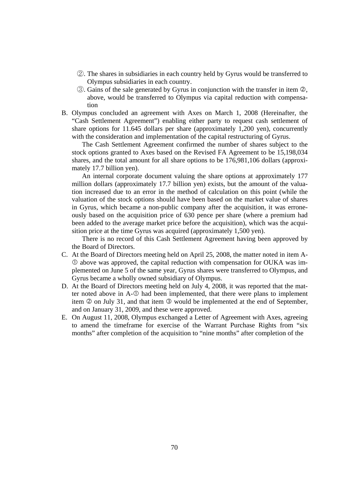- ②. The shares in subsidiaries in each country held by Gyrus would be transferred to Olympus subsidiaries in each country.
- $\circled{3}$ . Gains of the sale generated by Gyrus in conjunction with the transfer in item  $\circled{2}$ , above, would be transferred to Olympus via capital reduction with compensation
- B. Olympus concluded an agreement with Axes on March 1, 2008 (Hereinafter, the "Cash Settlement Agreement") enabling either party to request cash settlement of share options for 11.645 dollars per share (approximately 1,200 yen), concurrently with the consideration and implementation of the capital restructuring of Gyrus.

The Cash Settlement Agreement confirmed the number of shares subject to the stock options granted to Axes based on the Revised FA Agreement to be 15,198,034 shares, and the total amount for all share options to be 176,981,106 dollars (approximately 17.7 billion yen).

An internal corporate document valuing the share options at approximately 177 million dollars (approximately 17.7 billion yen) exists, but the amount of the valuation increased due to an error in the method of calculation on this point (while the valuation of the stock options should have been based on the market value of shares in Gyrus, which became a non-public company after the acquisition, it was erroneously based on the acquisition price of 630 pence per share (where a premium had been added to the average market price before the acquisition), which was the acquisition price at the time Gyrus was acquired (approximately 1,500 yen).

There is no record of this Cash Settlement Agreement having been approved by the Board of Directors.

- C. At the Board of Directors meeting held on April 25, 2008, the matter noted in item A above was approved, the capital reduction with compensation for OUKA was implemented on June 5 of the same year, Gyrus shares were transferred to Olympus, and Gyrus became a wholly owned subsidiary of Olympus.
- D. At the Board of Directors meeting held on July 4, 2008, it was reported that the matter noted above in  $A$ - $\mathbb{O}$  had been implemented, that there were plans to implement item  $\oslash$  on July 31, and that item  $\oslash$  would be implemented at the end of September, and on January 31, 2009, and these were approved.
- E. On August 11, 2008, Olympus exchanged a Letter of Agreement with Axes, agreeing to amend the timeframe for exercise of the Warrant Purchase Rights from "six months" after completion of the acquisition to "nine months" after completion of the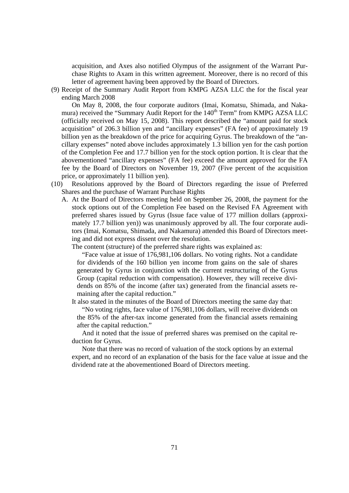acquisition, and Axes also notified Olympus of the assignment of the Warrant Purchase Rights to Axam in this written agreement. Moreover, there is no record of this letter of agreement having been approved by the Board of Directors.

(9) Receipt of the Summary Audit Report from KMPG AZSA LLC the for the fiscal year ending March 2008

On May 8, 2008, the four corporate auditors (Imai, Komatsu, Shimada, and Nakamura) received the "Summary Audit Report for the 140<sup>th</sup> Term" from KMPG AZSA LLC (officially received on May 15, 2008). This report described the "amount paid for stock acquisition" of 206.3 billion yen and "ancillary expenses" (FA fee) of approximately 19 billion yen as the breakdown of the price for acquiring Gyrus. The breakdown of the "ancillary expenses" noted above includes approximately 1.3 billion yen for the cash portion of the Completion Fee and 17.7 billion yen for the stock option portion. It is clear that the abovementioned "ancillary expenses" (FA fee) exceed the amount approved for the FA fee by the Board of Directors on November 19, 2007 (Five percent of the acquisition price, or approximately 11 billion yen).

- (10) Resolutions approved by the Board of Directors regarding the issue of Preferred Shares and the purchase of Warrant Purchase Rights
	- A. At the Board of Directors meeting held on September 26, 2008, the payment for the stock options out of the Completion Fee based on the Revised FA Agreement with preferred shares issued by Gyrus (Issue face value of 177 million dollars (approximately 17.7 billion yen)) was unanimously approved by all. The four corporate auditors (Imai, Komatsu, Shimada, and Nakamura) attended this Board of Directors meeting and did not express dissent over the resolution.

The content (structure) of the preferred share rights was explained as:

"Face value at issue of 176,981,106 dollars. No voting rights. Not a candidate for dividends of the 160 billion yen income from gains on the sale of shares generated by Gyrus in conjunction with the current restructuring of the Gyrus Group (capital reduction with compensation). However, they will receive dividends on 85% of the income (after tax) generated from the financial assets remaining after the capital reduction."

It also stated in the minutes of the Board of Directors meeting the same day that:

"No voting rights, face value of 176,981,106 dollars, will receive dividends on the 85% of the after-tax income generated from the financial assets remaining after the capital reduction."

And it noted that the issue of preferred shares was premised on the capital reduction for Gyrus.

Note that there was no record of valuation of the stock options by an external expert, and no record of an explanation of the basis for the face value at issue and the dividend rate at the abovementioned Board of Directors meeting.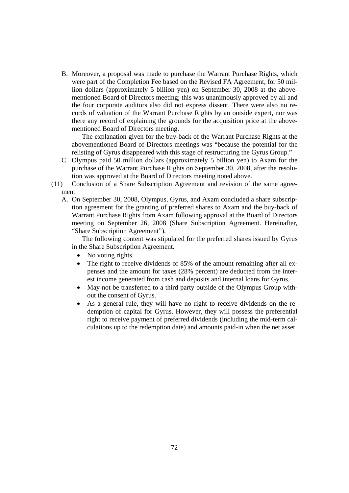B. Moreover, a proposal was made to purchase the Warrant Purchase Rights, which were part of the Completion Fee based on the Revised FA Agreement, for 50 million dollars (approximately 5 billion yen) on September 30, 2008 at the abovementioned Board of Directors meeting; this was unanimously approved by all and the four corporate auditors also did not express dissent. There were also no records of valuation of the Warrant Purchase Rights by an outside expert, nor was there any record of explaining the grounds for the acquisition price at the abovementioned Board of Directors meeting.

The explanation given for the buy-back of the Warrant Purchase Rights at the abovementioned Board of Directors meetings was "because the potential for the relisting of Gyrus disappeared with this stage of restructuring the Gyrus Group."

- C. Olympus paid 50 million dollars (approximately 5 billion yen) to Axam for the purchase of the Warrant Purchase Rights on September 30, 2008, after the resolution was approved at the Board of Directors meeting noted above.
- (11) Conclusion of a Share Subscription Agreement and revision of the same agreement
	- A. On September 30, 2008, Olympus, Gyrus, and Axam concluded a share subscription agreement for the granting of preferred shares to Axam and the buy-back of Warrant Purchase Rights from Axam following approval at the Board of Directors meeting on September 26, 2008 (Share Subscription Agreement. Hereinafter, "Share Subscription Agreement").

The following content was stipulated for the preferred shares issued by Gyrus in the Share Subscription Agreement.

- No voting rights.
- The right to receive dividends of 85% of the amount remaining after all expenses and the amount for taxes (28% percent) are deducted from the interest income generated from cash and deposits and internal loans for Gyrus.
- May not be transferred to a third party outside of the Olympus Group without the consent of Gyrus.
- As a general rule, they will have no right to receive dividends on the redemption of capital for Gyrus. However, they will possess the preferential right to receive payment of preferred dividends (including the mid-term calculations up to the redemption date) and amounts paid-in when the net asset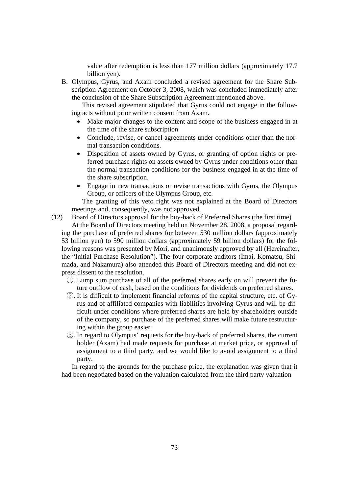value after redemption is less than 177 million dollars (approximately 17.7 billion yen).

B. Olympus, Gyrus, and Axam concluded a revised agreement for the Share Subscription Agreement on October 3, 2008, which was concluded immediately after the conclusion of the Share Subscription Agreement mentioned above.

This revised agreement stipulated that Gyrus could not engage in the following acts without prior written consent from Axam.

- Make major changes to the content and scope of the business engaged in at the time of the share subscription
- Conclude, revise, or cancel agreements under conditions other than the normal transaction conditions.
- Disposition of assets owned by Gyrus, or granting of option rights or preferred purchase rights on assets owned by Gyrus under conditions other than the normal transaction conditions for the business engaged in at the time of the share subscription.
- Engage in new transactions or revise transactions with Gyrus, the Olympus Group, or officers of the Olympus Group, etc.

The granting of this veto right was not explained at the Board of Directors meetings and, consequently, was not approved.

(12) Board of Directors approval for the buy-back of Preferred Shares (the first time)

At the Board of Directors meeting held on November 28, 2008, a proposal regarding the purchase of preferred shares for between 530 million dollars (approximately 53 billion yen) to 590 million dollars (approximately 59 billion dollars) for the following reasons was presented by Mori, and unanimously approved by all (Hereinafter, the "Initial Purchase Resolution"). The four corporate auditors (Imai, Komatsu, Shimada, and Nakamura) also attended this Board of Directors meeting and did not express dissent to the resolution.

- ①. Lump sum purchase of all of the preferred shares early on will prevent the future outflow of cash, based on the conditions for dividends on preferred shares.
- ②. It is difficult to implement financial reforms of the capital structure, etc. of Gyrus and of affiliated companies with liabilities involving Gyrus and will be difficult under conditions where preferred shares are held by shareholders outside of the company, so purchase of the preferred shares will make future restructuring within the group easier.
- ③. In regard to Olympus' requests for the buy-back of preferred shares, the current holder (Axam) had made requests for purchase at market price, or approval of assignment to a third party, and we would like to avoid assignment to a third party.

In regard to the grounds for the purchase price, the explanation was given that it had been negotiated based on the valuation calculated from the third party valuation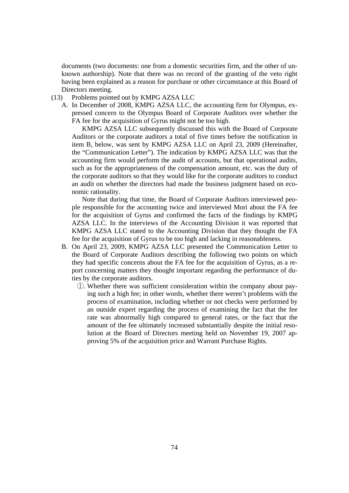documents (two documents: one from a domestic securities firm, and the other of unknown authorship). Note that there was no record of the granting of the veto right having been explained as a reason for purchase or other circumstance at this Board of Directors meeting.

- (13) Problems pointed out by KMPG AZSA LLC
	- A. In December of 2008, KMPG AZSA LLC, the accounting firm for Olympus, expressed concern to the Olympus Board of Corporate Auditors over whether the FA fee for the acquisition of Gyrus might not be too high.

KMPG AZSA LLC subsequently discussed this with the Board of Corporate Auditors or the corporate auditors a total of five times before the notification in item B, below, was sent by KMPG AZSA LLC on April 23, 2009 (Hereinafter, the "Communication Letter"). The indication by KMPG AZSA LLC was that the accounting firm would perform the audit of accounts, but that operational audits, such as for the appropriateness of the compensation amount, etc. was the duty of the corporate auditors so that they would like for the corporate auditors to conduct an audit on whether the directors had made the business judgment based on economic rationality.

Note that during that time, the Board of Corporate Auditors interviewed people responsible for the accounting twice and interviewed Mori about the FA fee for the acquisition of Gyrus and confirmed the facts of the findings by KMPG AZSA LLC. In the interviews of the Accounting Division it was reported that KMPG AZSA LLC stated to the Accounting Division that they thought the FA fee for the acquisition of Gyrus to be too high and lacking in reasonableness.

- B. On April 23, 2009, KMPG AZSA LLC presented the Communication Letter to the Board of Corporate Auditors describing the following two points on which they had specific concerns about the FA fee for the acquisition of Gyrus, as a report concerning matters they thought important regarding the performance of duties by the corporate auditors.
	- ①. Whether there was sufficient consideration within the company about paying such a high fee; in other words, whether there weren't problems with the process of examination, including whether or not checks were performed by an outside expert regarding the process of examining the fact that the fee rate was abnormally high compared to general rates, or the fact that the amount of the fee ultimately increased substantially despite the initial resolution at the Board of Directors meeting held on November 19, 2007 approving 5% of the acquisition price and Warrant Purchase Rights.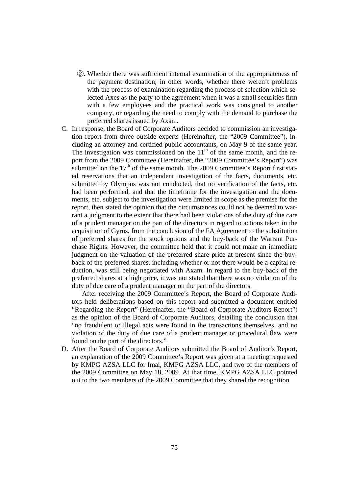- ②. Whether there was sufficient internal examination of the appropriateness of the payment destination; in other words, whether there weren't problems with the process of examination regarding the process of selection which selected Axes as the party to the agreement when it was a small securities firm with a few employees and the practical work was consigned to another company, or regarding the need to comply with the demand to purchase the preferred shares issued by Axam.
- C. In response, the Board of Corporate Auditors decided to commission an investigation report from three outside experts (Hereinafter, the "2009 Committee"), including an attorney and certified public accountants, on May 9 of the same year. The investigation was commissioned on the  $11<sup>th</sup>$  of the same month, and the report from the 2009 Committee (Hereinafter, the "2009 Committee's Report") was submitted on the 17<sup>th</sup> of the same month. The 2009 Committee's Report first stated reservations that an independent investigation of the facts, documents, etc. submitted by Olympus was not conducted, that no verification of the facts, etc. had been performed, and that the timeframe for the investigation and the documents, etc. subject to the investigation were limited in scope as the premise for the report, then stated the opinion that the circumstances could not be deemed to warrant a judgment to the extent that there had been violations of the duty of due care of a prudent manager on the part of the directors in regard to actions taken in the acquisition of Gyrus, from the conclusion of the FA Agreement to the substitution of preferred shares for the stock options and the buy-back of the Warrant Purchase Rights. However, the committee held that it could not make an immediate judgment on the valuation of the preferred share price at present since the buyback of the preferred shares, including whether or not there would be a capital reduction, was still being negotiated with Axam. In regard to the buy-back of the preferred shares at a high price, it was not stated that there was no violation of the duty of due care of a prudent manager on the part of the directors.

After receiving the 2009 Committee's Report, the Board of Corporate Auditors held deliberations based on this report and submitted a document entitled "Regarding the Report" (Hereinafter, the "Board of Corporate Auditors Report") as the opinion of the Board of Corporate Auditors, detailing the conclusion that "no fraudulent or illegal acts were found in the transactions themselves, and no violation of the duty of due care of a prudent manager or procedural flaw were found on the part of the directors."

D. After the Board of Corporate Auditors submitted the Board of Auditor's Report, an explanation of the 2009 Committee's Report was given at a meeting requested by KMPG AZSA LLC for Imai, KMPG AZSA LLC, and two of the members of the 2009 Committee on May 18, 2009. At that time, KMPG AZSA LLC pointed out to the two members of the 2009 Committee that they shared the recognition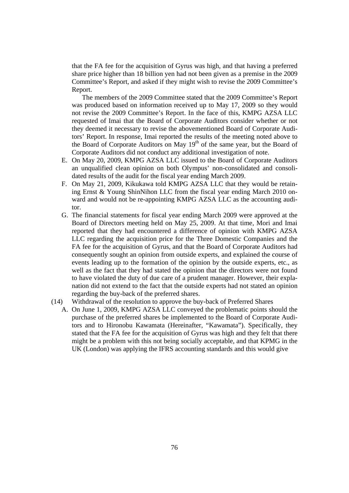that the FA fee for the acquisition of Gyrus was high, and that having a preferred share price higher than 18 billion yen had not been given as a premise in the 2009 Committee's Report, and asked if they might wish to revise the 2009 Committee's Report.

The members of the 2009 Committee stated that the 2009 Committee's Report was produced based on information received up to May 17, 2009 so they would not revise the 2009 Committee's Report. In the face of this, KMPG AZSA LLC requested of Imai that the Board of Corporate Auditors consider whether or not they deemed it necessary to revise the abovementioned Board of Corporate Auditors' Report. In response, Imai reported the results of the meeting noted above to the Board of Corporate Auditors on May  $19<sup>th</sup>$  of the same year, but the Board of Corporate Auditors did not conduct any additional investigation of note.

- E. On May 20, 2009, KMPG AZSA LLC issued to the Board of Corporate Auditors an unqualified clean opinion on both Olympus' non-consolidated and consolidated results of the audit for the fiscal year ending March 2009.
- F. On May 21, 2009, Kikukawa told KMPG AZSA LLC that they would be retaining Ernst & Young ShinNihon LLC from the fiscal year ending March 2010 onward and would not be re-appointing KMPG AZSA LLC as the accounting auditor.
- G. The financial statements for fiscal year ending March 2009 were approved at the Board of Directors meeting held on May 25, 2009. At that time, Mori and Imai reported that they had encountered a difference of opinion with KMPG AZSA LLC regarding the acquisition price for the Three Domestic Companies and the FA fee for the acquisition of Gyrus, and that the Board of Corporate Auditors had consequently sought an opinion from outside experts, and explained the course of events leading up to the formation of the opinion by the outside experts, etc., as well as the fact that they had stated the opinion that the directors were not found to have violated the duty of due care of a prudent manager. However, their explanation did not extend to the fact that the outside experts had not stated an opinion regarding the buy-back of the preferred shares.
- (14) Withdrawal of the resolution to approve the buy-back of Preferred Shares
	- A. On June 1, 2009, KMPG AZSA LLC conveyed the problematic points should the purchase of the preferred shares be implemented to the Board of Corporate Auditors and to Hironobu Kawamata (Hereinafter, "Kawamata"). Specifically, they stated that the FA fee for the acquisition of Gyrus was high and they felt that there might be a problem with this not being socially acceptable, and that KPMG in the UK (London) was applying the IFRS accounting standards and this would give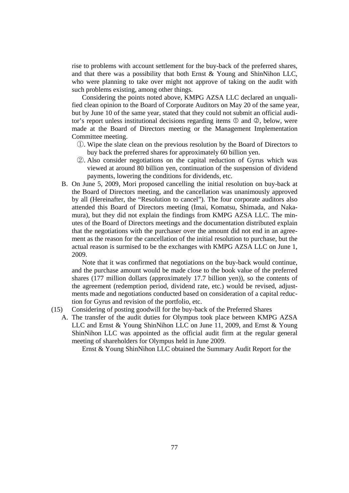rise to problems with account settlement for the buy-back of the preferred shares, and that there was a possibility that both Ernst & Young and ShinNihon LLC, who were planning to take over might not approve of taking on the audit with such problems existing, among other things.

Considering the points noted above, KMPG AZSA LLC declared an unqualified clean opinion to the Board of Corporate Auditors on May 20 of the same year, but by June 10 of the same year, stated that they could not submit an official auditor's report unless institutional decisions regarding items  $\mathbb O$  and  $\mathbb Q$ , below, were made at the Board of Directors meeting or the Management Implementation Committee meeting.

- ①. Wipe the slate clean on the previous resolution by the Board of Directors to buy back the preferred shares for approximately 60 billion yen.
- ②. Also consider negotiations on the capital reduction of Gyrus which was viewed at around 80 billion yen, continuation of the suspension of dividend payments, lowering the conditions for dividends, etc.
- B. On June 5, 2009, Mori proposed cancelling the initial resolution on buy-back at the Board of Directors meeting, and the cancellation was unanimously approved by all (Hereinafter, the "Resolution to cancel"). The four corporate auditors also attended this Board of Directors meeting (Imai, Komatsu, Shimada, and Nakamura), but they did not explain the findings from KMPG AZSA LLC. The minutes of the Board of Directors meetings and the documentation distributed explain that the negotiations with the purchaser over the amount did not end in an agreement as the reason for the cancellation of the initial resolution to purchase, but the actual reason is surmised to be the exchanges with KMPG AZSA LLC on June 1, 2009.

Note that it was confirmed that negotiations on the buy-back would continue, and the purchase amount would be made close to the book value of the preferred shares (177 million dollars (approximately 17.7 billion yen)), so the contents of the agreement (redemption period, dividend rate, etc.) would be revised, adjustments made and negotiations conducted based on consideration of a capital reduction for Gyrus and revision of the portfolio, etc.

- (15) Considering of posting goodwill for the buy-back of the Preferred Shares
	- A. The transfer of the audit duties for Olympus took place between KMPG AZSA LLC and Ernst & Young ShinNihon LLC on June 11, 2009, and Ernst & Young ShinNihon LLC was appointed as the official audit firm at the regular general meeting of shareholders for Olympus held in June 2009.

Ernst & Young ShinNihon LLC obtained the Summary Audit Report for the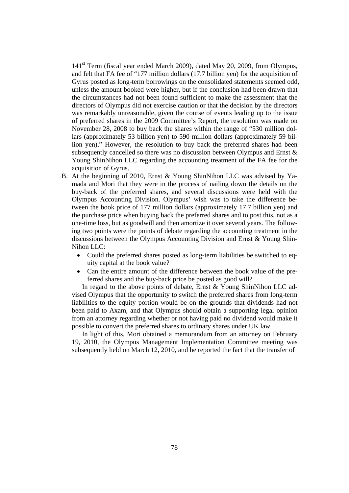141<sup>st</sup> Term (fiscal year ended March 2009), dated May 20, 2009, from Olympus, and felt that FA fee of "177 million dollars (17.7 billion yen) for the acquisition of Gyrus posted as long-term borrowings on the consolidated statements seemed odd, unless the amount booked were higher, but if the conclusion had been drawn that the circumstances had not been found sufficient to make the assessment that the directors of Olympus did not exercise caution or that the decision by the directors was remarkably unreasonable, given the course of events leading up to the issue of preferred shares in the 2009 Committee's Report, the resolution was made on November 28, 2008 to buy back the shares within the range of "530 million dollars (approximately 53 billion yen) to 590 million dollars (approximately 59 billion yen)." However, the resolution to buy back the preferred shares had been subsequently cancelled so there was no discussion between Olympus and Ernst  $\&$ Young ShinNihon LLC regarding the accounting treatment of the FA fee for the acquisition of Gyrus.

- B. At the beginning of 2010, Ernst & Young ShinNihon LLC was advised by Yamada and Mori that they were in the process of nailing down the details on the buy-back of the preferred shares, and several discussions were held with the Olympus Accounting Division. Olympus' wish was to take the difference between the book price of 177 million dollars (approximately 17.7 billion yen) and the purchase price when buying back the preferred shares and to post this, not as a one-time loss, but as goodwill and then amortize it over several years. The following two points were the points of debate regarding the accounting treatment in the discussions between the Olympus Accounting Division and Ernst & Young Shin-Nihon LLC:
	- Could the preferred shares posted as long-term liabilities be switched to equity capital at the book value?
	- Can the entire amount of the difference between the book value of the preferred shares and the buy-back price be posted as good will?

In regard to the above points of debate, Ernst & Young ShinNihon LLC advised Olympus that the opportunity to switch the preferred shares from long-term liabilities to the equity portion would be on the grounds that dividends had not been paid to Axam, and that Olympus should obtain a supporting legal opinion from an attorney regarding whether or not having paid no dividend would make it possible to convert the preferred shares to ordinary shares under UK law.

In light of this, Mori obtained a memorandum from an attorney on February 19, 2010, the Olympus Management Implementation Committee meeting was subsequently held on March 12, 2010, and he reported the fact that the transfer of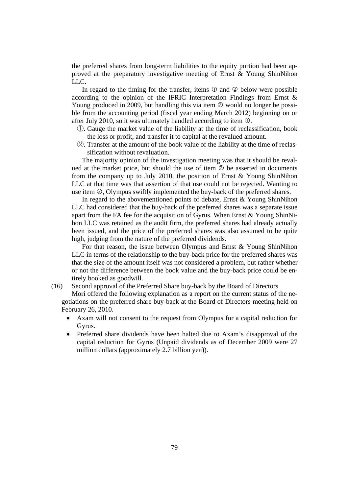the preferred shares from long-term liabilities to the equity portion had been approved at the preparatory investigative meeting of Ernst & Young ShinNihon LLC.

In regard to the timing for the transfer, items  $\mathbb O$  and  $\mathbb O$  below were possible according to the opinion of the IFRIC Interpretation Findings from Ernst & Young produced in 2009, but handling this via item  $\oslash$  would no longer be possible from the accounting period (fiscal year ending March 2012) beginning on or after July 2010, so it was ultimately handled according to item  $\mathbb{O}$ .

- ①. Gauge the market value of the liability at the time of reclassification, book the loss or profit, and transfer it to capital at the revalued amount.
- ②. Transfer at the amount of the book value of the liability at the time of reclassification without revaluation.

The majority opinion of the investigation meeting was that it should be revalued at the market price, but should the use of item  $\oslash$  be asserted in documents from the company up to July 2010, the position of Ernst & Young ShinNihon LLC at that time was that assertion of that use could not be rejected. Wanting to use item  $\mathcal{Q}$ , Olympus swiftly implemented the buy-back of the preferred shares.

In regard to the abovementioned points of debate, Ernst & Young ShinNihon LLC had considered that the buy-back of the preferred shares was a separate issue apart from the FA fee for the acquisition of Gyrus. When Ernst & Young ShinNihon LLC was retained as the audit firm, the preferred shares had already actually been issued, and the price of the preferred shares was also assumed to be quite high, judging from the nature of the preferred dividends.

For that reason, the issue between Olympus and Ernst & Young ShinNihon LLC in terms of the relationship to the buy-back price for the preferred shares was that the size of the amount itself was not considered a problem, but rather whether or not the difference between the book value and the buy-back price could be entirely booked as goodwill.

(16) Second approval of the Preferred Share buy-back by the Board of Directors

Mori offered the following explanation as a report on the current status of the negotiations on the preferred share buy-back at the Board of Directors meeting held on February 26, 2010.

- Axam will not consent to the request from Olympus for a capital reduction for Gyrus.
- Preferred share dividends have been halted due to Axam's disapproval of the capital reduction for Gyrus (Unpaid dividends as of December 2009 were 27 million dollars (approximately 2.7 billion yen)).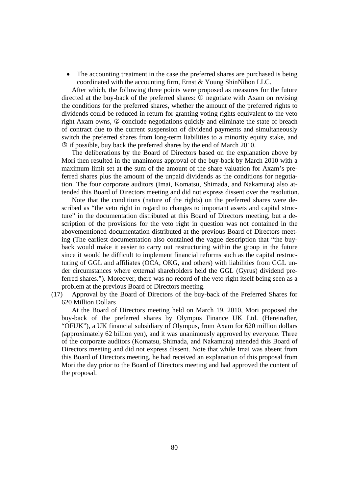• The accounting treatment in the case the preferred shares are purchased is being coordinated with the accounting firm, Ernst & Young ShinNihon LLC.

After which, the following three points were proposed as measures for the future directed at the buy-back of the preferred shares:  $\mathcal{D}$  negotiate with Axam on revising the conditions for the preferred shares, whether the amount of the preferred rights to dividends could be reduced in return for granting voting rights equivalent to the veto right Axam owns,  $\oslash$  conclude negotiations quickly and eliminate the state of breach of contract due to the current suspension of dividend payments and simultaneously switch the preferred shares from long-term liabilities to a minority equity stake, and if possible, buy back the preferred shares by the end of March 2010.

The deliberations by the Board of Directors based on the explanation above by Mori then resulted in the unanimous approval of the buy-back by March 2010 with a maximum limit set at the sum of the amount of the share valuation for Axam's preferred shares plus the amount of the unpaid dividends as the conditions for negotiation. The four corporate auditors (Imai, Komatsu, Shimada, and Nakamura) also attended this Board of Directors meeting and did not express dissent over the resolution.

Note that the conditions (nature of the rights) on the preferred shares were described as "the veto right in regard to changes to important assets and capital structure" in the documentation distributed at this Board of Directors meeting, but a description of the provisions for the veto right in question was not contained in the abovementioned documentation distributed at the previous Board of Directors meeting (The earliest documentation also contained the vague description that "the buyback would make it easier to carry out restructuring within the group in the future since it would be difficult to implement financial reforms such as the capital restructuring of GGL and affiliates (OCA, OKG, and others) with liabilities from GGL under circumstances where external shareholders held the GGL (Gyrus) dividend preferred shares."). Moreover, there was no record of the veto right itself being seen as a problem at the previous Board of Directors meeting.

(17) Approval by the Board of Directors of the buy-back of the Preferred Shares for 620 Million Dollars

At the Board of Directors meeting held on March 19, 2010, Mori proposed the buy-back of the preferred shares by Olympus Finance UK Ltd. (Hereinafter, "OFUK"), a UK financial subsidiary of Olympus, from Axam for 620 million dollars (approximately 62 billion yen), and it was unanimously approved by everyone. Three of the corporate auditors (Komatsu, Shimada, and Nakamura) attended this Board of Directors meeting and did not express dissent. Note that while Imai was absent from this Board of Directors meeting, he had received an explanation of this proposal from Mori the day prior to the Board of Directors meeting and had approved the content of the proposal.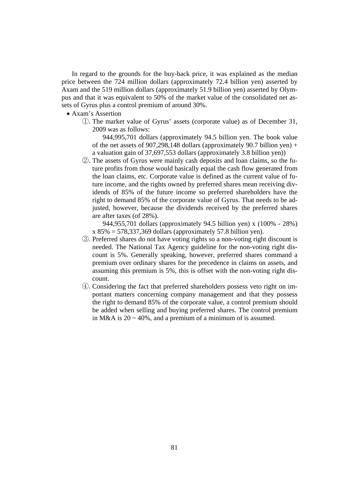In regard to the grounds for the buy-back price, it was explained as the median price between the 724 million dollars (approximately 72.4 billion yen) asserted by Axam and the 519 million dollars (approximately 51.9 billion yen) asserted by Olympus and that it was equivalent to 50% of the market value of the consolidated net assets of Gyrus plus a control premium of around 30%.

- Axam's Assertion
	- ①. The market value of Gyrus' assets (corporate value) as of December 31, 2009 was as follows:

944,995,701 dollars (approximately 94.5 billion yen. The book value of the net assets of 907,298,148 dollars (approximately 90.7 billion yen) + a valuation gain of 37,697,553 dollars (approximately 3.8 billion yen))

②. The assets of Gyrus were mainly cash deposits and loan claims, so the future profits from those would basically equal the cash flow generated from the loan claims, etc. Corporate value is defined as the current value of future income, and the rights owned by preferred shares mean receiving dividends of 85% of the future income so preferred shareholders have the right to demand 85% of the corporate value of Gyrus. That needs to be adjusted, however, because the dividends received by the preferred shares are after taxes (of 28%).

944,955,701 dollars (approximately 94.5 billion yen) x (100% - 28%)  $x 85\% = 578,337,369$  dollars (approximately 57.8 billion yen).

- ③. Preferred shares do not have voting rights so a non-voting right discount is needed. The National Tax Agency guideline for the non-voting right discount is 5%. Generally speaking, however, preferred shares command a premium over ordinary shares for the precedence in claims on assets, and assuming this premium is 5%, this is offset with the non-voting right discount.
- ④. Considering the fact that preferred shareholders possess veto right on important matters concerning company management and that they possess the right to demand 85% of the corporate value, a control premium should be added when selling and buying preferred shares. The control premium in M&A is  $20 \sim 40\%$ , and a premium of a minimum of is assumed.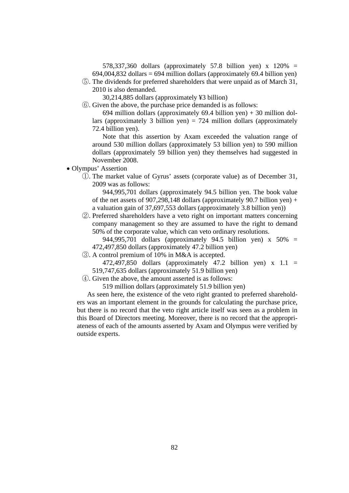578,337,360 dollars (approximately 57.8 billion yen) x 120% =  $694,004,832$  dollars =  $694$  million dollars (approximately  $69.4$  billion yen)

⑤. The dividends for preferred shareholders that were unpaid as of March 31, 2010 is also demanded.

30,214,885 dollars (approximately ¥3 billion)

⑥. Given the above, the purchase price demanded is as follows:

694 million dollars (approximately 69.4 billion yen) + 30 million dollars (approximately 3 billion yen) = 724 million dollars (approximately 72.4 billion yen).

Note that this assertion by Axam exceeded the valuation range of around 530 million dollars (approximately 53 billion yen) to 590 million dollars (approximately 59 billion yen) they themselves had suggested in November 2008.

- Olympus' Assertion
	- ①. The market value of Gyrus' assets (corporate value) as of December 31, 2009 was as follows:

944,995,701 dollars (approximately 94.5 billion yen. The book value of the net assets of 907,298,148 dollars (approximately 90.7 billion yen) + a valuation gain of 37,697,553 dollars (approximately 3.8 billion yen))

②. Preferred shareholders have a veto right on important matters concerning company management so they are assumed to have the right to demand 50% of the corporate value, which can veto ordinary resolutions.

944,995,701 dollars (approximately 94.5 billion yen) x 50% = 472,497,850 dollars (approximately 47.2 billion yen)

- ③. A control premium of 10% in M&A is accepted.
	- 472,497,850 dollars (approximately 47.2 billion yen)  $x$  1.1 = 519,747,635 dollars (approximately 51.9 billion yen)
- ④. Given the above, the amount asserted is as follows:

519 million dollars (approximately 51.9 billion yen)

As seen here, the existence of the veto right granted to preferred shareholders was an important element in the grounds for calculating the purchase price, but there is no record that the veto right article itself was seen as a problem in this Board of Directors meeting. Moreover, there is no record that the appropriateness of each of the amounts asserted by Axam and Olympus were verified by outside experts.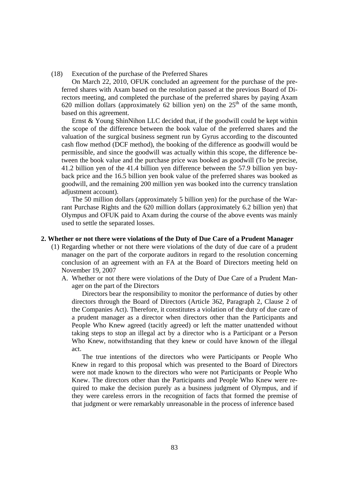(18) Execution of the purchase of the Preferred Shares

On March 22, 2010, OFUK concluded an agreement for the purchase of the preferred shares with Axam based on the resolution passed at the previous Board of Directors meeting, and completed the purchase of the preferred shares by paying Axam 620 million dollars (approximately 62 billion yen) on the  $25<sup>th</sup>$  of the same month, based on this agreement.

Ernst & Young ShinNihon LLC decided that, if the goodwill could be kept within the scope of the difference between the book value of the preferred shares and the valuation of the surgical business segment run by Gyrus according to the discounted cash flow method (DCF method), the booking of the difference as goodwill would be permissible, and since the goodwill was actually within this scope, the difference between the book value and the purchase price was booked as goodwill (To be precise, 41.2 billion yen of the 41.4 billion yen difference between the 57.9 billion yen buyback price and the 16.5 billion yen book value of the preferred shares was booked as goodwill, and the remaining 200 million yen was booked into the currency translation adjustment account).

The 50 million dollars (approximately 5 billion yen) for the purchase of the Warrant Purchase Rights and the 620 million dollars (approximately 6.2 billion yen) that Olympus and OFUK paid to Axam during the course of the above events was mainly used to settle the separated losses.

#### **2. Whether or not there were violations of the Duty of Due Care of a Prudent Manager**

- (1) Regarding whether or not there were violations of the duty of due care of a prudent manager on the part of the corporate auditors in regard to the resolution concerning conclusion of an agreement with an FA at the Board of Directors meeting held on November 19, 2007
	- A. Whether or not there were violations of the Duty of Due Care of a Prudent Manager on the part of the Directors

Directors bear the responsibility to monitor the performance of duties by other directors through the Board of Directors (Article 362, Paragraph 2, Clause 2 of the Companies Act). Therefore, it constitutes a violation of the duty of due care of a prudent manager as a director when directors other than the Participants and People Who Knew agreed (tacitly agreed) or left the matter unattended without taking steps to stop an illegal act by a director who is a Participant or a Person Who Knew, notwithstanding that they knew or could have known of the illegal act.

The true intentions of the directors who were Participants or People Who Knew in regard to this proposal which was presented to the Board of Directors were not made known to the directors who were not Participants or People Who Knew. The directors other than the Participants and People Who Knew were required to make the decision purely as a business judgment of Olympus, and if they were careless errors in the recognition of facts that formed the premise of that judgment or were remarkably unreasonable in the process of inference based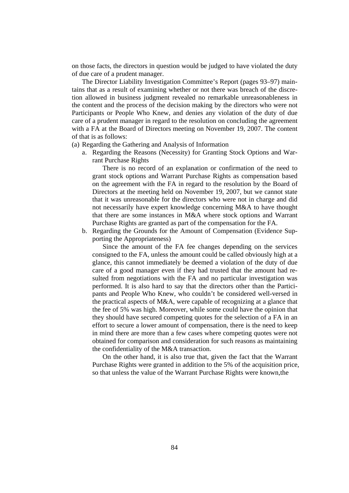on those facts, the directors in question would be judged to have violated the duty of due care of a prudent manager.

The Director Liability Investigation Committee's Report (pages 93–97) maintains that as a result of examining whether or not there was breach of the discretion allowed in business judgment revealed no remarkable unreasonableness in the content and the process of the decision making by the directors who were not Participants or People Who Knew, and denies any violation of the duty of due care of a prudent manager in regard to the resolution on concluding the agreement with a FA at the Board of Directors meeting on November 19, 2007. The content of that is as follows:

(a) Regarding the Gathering and Analysis of Information

a. Regarding the Reasons (Necessity) for Granting Stock Options and Warrant Purchase Rights

There is no record of an explanation or confirmation of the need to grant stock options and Warrant Purchase Rights as compensation based on the agreement with the FA in regard to the resolution by the Board of Directors at the meeting held on November 19, 2007, but we cannot state that it was unreasonable for the directors who were not in charge and did not necessarily have expert knowledge concerning M&A to have thought that there are some instances in M&A where stock options and Warrant Purchase Rights are granted as part of the compensation for the FA.

b. Regarding the Grounds for the Amount of Compensation (Evidence Supporting the Appropriateness)

Since the amount of the FA fee changes depending on the services consigned to the FA, unless the amount could be called obviously high at a glance, this cannot immediately be deemed a violation of the duty of due care of a good manager even if they had trusted that the amount had resulted from negotiations with the FA and no particular investigation was performed. It is also hard to say that the directors other than the Participants and People Who Knew, who couldn't be considered well-versed in the practical aspects of M&A, were capable of recognizing at a glance that the fee of 5% was high. Moreover, while some could have the opinion that they should have secured competing quotes for the selection of a FA in an effort to secure a lower amount of compensation, there is the need to keep in mind there are more than a few cases where competing quotes were not obtained for comparison and consideration for such reasons as maintaining the confidentiality of the M&A transaction.

On the other hand, it is also true that, given the fact that the Warrant Purchase Rights were granted in addition to the 5% of the acquisition price, so that unless the value of the Warrant Purchase Rights were known,the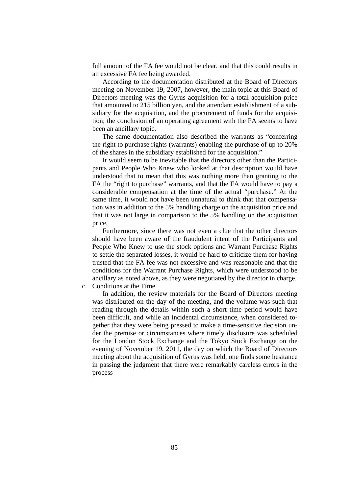full amount of the FA fee would not be clear, and that this could results in an excessive FA fee being awarded.

According to the documentation distributed at the Board of Directors meeting on November 19, 2007, however, the main topic at this Board of Directors meeting was the Gyrus acquisition for a total acquisition price that amounted to 215 billion yen, and the attendant establishment of a subsidiary for the acquisition, and the procurement of funds for the acquisition; the conclusion of an operating agreement with the FA seems to have been an ancillary topic.

The same documentation also described the warrants as "conferring the right to purchase rights (warrants) enabling the purchase of up to 20% of the shares in the subsidiary established for the acquisition."

It would seem to be inevitable that the directors other than the Participants and People Who Knew who looked at that description would have understood that to mean that this was nothing more than granting to the FA the "right to purchase" warrants, and that the FA would have to pay a considerable compensation at the time of the actual "purchase." At the same time, it would not have been unnatural to think that that compensation was in addition to the 5% handling charge on the acquisition price and that it was not large in comparison to the 5% handling on the acquisition price.

Furthermore, since there was not even a clue that the other directors should have been aware of the fraudulent intent of the Participants and People Who Knew to use the stock options and Warrant Purchase Rights to settle the separated losses, it would be hard to criticize them for having trusted that the FA fee was not excessive and was reasonable and that the conditions for the Warrant Purchase Rights, which were understood to be ancillary as noted above, as they were negotiated by the director in charge.

c. Conditions at the Time

 In addition, the review materials for the Board of Directors meeting was distributed on the day of the meeting, and the volume was such that reading through the details within such a short time period would have been difficult, and while an incidental circumstance, when considered together that they were being pressed to make a time-sensitive decision under the premise or circumstances where timely disclosure was scheduled for the London Stock Exchange and the Tokyo Stock Exchange on the evening of November 19, 2011, the day on which the Board of Directors meeting about the acquisition of Gyrus was held, one finds some hesitance in passing the judgment that there were remarkably careless errors in the process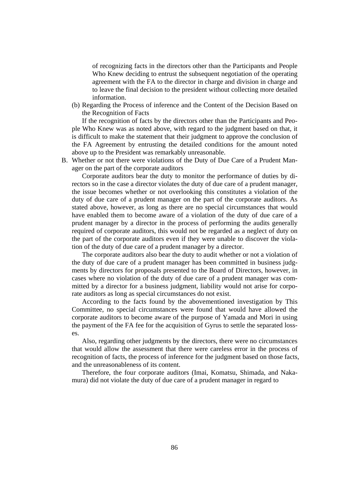of recognizing facts in the directors other than the Participants and People Who Knew deciding to entrust the subsequent negotiation of the operating agreement with the FA to the director in charge and division in charge and to leave the final decision to the president without collecting more detailed information.

(b) Regarding the Process of inference and the Content of the Decision Based on the Recognition of Facts

If the recognition of facts by the directors other than the Participants and People Who Knew was as noted above, with regard to the judgment based on that, it is difficult to make the statement that their judgment to approve the conclusion of the FA Agreement by entrusting the detailed conditions for the amount noted above up to the President was remarkably unreasonable.

B. Whether or not there were violations of the Duty of Due Care of a Prudent Manager on the part of the corporate auditors

Corporate auditors bear the duty to monitor the performance of duties by directors so in the case a director violates the duty of due care of a prudent manager, the issue becomes whether or not overlooking this constitutes a violation of the duty of due care of a prudent manager on the part of the corporate auditors. As stated above, however, as long as there are no special circumstances that would have enabled them to become aware of a violation of the duty of due care of a prudent manager by a director in the process of performing the audits generally required of corporate auditors, this would not be regarded as a neglect of duty on the part of the corporate auditors even if they were unable to discover the violation of the duty of due care of a prudent manager by a director.

The corporate auditors also bear the duty to audit whether or not a violation of the duty of due care of a prudent manager has been committed in business judgments by directors for proposals presented to the Board of Directors, however, in cases where no violation of the duty of due care of a prudent manager was committed by a director for a business judgment, liability would not arise for corporate auditors as long as special circumstances do not exist.

According to the facts found by the abovementioned investigation by This Committee, no special circumstances were found that would have allowed the corporate auditors to become aware of the purpose of Yamada and Mori in using the payment of the FA fee for the acquisition of Gyrus to settle the separated losses.

Also, regarding other judgments by the directors, there were no circumstances that would allow the assessment that there were careless error in the process of recognition of facts, the process of inference for the judgment based on those facts, and the unreasonableness of its content.

Therefore, the four corporate auditors (Imai, Komatsu, Shimada, and Nakamura) did not violate the duty of due care of a prudent manager in regard to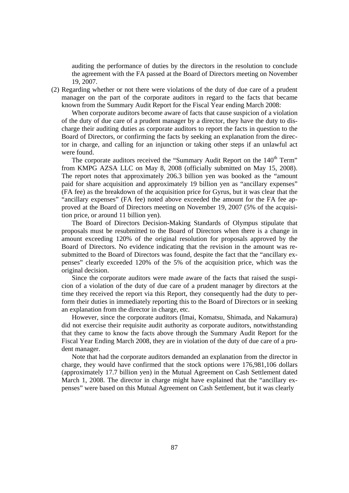auditing the performance of duties by the directors in the resolution to conclude the agreement with the FA passed at the Board of Directors meeting on November 19, 2007.

(2) Regarding whether or not there were violations of the duty of due care of a prudent manager on the part of the corporate auditors in regard to the facts that became known from the Summary Audit Report for the Fiscal Year ending March 2008:

When corporate auditors become aware of facts that cause suspicion of a violation of the duty of due care of a prudent manager by a director, they have the duty to discharge their auditing duties as corporate auditors to report the facts in question to the Board of Directors, or confirming the facts by seeking an explanation from the director in charge, and calling for an injunction or taking other steps if an unlawful act were found.

The corporate auditors received the "Summary Audit Report on the 140<sup>th</sup> Term" from KMPG AZSA LLC on May 8, 2008 (officially submitted on May 15, 2008). The report notes that approximately 206.3 billion yen was booked as the "amount paid for share acquisition and approximately 19 billion yen as "ancillary expenses" (FA fee) as the breakdown of the acquisition price for Gyrus, but it was clear that the "ancillary expenses" (FA fee) noted above exceeded the amount for the FA fee approved at the Board of Directors meeting on November 19, 2007 (5% of the acquisition price, or around 11 billion yen).

The Board of Directors Decision-Making Standards of Olympus stipulate that proposals must be resubmitted to the Board of Directors when there is a change in amount exceeding 120% of the original resolution for proposals approved by the Board of Directors. No evidence indicating that the revision in the amount was resubmitted to the Board of Directors was found, despite the fact that the "ancillary expenses" clearly exceeded 120% of the 5% of the acquisition price, which was the original decision.

Since the corporate auditors were made aware of the facts that raised the suspicion of a violation of the duty of due care of a prudent manager by directors at the time they received the report via this Report, they consequently had the duty to perform their duties in immediately reporting this to the Board of Directors or in seeking an explanation from the director in charge, etc.

However, since the corporate auditors (Imai, Komatsu, Shimada, and Nakamura) did not exercise their requisite audit authority as corporate auditors, notwithstanding that they came to know the facts above through the Summary Audit Report for the Fiscal Year Ending March 2008, they are in violation of the duty of due care of a prudent manager.

Note that had the corporate auditors demanded an explanation from the director in charge, they would have confirmed that the stock options were 176,981,106 dollars (approximately 17.7 billion yen) in the Mutual Agreement on Cash Settlement dated March 1, 2008. The director in charge might have explained that the "ancillary expenses" were based on this Mutual Agreement on Cash Settlement, but it was clearly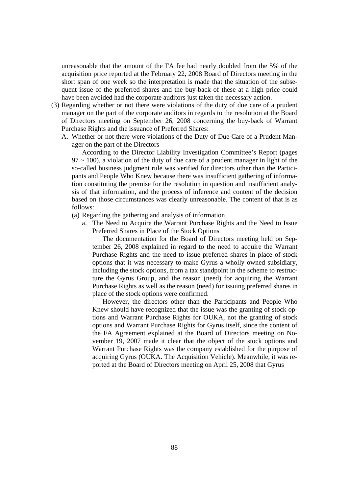unreasonable that the amount of the FA fee had nearly doubled from the 5% of the acquisition price reported at the February 22, 2008 Board of Directors meeting in the short span of one week so the interpretation is made that the situation of the subsequent issue of the preferred shares and the buy-back of these at a high price could have been avoided had the corporate auditors just taken the necessary action.

- (3) Regarding whether or not there were violations of the duty of due care of a prudent manager on the part of the corporate auditors in regards to the resolution at the Board of Directors meeting on September 26, 2008 concerning the buy-back of Warrant Purchase Rights and the issuance of Preferred Shares:
	- A. Whether or not there were violations of the Duty of Due Care of a Prudent Manager on the part of the Directors

According to the Director Liability Investigation Committee's Report (pages  $97 \sim 100$ ), a violation of the duty of due care of a prudent manager in light of the so-called business judgment rule was verified for directors other than the Participants and People Who Knew because there was insufficient gathering of information constituting the premise for the resolution in question and insufficient analysis of that information, and the process of inference and content of the decision based on those circumstances was clearly unreasonable. The content of that is as follows:

- (a) Regarding the gathering and analysis of information
	- a. The Need to Acquire the Warrant Purchase Rights and the Need to Issue Preferred Shares in Place of the Stock Options

The documentation for the Board of Directors meeting held on September 26, 2008 explained in regard to the need to acquire the Warrant Purchase Rights and the need to issue preferred shares in place of stock options that it was necessary to make Gyrus a wholly owned subsidiary, including the stock options, from a tax standpoint in the scheme to restructure the Gyrus Group, and the reason (need) for acquiring the Warrant Purchase Rights as well as the reason (need) for issuing preferred shares in place of the stock options were confirmed.

However, the directors other than the Participants and People Who Knew should have recognized that the issue was the granting of stock options and Warrant Purchase Rights for OUKA, not the granting of stock options and Warrant Purchase Rights for Gyrus itself, since the content of the FA Agreement explained at the Board of Directors meeting on November 19, 2007 made it clear that the object of the stock options and Warrant Purchase Rights was the company established for the purpose of acquiring Gyrus (OUKA. The Acquisition Vehicle). Meanwhile, it was reported at the Board of Directors meeting on April 25, 2008 that Gyrus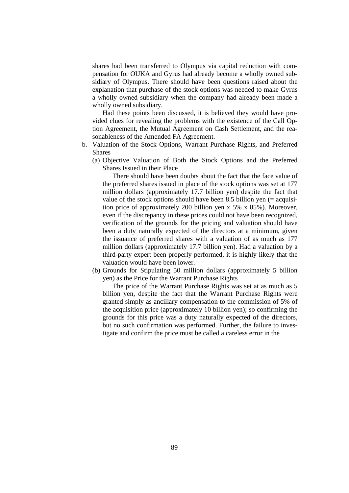shares had been transferred to Olympus via capital reduction with compensation for OUKA and Gyrus had already become a wholly owned subsidiary of Olympus. There should have been questions raised about the explanation that purchase of the stock options was needed to make Gyrus a wholly owned subsidiary when the company had already been made a wholly owned subsidiary.

Had these points been discussed, it is believed they would have provided clues for revealing the problems with the existence of the Call Option Agreement, the Mutual Agreement on Cash Settlement, and the reasonableness of the Amended FA Agreement.

- b. Valuation of the Stock Options, Warrant Purchase Rights, and Preferred Shares
	- (a) Objective Valuation of Both the Stock Options and the Preferred Shares Issued in their Place

There should have been doubts about the fact that the face value of the preferred shares issued in place of the stock options was set at 177 million dollars (approximately 17.7 billion yen) despite the fact that value of the stock options should have been 8.5 billion yen  $(=$  acquisition price of approximately 200 billion yen x 5% x 85%). Moreover, even if the discrepancy in these prices could not have been recognized, verification of the grounds for the pricing and valuation should have been a duty naturally expected of the directors at a minimum, given the issuance of preferred shares with a valuation of as much as 177 million dollars (approximately 17.7 billion yen). Had a valuation by a third-party expert been properly performed, it is highly likely that the valuation would have been lower.

(b) Grounds for Stipulating 50 million dollars (approximately 5 billion yen) as the Price for the Warrant Purchase Rights

The price of the Warrant Purchase Rights was set at as much as 5 billion yen, despite the fact that the Warrant Purchase Rights were granted simply as ancillary compensation to the commission of 5% of the acquisition price (approximately 10 billion yen); so confirming the grounds for this price was a duty naturally expected of the directors, but no such confirmation was performed. Further, the failure to investigate and confirm the price must be called a careless error in the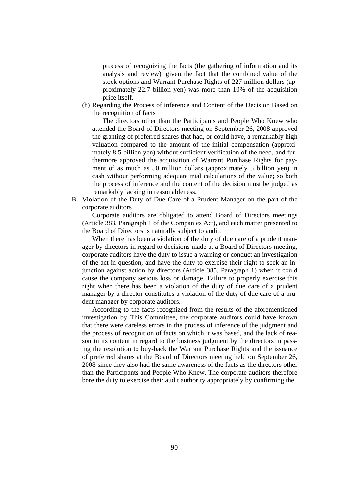process of recognizing the facts (the gathering of information and its analysis and review), given the fact that the combined value of the stock options and Warrant Purchase Rights of 227 million dollars (approximately 22.7 billion yen) was more than 10% of the acquisition price itself.

(b) Regarding the Process of inference and Content of the Decision Based on the recognition of facts

The directors other than the Participants and People Who Knew who attended the Board of Directors meeting on September 26, 2008 approved the granting of preferred shares that had, or could have, a remarkably high valuation compared to the amount of the initial compensation (approximately 8.5 billion yen) without sufficient verification of the need, and furthermore approved the acquisition of Warrant Purchase Rights for payment of as much as 50 million dollars (approximately 5 billion yen) in cash without performing adequate trial calculations of the value; so both the process of inference and the content of the decision must be judged as remarkably lacking in reasonableness.

B. Violation of the Duty of Due Care of a Prudent Manager on the part of the corporate auditors

Corporate auditors are obligated to attend Board of Directors meetings (Article 383, Paragraph 1 of the Companies Act), and each matter presented to the Board of Directors is naturally subject to audit.

When there has been a violation of the duty of due care of a prudent manager by directors in regard to decisions made at a Board of Directors meeting, corporate auditors have the duty to issue a warning or conduct an investigation of the act in question, and have the duty to exercise their right to seek an injunction against action by directors (Article 385, Paragraph 1) when it could cause the company serious loss or damage. Failure to properly exercise this right when there has been a violation of the duty of due care of a prudent manager by a director constitutes a violation of the duty of due care of a prudent manager by corporate auditors.

According to the facts recognized from the results of the aforementioned investigation by This Committee, the corporate auditors could have known that there were careless errors in the process of inference of the judgment and the process of recognition of facts on which it was based, and the lack of reason in its content in regard to the business judgment by the directors in passing the resolution to buy-back the Warrant Purchase Rights and the issuance of preferred shares at the Board of Directors meeting held on September 26, 2008 since they also had the same awareness of the facts as the directors other than the Participants and People Who Knew. The corporate auditors therefore bore the duty to exercise their audit authority appropriately by confirming the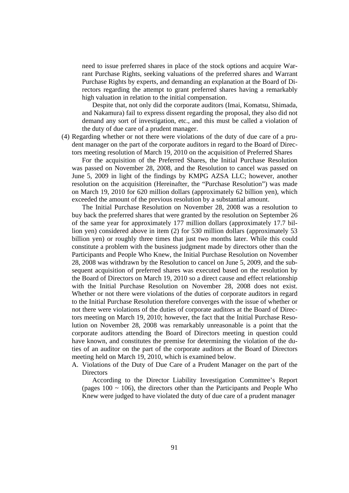need to issue preferred shares in place of the stock options and acquire Warrant Purchase Rights, seeking valuations of the preferred shares and Warrant Purchase Rights by experts, and demanding an explanation at the Board of Directors regarding the attempt to grant preferred shares having a remarkably high valuation in relation to the initial compensation.

Despite that, not only did the corporate auditors (Imai, Komatsu, Shimada, and Nakamura) fail to express dissent regarding the proposal, they also did not demand any sort of investigation, etc., and this must be called a violation of the duty of due care of a prudent manager.

(4) Regarding whether or not there were violations of the duty of due care of a prudent manager on the part of the corporate auditors in regard to the Board of Directors meeting resolution of March 19, 2010 on the acquisition of Preferred Shares

For the acquisition of the Preferred Shares, the Initial Purchase Resolution was passed on November 28, 2008, and the Resolution to cancel was passed on June 5, 2009 in light of the findings by KMPG AZSA LLC; however, another resolution on the acquisition (Hereinafter, the "Purchase Resolution") was made on March 19, 2010 for 620 million dollars (approximately 62 billion yen), which exceeded the amount of the previous resolution by a substantial amount.

The Initial Purchase Resolution on November 28, 2008 was a resolution to buy back the preferred shares that were granted by the resolution on September 26 of the same year for approximately 177 million dollars (approximately 17.7 billion yen) considered above in item (2) for 530 million dollars (approximately 53 billion yen) or roughly three times that just two months later. While this could constitute a problem with the business judgment made by directors other than the Participants and People Who Knew, the Initial Purchase Resolution on November 28, 2008 was withdrawn by the Resolution to cancel on June 5, 2009, and the subsequent acquisition of preferred shares was executed based on the resolution by the Board of Directors on March 19, 2010 so a direct cause and effect relationship with the Initial Purchase Resolution on November 28, 2008 does not exist. Whether or not there were violations of the duties of corporate auditors in regard to the Initial Purchase Resolution therefore converges with the issue of whether or not there were violations of the duties of corporate auditors at the Board of Directors meeting on March 19, 2010; however, the fact that the Initial Purchase Resolution on November 28, 2008 was remarkably unreasonable is a point that the corporate auditors attending the Board of Directors meeting in question could have known, and constitutes the premise for determining the violation of the duties of an auditor on the part of the corporate auditors at the Board of Directors meeting held on March 19, 2010, which is examined below.

A. Violations of the Duty of Due Care of a Prudent Manager on the part of the **Directors** 

According to the Director Liability Investigation Committee's Report (pages  $100 \approx 106$ ), the directors other than the Participants and People Who Knew were judged to have violated the duty of due care of a prudent manager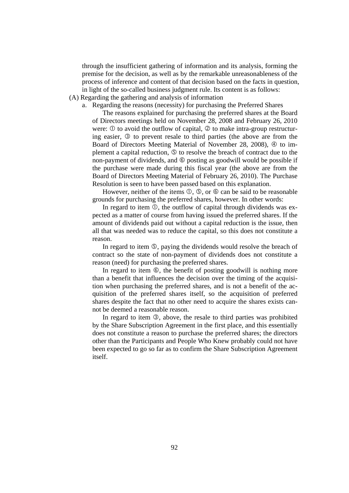through the insufficient gathering of information and its analysis, forming the premise for the decision, as well as by the remarkable unreasonableness of the process of inference and content of that decision based on the facts in question, in light of the so-called business judgment rule. Its content is as follows:

- (A) Regarding the gathering and analysis of information
	- a. Regarding the reasons (necessity) for purchasing the Preferred Shares

The reasons explained for purchasing the preferred shares at the Board of Directors meetings held on November 28, 2008 and February 26, 2010 were:  $\Phi$  to avoid the outflow of capital,  $\Phi$  to make intra-group restructuring easier,  $\circled{3}$  to prevent resale to third parties (the above are from the Board of Directors Meeting Material of November 28, 2008),  $\Phi$  to implement a capital reduction,  $\circledcirc$  to resolve the breach of contract due to the non-payment of dividends, and  $\circledcirc$  posting as goodwill would be possible if the purchase were made during this fiscal year (the above are from the Board of Directors Meeting Material of February 26, 2010). The Purchase Resolution is seen to have been passed based on this explanation.

However, neither of the items  $\mathbb{O}$ ,  $\mathbb{S}$ , or  $\mathbb{O}$  can be said to be reasonable grounds for purchasing the preferred shares, however. In other words:

In regard to item  $\mathbb{O}$ , the outflow of capital through dividends was expected as a matter of course from having issued the preferred shares. If the amount of dividends paid out without a capital reduction is the issue, then all that was needed was to reduce the capital, so this does not constitute a reason.

In regard to item  $\circled{S}$ , paying the dividends would resolve the breach of contract so the state of non-payment of dividends does not constitute a reason (need) for purchasing the preferred shares.

In regard to item  $\circled{6}$ , the benefit of posting goodwill is nothing more than a benefit that influences the decision over the timing of the acquisition when purchasing the preferred shares, and is not a benefit of the acquisition of the preferred shares itself, so the acquisition of preferred shares despite the fact that no other need to acquire the shares exists cannot be deemed a reasonable reason.

In regard to item  $\mathcal{D}$ , above, the resale to third parties was prohibited by the Share Subscription Agreement in the first place, and this essentially does not constitute a reason to purchase the preferred shares; the directors other than the Participants and People Who Knew probably could not have been expected to go so far as to confirm the Share Subscription Agreement itself.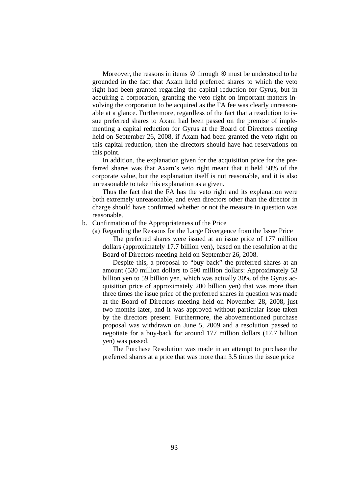Moreover, the reasons in items  $\oslash$  through  $\oslash$  must be understood to be grounded in the fact that Axam held preferred shares to which the veto right had been granted regarding the capital reduction for Gyrus; but in acquiring a corporation, granting the veto right on important matters involving the corporation to be acquired as the FA fee was clearly unreasonable at a glance. Furthermore, regardless of the fact that a resolution to issue preferred shares to Axam had been passed on the premise of implementing a capital reduction for Gyrus at the Board of Directors meeting held on September 26, 2008, if Axam had been granted the veto right on this capital reduction, then the directors should have had reservations on this point.

In addition, the explanation given for the acquisition price for the preferred shares was that Axam's veto right meant that it held 50% of the corporate value, but the explanation itself is not reasonable, and it is also unreasonable to take this explanation as a given.

Thus the fact that the FA has the veto right and its explanation were both extremely unreasonable, and even directors other than the director in charge should have confirmed whether or not the measure in question was reasonable.

#### b. Confirmation of the Appropriateness of the Price

(a) Regarding the Reasons for the Large Divergence from the Issue Price

The preferred shares were issued at an issue price of 177 million dollars (approximately 17.7 billion yen), based on the resolution at the Board of Directors meeting held on September 26, 2008.

Despite this, a proposal to "buy back" the preferred shares at an amount (530 million dollars to 590 million dollars: Approximately 53 billion yen to 59 billion yen, which was actually 30% of the Gyrus acquisition price of approximately 200 billion yen) that was more than three times the issue price of the preferred shares in question was made at the Board of Directors meeting held on November 28, 2008, just two months later, and it was approved without particular issue taken by the directors present. Furthermore, the abovementioned purchase proposal was withdrawn on June 5, 2009 and a resolution passed to negotiate for a buy-back for around 177 million dollars (17.7 billion yen) was passed.

The Purchase Resolution was made in an attempt to purchase the preferred shares at a price that was more than 3.5 times the issue price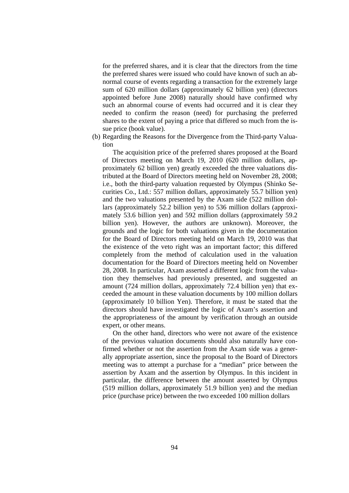for the preferred shares, and it is clear that the directors from the time the preferred shares were issued who could have known of such an abnormal course of events regarding a transaction for the extremely large sum of 620 million dollars (approximately 62 billion yen) (directors appointed before June 2008) naturally should have confirmed why such an abnormal course of events had occurred and it is clear they needed to confirm the reason (need) for purchasing the preferred shares to the extent of paying a price that differed so much from the issue price (book value).

(b) Regarding the Reasons for the Divergence from the Third-party Valuation

The acquisition price of the preferred shares proposed at the Board of Directors meeting on March 19, 2010 (620 million dollars, approximately 62 billion yen) greatly exceeded the three valuations distributed at the Board of Directors meeting held on November 28, 2008; i.e., both the third-party valuation requested by Olympus (Shinko Securities Co., Ltd.: 557 million dollars, approximately 55.7 billion yen) and the two valuations presented by the Axam side (522 million dollars (approximately 52.2 billion yen) to 536 million dollars (approximately 53.6 billion yen) and 592 million dollars (approximately 59.2 billion yen). However, the authors are unknown). Moreover, the grounds and the logic for both valuations given in the documentation for the Board of Directors meeting held on March 19, 2010 was that the existence of the veto right was an important factor; this differed completely from the method of calculation used in the valuation documentation for the Board of Directors meeting held on November 28, 2008. In particular, Axam asserted a different logic from the valuation they themselves had previously presented, and suggested an amount (724 million dollars, approximately 72.4 billion yen) that exceeded the amount in these valuation documents by 100 million dollars (approximately 10 billion Yen). Therefore, it must be stated that the directors should have investigated the logic of Axam's assertion and the appropriateness of the amount by verification through an outside expert, or other means.

On the other hand, directors who were not aware of the existence of the previous valuation documents should also naturally have confirmed whether or not the assertion from the Axam side was a generally appropriate assertion, since the proposal to the Board of Directors meeting was to attempt a purchase for a "median" price between the assertion by Axam and the assertion by Olympus. In this incident in particular, the difference between the amount asserted by Olympus (519 million dollars, approximately 51.9 billion yen) and the median price (purchase price) between the two exceeded 100 million dollars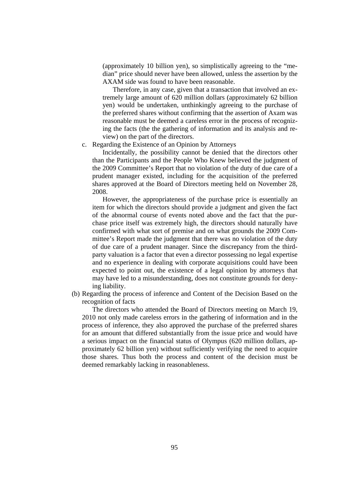(approximately 10 billion yen), so simplistically agreeing to the "median" price should never have been allowed, unless the assertion by the AXAM side was found to have been reasonable.

Therefore, in any case, given that a transaction that involved an extremely large amount of 620 million dollars (approximately 62 billion yen) would be undertaken, unthinkingly agreeing to the purchase of the preferred shares without confirming that the assertion of Axam was reasonable must be deemed a careless error in the process of recognizing the facts (the the gathering of information and its analysis and review) on the part of the directors.

#### c. Regarding the Existence of an Opinion by Attorneys

Incidentally, the possibility cannot be denied that the directors other than the Participants and the People Who Knew believed the judgment of the 2009 Committee's Report that no violation of the duty of due care of a prudent manager existed, including for the acquisition of the preferred shares approved at the Board of Directors meeting held on November 28, 2008.

However, the appropriateness of the purchase price is essentially an item for which the directors should provide a judgment and given the fact of the abnormal course of events noted above and the fact that the purchase price itself was extremely high, the directors should naturally have confirmed with what sort of premise and on what grounds the 2009 Committee's Report made the judgment that there was no violation of the duty of due care of a prudent manager. Since the discrepancy from the thirdparty valuation is a factor that even a director possessing no legal expertise and no experience in dealing with corporate acquisitions could have been expected to point out, the existence of a legal opinion by attorneys that may have led to a misunderstanding, does not constitute grounds for denying liability.

(b) Regarding the process of inference and Content of the Decision Based on the recognition of facts

The directors who attended the Board of Directors meeting on March 19, 2010 not only made careless errors in the gathering of information and in the process of inference, they also approved the purchase of the preferred shares for an amount that differed substantially from the issue price and would have a serious impact on the financial status of Olympus (620 million dollars, approximately 62 billion yen) without sufficiently verifying the need to acquire those shares. Thus both the process and content of the decision must be deemed remarkably lacking in reasonableness.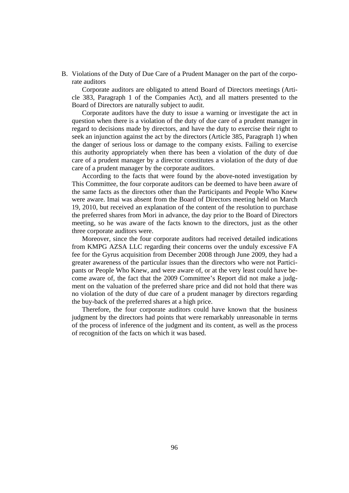B. Violations of the Duty of Due Care of a Prudent Manager on the part of the corporate auditors

Corporate auditors are obligated to attend Board of Directors meetings (Article 383, Paragraph 1 of the Companies Act), and all matters presented to the Board of Directors are naturally subject to audit.

Corporate auditors have the duty to issue a warning or investigate the act in question when there is a violation of the duty of due care of a prudent manager in regard to decisions made by directors, and have the duty to exercise their right to seek an injunction against the act by the directors (Article 385, Paragraph 1) when the danger of serious loss or damage to the company exists. Failing to exercise this authority appropriately when there has been a violation of the duty of due care of a prudent manager by a director constitutes a violation of the duty of due care of a prudent manager by the corporate auditors.

According to the facts that were found by the above-noted investigation by This Committee, the four corporate auditors can be deemed to have been aware of the same facts as the directors other than the Participants and People Who Knew were aware. Imai was absent from the Board of Directors meeting held on March 19, 2010, but received an explanation of the content of the resolution to purchase the preferred shares from Mori in advance, the day prior to the Board of Directors meeting, so he was aware of the facts known to the directors, just as the other three corporate auditors were.

Moreover, since the four corporate auditors had received detailed indications from KMPG AZSA LLC regarding their concerns over the unduly excessive FA fee for the Gyrus acquisition from December 2008 through June 2009, they had a greater awareness of the particular issues than the directors who were not Participants or People Who Knew, and were aware of, or at the very least could have become aware of, the fact that the 2009 Committee's Report did not make a judgment on the valuation of the preferred share price and did not hold that there was no violation of the duty of due care of a prudent manager by directors regarding the buy-back of the preferred shares at a high price.

Therefore, the four corporate auditors could have known that the business judgment by the directors had points that were remarkably unreasonable in terms of the process of inference of the judgment and its content, as well as the process of recognition of the facts on which it was based.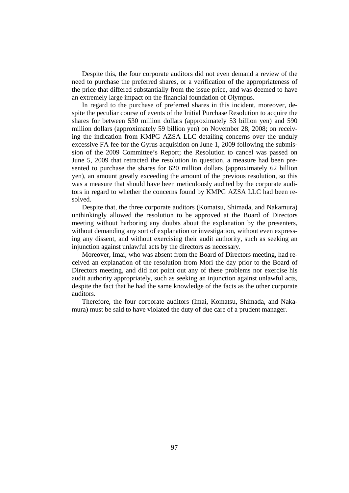Despite this, the four corporate auditors did not even demand a review of the need to purchase the preferred shares, or a verification of the appropriateness of the price that differed substantially from the issue price, and was deemed to have an extremely large impact on the financial foundation of Olympus.

In regard to the purchase of preferred shares in this incident, moreover, despite the peculiar course of events of the Initial Purchase Resolution to acquire the shares for between 530 million dollars (approximately 53 billion yen) and 590 million dollars (approximately 59 billion yen) on November 28, 2008; on receiving the indication from KMPG AZSA LLC detailing concerns over the unduly excessive FA fee for the Gyrus acquisition on June 1, 2009 following the submission of the 2009 Committee's Report; the Resolution to cancel was passed on June 5, 2009 that retracted the resolution in question, a measure had been presented to purchase the shares for 620 million dollars (approximately 62 billion yen), an amount greatly exceeding the amount of the previous resolution, so this was a measure that should have been meticulously audited by the corporate auditors in regard to whether the concerns found by KMPG AZSA LLC had been resolved.

Despite that, the three corporate auditors (Komatsu, Shimada, and Nakamura) unthinkingly allowed the resolution to be approved at the Board of Directors meeting without harboring any doubts about the explanation by the presenters, without demanding any sort of explanation or investigation, without even expressing any dissent, and without exercising their audit authority, such as seeking an injunction against unlawful acts by the directors as necessary.

Moreover, Imai, who was absent from the Board of Directors meeting, had received an explanation of the resolution from Mori the day prior to the Board of Directors meeting, and did not point out any of these problems nor exercise his audit authority appropriately, such as seeking an injunction against unlawful acts, despite the fact that he had the same knowledge of the facts as the other corporate auditors.

Therefore, the four corporate auditors (Imai, Komatsu, Shimada, and Nakamura) must be said to have violated the duty of due care of a prudent manager.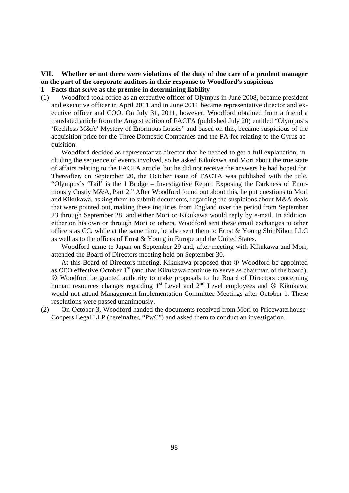# **VII. Whether or not there were violations of the duty of due care of a prudent manager on the part of the corporate auditors in their response to Woodford's suspicions**

# **1 Facts that serve as the premise in determining liability**

(1) Woodford took office as an executive officer of Olympus in June 2008, became president and executive officer in April 2011 and in June 2011 became representative director and executive officer and COO. On July 31, 2011, however, Woodford obtained from a friend a translated article from the August edition of FACTA (published July 20) entitled "Olympus's 'Reckless M&A' Mystery of Enormous Losses" and based on this, became suspicious of the acquisition price for the Three Domestic Companies and the FA fee relating to the Gyrus acquisition.

 Woodford decided as representative director that he needed to get a full explanation, including the sequence of events involved, so he asked Kikukawa and Mori about the true state of affairs relating to the FACTA article, but he did not receive the answers he had hoped for. Thereafter, on September 20, the October issue of FACTA was published with the title, "Olympus's 'Tail' is the J Bridge – Investigative Report Exposing the Darkness of Enormously Costly M&A, Part 2." After Woodford found out about this, he put questions to Mori and Kikukawa, asking them to submit documents, regarding the suspicions about M&A deals that were pointed out, making these inquiries from England over the period from September 23 through September 28, and either Mori or Kikukawa would reply by e-mail. In addition, either on his own or through Mori or others, Woodford sent these email exchanges to other officers as CC, while at the same time, he also sent them to Ernst & Young ShinNihon LLC as well as to the offices of Ernst & Young in Europe and the United States.

 Woodford came to Japan on September 29 and, after meeting with Kikukawa and Mori, attended the Board of Directors meeting held on September 30.

At this Board of Directors meeting, Kikukawa proposed that  $\Phi$  Woodford be appointed as CEO effective October  $1<sup>st</sup>$  (and that Kikukawa continue to serve as chairman of the board), Woodford be granted authority to make proposals to the Board of Directors concerning human resources changes regarding  $1^{st}$  Level and  $2^{nd}$  Level employees and  $\circled{R}$  Kikukawa would not attend Management Implementation Committee Meetings after October 1. These resolutions were passed unanimously.

(2) On October 3, Woodford handed the documents received from Mori to Pricewaterhouse-Coopers Legal LLP (hereinafter, "PwC") and asked them to conduct an investigation.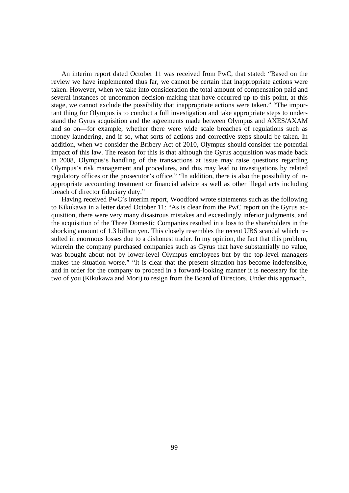An interim report dated October 11 was received from PwC, that stated: "Based on the review we have implemented thus far, we cannot be certain that inappropriate actions were taken. However, when we take into consideration the total amount of compensation paid and several instances of uncommon decision-making that have occurred up to this point, at this stage, we cannot exclude the possibility that inappropriate actions were taken." "The important thing for Olympus is to conduct a full investigation and take appropriate steps to understand the Gyrus acquisition and the agreements made between Olympus and AXES/AXAM and so on—for example, whether there were wide scale breaches of regulations such as money laundering, and if so, what sorts of actions and corrective steps should be taken. In addition, when we consider the Bribery Act of 2010, Olympus should consider the potential impact of this law. The reason for this is that although the Gyrus acquisition was made back in 2008, Olympus's handling of the transactions at issue may raise questions regarding Olympus's risk management and procedures, and this may lead to investigations by related regulatory offices or the prosecutor's office." "In addition, there is also the possibility of inappropriate accounting treatment or financial advice as well as other illegal acts including breach of director fiduciary duty."

 Having received PwC's interim report, Woodford wrote statements such as the following to Kikukawa in a letter dated October 11: "As is clear from the PwC report on the Gyrus acquisition, there were very many disastrous mistakes and exceedingly inferior judgments, and the acquisition of the Three Domestic Companies resulted in a loss to the shareholders in the shocking amount of 1.3 billion yen. This closely resembles the recent UBS scandal which resulted in enormous losses due to a dishonest trader. In my opinion, the fact that this problem, wherein the company purchased companies such as Gyrus that have substantially no value, was brought about not by lower-level Olympus employees but by the top-level managers makes the situation worse." "It is clear that the present situation has become indefensible, and in order for the company to proceed in a forward-looking manner it is necessary for the two of you (Kikukawa and Mori) to resign from the Board of Directors. Under this approach,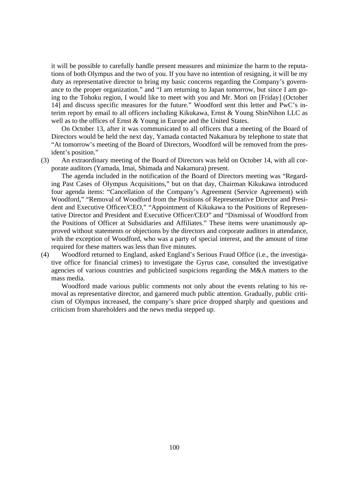it will be possible to carefully handle present measures and minimize the harm to the reputations of both Olympus and the two of you. If you have no intention of resigning, it will be my duty as representative director to bring my basic concerns regarding the Company's governance to the proper organization." and "I am returning to Japan tomorrow, but since I am going to the Tohoku region, I would like to meet with you and Mr. Mori on [Friday] (October 14] and discuss specific measures for the future." Woodford sent this letter and PwC's interim report by email to all officers including Kikukawa, Ernst & Young ShinNihon LLC as well as to the offices of Ernst & Young in Europe and the United States.

 On October 13, after it was communicated to all officers that a meeting of the Board of Directors would be held the next day, Yamada contacted Nakamura by telephone to state that "At tomorrow's meeting of the Board of Directors, Woodford will be removed from the president's position."

(3) An extraordinary meeting of the Board of Directors was held on October 14, with all corporate auditors (Yamada, Imai, Shimada and Nakamura) present.

 The agenda included in the notification of the Board of Directors meeting was "Regarding Past Cases of Olympus Acquisitions," but on that day, Chairman Kikukawa introduced four agenda items: "Cancellation of the Company's Agreement (Service Agreement) with Woodford," "Removal of Woodford from the Positions of Representative Director and President and Executive Officer/CEO," "Appointment of Kikukawa to the Positions of Representative Director and President and Executive Officer/CEO" and "Dismissal of Woodford from the Positions of Officer at Subsidiaries and Affiliates." These items were unanimously approved without statements or objections by the directors and corporate auditors in attendance, with the exception of Woodford, who was a party of special interest, and the amount of time required for these matters was less than five minutes.

(4) Woodford returned to England, asked England's Serious Fraud Office (i.e., the investigative office for financial crimes) to investigate the Gyrus case, consulted the investigative agencies of various countries and publicized suspicions regarding the M&A matters to the mass media.

 Woodford made various public comments not only about the events relating to his removal as representative director, and garnered much public attention. Gradually, public criticism of Olympus increased, the company's share price dropped sharply and questions and criticism from shareholders and the news media stepped up.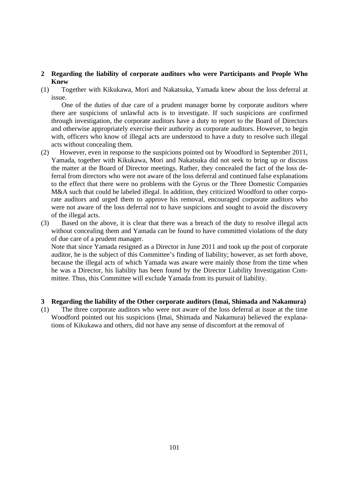# **2 Regarding the liability of corporate auditors who were Participants and People Who Knew**

(1) Together with Kikukawa, Mori and Nakatsuka, Yamada knew about the loss deferral at issue.

One of the duties of due care of a prudent manager borne by corporate auditors where there are suspicions of unlawful acts is to investigate. If such suspicions are confirmed through investigation, the corporate auditors have a duty to report to the Board of Directors and otherwise appropriately exercise their authority as corporate auditors. However, to begin with, officers who know of illegal acts are understood to have a duty to resolve such illegal acts without concealing them.

- (2) However, even in response to the suspicions pointed out by Woodford in September 2011, Yamada, together with Kikukawa, Mori and Nakatsuka did not seek to bring up or discuss the matter at the Board of Director meetings. Rather, they concealed the fact of the loss deferral from directors who were not aware of the loss deferral and continued false explanations to the effect that there were no problems with the Gyrus or the Three Domestic Companies M&A such that could be labeled illegal. In addition, they criticized Woodford to other corporate auditors and urged them to approve his removal, encouraged corporate auditors who were not aware of the loss deferral not to have suspicions and sought to avoid the discovery of the illegal acts.
- (3) Based on the above, it is clear that there was a breach of the duty to resolve illegal acts without concealing them and Yamada can be found to have committed violations of the duty of due care of a prudent manager.

 Note that since Yamada resigned as a Director in June 2011 and took up the post of corporate auditor, he is the subject of this Committee's finding of liability; however, as set forth above, because the illegal acts of which Yamada was aware were mainly those from the time when he was a Director, his liability has been found by the Director Liability Investigation Committee. Thus, this Committee will exclude Yamada from its pursuit of liability.

#### **3 Regarding the liability of the Other corporate auditors (Imai, Shimada and Nakamura)**

(1) The three corporate auditors who were not aware of the loss deferral at issue at the time Woodford pointed out his suspicions (Imai, Shimada and Nakamura) believed the explanations of Kikukawa and others, did not have any sense of discomfort at the removal of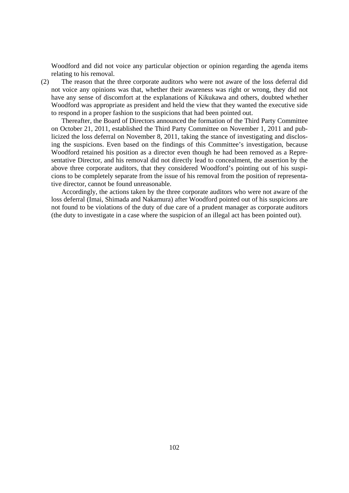Woodford and did not voice any particular objection or opinion regarding the agenda items relating to his removal.

(2) The reason that the three corporate auditors who were not aware of the loss deferral did not voice any opinions was that, whether their awareness was right or wrong, they did not have any sense of discomfort at the explanations of Kikukawa and others, doubted whether Woodford was appropriate as president and held the view that they wanted the executive side to respond in a proper fashion to the suspicions that had been pointed out.

Thereafter, the Board of Directors announced the formation of the Third Party Committee on October 21, 2011, established the Third Party Committee on November 1, 2011 and publicized the loss deferral on November 8, 2011, taking the stance of investigating and disclosing the suspicions. Even based on the findings of this Committee's investigation, because Woodford retained his position as a director even though he had been removed as a Representative Director, and his removal did not directly lead to concealment, the assertion by the above three corporate auditors, that they considered Woodford's pointing out of his suspicions to be completely separate from the issue of his removal from the position of representative director, cannot be found unreasonable.

Accordingly, the actions taken by the three corporate auditors who were not aware of the loss deferral (Imai, Shimada and Nakamura) after Woodford pointed out of his suspicions are not found to be violations of the duty of due care of a prudent manager as corporate auditors (the duty to investigate in a case where the suspicion of an illegal act has been pointed out).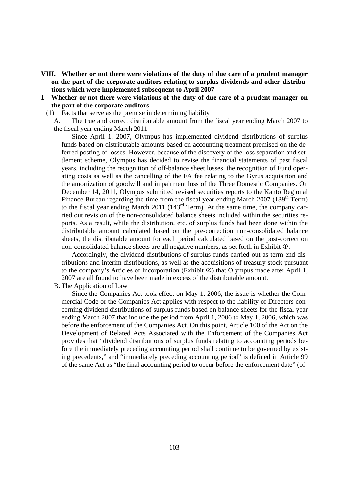- **VIII. Whether or not there were violations of the duty of due care of a prudent manager on the part of the corporate auditors relating to surplus dividends and other distributions which were implemented subsequent to April 2007**
- **1 Whether or not there were violations of the duty of due care of a prudent manager on the part of the corporate auditors** 
	- (1) Facts that serve as the premise in determining liability

A. The true and correct distributable amount from the fiscal year ending March 2007 to the fiscal year ending March 2011

Since April 1, 2007, Olympus has implemented dividend distributions of surplus funds based on distributable amounts based on accounting treatment premised on the deferred posting of losses. However, because of the discovery of the loss separation and settlement scheme, Olympus has decided to revise the financial statements of past fiscal years, including the recognition of off-balance sheet losses, the recognition of Fund operating costs as well as the cancelling of the FA fee relating to the Gyrus acquisition and the amortization of goodwill and impairment loss of the Three Domestic Companies. On December 14, 2011, Olympus submitted revised securities reports to the Kanto Regional Finance Bureau regarding the time from the fiscal year ending March 2007 (139<sup>th</sup> Term) to the fiscal year ending March 2011 ( $143<sup>rd</sup>$  Term). At the same time, the company carried out revision of the non-consolidated balance sheets included within the securities reports. As a result, while the distribution, etc. of surplus funds had been done within the distributable amount calculated based on the pre-correction non-consolidated balance sheets, the distributable amount for each period calculated based on the post-correction non-consolidated balance sheets are all negative numbers, as set forth in Exhibit  $\mathbb{O}$ .

Accordingly, the dividend distributions of surplus funds carried out as term-end distributions and interim distributions, as well as the acquisitions of treasury stock pursuant to the company's Articles of Incorporation (Exhibit  $\mathcal{Q}$ ) that Olympus made after April 1, 2007 are all found to have been made in excess of the distributable amount.

B. The Application of Law

Since the Companies Act took effect on May 1, 2006, the issue is whether the Commercial Code or the Companies Act applies with respect to the liability of Directors concerning dividend distributions of surplus funds based on balance sheets for the fiscal year ending March 2007 that include the period from April 1, 2006 to May 1, 2006, which was before the enforcement of the Companies Act. On this point, Article 100 of the Act on the Development of Related Acts Associated with the Enforcement of the Companies Act provides that "dividend distributions of surplus funds relating to accounting periods before the immediately preceding accounting period shall continue to be governed by existing precedents," and "immediately preceding accounting period" is defined in Article 99 of the same Act as "the final accounting period to occur before the enforcement date" (of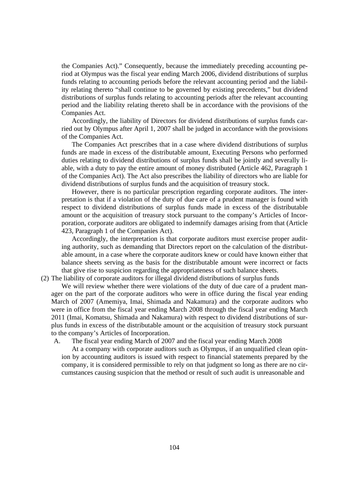the Companies Act)." Consequently, because the immediately preceding accounting period at Olympus was the fiscal year ending March 2006, dividend distributions of surplus funds relating to accounting periods before the relevant accounting period and the liability relating thereto "shall continue to be governed by existing precedents," but dividend distributions of surplus funds relating to accounting periods after the relevant accounting period and the liability relating thereto shall be in accordance with the provisions of the Companies Act.

Accordingly, the liability of Directors for dividend distributions of surplus funds carried out by Olympus after April 1, 2007 shall be judged in accordance with the provisions of the Companies Act.

The Companies Act prescribes that in a case where dividend distributions of surplus funds are made in excess of the distributable amount, Executing Persons who performed duties relating to dividend distributions of surplus funds shall be jointly and severally liable, with a duty to pay the entire amount of money distributed (Article 462, Paragraph 1 of the Companies Act). The Act also prescribes the liability of directors who are liable for dividend distributions of surplus funds and the acquisition of treasury stock.

However, there is no particular prescription regarding corporate auditors. The interpretation is that if a violation of the duty of due care of a prudent manager is found with respect to dividend distributions of surplus funds made in excess of the distributable amount or the acquisition of treasury stock pursuant to the company's Articles of Incorporation, corporate auditors are obligated to indemnify damages arising from that (Article 423, Paragraph 1 of the Companies Act).

Accordingly, the interpretation is that corporate auditors must exercise proper auditing authority, such as demanding that Directors report on the calculation of the distributable amount, in a case where the corporate auditors knew or could have known either that balance sheets serving as the basis for the distributable amount were incorrect or facts that give rise to suspicion regarding the appropriateness of such balance sheets.

(2) The liability of corporate auditors for illegal dividend distributions of surplus funds

We will review whether there were violations of the duty of due care of a prudent manager on the part of the corporate auditors who were in office during the fiscal year ending March of 2007 (Amemiya, Imai, Shimada and Nakamura) and the corporate auditors who were in office from the fiscal year ending March 2008 through the fiscal year ending March 2011 (Imai, Komatsu, Shimada and Nakamura) with respect to dividend distributions of surplus funds in excess of the distributable amount or the acquisition of treasury stock pursuant to the company's Articles of Incorporation.

A. The fiscal year ending March of 2007 and the fiscal year ending March 2008

At a company with corporate auditors such as Olympus, if an unqualified clean opinion by accounting auditors is issued with respect to financial statements prepared by the company, it is considered permissible to rely on that judgment so long as there are no circumstances causing suspicion that the method or result of such audit is unreasonable and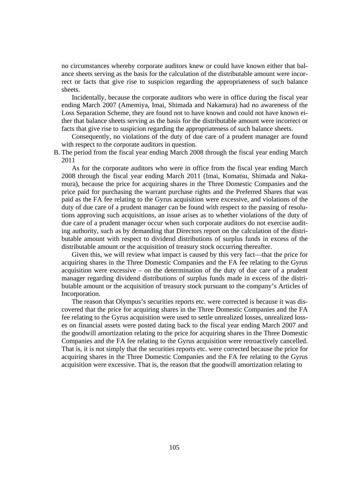no circumstances whereby corporate auditors knew or could have known either that balance sheets serving as the basis for the calculation of the distributable amount were incorrect or facts that give rise to suspicion regarding the appropriateness of such balance sheets.

Incidentally, because the corporate auditors who were in office during the fiscal year ending March 2007 (Amemiya, Imai, Shimada and Nakamura) had no awareness of the Loss Separation Scheme, they are found not to have known and could not have known either that balance sheets serving as the basis for the distributable amount were incorrect or facts that give rise to suspicion regarding the appropriateness of such balance sheets.

Consequently, no violations of the duty of due care of a prudent manager are found with respect to the corporate auditors in question.

B. The period from the fiscal year ending March 2008 through the fiscal year ending March 2011

As for the corporate auditors who were in office from the fiscal year ending March 2008 through the fiscal year ending March 2011 (Imai, Komatsu, Shimada and Nakamura), because the price for acquiring shares in the Three Domestic Companies and the price paid for purchasing the warrant purchase rights and the Preferred Shares that was paid as the FA fee relating to the Gyrus acquisition were excessive, and violations of the duty of due care of a prudent manager can be found with respect to the passing of resolutions approving such acquisitions, an issue arises as to whether violations of the duty of due care of a prudent manager occur when such corporate auditors do not exercise auditing authority, such as by demanding that Directors report on the calculation of the distributable amount with respect to dividend distributions of surplus funds in excess of the distributable amount or the acquisition of treasury stock occurring thereafter.

Given this, we will review what impact is caused by this very fact—that the price for acquiring shares in the Three Domestic Companies and the FA fee relating to the Gyrus acquisition were excessive – on the determination of the duty of due care of a prudent manager regarding dividend distributions of surplus funds made in excess of the distributable amount or the acquisition of treasury stock pursuant to the company's Articles of Incorporation.

The reason that Olympus's securities reports etc. were corrected is because it was discovered that the price for acquiring shares in the Three Domestic Companies and the FA fee relating to the Gyrus acquisition were used to settle unrealized losses, unrealized losses on financial assets were posted dating back to the fiscal year ending March 2007 and the goodwill amortization relating to the price for acquiring shares in the Three Domestic Companies and the FA fee relating to the Gyrus acquisition were retroactively cancelled. That is, it is not simply that the securities reports etc. were corrected because the price for acquiring shares in the Three Domestic Companies and the FA fee relating to the Gyrus acquisition were excessive. That is, the reason that the goodwill amortization relating to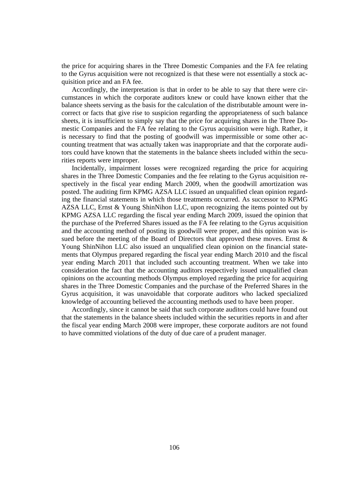the price for acquiring shares in the Three Domestic Companies and the FA fee relating to the Gyrus acquisition were not recognized is that these were not essentially a stock acquisition price and an FA fee.

Accordingly, the interpretation is that in order to be able to say that there were circumstances in which the corporate auditors knew or could have known either that the balance sheets serving as the basis for the calculation of the distributable amount were incorrect or facts that give rise to suspicion regarding the appropriateness of such balance sheets, it is insufficient to simply say that the price for acquiring shares in the Three Domestic Companies and the FA fee relating to the Gyrus acquisition were high. Rather, it is necessary to find that the posting of goodwill was impermissible or some other accounting treatment that was actually taken was inappropriate and that the corporate auditors could have known that the statements in the balance sheets included within the securities reports were improper.

Incidentally, impairment losses were recognized regarding the price for acquiring shares in the Three Domestic Companies and the fee relating to the Gyrus acquisition respectively in the fiscal year ending March 2009, when the goodwill amortization was posted. The auditing firm KPMG AZSA LLC issued an unqualified clean opinion regarding the financial statements in which those treatments occurred. As successor to KPMG AZSA LLC, Ernst & Young ShinNihon LLC, upon recognizing the items pointed out by KPMG AZSA LLC regarding the fiscal year ending March 2009, issued the opinion that the purchase of the Preferred Shares issued as the FA fee relating to the Gyrus acquisition and the accounting method of posting its goodwill were proper, and this opinion was issued before the meeting of the Board of Directors that approved these moves. Ernst & Young ShinNihon LLC also issued an unqualified clean opinion on the financial statements that Olympus prepared regarding the fiscal year ending March 2010 and the fiscal year ending March 2011 that included such accounting treatment. When we take into consideration the fact that the accounting auditors respectively issued unqualified clean opinions on the accounting methods Olympus employed regarding the price for acquiring shares in the Three Domestic Companies and the purchase of the Preferred Shares in the Gyrus acquisition, it was unavoidable that corporate auditors who lacked specialized knowledge of accounting believed the accounting methods used to have been proper.

Accordingly, since it cannot be said that such corporate auditors could have found out that the statements in the balance sheets included within the securities reports in and after the fiscal year ending March 2008 were improper, these corporate auditors are not found to have committed violations of the duty of due care of a prudent manager.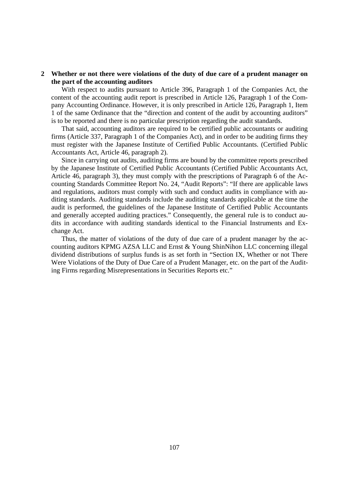## **2 Whether or not there were violations of the duty of due care of a prudent manager on the part of the accounting auditors**

With respect to audits pursuant to Article 396, Paragraph 1 of the Companies Act, the content of the accounting audit report is prescribed in Article 126, Paragraph 1 of the Company Accounting Ordinance. However, it is only prescribed in Article 126, Paragraph 1, Item 1 of the same Ordinance that the "direction and content of the audit by accounting auditors" is to be reported and there is no particular prescription regarding the audit standards.

That said, accounting auditors are required to be certified public accountants or auditing firms (Article 337, Paragraph 1 of the Companies Act), and in order to be auditing firms they must register with the Japanese Institute of Certified Public Accountants. (Certified Public Accountants Act, Article 46, paragraph 2).

Since in carrying out audits, auditing firms are bound by the committee reports prescribed by the Japanese Institute of Certified Public Accountants (Certified Public Accountants Act, Article 46, paragraph 3), they must comply with the prescriptions of Paragraph 6 of the Accounting Standards Committee Report No. 24, "Audit Reports": "If there are applicable laws and regulations, auditors must comply with such and conduct audits in compliance with auditing standards. Auditing standards include the auditing standards applicable at the time the audit is performed, the guidelines of the Japanese Institute of Certified Public Accountants and generally accepted auditing practices." Consequently, the general rule is to conduct audits in accordance with auditing standards identical to the Financial Instruments and Exchange Act.

Thus, the matter of violations of the duty of due care of a prudent manager by the accounting auditors KPMG AZSA LLC and Ernst & Young ShinNihon LLC concerning illegal dividend distributions of surplus funds is as set forth in "Section IX, Whether or not There Were Violations of the Duty of Due Care of a Prudent Manager, etc. on the part of the Auditing Firms regarding Misrepresentations in Securities Reports etc."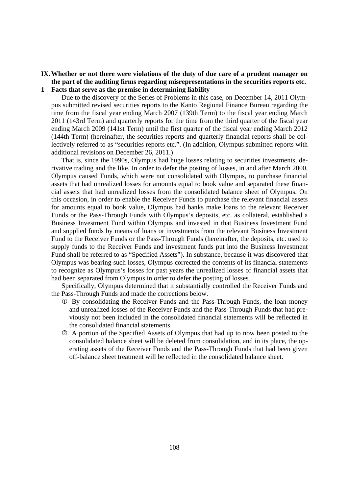# **IX. Whether or not there were violations of the duty of due care of a prudent manager on the part of the auditing firms regarding misrepresentations in the securities reports etc.**

**1 Facts that serve as the premise in determining liability** 

Due to the discovery of the Series of Problems in this case, on December 14, 2011 Olympus submitted revised securities reports to the Kanto Regional Finance Bureau regarding the time from the fiscal year ending March 2007 (139th Term) to the fiscal year ending March 2011 (143rd Term) and quarterly reports for the time from the third quarter of the fiscal year ending March 2009 (141st Term) until the first quarter of the fiscal year ending March 2012 (144th Term) (hereinafter, the securities reports and quarterly financial reports shall be collectively referred to as "securities reports etc.". (In addition, Olympus submitted reports with additional revisions on December 26, 2011.)

That is, since the 1990s, Olympus had huge losses relating to securities investments, derivative trading and the like. In order to defer the posting of losses, in and after March 2000, Olympus caused Funds, which were not consolidated with Olympus, to purchase financial assets that had unrealized losses for amounts equal to book value and separated these financial assets that had unrealized losses from the consolidated balance sheet of Olympus. On this occasion, in order to enable the Receiver Funds to purchase the relevant financial assets for amounts equal to book value, Olympus had banks make loans to the relevant Receiver Funds or the Pass-Through Funds with Olympus's deposits, etc. as collateral, established a Business Investment Fund within Olympus and invested in that Business Investment Fund and supplied funds by means of loans or investments from the relevant Business Investment Fund to the Receiver Funds or the Pass-Through Funds (hereinafter, the deposits, etc. used to supply funds to the Receiver Funds and investment funds put into the Business Investment Fund shall be referred to as "Specified Assets"). In substance, because it was discovered that Olympus was bearing such losses, Olympus corrected the contents of its financial statements to recognize as Olympus's losses for past years the unrealized losses of financial assets that had been separated from Olympus in order to defer the posting of losses.

Specifically, Olympus determined that it substantially controlled the Receiver Funds and the Pass-Through Funds and made the corrections below.

- By consolidating the Receiver Funds and the Pass-Through Funds, the loan money and unrealized losses of the Receiver Funds and the Pass-Through Funds that had previously not been included in the consolidated financial statements will be reflected in the consolidated financial statements.
- A portion of the Specified Assets of Olympus that had up to now been posted to the consolidated balance sheet will be deleted from consolidation, and in its place, the operating assets of the Receiver Funds and the Pass-Through Funds that had been given off-balance sheet treatment will be reflected in the consolidated balance sheet.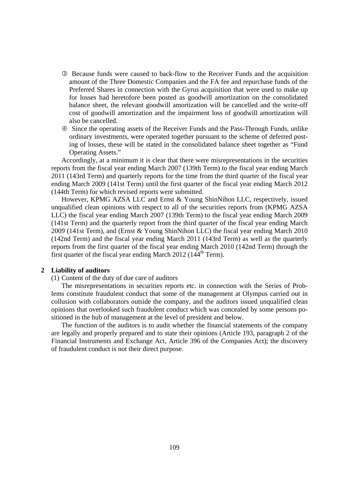- Because funds were caused to back-flow to the Receiver Funds and the acquisition amount of the Three Domestic Companies and the FA fee and repurchase funds of the Preferred Shares in connection with the Gyrus acquisition that were used to make up for losses had heretofore been posted as goodwill amortization on the consolidated balance sheet, the relevant goodwill amortization will be cancelled and the write-off cost of goodwill amortization and the impairment loss of goodwill amortization will also be cancelled.
- Since the operating assets of the Receiver Funds and the Pass-Through Funds, unlike ordinary investments, were operated together pursuant to the scheme of deferred posting of losses, these will be stated in the consolidated balance sheet together as "Fund Operating Assets."

Accordingly, at a minimum it is clear that there were misrepresentations in the securities reports from the fiscal year ending March 2007 (139th Term) to the fiscal year ending March 2011 (143rd Term) and quarterly reports for the time from the third quarter of the fiscal year ending March 2009 (141st Term) until the first quarter of the fiscal year ending March 2012 (144th Term) for which revised reports were submitted.

However, KPMG AZSA LLC and Ernst & Young ShinNihon LLC, respectively, issued unqualified clean opinions with respect to all of the securities reports from (KPMG AZSA LLC) the fiscal year ending March 2007 (139th Term) to the fiscal year ending March 2009 (141st Term) and the quarterly report from the third quarter of the fiscal year ending March 2009 (141st Term), and (Ernst & Young ShinNihon LLC) the fiscal year ending March 2010 (142nd Term) and the fiscal year ending March 2011 (143rd Term) as well as the quarterly reports from the first quarter of the fiscal year ending March 2010 (142nd Term) through the first quarter of the fiscal year ending March 2012 ( $144<sup>th</sup>$  Term).

### **2 Liability of auditors**

(1) Content of the duty of due care of auditors

The misrepresentations in securities reports etc. in connection with the Series of Problems constitute fraudulent conduct that some of the management at Olympus carried out in collusion with collaborators outside the company, and the auditors issued unqualified clean opinions that overlooked such fraudulent conduct which was concealed by some persons positioned in the hub of management at the level of president and below.

The function of the auditors is to audit whether the financial statements of the company are legally and properly prepared and to state their opinions (Article 193, paragraph 2 of the Financial Instruments and Exchange Act, Article 396 of the Companies Act); the discovery of fraudulent conduct is not their direct purpose.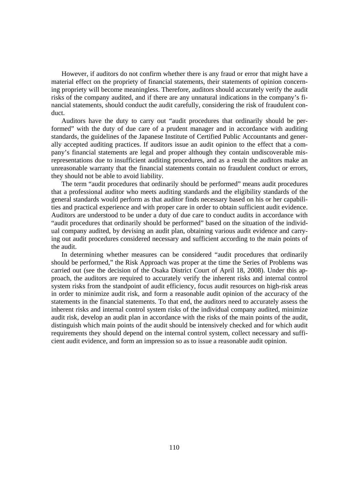However, if auditors do not confirm whether there is any fraud or error that might have a material effect on the propriety of financial statements, their statements of opinion concerning propriety will become meaningless. Therefore, auditors should accurately verify the audit risks of the company audited, and if there are any unnatural indications in the company's financial statements, should conduct the audit carefully, considering the risk of fraudulent conduct.

Auditors have the duty to carry out "audit procedures that ordinarily should be performed" with the duty of due care of a prudent manager and in accordance with auditing standards, the guidelines of the Japanese Institute of Certified Public Accountants and generally accepted auditing practices. If auditors issue an audit opinion to the effect that a company's financial statements are legal and proper although they contain undiscoverable misrepresentations due to insufficient auditing procedures, and as a result the auditors make an unreasonable warranty that the financial statements contain no fraudulent conduct or errors, they should not be able to avoid liability.

The term "audit procedures that ordinarily should be performed" means audit procedures that a professional auditor who meets auditing standards and the eligibility standards of the general standards would perform as that auditor finds necessary based on his or her capabilities and practical experience and with proper care in order to obtain sufficient audit evidence. Auditors are understood to be under a duty of due care to conduct audits in accordance with "audit procedures that ordinarily should be performed" based on the situation of the individual company audited, by devising an audit plan, obtaining various audit evidence and carrying out audit procedures considered necessary and sufficient according to the main points of the audit.

In determining whether measures can be considered "audit procedures that ordinarily should be performed," the Risk Approach was proper at the time the Series of Problems was carried out (see the decision of the Osaka District Court of April 18, 2008). Under this approach, the auditors are required to accurately verify the inherent risks and internal control system risks from the standpoint of audit efficiency, focus audit resources on high-risk areas in order to minimize audit risk, and form a reasonable audit opinion of the accuracy of the statements in the financial statements. To that end, the auditors need to accurately assess the inherent risks and internal control system risks of the individual company audited, minimize audit risk, develop an audit plan in accordance with the risks of the main points of the audit, distinguish which main points of the audit should be intensively checked and for which audit requirements they should depend on the internal control system, collect necessary and sufficient audit evidence, and form an impression so as to issue a reasonable audit opinion.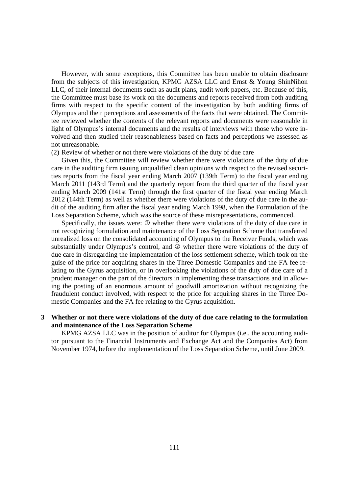However, with some exceptions, this Committee has been unable to obtain disclosure from the subjects of this investigation, KPMG AZSA LLC and Ernst & Young ShinNihon LLC, of their internal documents such as audit plans, audit work papers, etc. Because of this, the Committee must base its work on the documents and reports received from both auditing firms with respect to the specific content of the investigation by both auditing firms of Olympus and their perceptions and assessments of the facts that were obtained. The Committee reviewed whether the contents of the relevant reports and documents were reasonable in light of Olympus's internal documents and the results of interviews with those who were involved and then studied their reasonableness based on facts and perceptions we assessed as not unreasonable.

(2) Review of whether or not there were violations of the duty of due care

Given this, the Committee will review whether there were violations of the duty of due care in the auditing firm issuing unqualified clean opinions with respect to the revised securities reports from the fiscal year ending March 2007 (139th Term) to the fiscal year ending March 2011 (143rd Term) and the quarterly report from the third quarter of the fiscal year ending March 2009 (141st Term) through the first quarter of the fiscal year ending March 2012 (144th Term) as well as whether there were violations of the duty of due care in the audit of the auditing firm after the fiscal year ending March 1998, when the Formulation of the Loss Separation Scheme, which was the source of these misrepresentations, commenced.

Specifically, the issues were:  $\Phi$  whether there were violations of the duty of due care in not recognizing formulation and maintenance of the Loss Separation Scheme that transferred unrealized loss on the consolidated accounting of Olympus to the Receiver Funds, which was substantially under Olympus's control, and  $\oslash$  whether there were violations of the duty of due care in disregarding the implementation of the loss settlement scheme, which took on the guise of the price for acquiring shares in the Three Domestic Companies and the FA fee relating to the Gyrus acquisition, or in overlooking the violations of the duty of due care of a prudent manager on the part of the directors in implementing these transactions and in allowing the posting of an enormous amount of goodwill amortization without recognizing the fraudulent conduct involved, with respect to the price for acquiring shares in the Three Domestic Companies and the FA fee relating to the Gyrus acquisition.

# **3 Whether or not there were violations of the duty of due care relating to the formulation and maintenance of the Loss Separation Scheme**

KPMG AZSA LLC was in the position of auditor for Olympus (i.e., the accounting auditor pursuant to the Financial Instruments and Exchange Act and the Companies Act) from November 1974, before the implementation of the Loss Separation Scheme, until June 2009.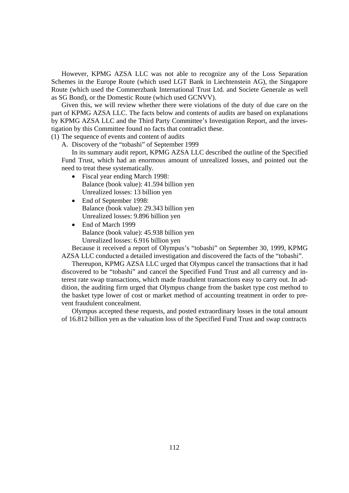However, KPMG AZSA LLC was not able to recognize any of the Loss Separation Schemes in the Europe Route (which used LGT Bank in Liechtenstein AG), the Singapore Route (which used the Commerzbank International Trust Ltd. and Societe Generale as well as SG Bond), or the Domestic Route (which used GCNVV).

Given this, we will review whether there were violations of the duty of due care on the part of KPMG AZSA LLC. The facts below and contents of audits are based on explanations by KPMG AZSA LLC and the Third Party Committee's Investigation Report, and the investigation by this Committee found no facts that contradict these.

(1) The sequence of events and content of audits

A. Discovery of the "tobashi" of September 1999

In its summary audit report, KPMG AZSA LLC described the outline of the Specified Fund Trust, which had an enormous amount of unrealized losses, and pointed out the need to treat these systematically.

- Fiscal year ending March 1998: Balance (book value): 41.594 billion yen Unrealized losses: 13 billion yen
- End of September 1998: Balance (book value): 29.343 billion yen Unrealized losses: 9.896 billion yen
- End of March 1999 Balance (book value): 45.938 billion yen Unrealized losses: 6.916 billion yen

Because it received a report of Olympus's "tobashi" on September 30, 1999, KPMG AZSA LLC conducted a detailed investigation and discovered the facts of the "tobashi".

Thereupon, KPMG AZSA LLC urged that Olympus cancel the transactions that it had discovered to be "tobashi" and cancel the Specified Fund Trust and all currency and interest rate swap transactions, which made fraudulent transactions easy to carry out. In addition, the auditing firm urged that Olympus change from the basket type cost method to the basket type lower of cost or market method of accounting treatment in order to prevent fraudulent concealment.

Olympus accepted these requests, and posted extraordinary losses in the total amount of 16.812 billion yen as the valuation loss of the Specified Fund Trust and swap contracts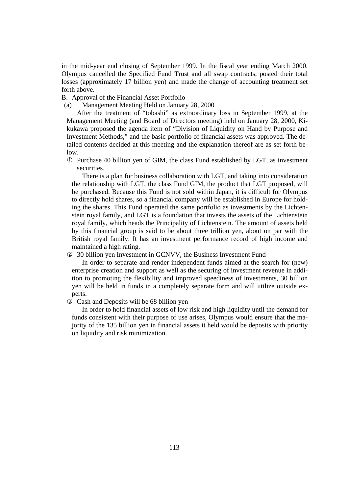in the mid-year end closing of September 1999. In the fiscal year ending March 2000, Olympus cancelled the Specified Fund Trust and all swap contracts, posted their total losses (approximately 17 billion yen) and made the change of accounting treatment set forth above.

B. Approval of the Financial Asset Portfolio

(a) Management Meeting Held on January 28, 2000

After the treatment of "tobashi" as extraordinary loss in September 1999, at the Management Meeting (and Board of Directors meeting) held on January 28, 2000, Kikukawa proposed the agenda item of "Division of Liquidity on Hand by Purpose and Investment Methods," and the basic portfolio of financial assets was approved. The detailed contents decided at this meeting and the explanation thereof are as set forth below.

 Purchase 40 billion yen of GIM, the class Fund established by LGT, as investment securities.

 There is a plan for business collaboration with LGT, and taking into consideration the relationship with LGT, the class Fund GIM, the product that LGT proposed, will be purchased. Because this Fund is not sold within Japan, it is difficult for Olympus to directly hold shares, so a financial company will be established in Europe for holding the shares. This Fund operated the same portfolio as investments by the Lichtenstein royal family, and LGT is a foundation that invests the assets of the Lichtenstein royal family, which heads the Principality of Lichtenstein. The amount of assets held by this financial group is said to be about three trillion yen, about on par with the British royal family. It has an investment performance record of high income and maintained a high rating.

30 billion yen Investment in GCNVV, the Business Investment Fund

 In order to separate and render independent funds aimed at the search for (new) enterprise creation and support as well as the securing of investment revenue in addition to promoting the flexibility and improved speediness of investments, 30 billion yen will be held in funds in a completely separate form and will utilize outside experts.

Cash and Deposits will be 68 billion yen

 In order to hold financial assets of low risk and high liquidity until the demand for funds consistent with their purpose of use arises, Olympus would ensure that the majority of the 135 billion yen in financial assets it held would be deposits with priority on liquidity and risk minimization.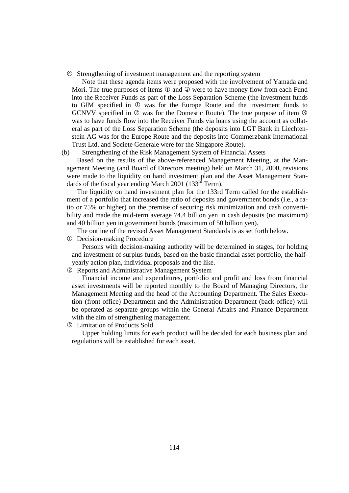Strengthening of investment management and the reporting system

Note that these agenda items were proposed with the involvement of Yamada and Mori. The true purposes of items  $\mathbb O$  and  $\mathbb Q$  were to have money flow from each Fund into the Receiver Funds as part of the Loss Separation Scheme (the investment funds to GIM specified in  $\mathbb O$  was for the Europe Route and the investment funds to GCNVV specified in  $\oslash$  was for the Domestic Route). The true purpose of item  $\oslash$ was to have funds flow into the Receiver Funds via loans using the account as collateral as part of the Loss Separation Scheme (the deposits into LGT Bank in Liechtenstein AG was for the Europe Route and the deposits into Commerzbank International Trust Ltd. and Societe Generale were for the Singapore Route).

(b) Strengthening of the Risk Management System of Financial Assets

Based on the results of the above-referenced Management Meeting, at the Management Meeting (and Board of Directors meeting) held on March 31, 2000, revisions were made to the liquidity on hand investment plan and the Asset Management Standards of the fiscal year ending March 2001 (133 $^{rd}$  Term).

The liquidity on hand investment plan for the 133rd Term called for the establishment of a portfolio that increased the ratio of deposits and government bonds (i.e., a ratio or 75% or higher) on the premise of securing risk minimization and cash convertibility and made the mid-term average 74.4 billion yen in cash deposits (no maximum) and 40 billion yen in government bonds (maximum of 50 billion yen).

The outline of the revised Asset Management Standards is as set forth below.

Decision-making Procedure

Persons with decision-making authority will be determined in stages, for holding and investment of surplus funds, based on the basic financial asset portfolio, the halfyearly action plan, individual proposals and the like.

Reports and Administrative Management System

Financial income and expenditures, portfolio and profit and loss from financial asset investments will be reported monthly to the Board of Managing Directors, the Management Meeting and the head of the Accounting Department. The Sales Execution (front office) Department and the Administration Department (back office) will be operated as separate groups within the General Affairs and Finance Department with the aim of strengthening management.

Limitation of Products Sold

Upper holding limits for each product will be decided for each business plan and regulations will be established for each asset.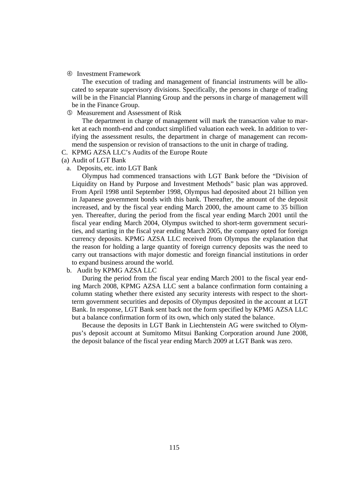Investment Framework

The execution of trading and management of financial instruments will be allocated to separate supervisory divisions. Specifically, the persons in charge of trading will be in the Financial Planning Group and the persons in charge of management will be in the Finance Group.

Measurement and Assessment of Risk

The department in charge of management will mark the transaction value to market at each month-end and conduct simplified valuation each week. In addition to verifying the assessment results, the department in charge of management can recommend the suspension or revision of transactions to the unit in charge of trading.

- C. KPMG AZSA LLC's Audits of the Europe Route
- (a) Audit of LGT Bank
	- a. Deposits, etc. into LGT Bank

Olympus had commenced transactions with LGT Bank before the "Division of Liquidity on Hand by Purpose and Investment Methods" basic plan was approved. From April 1998 until September 1998, Olympus had deposited about 21 billion yen in Japanese government bonds with this bank. Thereafter, the amount of the deposit increased, and by the fiscal year ending March 2000, the amount came to 35 billion yen. Thereafter, during the period from the fiscal year ending March 2001 until the fiscal year ending March 2004, Olympus switched to short-term government securities, and starting in the fiscal year ending March 2005, the company opted for foreign currency deposits. KPMG AZSA LLC received from Olympus the explanation that the reason for holding a large quantity of foreign currency deposits was the need to carry out transactions with major domestic and foreign financial institutions in order to expand business around the world.

#### b. Audit by KPMG AZSA LLC

During the period from the fiscal year ending March 2001 to the fiscal year ending March 2008, KPMG AZSA LLC sent a balance confirmation form containing a column stating whether there existed any security interests with respect to the shortterm government securities and deposits of Olympus deposited in the account at LGT Bank. In response, LGT Bank sent back not the form specified by KPMG AZSA LLC but a balance confirmation form of its own, which only stated the balance.

Because the deposits in LGT Bank in Liechtenstein AG were switched to Olympus's deposit account at Sumitomo Mitsui Banking Corporation around June 2008, the deposit balance of the fiscal year ending March 2009 at LGT Bank was zero.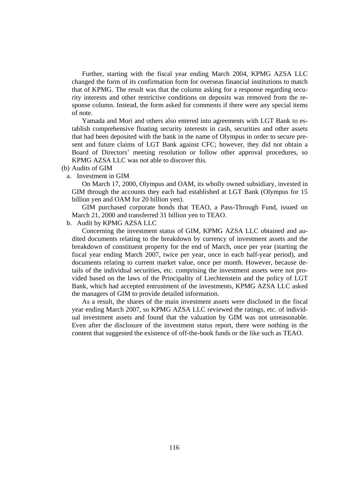Further, starting with the fiscal year ending March 2004, KPMG AZSA LLC changed the form of its confirmation form for overseas financial institutions to match that of KPMG. The result was that the column asking for a response regarding security interests and other restrictive conditions on deposits was removed from the response column. Instead, the form asked for comments if there were any special items of note.

Yamada and Mori and others also entered into agreements with LGT Bank to establish comprehensive floating security interests in cash, securities and other assets that had been deposited with the bank in the name of Olympus in order to secure present and future claims of LGT Bank against CFC; however, they did not obtain a Board of Directors' meeting resolution or follow other approval procedures, so KPMG AZSA LLC was not able to discover this.

- (b) Audits of GIM
	- a. Investment in GIM

On March 17, 2000, Olympus and OAM, its wholly owned subsidiary, invested in GIM through the accounts they each had established at LGT Bank (Olympus for 15 billion yen and OAM for 20 billion yen).

GIM purchased corporate bonds that TEAO, a Pass-Through Fund, issued on March 21, 2000 and transferred 31 billion yen to TEAO.

b. Audit by KPMG AZSA LLC

Concerning the investment status of GIM, KPMG AZSA LLC obtained and audited documents relating to the breakdown by currency of investment assets and the breakdown of constituent property for the end of March, once per year (starting the fiscal year ending March 2007, twice per year, once in each half-year period), and documents relating to current market value, once per month. However, because details of the individual securities, etc. comprising the investment assets were not provided based on the laws of the Principality of Liechtenstein and the policy of LGT Bank, which had accepted entrustment of the investments, KPMG AZSA LLC asked the managers of GIM to provide detailed information.

As a result, the shares of the main investment assets were disclosed in the fiscal year ending March 2007, so KPMG AZSA LLC reviewed the ratings, etc. of individual investment assets and found that the valuation by GIM was not unreasonable. Even after the disclosure of the investment status report, there were nothing in the content that suggested the existence of off-the-book funds or the like such as TEAO.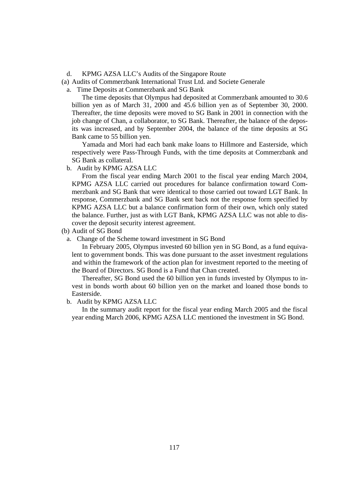d. KPMG AZSA LLC's Audits of the Singapore Route

(a) Audits of Commerzbank International Trust Ltd. and Societe Generale

a. Time Deposits at Commerzbank and SG Bank

The time deposits that Olympus had deposited at Commerzbank amounted to 30.6 billion yen as of March 31, 2000 and 45.6 billion yen as of September 30, 2000. Thereafter, the time deposits were moved to SG Bank in 2001 in connection with the job change of Chan, a collaborator, to SG Bank. Thereafter, the balance of the deposits was increased, and by September 2004, the balance of the time deposits at SG Bank came to 55 billion yen.

Yamada and Mori had each bank make loans to Hillmore and Easterside, which respectively were Pass-Through Funds, with the time deposits at Commerzbank and SG Bank as collateral.

b. Audit by KPMG AZSA LLC

From the fiscal year ending March 2001 to the fiscal year ending March 2004, KPMG AZSA LLC carried out procedures for balance confirmation toward Commerzbank and SG Bank that were identical to those carried out toward LGT Bank. In response, Commerzbank and SG Bank sent back not the response form specified by KPMG AZSA LLC but a balance confirmation form of their own, which only stated the balance. Further, just as with LGT Bank, KPMG AZSA LLC was not able to discover the deposit security interest agreement.

(b) Audit of SG Bond

a. Change of the Scheme toward investment in SG Bond

In February 2005, Olympus invested 60 billion yen in SG Bond, as a fund equivalent to government bonds. This was done pursuant to the asset investment regulations and within the framework of the action plan for investment reported to the meeting of the Board of Directors. SG Bond is a Fund that Chan created.

Thereafter, SG Bond used the 60 billion yen in funds invested by Olympus to invest in bonds worth about 60 billion yen on the market and loaned those bonds to Easterside.

b. Audit by KPMG AZSA LLC

In the summary audit report for the fiscal year ending March 2005 and the fiscal year ending March 2006, KPMG AZSA LLC mentioned the investment in SG Bond.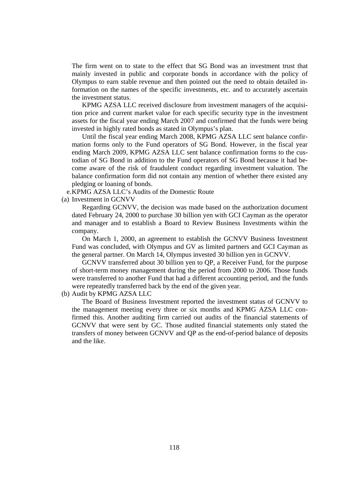The firm went on to state to the effect that SG Bond was an investment trust that mainly invested in public and corporate bonds in accordance with the policy of Olympus to earn stable revenue and then pointed out the need to obtain detailed information on the names of the specific investments, etc. and to accurately ascertain the investment status.

KPMG AZSA LLC received disclosure from investment managers of the acquisition price and current market value for each specific security type in the investment assets for the fiscal year ending March 2007 and confirmed that the funds were being invested in highly rated bonds as stated in Olympus's plan.

Until the fiscal year ending March 2008, KPMG AZSA LLC sent balance confirmation forms only to the Fund operators of SG Bond. However, in the fiscal year ending March 2009, KPMG AZSA LLC sent balance confirmation forms to the custodian of SG Bond in addition to the Fund operators of SG Bond because it had become aware of the risk of fraudulent conduct regarding investment valuation. The balance confirmation form did not contain any mention of whether there existed any pledging or loaning of bonds.

e. KPMG AZSA LLC's Audits of the Domestic Route

(a) Investment in GCNVV

Regarding GCNVV, the decision was made based on the authorization document dated February 24, 2000 to purchase 30 billion yen with GCI Cayman as the operator and manager and to establish a Board to Review Business Investments within the company.

On March 1, 2000, an agreement to establish the GCNVV Business Investment Fund was concluded, with Olympus and GV as limited partners and GCI Cayman as the general partner. On March 14, Olympus invested 30 billion yen in GCNVV.

GCNVV transferred about 30 billion yen to QP, a Receiver Fund, for the purpose of short-term money management during the period from 2000 to 2006. Those funds were transferred to another Fund that had a different accounting period, and the funds were repeatedly transferred back by the end of the given year.

(b) Audit by KPMG AZSA LLC

The Board of Business Investment reported the investment status of GCNVV to the management meeting every three or six months and KPMG AZSA LLC confirmed this. Another auditing firm carried out audits of the financial statements of GCNVV that were sent by GC. Those audited financial statements only stated the transfers of money between GCNVV and QP as the end-of-period balance of deposits and the like.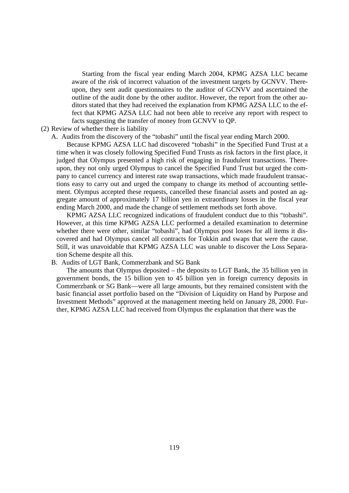Starting from the fiscal year ending March 2004, KPMG AZSA LLC became aware of the risk of incorrect valuation of the investment targets by GCNVV. Thereupon, they sent audit questionnaires to the auditor of GCNVV and ascertained the outline of the audit done by the other auditor. However, the report from the other auditors stated that they had received the explanation from KPMG AZSA LLC to the effect that KPMG AZSA LLC had not been able to receive any report with respect to facts suggesting the transfer of money from GCNVV to QP.

## (2) Review of whether there is liability

A. Audits from the discovery of the "tobashi" until the fiscal year ending March 2000.

Because KPMG AZSA LLC had discovered "tobashi" in the Specified Fund Trust at a time when it was closely following Specified Fund Trusts as risk factors in the first place, it judged that Olympus presented a high risk of engaging in fraudulent transactions. Thereupon, they not only urged Olympus to cancel the Specified Fund Trust but urged the company to cancel currency and interest rate swap transactions, which made fraudulent transactions easy to carry out and urged the company to change its method of accounting settlement. Olympus accepted these requests, cancelled these financial assets and posted an aggregate amount of approximately 17 billion yen in extraordinary losses in the fiscal year ending March 2000, and made the change of settlement methods set forth above.

KPMG AZSA LLC recognized indications of fraudulent conduct due to this "tobashi". However, at this time KPMG AZSA LLC performed a detailed examination to determine whether there were other, similar "tobashi", had Olympus post losses for all items it discovered and had Olympus cancel all contracts for Tokkin and swaps that were the cause. Still, it was unavoidable that KPMG AZSA LLC was unable to discover the Loss Separation Scheme despite all this.

## B. Audits of LGT Bank, Commerzbank and SG Bank

The amounts that Olympus deposited – the deposits to LGT Bank, the 35 billion yen in government bonds, the 15 billion yen to 45 billion yen in foreign currency deposits in Commerzbank or SG Bank—were all large amounts, but they remained consistent with the basic financial asset portfolio based on the "Division of Liquidity on Hand by Purpose and Investment Methods" approved at the management meeting held on January 28, 2000. Further, KPMG AZSA LLC had received from Olympus the explanation that there was the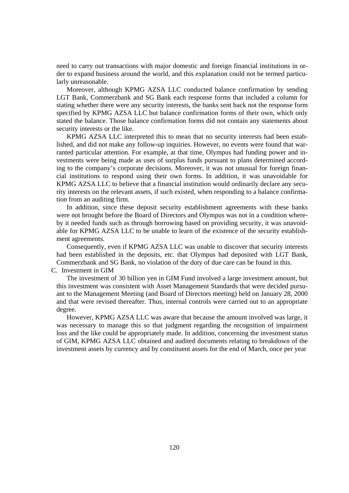need to carry out transactions with major domestic and foreign financial institutions in order to expand business around the world, and this explanation could not be termed particularly unreasonable.

Moreover, although KPMG AZSA LLC conducted balance confirmation by sending LGT Bank, Commerzbank and SG Bank each response forms that included a column for stating whether there were any security interests, the banks sent back not the response form specified by KPMG AZSA LLC but balance confirmation forms of their own, which only stated the balance. Those balance confirmation forms did not contain any statements about security interests or the like.

KPMG AZSA LLC interpreted this to mean that no security interests had been established, and did not make any follow-up inquiries. However, no events were found that warranted particular attention. For example, at that time, Olympus had funding power and investments were being made as uses of surplus funds pursuant to plans determined according to the company's corporate decisions. Moreover, it was not unusual for foreign financial institutions to respond using their own forms. In addition, it was unavoidable for KPMG AZSA LLC to believe that a financial institution would ordinarily declare any security interests on the relevant assets, if such existed, when responding to a balance confirmation from an auditing firm.

In addition, since these deposit security establishment agreements with these banks were not brought before the Board of Directors and Olympus was not in a condition whereby it needed funds such as through borrowing based on providing security, it was unavoidable for KPMG AZSA LLC to be unable to learn of the existence of the security establishment agreements.

Consequently, even if KPMG AZSA LLC was unable to discover that security interests had been established in the deposits, etc. that Olympus had deposited with LGT Bank, Commerzbank and SG Bank, no violation of the duty of due care can be found in this.

C. Investment in GIM

The investment of 30 billion yen in GIM Fund involved a large investment amount, but this investment was consistent with Asset Management Standards that were decided pursuant to the Management Meeting (and Board of Directors meeting) held on January 28, 2000 and that were revised thereafter. Thus, internal controls were carried out to an appropriate degree.

However, KPMG AZSA LLC was aware that because the amount involved was large, it was necessary to manage this so that judgment regarding the recognition of impairment loss and the like could be appropriately made. In addition, concerning the investment status of GIM, KPMG AZSA LLC obtained and audited documents relating to breakdown of the investment assets by currency and by constituent assets for the end of March, once per year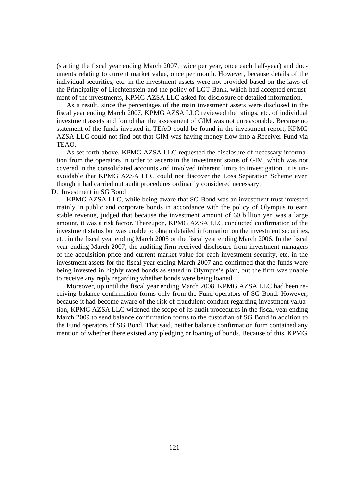(starting the fiscal year ending March 2007, twice per year, once each half-year) and documents relating to current market value, once per month. However, because details of the individual securities, etc. in the investment assets were not provided based on the laws of the Principality of Liechtenstein and the policy of LGT Bank, which had accepted entrustment of the investments, KPMG AZSA LLC asked for disclosure of detailed information.

As a result, since the percentages of the main investment assets were disclosed in the fiscal year ending March 2007, KPMG AZSA LLC reviewed the ratings, etc. of individual investment assets and found that the assessment of GIM was not unreasonable. Because no statement of the funds invested in TEAO could be found in the investment report, KPMG AZSA LLC could not find out that GIM was having money flow into a Receiver Fund via TEAO.

As set forth above, KPMG AZSA LLC requested the disclosure of necessary information from the operators in order to ascertain the investment status of GIM, which was not covered in the consolidated accounts and involved inherent limits to investigation. It is unavoidable that KPMG AZSA LLC could not discover the Loss Separation Scheme even though it had carried out audit procedures ordinarily considered necessary.

D. Investment in SG Bond

KPMG AZSA LLC, while being aware that SG Bond was an investment trust invested mainly in public and corporate bonds in accordance with the policy of Olympus to earn stable revenue, judged that because the investment amount of 60 billion yen was a large amount, it was a risk factor. Thereupon, KPMG AZSA LLC conducted confirmation of the investment status but was unable to obtain detailed information on the investment securities, etc. in the fiscal year ending March 2005 or the fiscal year ending March 2006. In the fiscal year ending March 2007, the auditing firm received disclosure from investment managers of the acquisition price and current market value for each investment security, etc. in the investment assets for the fiscal year ending March 2007 and confirmed that the funds were being invested in highly rated bonds as stated in Olympus's plan, but the firm was unable to receive any reply regarding whether bonds were being loaned.

Moreover, up until the fiscal year ending March 2008, KPMG AZSA LLC had been receiving balance confirmation forms only from the Fund operators of SG Bond. However, because it had become aware of the risk of fraudulent conduct regarding investment valuation, KPMG AZSA LLC widened the scope of its audit procedures in the fiscal year ending March 2009 to send balance confirmation forms to the custodian of SG Bond in addition to the Fund operators of SG Bond. That said, neither balance confirmation form contained any mention of whether there existed any pledging or loaning of bonds. Because of this, KPMG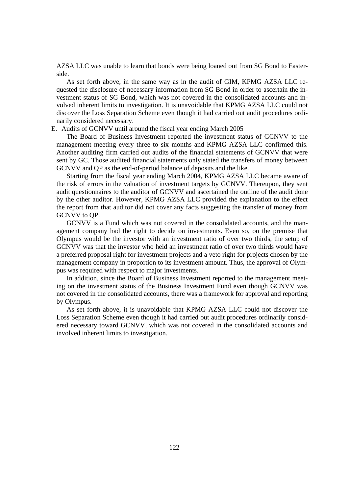AZSA LLC was unable to learn that bonds were being loaned out from SG Bond to Easterside.

As set forth above, in the same way as in the audit of GIM, KPMG AZSA LLC requested the disclosure of necessary information from SG Bond in order to ascertain the investment status of SG Bond, which was not covered in the consolidated accounts and involved inherent limits to investigation. It is unavoidable that KPMG AZSA LLC could not discover the Loss Separation Scheme even though it had carried out audit procedures ordinarily considered necessary.

#### E. Audits of GCNVV until around the fiscal year ending March 2005

The Board of Business Investment reported the investment status of GCNVV to the management meeting every three to six months and KPMG AZSA LLC confirmed this. Another auditing firm carried out audits of the financial statements of GCNVV that were sent by GC. Those audited financial statements only stated the transfers of money between GCNVV and QP as the end-of-period balance of deposits and the like.

Starting from the fiscal year ending March 2004, KPMG AZSA LLC became aware of the risk of errors in the valuation of investment targets by GCNVV. Thereupon, they sent audit questionnaires to the auditor of GCNVV and ascertained the outline of the audit done by the other auditor. However, KPMG AZSA LLC provided the explanation to the effect the report from that auditor did not cover any facts suggesting the transfer of money from GCNVV to QP.

GCNVV is a Fund which was not covered in the consolidated accounts, and the management company had the right to decide on investments. Even so, on the premise that Olympus would be the investor with an investment ratio of over two thirds, the setup of GCNVV was that the investor who held an investment ratio of over two thirds would have a preferred proposal right for investment projects and a veto right for projects chosen by the management company in proportion to its investment amount. Thus, the approval of Olympus was required with respect to major investments.

In addition, since the Board of Business Investment reported to the management meeting on the investment status of the Business Investment Fund even though GCNVV was not covered in the consolidated accounts, there was a framework for approval and reporting by Olympus.

As set forth above, it is unavoidable that KPMG AZSA LLC could not discover the Loss Separation Scheme even though it had carried out audit procedures ordinarily considered necessary toward GCNVV, which was not covered in the consolidated accounts and involved inherent limits to investigation.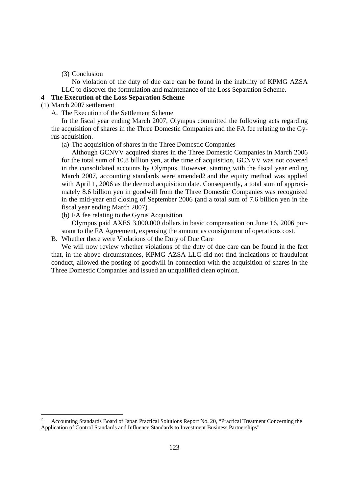(3) Conclusion

No violation of the duty of due care can be found in the inability of KPMG AZSA LLC to discover the formulation and maintenance of the Loss Separation Scheme.

## **4 The Execution of the Loss Separation Scheme**

(1) March 2007 settlement

-

A. The Execution of the Settlement Scheme

In the fiscal year ending March 2007, Olympus committed the following acts regarding the acquisition of shares in the Three Domestic Companies and the FA fee relating to the Gyrus acquisition.

(a) The acquisition of shares in the Three Domestic Companies

Although GCNVV acquired shares in the Three Domestic Companies in March 2006 for the total sum of 10.8 billion yen, at the time of acquisition, GCNVV was not covered in the consolidated accounts by Olympus. However, starting with the fiscal year ending March 2007, accounting standards were amended2 and the equity method was applied with April 1, 2006 as the deemed acquisition date. Consequently, a total sum of approximately 8.6 billion yen in goodwill from the Three Domestic Companies was recognized in the mid-year end closing of September 2006 (and a total sum of 7.6 billion yen in the fiscal year ending March 2007).

(b) FA fee relating to the Gyrus Acquisition

Olympus paid AXES 3,000,000 dollars in basic compensation on June 16, 2006 pursuant to the FA Agreement, expensing the amount as consignment of operations cost.

B. Whether there were Violations of the Duty of Due Care

We will now review whether violations of the duty of due care can be found in the fact that, in the above circumstances, KPMG AZSA LLC did not find indications of fraudulent conduct, allowed the posting of goodwill in connection with the acquisition of shares in the Three Domestic Companies and issued an unqualified clean opinion.

<sup>2</sup> Accounting Standards Board of Japan Practical Solutions Report No. 20, "Practical Treatment Concerning the Application of Control Standards and Influence Standards to Investment Business Partnerships"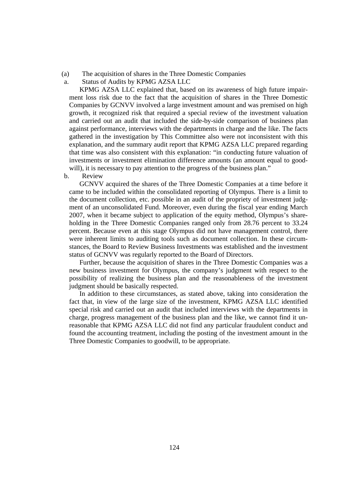- (a) The acquisition of shares in the Three Domestic Companies
- a. Status of Audits by KPMG AZSA LLC

KPMG AZSA LLC explained that, based on its awareness of high future impairment loss risk due to the fact that the acquisition of shares in the Three Domestic Companies by GCNVV involved a large investment amount and was premised on high growth, it recognized risk that required a special review of the investment valuation and carried out an audit that included the side-by-side comparison of business plan against performance, interviews with the departments in charge and the like. The facts gathered in the investigation by This Committee also were not inconsistent with this explanation, and the summary audit report that KPMG AZSA LLC prepared regarding that time was also consistent with this explanation: "in conducting future valuation of investments or investment elimination difference amounts (an amount equal to goodwill), it is necessary to pay attention to the progress of the business plan."

b. Review

GCNVV acquired the shares of the Three Domestic Companies at a time before it came to be included within the consolidated reporting of Olympus. There is a limit to the document collection, etc. possible in an audit of the propriety of investment judgment of an unconsolidated Fund. Moreover, even during the fiscal year ending March 2007, when it became subject to application of the equity method, Olympus's shareholding in the Three Domestic Companies ranged only from 28.76 percent to 33.24 percent. Because even at this stage Olympus did not have management control, there were inherent limits to auditing tools such as document collection. In these circumstances, the Board to Review Business Investments was established and the investment status of GCNVV was regularly reported to the Board of Directors.

Further, because the acquisition of shares in the Three Domestic Companies was a new business investment for Olympus, the company's judgment with respect to the possibility of realizing the business plan and the reasonableness of the investment judgment should be basically respected.

In addition to these circumstances, as stated above, taking into consideration the fact that, in view of the large size of the investment, KPMG AZSA LLC identified special risk and carried out an audit that included interviews with the departments in charge, progress management of the business plan and the like, we cannot find it unreasonable that KPMG AZSA LLC did not find any particular fraudulent conduct and found the accounting treatment, including the posting of the investment amount in the Three Domestic Companies to goodwill, to be appropriate.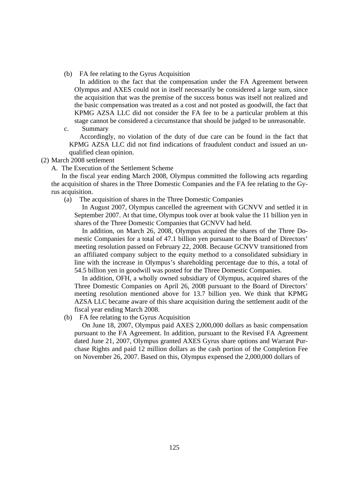(b) FA fee relating to the Gyrus Acquisition

In addition to the fact that the compensation under the FA Agreement between Olympus and AXES could not in itself necessarily be considered a large sum, since the acquisition that was the premise of the success bonus was itself not realized and the basic compensation was treated as a cost and not posted as goodwill, the fact that KPMG AZSA LLC did not consider the FA fee to be a particular problem at this stage cannot be considered a circumstance that should be judged to be unreasonable.

c. Summary

Accordingly, no violation of the duty of due care can be found in the fact that KPMG AZSA LLC did not find indications of fraudulent conduct and issued an unqualified clean opinion.

- (2) March 2008 settlement
	- A. The Execution of the Settlement Scheme

In the fiscal year ending March 2008, Olympus committed the following acts regarding the acquisition of shares in the Three Domestic Companies and the FA fee relating to the Gyrus acquisition.

(a) The acquisition of shares in the Three Domestic Companies

In August 2007, Olympus cancelled the agreement with GCNVV and settled it in September 2007. At that time, Olympus took over at book value the 11 billion yen in shares of the Three Domestic Companies that GCNVV had held.

In addition, on March 26, 2008, Olympus acquired the shares of the Three Domestic Companies for a total of 47.1 billion yen pursuant to the Board of Directors' meeting resolution passed on February 22, 2008. Because GCNVV transitioned from an affiliated company subject to the equity method to a consolidated subsidiary in line with the increase in Olympus's shareholding percentage due to this, a total of 54.5 billion yen in goodwill was posted for the Three Domestic Companies.

In addition, OFH, a wholly owned subsidiary of Olympus, acquired shares of the Three Domestic Companies on April 26, 2008 pursuant to the Board of Directors' meeting resolution mentioned above for 13.7 billion yen. We think that KPMG AZSA LLC became aware of this share acquisition during the settlement audit of the fiscal year ending March 2008.

(b) FA fee relating to the Gyrus Acquisition

On June 18, 2007, Olympus paid AXES 2,000,000 dollars as basic compensation pursuant to the FA Agreement. In addition, pursuant to the Revised FA Agreement dated June 21, 2007, Olympus granted AXES Gyrus share options and Warrant Purchase Rights and paid 12 million dollars as the cash portion of the Completion Fee on November 26, 2007. Based on this, Olympus expensed the 2,000,000 dollars of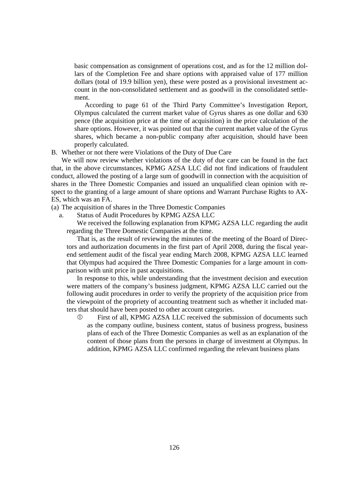basic compensation as consignment of operations cost, and as for the 12 million dollars of the Completion Fee and share options with appraised value of 177 million dollars (total of 19.9 billion yen), these were posted as a provisional investment account in the non-consolidated settlement and as goodwill in the consolidated settlement.

According to page 61 of the Third Party Committee's Investigation Report, Olympus calculated the current market value of Gyrus shares as one dollar and 630 pence (the acquisition price at the time of acquisition) in the price calculation of the share options. However, it was pointed out that the current market value of the Gyrus shares, which became a non-public company after acquisition, should have been properly calculated.

B. Whether or not there were Violations of the Duty of Due Care

We will now review whether violations of the duty of due care can be found in the fact that, in the above circumstances, KPMG AZSA LLC did not find indications of fraudulent conduct, allowed the posting of a large sum of goodwill in connection with the acquisition of shares in the Three Domestic Companies and issued an unqualified clean opinion with respect to the granting of a large amount of share options and Warrant Purchase Rights to AX-ES, which was an FA.

- (a) The acquisition of shares in the Three Domestic Companies
	- a. Status of Audit Procedures by KPMG AZSA LLC

 We received the following explanation from KPMG AZSA LLC regarding the audit regarding the Three Domestic Companies at the time.

 That is, as the result of reviewing the minutes of the meeting of the Board of Directors and authorization documents in the first part of April 2008, during the fiscal yearend settlement audit of the fiscal year ending March 2008, KPMG AZSA LLC learned that Olympus had acquired the Three Domestic Companies for a large amount in comparison with unit price in past acquisitions.

 In response to this, while understanding that the investment decision and execution were matters of the company's business judgment, KPMG AZSA LLC carried out the following audit procedures in order to verify the propriety of the acquisition price from the viewpoint of the propriety of accounting treatment such as whether it included matters that should have been posted to other account categories.

 First of all, KPMG AZSA LLC received the submission of documents such as the company outline, business content, status of business progress, business plans of each of the Three Domestic Companies as well as an explanation of the content of those plans from the persons in charge of investment at Olympus. In addition, KPMG AZSA LLC confirmed regarding the relevant business plans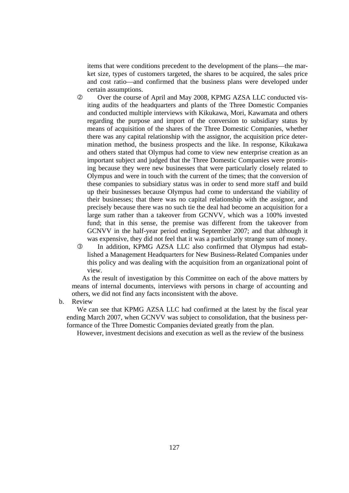items that were conditions precedent to the development of the plans—the market size, types of customers targeted, the shares to be acquired, the sales price and cost ratio—and confirmed that the business plans were developed under certain assumptions.

- Over the course of April and May 2008, KPMG AZSA LLC conducted visiting audits of the headquarters and plants of the Three Domestic Companies and conducted multiple interviews with Kikukawa, Mori, Kawamata and others regarding the purpose and import of the conversion to subsidiary status by means of acquisition of the shares of the Three Domestic Companies, whether there was any capital relationship with the assignor, the acquisition price determination method, the business prospects and the like. In response, Kikukawa and others stated that Olympus had come to view new enterprise creation as an important subject and judged that the Three Domestic Companies were promising because they were new businesses that were particularly closely related to Olympus and were in touch with the current of the times; that the conversion of these companies to subsidiary status was in order to send more staff and build up their businesses because Olympus had come to understand the viability of their businesses; that there was no capital relationship with the assignor, and precisely because there was no such tie the deal had become an acquisition for a large sum rather than a takeover from GCNVV, which was a 100% invested fund; that in this sense, the premise was different from the takeover from GCNVV in the half-year period ending September 2007; and that although it was expensive, they did not feel that it was a particularly strange sum of money.
- In addition, KPMG AZSA LLC also confirmed that Olympus had established a Management Headquarters for New Business-Related Companies under this policy and was dealing with the acquisition from an organizational point of view.

As the result of investigation by this Committee on each of the above matters by means of internal documents, interviews with persons in charge of accounting and others, we did not find any facts inconsistent with the above.

b. Review

We can see that KPMG AZSA LLC had confirmed at the latest by the fiscal year ending March 2007, when GCNVV was subject to consolidation, that the business performance of the Three Domestic Companies deviated greatly from the plan.

However, investment decisions and execution as well as the review of the business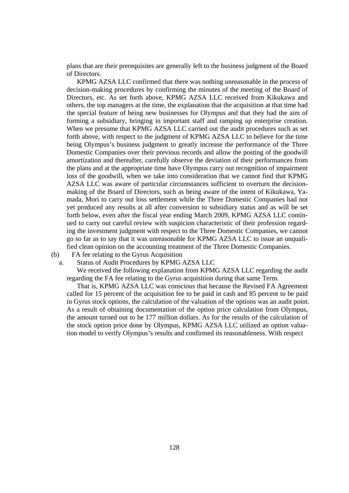plans that are their prerequisites are generally left to the business judgment of the Board of Directors.

KPMG AZSA LLC confirmed that there was nothing unreasonable in the process of decision-making procedures by confirming the minutes of the meeting of the Board of Directors, etc. As set forth above, KPMG AZSA LLC received from Kikukawa and others, the top managers at the time, the explanation that the acquisition at that time had the special feature of being new businesses for Olympus and that they had the aim of forming a subsidiary, bringing in important staff and ramping up enterprise creation. When we presume that KPMG AZSA LLC carried out the audit procedures such as set forth above, with respect to the judgment of KPMG AZSA LLC to believe for the time being Olympus's business judgment to greatly increase the performance of the Three Domestic Companies over their previous records and allow the posting of the goodwill amortization and thereafter, carefully observe the deviation of their performances from the plans and at the appropriate time have Olympus carry out recognition of impairment loss of the goodwill, when we take into consideration that we cannot find that KPMG AZSA LLC was aware of particular circumstances sufficient to overturn the decisionmaking of the Board of Directors, such as being aware of the intent of Kikukawa, Yamada, Mori to carry out loss settlement while the Three Domestic Companies had not yet produced any results at all after conversion to subsidiary status and as will be set forth below, even after the fiscal year ending March 2009, KPMG AZSA LLC continued to carry out careful review with suspicion characteristic of their profession regarding the investment judgment with respect to the Three Domestic Companies, we cannot go so far as to say that it was unreasonable for KPMG AZSA LLC to issue an unqualified clean opinion on the accounting treatment of the Three Domestic Companies.

(b) FA fee relating to the Gyrus Acquisition

a. Status of Audit Procedures by KPMG AZSA LLC

We received the following explanation from KPMG AZSA LLC regarding the audit regarding the FA fee relating to the Gyrus acquisition during that same Term.

That is, KPMG AZSA LLC was conscious that because the Revised FA Agreement called for 15 percent of the acquisition fee to be paid in cash and 85 percent to be paid in Gyrus stock options, the calculation of the valuation of the options was an audit point. As a result of obtaining documentation of the option price calculation from Olympus, the amount turned out to be 177 million dollars. As for the results of the calculation of the stock option price done by Olympus, KPMG AZSA LLC utilized an option valuation model to verify Olympus's results and confirmed its reasonableness. With respect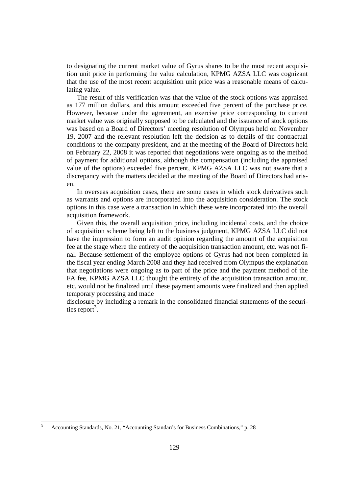to designating the current market value of Gyrus shares to be the most recent acquisition unit price in performing the value calculation, KPMG AZSA LLC was cognizant that the use of the most recent acquisition unit price was a reasonable means of calculating value.

The result of this verification was that the value of the stock options was appraised as 177 million dollars, and this amount exceeded five percent of the purchase price. However, because under the agreement, an exercise price corresponding to current market value was originally supposed to be calculated and the issuance of stock options was based on a Board of Directors' meeting resolution of Olympus held on November 19, 2007 and the relevant resolution left the decision as to details of the contractual conditions to the company president, and at the meeting of the Board of Directors held on February 22, 2008 it was reported that negotiations were ongoing as to the method of payment for additional options, although the compensation (including the appraised value of the options) exceeded five percent, KPMG AZSA LLC was not aware that a discrepancy with the matters decided at the meeting of the Board of Directors had arisen.

In overseas acquisition cases, there are some cases in which stock derivatives such as warrants and options are incorporated into the acquisition consideration. The stock options in this case were a transaction in which these were incorporated into the overall acquisition framework.

Given this, the overall acquisition price, including incidental costs, and the choice of acquisition scheme being left to the business judgment, KPMG AZSA LLC did not have the impression to form an audit opinion regarding the amount of the acquisition fee at the stage where the entirety of the acquisition transaction amount, etc. was not final. Because settlement of the employee options of Gyrus had not been completed in the fiscal year ending March 2008 and they had received from Olympus the explanation that negotiations were ongoing as to part of the price and the payment method of the FA fee, KPMG AZSA LLC thought the entirety of the acquisition transaction amount, etc. would not be finalized until these payment amounts were finalized and then applied temporary processing and made

disclosure by including a remark in the consolidated financial statements of the securities report<sup>3</sup>.

-

<sup>3</sup> Accounting Standards, No. 21, "Accounting Standards for Business Combinations," p. 28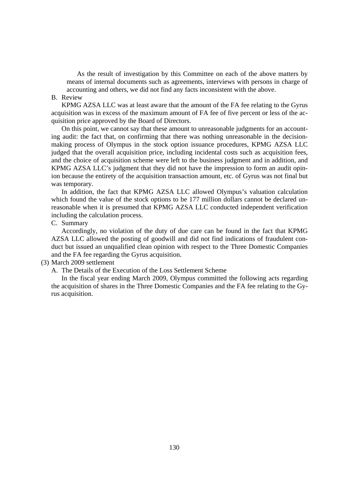As the result of investigation by this Committee on each of the above matters by means of internal documents such as agreements, interviews with persons in charge of accounting and others, we did not find any facts inconsistent with the above.

### B. Review

KPMG AZSA LLC was at least aware that the amount of the FA fee relating to the Gyrus acquisition was in excess of the maximum amount of FA fee of five percent or less of the acquisition price approved by the Board of Directors.

On this point, we cannot say that these amount to unreasonable judgments for an accounting audit: the fact that, on confirming that there was nothing unreasonable in the decisionmaking process of Olympus in the stock option issuance procedures, KPMG AZSA LLC judged that the overall acquisition price, including incidental costs such as acquisition fees, and the choice of acquisition scheme were left to the business judgment and in addition, and KPMG AZSA LLC's judgment that they did not have the impression to form an audit opinion because the entirety of the acquisition transaction amount, etc. of Gyrus was not final but was temporary.

In addition, the fact that KPMG AZSA LLC allowed Olympus's valuation calculation which found the value of the stock options to be 177 million dollars cannot be declared unreasonable when it is presumed that KPMG AZSA LLC conducted independent verification including the calculation process.

#### C. Summary

Accordingly, no violation of the duty of due care can be found in the fact that KPMG AZSA LLC allowed the posting of goodwill and did not find indications of fraudulent conduct but issued an unqualified clean opinion with respect to the Three Domestic Companies and the FA fee regarding the Gyrus acquisition.

# (3) March 2009 settlement

A. The Details of the Execution of the Loss Settlement Scheme

In the fiscal year ending March 2009, Olympus committed the following acts regarding the acquisition of shares in the Three Domestic Companies and the FA fee relating to the Gyrus acquisition.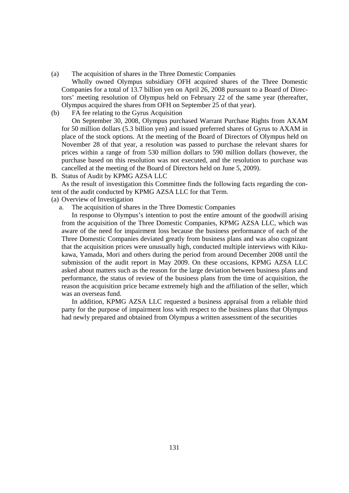(a) The acquisition of shares in the Three Domestic Companies

Wholly owned Olympus subsidiary OFH acquired shares of the Three Domestic Companies for a total of 13.7 billion yen on April 26, 2008 pursuant to a Board of Directors' meeting resolution of Olympus held on February 22 of the same year (thereafter, Olympus acquired the shares from OFH on September 25 of that year).

(b) FA fee relating to the Gyrus Acquisition

On September 30, 2008, Olympus purchased Warrant Purchase Rights from AXAM for 50 million dollars (5.3 billion yen) and issued preferred shares of Gyrus to AXAM in place of the stock options. At the meeting of the Board of Directors of Olympus held on November 28 of that year, a resolution was passed to purchase the relevant shares for prices within a range of from 530 million dollars to 590 million dollars (however, the purchase based on this resolution was not executed, and the resolution to purchase was cancelled at the meeting of the Board of Directors held on June 5, 2009).

B. Status of Audit by KPMG AZSA LLC

As the result of investigation this Committee finds the following facts regarding the content of the audit conducted by KPMG AZSA LLC for that Term.

(a) Overview of Investigation

a. The acquisition of shares in the Three Domestic Companies

In response to Olympus's intention to post the entire amount of the goodwill arising from the acquisition of the Three Domestic Companies, KPMG AZSA LLC, which was aware of the need for impairment loss because the business performance of each of the Three Domestic Companies deviated greatly from business plans and was also cognizant that the acquisition prices were unusually high, conducted multiple interviews with Kikukawa, Yamada, Mori and others during the period from around December 2008 until the submission of the audit report in May 2009. On these occasions, KPMG AZSA LLC asked about matters such as the reason for the large deviation between business plans and performance, the status of review of the business plans from the time of acquisition, the reason the acquisition price became extremely high and the affiliation of the seller, which was an overseas fund.

In addition, KPMG AZSA LLC requested a business appraisal from a reliable third party for the purpose of impairment loss with respect to the business plans that Olympus had newly prepared and obtained from Olympus a written assessment of the securities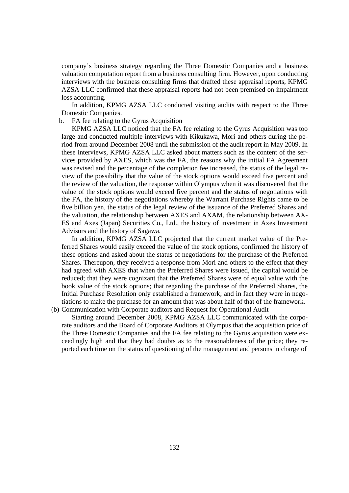company's business strategy regarding the Three Domestic Companies and a business valuation computation report from a business consulting firm. However, upon conducting interviews with the business consulting firms that drafted these appraisal reports, KPMG AZSA LLC confirmed that these appraisal reports had not been premised on impairment loss accounting.

In addition, KPMG AZSA LLC conducted visiting audits with respect to the Three Domestic Companies.

b. FA fee relating to the Gyrus Acquisition

KPMG AZSA LLC noticed that the FA fee relating to the Gyrus Acquisition was too large and conducted multiple interviews with Kikukawa, Mori and others during the period from around December 2008 until the submission of the audit report in May 2009. In these interviews, KPMG AZSA LLC asked about matters such as the content of the services provided by AXES, which was the FA, the reasons why the initial FA Agreement was revised and the percentage of the completion fee increased, the status of the legal review of the possibility that the value of the stock options would exceed five percent and the review of the valuation, the response within Olympus when it was discovered that the value of the stock options would exceed five percent and the status of negotiations with the FA, the history of the negotiations whereby the Warrant Purchase Rights came to be five billion yen, the status of the legal review of the issuance of the Preferred Shares and the valuation, the relationship between AXES and AXAM, the relationship between AX-ES and Axes (Japan) Securities Co., Ltd., the history of investment in Axes Investment Advisors and the history of Sagawa.

In addition, KPMG AZSA LLC projected that the current market value of the Preferred Shares would easily exceed the value of the stock options, confirmed the history of these options and asked about the status of negotiations for the purchase of the Preferred Shares. Thereupon, they received a response from Mori and others to the effect that they had agreed with AXES that when the Preferred Shares were issued, the capital would be reduced; that they were cognizant that the Preferred Shares were of equal value with the book value of the stock options; that regarding the purchase of the Preferred Shares, the Initial Purchase Resolution only established a framework; and in fact they were in negotiations to make the purchase for an amount that was about half of that of the framework.

(b) Communication with Corporate auditors and Request for Operational Audit

Starting around December 2008, KPMG AZSA LLC communicated with the corporate auditors and the Board of Corporate Auditors at Olympus that the acquisition price of the Three Domestic Companies and the FA fee relating to the Gyrus acquisition were exceedingly high and that they had doubts as to the reasonableness of the price; they reported each time on the status of questioning of the management and persons in charge of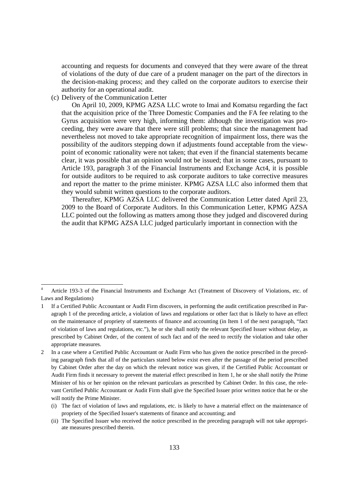accounting and requests for documents and conveyed that they were aware of the threat of violations of the duty of due care of a prudent manager on the part of the directors in the decision-making process; and they called on the corporate auditors to exercise their authority for an operational audit.

(c) Delivery of the Communication Letter

-

On April 10, 2009, KPMG AZSA LLC wrote to Imai and Komatsu regarding the fact that the acquisition price of the Three Domestic Companies and the FA fee relating to the Gyrus acquisition were very high, informing them: although the investigation was proceeding, they were aware that there were still problems; that since the management had nevertheless not moved to take appropriate recognition of impairment loss, there was the possibility of the auditors stepping down if adjustments found acceptable from the viewpoint of economic rationality were not taken; that even if the financial statements became clear, it was possible that an opinion would not be issued; that in some cases, pursuant to Article 193, paragraph 3 of the Financial Instruments and Exchange Act4, it is possible for outside auditors to be required to ask corporate auditors to take corrective measures and report the matter to the prime minister. KPMG AZSA LLC also informed them that they would submit written questions to the corporate auditors.

Thereafter, KPMG AZSA LLC delivered the Communication Letter dated April 23, 2009 to the Board of Corporate Auditors. In this Communication Letter, KPMG AZSA LLC pointed out the following as matters among those they judged and discovered during the audit that KPMG AZSA LLC judged particularly important in connection with the

<sup>4</sup> Article 193-3 of the Financial Instruments and Exchange Act (Treatment of Discovery of Violations, etc. of Laws and Regulations)

<sup>1</sup> If a Certified Public Accountant or Audit Firm discovers, in performing the audit certification prescribed in Paragraph 1 of the preceding article, a violation of laws and regulations or other fact that is likely to have an effect on the maintenance of propriety of statements of finance and accounting (in Item 1 of the next paragraph, "fact of violation of laws and regulations, etc."), he or she shall notify the relevant Specified Issuer without delay, as prescribed by Cabinet Order, of the content of such fact and of the need to rectify the violation and take other appropriate measures.

<sup>2</sup> In a case where a Certified Public Accountant or Audit Firm who has given the notice prescribed in the preceding paragraph finds that all of the particulars stated below exist even after the passage of the period prescribed by Cabinet Order after the day on which the relevant notice was given, if the Certified Public Accountant or Audit Firm finds it necessary to prevent the material effect prescribed in Item 1, he or she shall notify the Prime Minister of his or her opinion on the relevant particulars as prescribed by Cabinet Order. In this case, the relevant Certified Public Accountant or Audit Firm shall give the Specified Issuer prior written notice that he or she will notify the Prime Minister.

<sup>(</sup>i) The fact of violation of laws and regulations, etc. is likely to have a material effect on the maintenance of propriety of the Specified Issuer's statements of finance and accounting; and

<sup>(</sup>ii) The Specified Issuer who received the notice prescribed in the preceding paragraph will not take appropriate measures prescribed therein.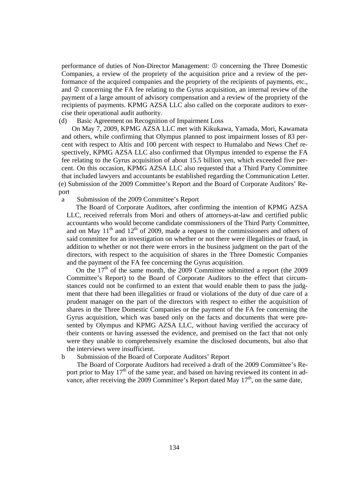performance of duties of Non-Director Management:  $\Phi$  concerning the Three Domestic Companies, a review of the propriety of the acquisition price and a review of the performance of the acquired companies and the propriety of the recipients of payments, etc., and  $\oslash$  concerning the FA fee relating to the Gyrus acquisition, an internal review of the payment of a large amount of advisory compensation and a review of the propriety of the recipients of payments. KPMG AZSA LLC also called on the corporate auditors to exercise their operational audit authority.

## (d) Basic Agreement on Recognition of Impairment Loss

On May 7, 2009, KPMG AZSA LLC met with Kikukawa, Yamada, Mori, Kawamata and others, while confirming that Olympus planned to post impairment losses of 83 percent with respect to Altis and 100 percent with respect to Humalabo and News Chef respectively, KPMG AZSA LLC also confirmed that Olympus intended to expense the FA fee relating to the Gyrus acquisition of about 15.5 billion yen, which exceeded five percent. On this occasion, KPMG AZSA LLC also requested that a Third Party Committee that included lawyers and accountants be established regarding the Communication Letter. (e) Submission of the 2009 Committee's Report and the Board of Corporate Auditors' Report

#### a Submission of the 2009 Committee's Report

The Board of Corporate Auditors, after confirming the intention of KPMG AZSA LLC, received referrals from Mori and others of attorneys-at-law and certified public accountants who would become candidate commissioners of the Third Party Committee, and on May  $11<sup>th</sup>$  and  $12<sup>th</sup>$  of 2009, made a request to the commissioners and others of said committee for an investigation on whether or not there were illegalities or fraud, in addition to whether or not there were errors in the business judgment on the part of the directors, with respect to the acquisition of shares in the Three Domestic Companies and the payment of the FA fee concerning the Gyrus acquisition.

On the  $17<sup>th</sup>$  of the same month, the 2009 Committee submitted a report (the 2009 Committee's Report) to the Board of Corporate Auditors to the effect that circumstances could not be confirmed to an extent that would enable them to pass the judgment that there had been illegalities or fraud or violations of the duty of due care of a prudent manager on the part of the directors with respect to either the acquisition of shares in the Three Domestic Companies or the payment of the FA fee concerning the Gyrus acquisition, which was based only on the facts and documents that were presented by Olympus and KPMG AZSA LLC, without having verified the accuracy of their contents or having assessed the evidence, and premised on the fact that not only were they unable to comprehensively examine the disclosed documents, but also that the interviews were insufficient.

## b Submission of the Board of Corporate Auditors' Report

The Board of Corporate Auditors had received a draft of the 2009 Committee's Report prior to May  $17<sup>th</sup>$  of the same year, and based on having reviewed its content in advance, after receiving the 2009 Committee's Report dated May  $17<sup>th</sup>$ , on the same date,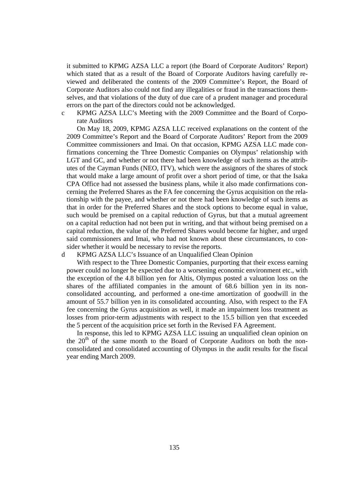it submitted to KPMG AZSA LLC a report (the Board of Corporate Auditors' Report) which stated that as a result of the Board of Corporate Auditors having carefully reviewed and deliberated the contents of the 2009 Committee's Report, the Board of Corporate Auditors also could not find any illegalities or fraud in the transactions themselves, and that violations of the duty of due care of a prudent manager and procedural errors on the part of the directors could not be acknowledged.

c KPMG AZSA LLC's Meeting with the 2009 Committee and the Board of Corporate Auditors

On May 18, 2009, KPMG AZSA LLC received explanations on the content of the 2009 Committee's Report and the Board of Corporate Auditors' Report from the 2009 Committee commissioners and Imai. On that occasion, KPMG AZSA LLC made confirmations concerning the Three Domestic Companies on Olympus' relationship with LGT and GC, and whether or not there had been knowledge of such items as the attributes of the Cayman Funds (NEO, ITV), which were the assignors of the shares of stock that would make a large amount of profit over a short period of time, or that the Isaka CPA Office had not assessed the business plans, while it also made confirmations concerning the Preferred Shares as the FA fee concerning the Gyrus acquisition on the relationship with the payee, and whether or not there had been knowledge of such items as that in order for the Preferred Shares and the stock options to become equal in value, such would be premised on a capital reduction of Gyrus, but that a mutual agreement on a capital reduction had not been put in writing, and that without being premised on a capital reduction, the value of the Preferred Shares would become far higher, and urged said commissioners and Imai, who had not known about these circumstances, to consider whether it would be necessary to revise the reports.

### d KPMG AZSA LLC's Issuance of an Unqualified Clean Opinion

With respect to the Three Domestic Companies, purporting that their excess earning power could no longer be expected due to a worsening economic environment etc., with the exception of the 4.8 billion yen for Altis, Olympus posted a valuation loss on the shares of the affiliated companies in the amount of 68.6 billion yen in its nonconsolidated accounting, and performed a one-time amortization of goodwill in the amount of 55.7 billion yen in its consolidated accounting. Also, with respect to the FA fee concerning the Gyrus acquisition as well, it made an impairment loss treatment as losses from prior-term adjustments with respect to the 15.5 billion yen that exceeded the 5 percent of the acquisition price set forth in the Revised FA Agreement.

In response, this led to KPMG AZSA LLC issuing an unqualified clean opinion on the  $20<sup>th</sup>$  of the same month to the Board of Corporate Auditors on both the nonconsolidated and consolidated accounting of Olympus in the audit results for the fiscal year ending March 2009.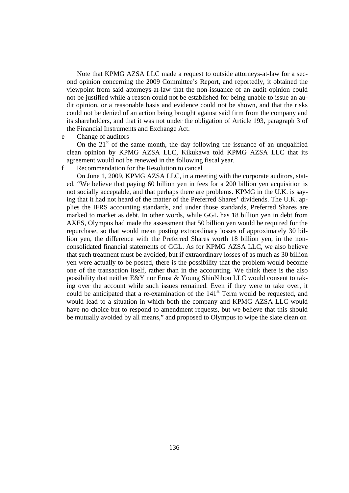Note that KPMG AZSA LLC made a request to outside attorneys-at-law for a second opinion concerning the 2009 Committee's Report, and reportedly, it obtained the viewpoint from said attorneys-at-law that the non-issuance of an audit opinion could not be justified while a reason could not be established for being unable to issue an audit opinion, or a reasonable basis and evidence could not be shown, and that the risks could not be denied of an action being brought against said firm from the company and its shareholders, and that it was not under the obligation of Article 193, paragraph 3 of the Financial Instruments and Exchange Act.

e Change of auditors

On the  $21<sup>st</sup>$  of the same month, the day following the issuance of an unqualified clean opinion by KPMG AZSA LLC, Kikukawa told KPMG AZSA LLC that its agreement would not be renewed in the following fiscal year.

f Recommendation for the Resolution to cancel

On June 1, 2009, KPMG AZSA LLC, in a meeting with the corporate auditors, stated, "We believe that paying 60 billion yen in fees for a 200 billion yen acquisition is not socially acceptable, and that perhaps there are problems. KPMG in the U.K. is saying that it had not heard of the matter of the Preferred Shares' dividends. The U.K. applies the IFRS accounting standards, and under those standards, Preferred Shares are marked to market as debt. In other words, while GGL has 18 billion yen in debt from AXES, Olympus had made the assessment that 50 billion yen would be required for the repurchase, so that would mean posting extraordinary losses of approximately 30 billion yen, the difference with the Preferred Shares worth 18 billion yen, in the nonconsolidated financial statements of GGL. As for KPMG AZSA LLC, we also believe that such treatment must be avoided, but if extraordinary losses of as much as 30 billion yen were actually to be posted, there is the possibility that the problem would become one of the transaction itself, rather than in the accounting. We think there is the also possibility that neither E&Y nor Ernst & Young ShinNihon LLC would consent to taking over the account while such issues remained. Even if they were to take over, it could be anticipated that a re-examination of the 141<sup>st</sup> Term would be requested, and would lead to a situation in which both the company and KPMG AZSA LLC would have no choice but to respond to amendment requests, but we believe that this should be mutually avoided by all means," and proposed to Olympus to wipe the slate clean on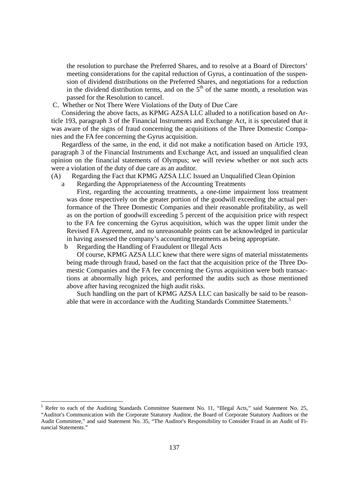the resolution to purchase the Preferred Shares, and to resolve at a Board of Directors' meeting considerations for the capital reduction of Gyrus, a continuation of the suspension of dividend distributions on the Preferred Shares, and negotiations for a reduction in the dividend distribution terms, and on the  $5<sup>th</sup>$  of the same month, a resolution was passed for the Resolution to cancel.

C. Whether or Not There Were Violations of the Duty of Due Care

Considering the above facts, as KPMG AZSA LLC alluded to a notification based on Article 193, paragraph 3 of the Financial Instruments and Exchange Act, it is speculated that it was aware of the signs of fraud concerning the acquisitions of the Three Domestic Companies and the FA fee concerning the Gyrus acquisition.

Regardless of the same, in the end, it did not make a notification based on Article 193, paragraph 3 of the Financial Instruments and Exchange Act, and issued an unqualified clean opinion on the financial statements of Olympus; we will review whether or not such acts were a violation of the duty of due care as an auditor.

- (A) Regarding the Fact that KPMG AZSA LLC Issued an Unqualified Clean Opinion
	- a Regarding the Appropriateness of the Accounting Treatments

First, regarding the accounting treatments, a one-time impairment loss treatment was done respectively on the greater portion of the goodwill exceeding the actual performance of the Three Domestic Companies and their reasonable profitability, as well as on the portion of goodwill exceeding 5 percent of the acquisition price with respect to the FA fee concerning the Gyrus acquisition, which was the upper limit under the Revised FA Agreement, and no unreasonable points can be acknowledged in particular in having assessed the company's accounting treatments as being appropriate.

b Regarding the Handling of Fraudulent or Illegal Acts

-

Of course, KPMG AZSA LLC knew that there were signs of material misstatements being made through fraud, based on the fact that the acquisition price of the Three Domestic Companies and the FA fee concerning the Gyrus acquisition were both transactions at abnormally high prices, and performed the audits such as those mentioned above after having recognized the high audit risks.

Such handling on the part of KPMG AZSA LLC can basically be said to be reasonable that were in accordance with the Auditing Standards Committee Statements.<sup>5</sup>

<sup>&</sup>lt;sup>5</sup> Refer to each of the Auditing Standards Committee Statement No. 11, "Illegal Acts," said Statement No. 25, "Auditor's Communication with the Corporate Statutory Auditor, the Board of Corporate Statutory Auditors or the Audit Committee," and said Statement No. 35, "The Auditor's Responsibility to Consider Fraud in an Audit of Financial Statements."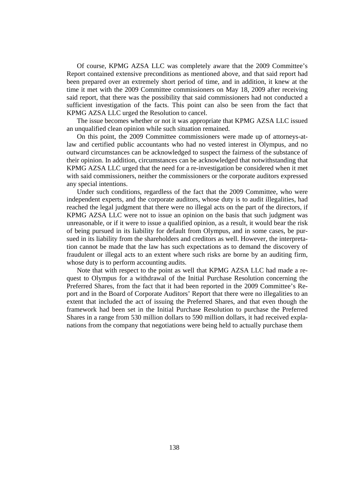Of course, KPMG AZSA LLC was completely aware that the 2009 Committee's Report contained extensive preconditions as mentioned above, and that said report had been prepared over an extremely short period of time, and in addition, it knew at the time it met with the 2009 Committee commissioners on May 18, 2009 after receiving said report, that there was the possibility that said commissioners had not conducted a sufficient investigation of the facts. This point can also be seen from the fact that KPMG AZSA LLC urged the Resolution to cancel.

The issue becomes whether or not it was appropriate that KPMG AZSA LLC issued an unqualified clean opinion while such situation remained.

On this point, the 2009 Committee commissioners were made up of attorneys-atlaw and certified public accountants who had no vested interest in Olympus, and no outward circumstances can be acknowledged to suspect the fairness of the substance of their opinion. In addition, circumstances can be acknowledged that notwithstanding that KPMG AZSA LLC urged that the need for a re-investigation be considered when it met with said commissioners, neither the commissioners or the corporate auditors expressed any special intentions.

Under such conditions, regardless of the fact that the 2009 Committee, who were independent experts, and the corporate auditors, whose duty is to audit illegalities, had reached the legal judgment that there were no illegal acts on the part of the directors, if KPMG AZSA LLC were not to issue an opinion on the basis that such judgment was unreasonable, or if it were to issue a qualified opinion, as a result, it would bear the risk of being pursued in its liability for default from Olympus, and in some cases, be pursued in its liability from the shareholders and creditors as well. However, the interpretation cannot be made that the law has such expectations as to demand the discovery of fraudulent or illegal acts to an extent where such risks are borne by an auditing firm, whose duty is to perform accounting audits.

Note that with respect to the point as well that KPMG AZSA LLC had made a request to Olympus for a withdrawal of the Initial Purchase Resolution concerning the Preferred Shares, from the fact that it had been reported in the 2009 Committee's Report and in the Board of Corporate Auditors' Report that there were no illegalities to an extent that included the act of issuing the Preferred Shares, and that even though the framework had been set in the Initial Purchase Resolution to purchase the Preferred Shares in a range from 530 million dollars to 590 million dollars, it had received explanations from the company that negotiations were being held to actually purchase them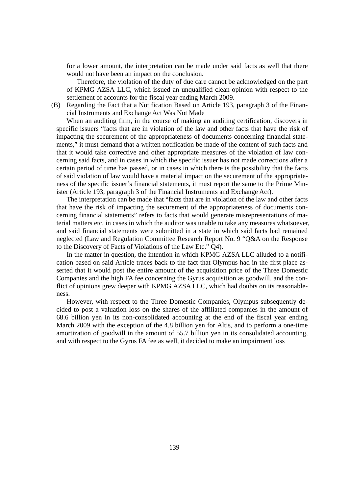for a lower amount, the interpretation can be made under said facts as well that there would not have been an impact on the conclusion.

Therefore, the violation of the duty of due care cannot be acknowledged on the part of KPMG AZSA LLC, which issued an unqualified clean opinion with respect to the settlement of accounts for the fiscal year ending March 2009.

(B) Regarding the Fact that a Notification Based on Article 193, paragraph 3 of the Financial Instruments and Exchange Act Was Not Made

When an auditing firm, in the course of making an auditing certification, discovers in specific issuers "facts that are in violation of the law and other facts that have the risk of impacting the securement of the appropriateness of documents concerning financial statements," it must demand that a written notification be made of the content of such facts and that it would take corrective and other appropriate measures of the violation of law concerning said facts, and in cases in which the specific issuer has not made corrections after a certain period of time has passed, or in cases in which there is the possibility that the facts of said violation of law would have a material impact on the securement of the appropriateness of the specific issuer's financial statements, it must report the same to the Prime Minister (Article 193, paragraph 3 of the Financial Instruments and Exchange Act).

The interpretation can be made that "facts that are in violation of the law and other facts that have the risk of impacting the securement of the appropriateness of documents concerning financial statements" refers to facts that would generate misrepresentations of material matters etc. in cases in which the auditor was unable to take any measures whatsoever, and said financial statements were submitted in a state in which said facts had remained neglected (Law and Regulation Committee Research Report No. 9 "Q&A on the Response to the Discovery of Facts of Violations of the Law Etc." Q4).

In the matter in question, the intention in which KPMG AZSA LLC alluded to a notification based on said Article traces back to the fact that Olympus had in the first place asserted that it would post the entire amount of the acquisition price of the Three Domestic Companies and the high FA fee concerning the Gyrus acquisition as goodwill, and the conflict of opinions grew deeper with KPMG AZSA LLC, which had doubts on its reasonableness.

However, with respect to the Three Domestic Companies, Olympus subsequently decided to post a valuation loss on the shares of the affiliated companies in the amount of 68.6 billion yen in its non-consolidated accounting at the end of the fiscal year ending March 2009 with the exception of the 4.8 billion yen for Altis, and to perform a one-time amortization of goodwill in the amount of 55.7 billion yen in its consolidated accounting, and with respect to the Gyrus FA fee as well, it decided to make an impairment loss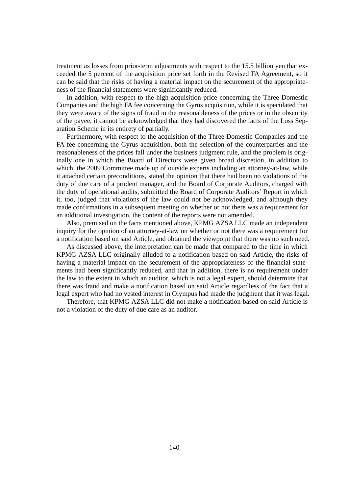treatment as losses from prior-term adjustments with respect to the 15.5 billion yen that exceeded the 5 percent of the acquisition price set forth in the Revised FA Agreement, so it can be said that the risks of having a material impact on the securement of the appropriateness of the financial statements were significantly reduced.

In addition, with respect to the high acquisition price concerning the Three Domestic Companies and the high FA fee concerning the Gyrus acquisition, while it is speculated that they were aware of the signs of fraud in the reasonableness of the prices or in the obscurity of the payee, it cannot be acknowledged that they had discovered the facts of the Loss Separation Scheme in its entirety of partially.

Furthermore, with respect to the acquisition of the Three Domestic Companies and the FA fee concerning the Gyrus acquisition, both the selection of the counterparties and the reasonableness of the prices fall under the business judgment rule, and the problem is originally one in which the Board of Directors were given broad discretion, in addition to which, the 2009 Committee made up of outside experts including an attorney-at-law, while it attached certain preconditions, stated the opinion that there had been no violations of the duty of due care of a prudent manager, and the Board of Corporate Auditors, charged with the duty of operational audits, submitted the Board of Corporate Auditors' Report in which it, too, judged that violations of the law could not be acknowledged, and although they made confirmations in a subsequent meeting on whether or not there was a requirement for an additional investigation, the content of the reports were not amended.

Also, premised on the facts mentioned above, KPMG AZSA LLC made an independent inquiry for the opinion of an attorney-at-law on whether or not there was a requirement for a notification based on said Article, and obtained the viewpoint that there was no such need.

As discussed above, the interpretation can be made that compared to the time in which KPMG AZSA LLC originally alluded to a notification based on said Article, the risks of having a material impact on the securement of the appropriateness of the financial statements had been significantly reduced, and that in addition, there is no requirement under the law to the extent in which an auditor, which is not a legal expert, should determine that there was fraud and make a notification based on said Article regardless of the fact that a legal expert who had no vested interest in Olympus had made the judgment that it was legal.

Therefore, that KPMG AZSA LLC did not make a notification based on said Article is not a violation of the duty of due care as an auditor.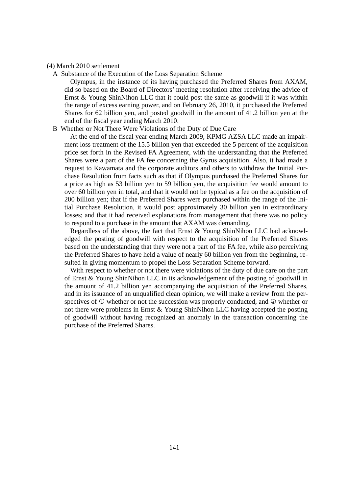#### (4) March 2010 settlement

A Substance of the Execution of the Loss Separation Scheme

Olympus, in the instance of its having purchased the Preferred Shares from AXAM, did so based on the Board of Directors' meeting resolution after receiving the advice of Ernst & Young ShinNihon LLC that it could post the same as goodwill if it was within the range of excess earning power, and on February 26, 2010, it purchased the Preferred Shares for 62 billion yen, and posted goodwill in the amount of 41.2 billion yen at the end of the fiscal year ending March 2010.

#### B Whether or Not There Were Violations of the Duty of Due Care

At the end of the fiscal year ending March 2009, KPMG AZSA LLC made an impairment loss treatment of the 15.5 billion yen that exceeded the 5 percent of the acquisition price set forth in the Revised FA Agreement, with the understanding that the Preferred Shares were a part of the FA fee concerning the Gyrus acquisition. Also, it had made a request to Kawamata and the corporate auditors and others to withdraw the Initial Purchase Resolution from facts such as that if Olympus purchased the Preferred Shares for a price as high as 53 billion yen to 59 billion yen, the acquisition fee would amount to over 60 billion yen in total, and that it would not be typical as a fee on the acquisition of 200 billion yen; that if the Preferred Shares were purchased within the range of the Initial Purchase Resolution, it would post approximately 30 billion yen in extraordinary losses; and that it had received explanations from management that there was no policy to respond to a purchase in the amount that AXAM was demanding.

Regardless of the above, the fact that Ernst & Young ShinNihon LLC had acknowledged the posting of goodwill with respect to the acquisition of the Preferred Shares based on the understanding that they were not a part of the FA fee, while also perceiving the Preferred Shares to have held a value of nearly 60 billion yen from the beginning, resulted in giving momentum to propel the Loss Separation Scheme forward.

With respect to whether or not there were violations of the duty of due care on the part of Ernst & Young ShinNihon LLC in its acknowledgement of the posting of goodwill in the amount of 41.2 billion yen accompanying the acquisition of the Preferred Shares, and in its issuance of an unqualified clean opinion, we will make a review from the perspectives of  $\Phi$  whether or not the succession was properly conducted, and  $\Phi$  whether or not there were problems in Ernst & Young ShinNihon LLC having accepted the posting of goodwill without having recognized an anomaly in the transaction concerning the purchase of the Preferred Shares.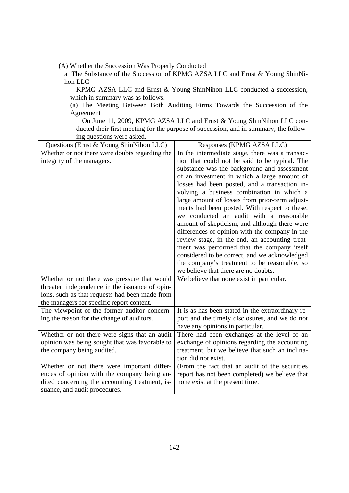(A) Whether the Succession Was Properly Conducted

a The Substance of the Succession of KPMG AZSA LLC and Ernst & Young ShinNihon LLC

KPMG AZSA LLC and Ernst & Young ShinNihon LLC conducted a succession, which in summary was as follows.

(a) The Meeting Between Both Auditing Firms Towards the Succession of the Agreement

On June 11, 2009, KPMG AZSA LLC and Ernst & Young ShinNihon LLC conducted their first meeting for the purpose of succession, and in summary, the following questions were asked.

| Questions (Ernst & Young ShinNihon LLC)        | Responses (KPMG AZSA LLC)                         |
|------------------------------------------------|---------------------------------------------------|
| Whether or not there were doubts regarding the | In the intermediate stage, there was a transac-   |
| integrity of the managers.                     | tion that could not be said to be typical. The    |
|                                                | substance was the background and assessment       |
|                                                | of an investment in which a large amount of       |
|                                                | losses had been posted, and a transaction in-     |
|                                                | volving a business combination in which a         |
|                                                | large amount of losses from prior-term adjust-    |
|                                                | ments had been posted. With respect to these,     |
|                                                | we conducted an audit with a reasonable           |
|                                                | amount of skepticism, and although there were     |
|                                                | differences of opinion with the company in the    |
|                                                | review stage, in the end, an accounting treat-    |
|                                                | ment was performed that the company itself        |
|                                                | considered to be correct, and we acknowledged     |
|                                                | the company's treatment to be reasonable, so      |
|                                                | we believe that there are no doubts.              |
| Whether or not there was pressure that would   | We believe that none exist in particular.         |
| threaten independence in the issuance of opin- |                                                   |
| ions, such as that requests had been made from |                                                   |
| the managers for specific report content.      |                                                   |
| The viewpoint of the former auditor concern-   | It is as has been stated in the extraordinary re- |
| ing the reason for the change of auditors.     | port and the timely disclosures, and we do not    |
|                                                | have any opinions in particular.                  |
| Whether or not there were signs that an audit  | There had been exchanges at the level of an       |
| opinion was being sought that was favorable to | exchange of opinions regarding the accounting     |
| the company being audited.                     | treatment, but we believe that such an inclina-   |
|                                                | tion did not exist.                               |
| Whether or not there were important differ-    | (From the fact that an audit of the securities    |
| ences of opinion with the company being au-    | report has not been completed) we believe that    |
| dited concerning the accounting treatment, is- | none exist at the present time.                   |
| suance, and audit procedures.                  |                                                   |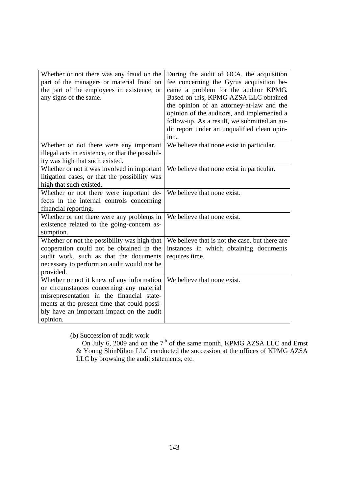| Whether or not there was any fraud on the<br>part of the managers or material fraud on<br>the part of the employees in existence, or<br>any signs of the same.                                                                             | During the audit of OCA, the acquisition<br>fee concerning the Gyrus acquisition be-<br>came a problem for the auditor KPMG.<br>Based on this, KPMG AZSA LLC obtained<br>the opinion of an attorney-at-law and the<br>opinion of the auditors, and implemented a<br>follow-up. As a result, we submitted an au-<br>dit report under an unqualified clean opin-<br>ion. |
|--------------------------------------------------------------------------------------------------------------------------------------------------------------------------------------------------------------------------------------------|------------------------------------------------------------------------------------------------------------------------------------------------------------------------------------------------------------------------------------------------------------------------------------------------------------------------------------------------------------------------|
| Whether or not there were any important<br>illegal acts in existence, or that the possibil-<br>ity was high that such existed.                                                                                                             | We believe that none exist in particular.                                                                                                                                                                                                                                                                                                                              |
| Whether or not it was involved in important<br>litigation cases, or that the possibility was<br>high that such existed.                                                                                                                    | We believe that none exist in particular.                                                                                                                                                                                                                                                                                                                              |
| Whether or not there were important de-<br>fects in the internal controls concerning<br>financial reporting.                                                                                                                               | We believe that none exist.                                                                                                                                                                                                                                                                                                                                            |
| Whether or not there were any problems in<br>existence related to the going-concern as-<br>sumption.                                                                                                                                       | We believe that none exist.                                                                                                                                                                                                                                                                                                                                            |
| Whether or not the possibility was high that<br>cooperation could not be obtained in the<br>audit work, such as that the documents<br>necessary to perform an audit would not be<br>provided.                                              | We believe that is not the case, but there are<br>instances in which obtaining documents<br>requires time.                                                                                                                                                                                                                                                             |
| Whether or not it knew of any information<br>or circumstances concerning any material<br>misrepresentation in the financial state-<br>ments at the present time that could possi-<br>bly have an important impact on the audit<br>opinion. | We believe that none exist.                                                                                                                                                                                                                                                                                                                                            |

(b) Succession of audit work

On July 6, 2009 and on the  $7<sup>th</sup>$  of the same month, KPMG AZSA LLC and Ernst & Young ShinNihon LLC conducted the succession at the offices of KPMG AZSA LLC by browsing the audit statements, etc.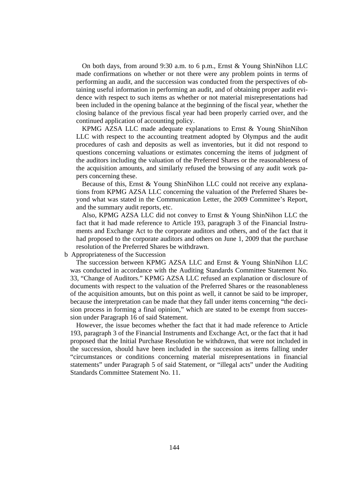On both days, from around 9:30 a.m. to 6 p.m., Ernst & Young ShinNihon LLC made confirmations on whether or not there were any problem points in terms of performing an audit, and the succession was conducted from the perspectives of obtaining useful information in performing an audit, and of obtaining proper audit evidence with respect to such items as whether or not material misrepresentations had been included in the opening balance at the beginning of the fiscal year, whether the closing balance of the previous fiscal year had been properly carried over, and the continued application of accounting policy.

KPMG AZSA LLC made adequate explanations to Ernst & Young ShinNihon LLC with respect to the accounting treatment adopted by Olympus and the audit procedures of cash and deposits as well as inventories, but it did not respond to questions concerning valuations or estimates concerning the items of judgment of the auditors including the valuation of the Preferred Shares or the reasonableness of the acquisition amounts, and similarly refused the browsing of any audit work papers concerning these.

Because of this, Ernst & Young ShinNihon LLC could not receive any explanations from KPMG AZSA LLC concerning the valuation of the Preferred Shares beyond what was stated in the Communication Letter, the 2009 Committee's Report, and the summary audit reports, etc.

Also, KPMG AZSA LLC did not convey to Ernst & Young ShinNihon LLC the fact that it had made reference to Article 193, paragraph 3 of the Financial Instruments and Exchange Act to the corporate auditors and others, and of the fact that it had proposed to the corporate auditors and others on June 1, 2009 that the purchase resolution of the Preferred Shares be withdrawn.

b Appropriateness of the Succession

The succession between KPMG AZSA LLC and Ernst & Young ShinNihon LLC was conducted in accordance with the Auditing Standards Committee Statement No. 33, "Change of Auditors." KPMG AZSA LLC refused an explanation or disclosure of documents with respect to the valuation of the Preferred Shares or the reasonableness of the acquisition amounts, but on this point as well, it cannot be said to be improper, because the interpretation can be made that they fall under items concerning "the decision process in forming a final opinion," which are stated to be exempt from succession under Paragraph 16 of said Statement.

However, the issue becomes whether the fact that it had made reference to Article 193, paragraph 3 of the Financial Instruments and Exchange Act, or the fact that it had proposed that the Initial Purchase Resolution be withdrawn, that were not included in the succession, should have been included in the succession as items falling under "circumstances or conditions concerning material misrepresentations in financial statements" under Paragraph 5 of said Statement, or "illegal acts" under the Auditing Standards Committee Statement No. 11.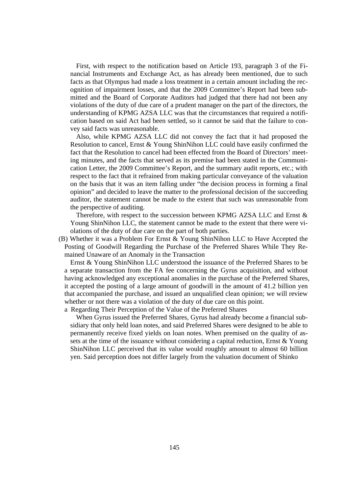First, with respect to the notification based on Article 193, paragraph 3 of the Financial Instruments and Exchange Act, as has already been mentioned, due to such facts as that Olympus had made a loss treatment in a certain amount including the recognition of impairment losses, and that the 2009 Committee's Report had been submitted and the Board of Corporate Auditors had judged that there had not been any violations of the duty of due care of a prudent manager on the part of the directors, the understanding of KPMG AZSA LLC was that the circumstances that required a notification based on said Act had been settled, so it cannot be said that the failure to convey said facts was unreasonable.

Also, while KPMG AZSA LLC did not convey the fact that it had proposed the Resolution to cancel, Ernst & Young ShinNihon LLC could have easily confirmed the fact that the Resolution to cancel had been effected from the Board of Directors' meeting minutes, and the facts that served as its premise had been stated in the Communication Letter, the 2009 Committee's Report, and the summary audit reports, etc.; with respect to the fact that it refrained from making particular conveyance of the valuation on the basis that it was an item falling under "the decision process in forming a final opinion" and decided to leave the matter to the professional decision of the succeeding auditor, the statement cannot be made to the extent that such was unreasonable from the perspective of auditing.

Therefore, with respect to the succession between KPMG AZSA LLC and Ernst & Young ShinNihon LLC, the statement cannot be made to the extent that there were violations of the duty of due care on the part of both parties.

(B) Whether it was a Problem For Ernst & Young ShinNihon LLC to Have Accepted the Posting of Goodwill Regarding the Purchase of the Preferred Shares While They Remained Unaware of an Anomaly in the Transaction

Ernst & Young ShinNihon LLC understood the issuance of the Preferred Shares to be a separate transaction from the FA fee concerning the Gyrus acquisition, and without having acknowledged any exceptional anomalies in the purchase of the Preferred Shares, it accepted the posting of a large amount of goodwill in the amount of 41.2 billion yen that accompanied the purchase, and issued an unqualified clean opinion; we will review whether or not there was a violation of the duty of due care on this point.

a Regarding Their Perception of the Value of the Preferred Shares

When Gyrus issued the Preferred Shares, Gyrus had already become a financial subsidiary that only held loan notes, and said Preferred Shares were designed to be able to permanently receive fixed yields on loan notes. When premised on the quality of assets at the time of the issuance without considering a capital reduction, Ernst & Young ShinNihon LLC perceived that its value would roughly amount to almost 60 billion yen. Said perception does not differ largely from the valuation document of Shinko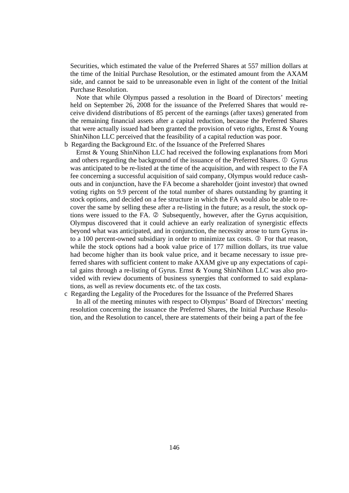Securities, which estimated the value of the Preferred Shares at 557 million dollars at the time of the Initial Purchase Resolution, or the estimated amount from the AXAM side, and cannot be said to be unreasonable even in light of the content of the Initial Purchase Resolution.

Note that while Olympus passed a resolution in the Board of Directors' meeting held on September 26, 2008 for the issuance of the Preferred Shares that would receive dividend distributions of 85 percent of the earnings (after taxes) generated from the remaining financial assets after a capital reduction, because the Preferred Shares that were actually issued had been granted the provision of veto rights, Ernst & Young ShinNihon LLC perceived that the feasibility of a capital reduction was poor.

b Regarding the Background Etc. of the Issuance of the Preferred Shares

Ernst & Young ShinNihon LLC had received the following explanations from Mori and others regarding the background of the issuance of the Preferred Shares.  $\Phi$  Gyrus was anticipated to be re-listed at the time of the acquisition, and with respect to the FA fee concerning a successful acquisition of said company, Olympus would reduce cashouts and in conjunction, have the FA become a shareholder (joint investor) that owned voting rights on 9.9 percent of the total number of shares outstanding by granting it stock options, and decided on a fee structure in which the FA would also be able to recover the same by selling these after a re-listing in the future; as a result, the stock options were issued to the FA.  $\oslash$  Subsequently, however, after the Gyrus acquisition, Olympus discovered that it could achieve an early realization of synergistic effects beyond what was anticipated, and in conjunction, the necessity arose to turn Gyrus into a 100 percent-owned subsidiary in order to minimize tax costs. <sup>3</sup> For that reason, while the stock options had a book value price of 177 million dollars, its true value had become higher than its book value price, and it became necessary to issue preferred shares with sufficient content to make AXAM give up any expectations of capital gains through a re-listing of Gyrus. Ernst & Young ShinNihon LLC was also provided with review documents of business synergies that conformed to said explanations, as well as review documents etc. of the tax costs.

c Regarding the Legality of the Procedures for the Issuance of the Preferred Shares In all of the meeting minutes with respect to Olympus' Board of Directors' meeting resolution concerning the issuance the Preferred Shares, the Initial Purchase Resolution, and the Resolution to cancel, there are statements of their being a part of the fee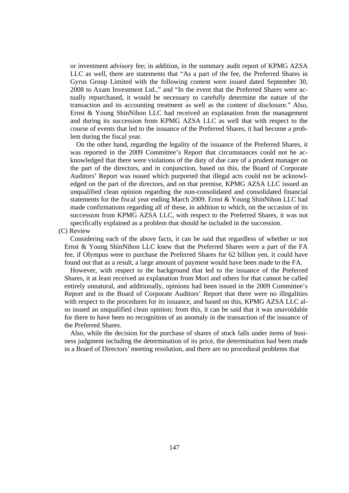or investment advisory fee; in addition, in the summary audit report of KPMG AZSA LLC as well, there are statements that "As a part of the fee, the Preferred Shares in Gyrus Group Limited with the following content were issued dated September 30, 2008 to Axam Investment Ltd.," and "In the event that the Preferred Shares were actually repurchased, it would be necessary to carefully determine the nature of the transaction and its accounting treatment as well as the content of disclosure." Also, Ernst & Young ShinNihon LLC had received an explanation from the management and during its succession from KPMG AZSA LLC as well that with respect to the course of events that led to the issuance of the Preferred Shares, it had become a problem during the fiscal year.

On the other hand, regarding the legality of the issuance of the Preferred Shares, it was reported in the 2009 Committee's Report that circumstances could not be acknowledged that there were violations of the duty of due care of a prudent manager on the part of the directors, and in conjunction, based on this, the Board of Corporate Auditors' Report was issued which purported that illegal acts could not be acknowledged on the part of the directors, and on that premise, KPMG AZSA LLC issued an unqualified clean opinion regarding the non-consolidated and consolidated financial statements for the fiscal year ending March 2009. Ernst & Young ShinNihon LLC had made confirmations regarding all of these, in addition to which, on the occasion of its succession from KPMG AZSA LLC, with respect to the Preferred Shares, it was not specifically explained as a problem that should be included in the succession.

(C) Review

Considering each of the above facts, it can be said that regardless of whether or not Ernst & Young ShinNihon LLC knew that the Preferred Shares were a part of the FA fee, if Olympus were to purchase the Preferred Shares for 62 billion yen, it could have found out that as a result, a large amount of payment would have been made to the FA.

However, with respect to the background that led to the issuance of the Preferred Shares, it at least received an explanation from Mori and others for that cannot be called entirely unnatural, and additionally, opinions had been issued in the 2009 Committee's Report and in the Board of Corporate Auditors' Report that there were no illegalities with respect to the procedures for its issuance, and based on this, KPMG AZSA LLC also issued an unqualified clean opinion; from this, it can be said that it was unavoidable for there to have been no recognition of an anomaly in the transaction of the issuance of the Preferred Shares.

Also, while the decision for the purchase of shares of stock falls under items of business judgment including the determination of its price, the determination had been made in a Board of Directors' meeting resolution, and there are no procedural problems that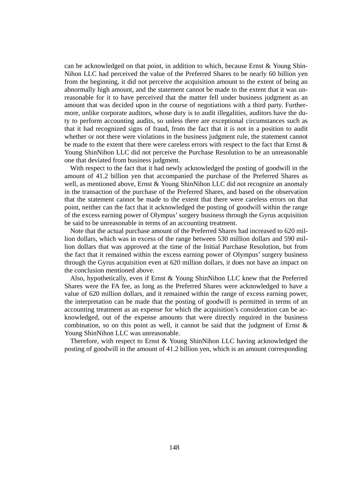can be acknowledged on that point, in addition to which, because Ernst & Young Shin-Nihon LLC had perceived the value of the Preferred Shares to be nearly 60 billion yen from the beginning, it did not perceive the acquisition amount to the extent of being an abnormally high amount, and the statement cannot be made to the extent that it was unreasonable for it to have perceived that the matter fell under business judgment as an amount that was decided upon in the course of negotiations with a third party. Furthermore, unlike corporate auditors, whose duty is to audit illegalities, auditors have the duty to perform accounting audits, so unless there are exceptional circumstances such as that it had recognized signs of fraud, from the fact that it is not in a position to audit whether or not there were violations in the business judgment rule, the statement cannot be made to the extent that there were careless errors with respect to the fact that Ernst & Young ShinNihon LLC did not perceive the Purchase Resolution to be an unreasonable one that deviated from business judgment.

With respect to the fact that it had newly acknowledged the posting of goodwill in the amount of 41.2 billion yen that accompanied the purchase of the Preferred Shares as well, as mentioned above, Ernst & Young ShinNihon LLC did not recognize an anomaly in the transaction of the purchase of the Preferred Shares, and based on the observation that the statement cannot be made to the extent that there were careless errors on that point, neither can the fact that it acknowledged the posting of goodwill within the range of the excess earning power of Olympus' surgery business through the Gyrus acquisition be said to be unreasonable in terms of an accounting treatment.

Note that the actual purchase amount of the Preferred Shares had increased to 620 million dollars, which was in excess of the range between 530 million dollars and 590 million dollars that was approved at the time of the Initial Purchase Resolution, but from the fact that it remained within the excess earning power of Olympus' surgery business through the Gyrus acquisition even at 620 million dollars, it does not have an impact on the conclusion mentioned above.

Also, hypothetically, even if Ernst & Young ShinNihon LLC knew that the Preferred Shares were the FA fee, as long as the Preferred Shares were acknowledged to have a value of 620 million dollars, and it remained within the range of excess earning power, the interpretation can be made that the posting of goodwill is permitted in terms of an accounting treatment as an expense for which the acquisition's consideration can be acknowledged, out of the expense amounts that were directly required in the business combination, so on this point as well, it cannot be said that the judgment of Ernst  $\&$ Young ShinNihon LLC was unreasonable.

Therefore, with respect to Ernst & Young ShinNihon LLC having acknowledged the posting of goodwill in the amount of 41.2 billion yen, which is an amount corresponding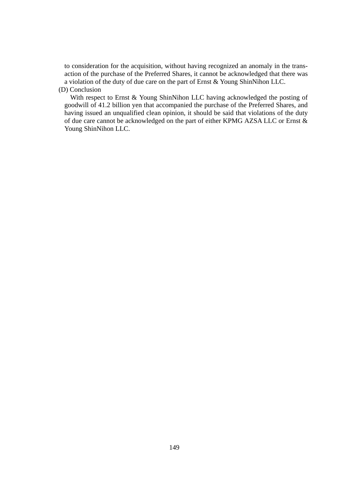to consideration for the acquisition, without having recognized an anomaly in the transaction of the purchase of the Preferred Shares, it cannot be acknowledged that there was a violation of the duty of due care on the part of Ernst & Young ShinNihon LLC.

# (D) Conclusion

With respect to Ernst & Young ShinNihon LLC having acknowledged the posting of goodwill of 41.2 billion yen that accompanied the purchase of the Preferred Shares, and having issued an unqualified clean opinion, it should be said that violations of the duty of due care cannot be acknowledged on the part of either KPMG AZSA LLC or Ernst & Young ShinNihon LLC.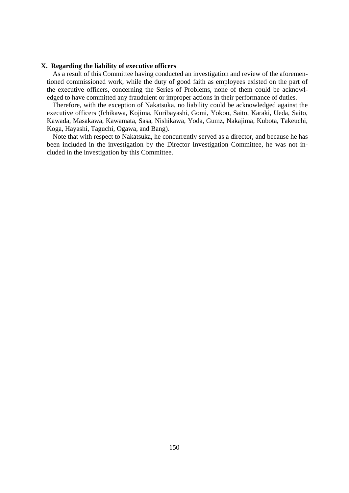#### **X. Regarding the liability of executive officers**

As a result of this Committee having conducted an investigation and review of the aforementioned commissioned work, while the duty of good faith as employees existed on the part of the executive officers, concerning the Series of Problems, none of them could be acknowledged to have committed any fraudulent or improper actions in their performance of duties.

Therefore, with the exception of Nakatsuka, no liability could be acknowledged against the executive officers (Ichikawa, Kojima, Kuribayashi, Gomi, Yokoo, Saito, Karaki, Ueda, Saito, Kawada, Masakawa, Kawamata, Sasa, Nishikawa, Yoda, Gumz, Nakajima, Kubota, Takeuchi, Koga, Hayashi, Taguchi, Ogawa, and Bang).

Note that with respect to Nakatsuka, he concurrently served as a director, and because he has been included in the investigation by the Director Investigation Committee, he was not included in the investigation by this Committee.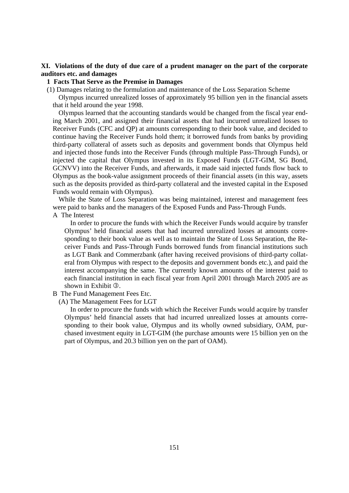# **XI. Violations of the duty of due care of a prudent manager on the part of the corporate auditors etc. and damages**

# **1 Facts That Serve as the Premise in Damages**

(1) Damages relating to the formulation and maintenance of the Loss Separation Scheme

Olympus incurred unrealized losses of approximately 95 billion yen in the financial assets that it held around the year 1998.

Olympus learned that the accounting standards would be changed from the fiscal year ending March 2001, and assigned their financial assets that had incurred unrealized losses to Receiver Funds (CFC and QP) at amounts corresponding to their book value, and decided to continue having the Receiver Funds hold them; it borrowed funds from banks by providing third-party collateral of assets such as deposits and government bonds that Olympus held and injected those funds into the Receiver Funds (through multiple Pass-Through Funds), or injected the capital that Olympus invested in its Exposed Funds (LGT-GIM, SG Bond, GCNVV) into the Receiver Funds, and afterwards, it made said injected funds flow back to Olympus as the book-value assignment proceeds of their financial assets (in this way, assets such as the deposits provided as third-party collateral and the invested capital in the Exposed Funds would remain with Olympus).

While the State of Loss Separation was being maintained, interest and management fees were paid to banks and the managers of the Exposed Funds and Pass-Through Funds.

A The Interest

In order to procure the funds with which the Receiver Funds would acquire by transfer Olympus' held financial assets that had incurred unrealized losses at amounts corresponding to their book value as well as to maintain the State of Loss Separation, the Receiver Funds and Pass-Through Funds borrowed funds from financial institutions such as LGT Bank and Commerzbank (after having received provisions of third-party collateral from Olympus with respect to the deposits and government bonds etc.), and paid the interest accompanying the same. The currently known amounts of the interest paid to each financial institution in each fiscal year from April 2001 through March 2005 are as shown in Exhibit  $\circled{3}$ .

- B The Fund Management Fees Etc.
	- (A) The Management Fees for LGT

In order to procure the funds with which the Receiver Funds would acquire by transfer Olympus' held financial assets that had incurred unrealized losses at amounts corresponding to their book value, Olympus and its wholly owned subsidiary, OAM, purchased investment equity in LGT-GIM (the purchase amounts were 15 billion yen on the part of Olympus, and 20.3 billion yen on the part of OAM).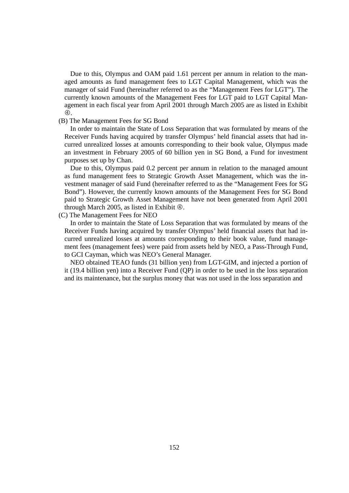Due to this, Olympus and OAM paid 1.61 percent per annum in relation to the managed amounts as fund management fees to LGT Capital Management, which was the manager of said Fund (hereinafter referred to as the "Management Fees for LGT"). The currently known amounts of the Management Fees for LGT paid to LGT Capital Management in each fiscal year from April 2001 through March 2005 are as listed in Exhibit  $\circledA$ .

#### (B) The Management Fees for SG Bond

In order to maintain the State of Loss Separation that was formulated by means of the Receiver Funds having acquired by transfer Olympus' held financial assets that had incurred unrealized losses at amounts corresponding to their book value, Olympus made an investment in February 2005 of 60 billion yen in SG Bond, a Fund for investment purposes set up by Chan.

Due to this, Olympus paid 0.2 percent per annum in relation to the managed amount as fund management fees to Strategic Growth Asset Management, which was the investment manager of said Fund (hereinafter referred to as the "Management Fees for SG Bond"). However, the currently known amounts of the Management Fees for SG Bond paid to Strategic Growth Asset Management have not been generated from April 2001 through March 2005, as listed in Exhibit  $\Phi$ .

# (C) The Management Fees for NEO

In order to maintain the State of Loss Separation that was formulated by means of the Receiver Funds having acquired by transfer Olympus' held financial assets that had incurred unrealized losses at amounts corresponding to their book value, fund management fees (management fees) were paid from assets held by NEO, a Pass-Through Fund, to GCI Cayman, which was NEO's General Manager.

NEO obtained TEAO funds (31 billion yen) from LGT-GIM, and injected a portion of it (19.4 billion yen) into a Receiver Fund (QP) in order to be used in the loss separation and its maintenance, but the surplus money that was not used in the loss separation and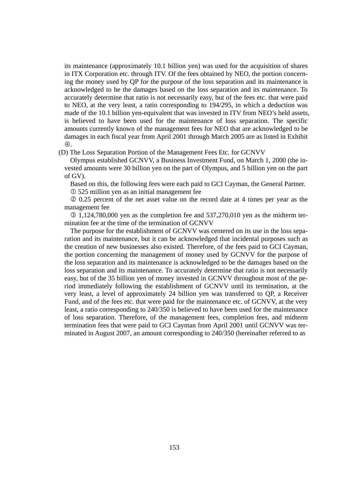its maintenance (approximately 10.1 billion yen) was used for the acquisition of shares in ITX Corporation etc. through ITV. Of the fees obtained by NEO, the portion concerning the money used by QP for the purpose of the loss separation and its maintenance is acknowledged to be the damages based on the loss separation and its maintenance. To accurately determine that ratio is not necessarily easy, but of the fees etc. that were paid to NEO, at the very least, a ratio corresponding to 194/295, in which a deduction was made of the 10.1 billion yen-equivalent that was invested in ITV from NEO's held assets, is believed to have been used for the maintenance of loss separation. The specific amounts currently known of the management fees for NEO that are acknowledged to be damages in each fiscal year from April 2001 through March 2005 are as listed in Exhibit 4.

(D) The Loss Separation Portion of the Management Fees Etc. for GCNVV

Olympus established GCNVV, a Business Investment Fund, on March 1, 2000 (the invested amounts were 30 billion yen on the part of Olympus, and 5 billion yen on the part of GV).

Based on this, the following fees were each paid to GCI Cayman, the General Partner. 525 million yen as an initial management fee

 0.25 percent of the net asset value on the record date at 4 times per year as the management fee

 $\textcircled{1},124,780,000$  yen as the completion fee and 537,270,010 yen as the midterm termination fee at the time of the termination of GCNVV

The purpose for the establishment of GCNVV was centered on its use in the loss separation and its maintenance, but it can be acknowledged that incidental purposes such as the creation of new businesses also existed. Therefore, of the fees paid to GCI Cayman, the portion concerning the management of money used by GCNVV for the purpose of the loss separation and its maintenance is acknowledged to be the damages based on the loss separation and its maintenance. To accurately determine that ratio is not necessarily easy, but of the 35 billion yen of money invested in GCNVV throughout most of the period immediately following the establishment of GCNVV until its termination, at the very least, a level of approximately 24 billion yen was transferred to QP, a Receiver Fund, and of the fees etc. that were paid for the maintenance etc. of GCNVV, at the very least, a ratio corresponding to 240/350 is believed to have been used for the maintenance of loss separation. Therefore, of the management fees, completion fees, and midterm termination fees that were paid to GCI Cayman from April 2001 until GCNVV was terminated in August 2007, an amount corresponding to 240/350 (hereinafter referred to as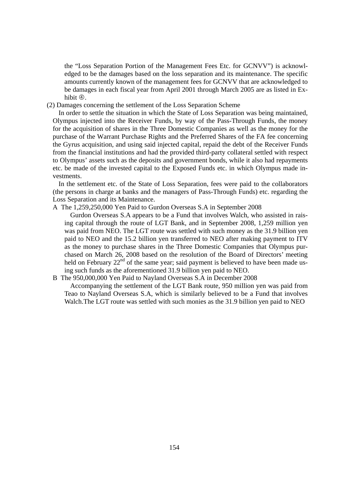the "Loss Separation Portion of the Management Fees Etc. for GCNVV") is acknowledged to be the damages based on the loss separation and its maintenance. The specific amounts currently known of the management fees for GCNVV that are acknowledged to be damages in each fiscal year from April 2001 through March 2005 are as listed in Exhibit  $\Phi$ .

(2) Damages concerning the settlement of the Loss Separation Scheme

In order to settle the situation in which the State of Loss Separation was being maintained, Olympus injected into the Receiver Funds, by way of the Pass-Through Funds, the money for the acquisition of shares in the Three Domestic Companies as well as the money for the purchase of the Warrant Purchase Rights and the Preferred Shares of the FA fee concerning the Gyrus acquisition, and using said injected capital, repaid the debt of the Receiver Funds from the financial institutions and had the provided third-party collateral settled with respect to Olympus' assets such as the deposits and government bonds, while it also had repayments etc. be made of the invested capital to the Exposed Funds etc. in which Olympus made investments.

In the settlement etc. of the State of Loss Separation, fees were paid to the collaborators (the persons in charge at banks and the managers of Pass-Through Funds) etc. regarding the Loss Separation and its Maintenance.

## A The 1,259,250,000 Yen Paid to Gurdon Overseas S.A in September 2008

Gurdon Overseas S.A appears to be a Fund that involves Walch, who assisted in raising capital through the route of LGT Bank, and in September 2008, 1,259 million yen was paid from NEO. The LGT route was settled with such money as the 31.9 billion yen paid to NEO and the 15.2 billion yen transferred to NEO after making payment to ITV as the money to purchase shares in the Three Domestic Companies that Olympus purchased on March 26, 2008 based on the resolution of the Board of Directors' meeting held on February  $22<sup>nd</sup>$  of the same year; said payment is believed to have been made using such funds as the aforementioned 31.9 billion yen paid to NEO.

## B The 950,000,000 Yen Paid to Nayland Overseas S.A in December 2008

Accompanying the settlement of the LGT Bank route, 950 million yen was paid from Teao to Nayland Overseas S.A, which is similarly believed to be a Fund that involves Walch.The LGT route was settled with such monies as the 31.9 billion yen paid to NEO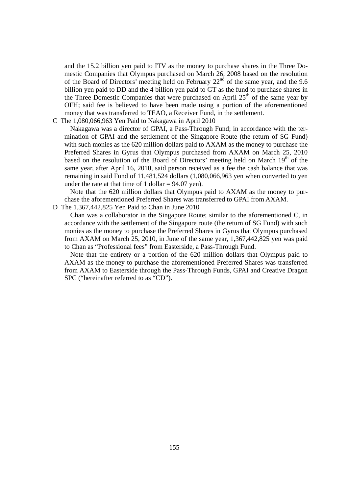and the 15.2 billion yen paid to ITV as the money to purchase shares in the Three Domestic Companies that Olympus purchased on March 26, 2008 based on the resolution of the Board of Directors' meeting held on February  $22<sup>nd</sup>$  of the same year, and the 9.6 billion yen paid to DD and the 4 billion yen paid to GT as the fund to purchase shares in the Three Domestic Companies that were purchased on April  $25<sup>th</sup>$  of the same year by OFH; said fee is believed to have been made using a portion of the aforementioned money that was transferred to TEAO, a Receiver Fund, in the settlement.

C The 1,080,066,963 Yen Paid to Nakagawa in April 2010

Nakagawa was a director of GPAI, a Pass-Through Fund; in accordance with the termination of GPAI and the settlement of the Singapore Route (the return of SG Fund) with such monies as the 620 million dollars paid to AXAM as the money to purchase the Preferred Shares in Gyrus that Olympus purchased from AXAM on March 25, 2010 based on the resolution of the Board of Directors' meeting held on March 19<sup>th</sup> of the same year, after April 16, 2010, said person received as a fee the cash balance that was remaining in said Fund of 11,481,524 dollars (1,080,066,963 yen when converted to yen under the rate at that time of 1 dollar  $= 94.07$  yen).

Note that the 620 million dollars that Olympus paid to AXAM as the money to purchase the aforementioned Preferred Shares was transferred to GPAI from AXAM.

D The 1,367,442,825 Yen Paid to Chan in June 2010

Chan was a collaborator in the Singapore Route; similar to the aforementioned C, in accordance with the settlement of the Singapore route (the return of SG Fund) with such monies as the money to purchase the Preferred Shares in Gyrus that Olympus purchased from AXAM on March 25, 2010, in June of the same year, 1,367,442,825 yen was paid to Chan as "Professional fees" from Easterside, a Pass-Through Fund.

Note that the entirety or a portion of the 620 million dollars that Olympus paid to AXAM as the money to purchase the aforementioned Preferred Shares was transferred from AXAM to Easterside through the Pass-Through Funds, GPAI and Creative Dragon SPC ("hereinafter referred to as "CD").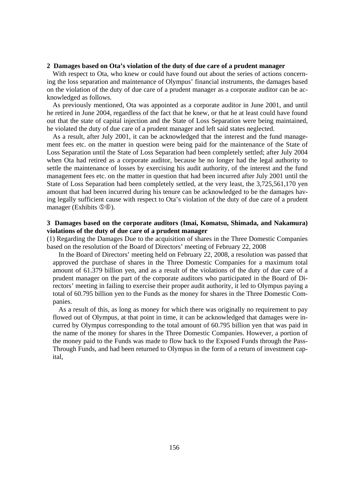#### **2 Damages based on Ota's violation of the duty of due care of a prudent manager**

With respect to Ota, who knew or could have found out about the series of actions concerning the loss separation and maintenance of Olympus' financial instruments, the damages based on the violation of the duty of due care of a prudent manager as a corporate auditor can be acknowledged as follows.

As previously mentioned, Ota was appointed as a corporate auditor in June 2001, and until he retired in June 2004, regardless of the fact that he knew, or that he at least could have found out that the state of capital injection and the State of Loss Separation were being maintained, he violated the duty of due care of a prudent manager and left said states neglected.

As a result, after July 2001, it can be acknowledged that the interest and the fund management fees etc. on the matter in question were being paid for the maintenance of the State of Loss Separation until the State of Loss Separation had been completely settled; after July 2004 when Ota had retired as a corporate auditor, because he no longer had the legal authority to settle the maintenance of losses by exercising his audit authority, of the interest and the fund management fees etc. on the matter in question that had been incurred after July 2001 until the State of Loss Separation had been completely settled, at the very least, the 3,725,561,170 yen amount that had been incurred during his tenure can be acknowledged to be the damages having legally sufficient cause with respect to Ota's violation of the duty of due care of a prudent manager (Exhibits  $\mathcal{F}(0)$ ).

# **3 Damages based on the corporate auditors (Imai, Komatsu, Shimada, and Nakamura) violations of the duty of due care of a prudent manager**

(1) Regarding the Damages Due to the acquisition of shares in the Three Domestic Companies based on the resolution of the Board of Directors' meeting of February 22, 2008

In the Board of Directors' meeting held on February 22, 2008, a resolution was passed that approved the purchase of shares in the Three Domestic Companies for a maximum total amount of 61.379 billion yen, and as a result of the violations of the duty of due care of a prudent manager on the part of the corporate auditors who participated in the Board of Directors' meeting in failing to exercise their proper audit authority, it led to Olympus paying a total of 60.795 billion yen to the Funds as the money for shares in the Three Domestic Companies.

As a result of this, as long as money for which there was originally no requirement to pay flowed out of Olympus, at that point in time, it can be acknowledged that damages were incurred by Olympus corresponding to the total amount of 60.795 billion yen that was paid in the name of the money for shares in the Three Domestic Companies. However, a portion of the money paid to the Funds was made to flow back to the Exposed Funds through the Pass-Through Funds, and had been returned to Olympus in the form of a return of investment capital,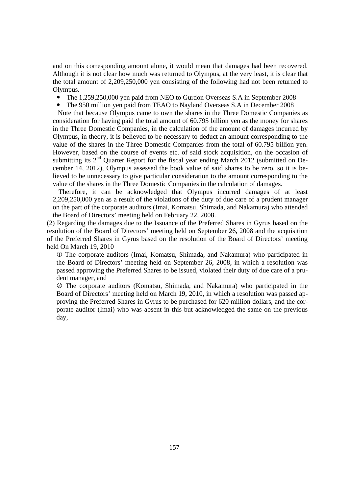and on this corresponding amount alone, it would mean that damages had been recovered. Although it is not clear how much was returned to Olympus, at the very least, it is clear that the total amount of 2,209,250,000 yen consisting of the following had not been returned to Olympus.

- The 1,259,250,000 yen paid from NEO to Gurdon Overseas S.A in September 2008
- The 950 million yen paid from TEAO to Nayland Overseas S.A in December 2008

Note that because Olympus came to own the shares in the Three Domestic Companies as consideration for having paid the total amount of 60.795 billion yen as the money for shares in the Three Domestic Companies, in the calculation of the amount of damages incurred by Olympus, in theory, it is believed to be necessary to deduct an amount corresponding to the value of the shares in the Three Domestic Companies from the total of 60.795 billion yen. However, based on the course of events etc. of said stock acquisition, on the occasion of submitting its  $2<sup>nd</sup>$  Quarter Report for the fiscal year ending March 2012 (submitted on December 14, 2012), Olympus assessed the book value of said shares to be zero, so it is believed to be unnecessary to give particular consideration to the amount corresponding to the value of the shares in the Three Domestic Companies in the calculation of damages.

Therefore, it can be acknowledged that Olympus incurred damages of at least 2,209,250,000 yen as a result of the violations of the duty of due care of a prudent manager on the part of the corporate auditors (Imai, Komatsu, Shimada, and Nakamura) who attended the Board of Directors' meeting held on February 22, 2008.

(2) Regarding the damages due to the Issuance of the Preferred Shares in Gyrus based on the resolution of the Board of Directors' meeting held on September 26, 2008 and the acquisition of the Preferred Shares in Gyrus based on the resolution of the Board of Directors' meeting held On March 19, 2010

 The corporate auditors (Imai, Komatsu, Shimada, and Nakamura) who participated in the Board of Directors' meeting held on September 26, 2008, in which a resolution was passed approving the Preferred Shares to be issued, violated their duty of due care of a prudent manager, and

 The corporate auditors (Komatsu, Shimada, and Nakamura) who participated in the Board of Directors' meeting held on March 19, 2010, in which a resolution was passed approving the Preferred Shares in Gyrus to be purchased for 620 million dollars, and the corporate auditor (Imai) who was absent in this but acknowledged the same on the previous day,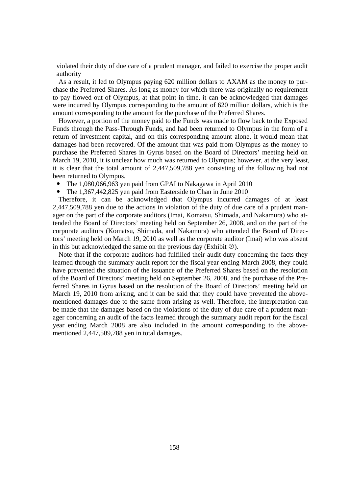violated their duty of due care of a prudent manager, and failed to exercise the proper audit authority

As a result, it led to Olympus paying 620 million dollars to AXAM as the money to purchase the Preferred Shares. As long as money for which there was originally no requirement to pay flowed out of Olympus, at that point in time, it can be acknowledged that damages were incurred by Olympus corresponding to the amount of 620 million dollars, which is the amount corresponding to the amount for the purchase of the Preferred Shares.

However, a portion of the money paid to the Funds was made to flow back to the Exposed Funds through the Pass-Through Funds, and had been returned to Olympus in the form of a return of investment capital, and on this corresponding amount alone, it would mean that damages had been recovered. Of the amount that was paid from Olympus as the money to purchase the Preferred Shares in Gyrus based on the Board of Directors' meeting held on March 19, 2010, it is unclear how much was returned to Olympus; however, at the very least, it is clear that the total amount of 2,447,509,788 yen consisting of the following had not been returned to Olympus.

- The 1,080,066,963 yen paid from GPAI to Nakagawa in April 2010
- The 1,367,442,825 yen paid from Easterside to Chan in June 2010

Therefore, it can be acknowledged that Olympus incurred damages of at least 2,447,509,788 yen due to the actions in violation of the duty of due care of a prudent manager on the part of the corporate auditors (Imai, Komatsu, Shimada, and Nakamura) who attended the Board of Directors' meeting held on September 26, 2008, and on the part of the corporate auditors (Komatsu, Shimada, and Nakamura) who attended the Board of Directors' meeting held on March 19, 2010 as well as the corporate auditor (Imai) who was absent in this but acknowledged the same on the previous day (Exhibit  $\circledcirc$ ).

Note that if the corporate auditors had fulfilled their audit duty concerning the facts they learned through the summary audit report for the fiscal year ending March 2008, they could have prevented the situation of the issuance of the Preferred Shares based on the resolution of the Board of Directors' meeting held on September 26, 2008, and the purchase of the Preferred Shares in Gyrus based on the resolution of the Board of Directors' meeting held on March 19, 2010 from arising, and it can be said that they could have prevented the abovementioned damages due to the same from arising as well. Therefore, the interpretation can be made that the damages based on the violations of the duty of due care of a prudent manager concerning an audit of the facts learned through the summary audit report for the fiscal year ending March 2008 are also included in the amount corresponding to the abovementioned 2,447,509,788 yen in total damages.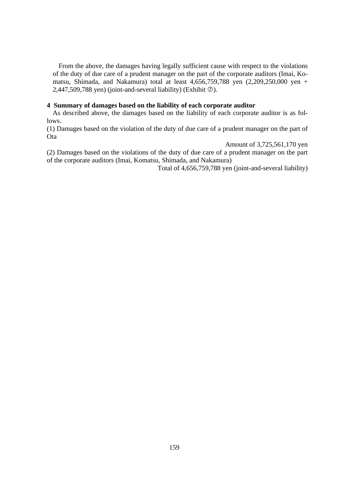From the above, the damages having legally sufficient cause with respect to the violations of the duty of due care of a prudent manager on the part of the corporate auditors (Imai, Komatsu, Shimada, and Nakamura) total at least 4,656,759,788 yen (2,209,250,000 yen + 2,447,509,788 yen) (joint-and-several liability) (Exhibit  $\circledcirc$ ).

## **4 Summary of damages based on the liability of each corporate auditor**

As described above, the damages based on the liability of each corporate auditor is as follows.

(1) Damages based on the violation of the duty of due care of a prudent manager on the part of **Ota** 

Amount of 3,725,561,170 yen

(2) Damages based on the violations of the duty of due care of a prudent manager on the part of the corporate auditors (Imai, Komatsu, Shimada, and Nakamura)

Total of 4,656,759,788 yen (joint-and-several liability)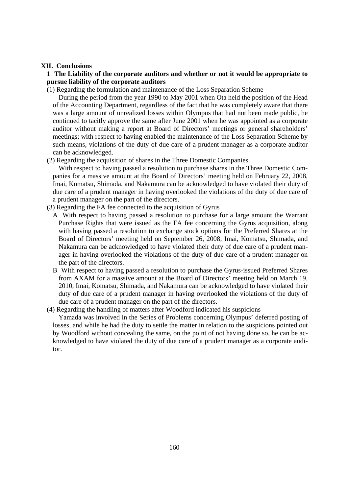### **XII. Conclusions**

# **1 The Liability of the corporate auditors and whether or not it would be appropriate to pursue liability of the corporate auditors**

(1) Regarding the formulation and maintenance of the Loss Separation Scheme

During the period from the year 1990 to May 2001 when Ota held the position of the Head of the Accounting Department, regardless of the fact that he was completely aware that there was a large amount of unrealized losses within Olympus that had not been made public, he continued to tacitly approve the same after June 2001 when he was appointed as a corporate auditor without making a report at Board of Directors' meetings or general shareholders' meetings; with respect to having enabled the maintenance of the Loss Separation Scheme by such means, violations of the duty of due care of a prudent manager as a corporate auditor can be acknowledged.

(2) Regarding the acquisition of shares in the Three Domestic Companies

With respect to having passed a resolution to purchase shares in the Three Domestic Companies for a massive amount at the Board of Directors' meeting held on February 22, 2008, Imai, Komatsu, Shimada, and Nakamura can be acknowledged to have violated their duty of due care of a prudent manager in having overlooked the violations of the duty of due care of a prudent manager on the part of the directors.

- (3) Regarding the FA fee connected to the acquisition of Gyrus
	- A With respect to having passed a resolution to purchase for a large amount the Warrant Purchase Rights that were issued as the FA fee concerning the Gyrus acquisition, along with having passed a resolution to exchange stock options for the Preferred Shares at the Board of Directors' meeting held on September 26, 2008, Imai, Komatsu, Shimada, and Nakamura can be acknowledged to have violated their duty of due care of a prudent manager in having overlooked the violations of the duty of due care of a prudent manager on the part of the directors.
	- B With respect to having passed a resolution to purchase the Gyrus-issued Preferred Shares from AXAM for a massive amount at the Board of Directors' meeting held on March 19, 2010, Imai, Komatsu, Shimada, and Nakamura can be acknowledged to have violated their duty of due care of a prudent manager in having overlooked the violations of the duty of due care of a prudent manager on the part of the directors.
- (4) Regarding the handling of matters after Woodford indicated his suspicions

Yamada was involved in the Series of Problems concerning Olympus' deferred posting of losses, and while he had the duty to settle the matter in relation to the suspicions pointed out by Woodford without concealing the same, on the point of not having done so, he can be acknowledged to have violated the duty of due care of a prudent manager as a corporate auditor.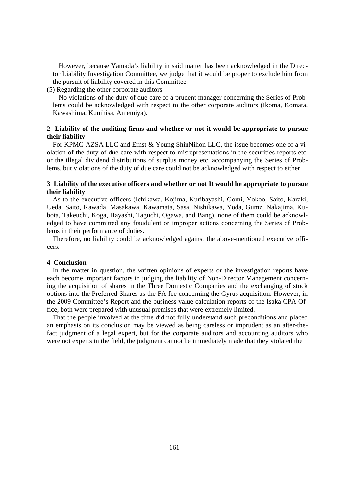However, because Yamada's liability in said matter has been acknowledged in the Director Liability Investigation Committee, we judge that it would be proper to exclude him from the pursuit of liability covered in this Committee.

(5) Regarding the other corporate auditors

No violations of the duty of due care of a prudent manager concerning the Series of Problems could be acknowledged with respect to the other corporate auditors (Ikoma, Komata, Kawashima, Kunihisa, Amemiya).

# **2 Liability of the auditing firms and whether or not it would be appropriate to pursue their liability**

For KPMG AZSA LLC and Ernst & Young ShinNihon LLC, the issue becomes one of a violation of the duty of due care with respect to misrepresentations in the securities reports etc. or the illegal dividend distributions of surplus money etc. accompanying the Series of Problems, but violations of the duty of due care could not be acknowledged with respect to either.

# **3 Liability of the executive officers and whether or not It would be appropriate to pursue their liability**

As to the executive officers (Ichikawa, Kojima, Kuribayashi, Gomi, Yokoo, Saito, Karaki, Ueda, Saito, Kawada, Masakawa, Kawamata, Sasa, Nishikawa, Yoda, Gumz, Nakajima, Kubota, Takeuchi, Koga, Hayashi, Taguchi, Ogawa, and Bang), none of them could be acknowledged to have committed any fraudulent or improper actions concerning the Series of Problems in their performance of duties.

Therefore, no liability could be acknowledged against the above-mentioned executive officers.

#### **4 Conclusion**

In the matter in question, the written opinions of experts or the investigation reports have each become important factors in judging the liability of Non-Director Management concerning the acquisition of shares in the Three Domestic Companies and the exchanging of stock options into the Preferred Shares as the FA fee concerning the Gyrus acquisition. However, in the 2009 Committee's Report and the business value calculation reports of the Isaka CPA Office, both were prepared with unusual premises that were extremely limited.

That the people involved at the time did not fully understand such preconditions and placed an emphasis on its conclusion may be viewed as being careless or imprudent as an after-thefact judgment of a legal expert, but for the corporate auditors and accounting auditors who were not experts in the field, the judgment cannot be immediately made that they violated the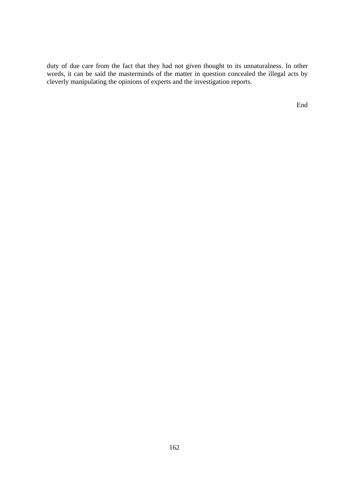duty of due care from the fact that they had not given thought to its unnaturalness. In other words, it can be said the masterminds of the matter in question concealed the illegal acts by cleverly manipulating the opinions of experts and the investigation reports.

End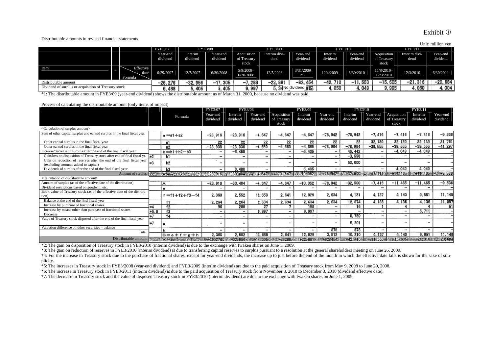#### Distributable amounts in revised financial statements

|                                                      |                              |                |           |                                  |                          |                |                    |           |           |                         |               | Unit: million yen |
|------------------------------------------------------|------------------------------|----------------|-----------|----------------------------------|--------------------------|----------------|--------------------|-----------|-----------|-------------------------|---------------|-------------------|
|                                                      |                              | <b>FYE3/07</b> |           | <b>FYE3/09</b><br><b>FYE3/08</b> |                          | <b>FYE3/10</b> |                    | FYE3/11   |           |                         |               |                   |
|                                                      |                              | Year-end       | Interim   | Year-end                         | Acquisition              | Interim divi-  | Year-end           | Interim   | Year-end  | Acquisition             | Interim divi- | Year-end          |
|                                                      |                              | dividend       | dividend  | dividend                         | of Treasury              | dend           | dividend           | dividend  | dividend  | of Treasury             | dend          | dividend          |
|                                                      |                              |                |           |                                  | stock                    |                |                    |           |           | stock                   |               |                   |
| Item                                                 | Effective<br>date<br>Formula | 6/29/2007      | 12/7/2007 | 6/30/2008                        | $5/9/2008-$<br>6/20/2008 | 12/5/2008      | 3/31/2009<br>$*1$  | 12/4/2009 | 6/30/2010 | 11/8/2010-<br>12/8/2010 | 12/3/2010     | 6/30/2011         |
| Distributable amount                                 |                              | -26.276        | $-32.956$ | .305<br>$-1$                     | $-7,288$                 | $-22.881$      | -82, 454           | -42, 710  | $-11,553$ | $-15,605$               | -21, 316      | $-20,684$         |
| Dividend of surplus or acquisition of Treasury stock |                              | .488           | 5,405     | 405                              | s. 997                   |                | 5.34No dividend T配 | 4.050     | 4.049     | 9, 995                  | 4.050         | 4.004             |

\*1: The distributable amount in FYE3/09 (year-end dividend) shows the distributable amount as of March 31, 2009, because no dividend was paid.

#### Process of calculating the distributable amount (only items of impact)

|                                                                                                                                                                                                                                                   |        |                         | <b>FYE3/07</b>           | <b>FYE3/08</b>           |                          |             | FYE3/09                  |                          | <b>FYE3/10</b> |                          | FYE3/1                                                      |                          |           |
|---------------------------------------------------------------------------------------------------------------------------------------------------------------------------------------------------------------------------------------------------|--------|-------------------------|--------------------------|--------------------------|--------------------------|-------------|--------------------------|--------------------------|----------------|--------------------------|-------------------------------------------------------------|--------------------------|-----------|
|                                                                                                                                                                                                                                                   |        | Formula                 | Year-end                 | Interim                  | Year-end                 | Acquisition | Interim                  | Year-end                 | Interim        | Year-end                 | Acquisition                                                 | Interim                  | Year-end  |
|                                                                                                                                                                                                                                                   |        |                         | dividend                 | dividend                 | dividend                 | of Treasury | dividend                 | dividend                 | dividend       | dividend                 | of Treasury                                                 | dividend                 | dividend  |
|                                                                                                                                                                                                                                                   |        |                         |                          |                          |                          | stock       |                          |                          |                |                          | stock                                                       |                          |           |
| <calculation amount="" of="" surplus=""></calculation>                                                                                                                                                                                            |        |                         |                          |                          |                          |             |                          |                          |                |                          |                                                             |                          |           |
| Sum of other capital surplus and earned surplus in the final fiscal year                                                                                                                                                                          |        | $a = a1 + a2$           | $-23,916$                | $-23,916$                | -4.647                   | $-4.647$    | $-4.647$                 | $-78,942$                | $-78,942$      | $-7,416$                 | $-7.416$                                                    | $-7,416$                 | $-9,536$  |
| Other capital surplus in the final fiscal year                                                                                                                                                                                                    |        | 81                      | 22                       | 22                       | 22                       | 22          | 22                       | 22                       | 22             | 32, 139                  | 32.139                                                      | 32, 139                  | 31,761    |
| Other earned surplus in the final fiscal year                                                                                                                                                                                                     |        | a2                      | $-23.938$                | $-23,938$                | $-4.669$                 | $-4.669$    | $-4.669$                 | $-78,964$                | $-78.964$      | $-39,655$                | $-39,555$                                                   | $-39,555$                | $-41.297$ |
| Increase/decrease in surplus after the end of the final fiscal year                                                                                                                                                                               |        | $b = b1 + b2 - b3$      |                          | $-6,488$                 | -                        | $\sim$      | -5, 405                  | $\overline{\phantom{0}}$ | 46, 442        | -                        | $-4.049$                                                    | $-4,049$                 |           |
| Gain/loss on disposition of Treasury stock after end of final fiscal yr. $\frac{1}{2}$                                                                                                                                                            |        | ьı                      | $\overline{\phantom{0}}$ |                          | -                        |             | $\overline{\phantom{a}}$ | $\overline{\phantom{a}}$ | $-3.558$       | -                        | -                                                           |                          |           |
| Gain on reduction of reserves after the end of the final fiscal year                                                                                                                                                                              | $*3$   | b <sub>2</sub>          | -                        |                          | -                        |             |                          | $\overline{\phantom{a}}$ | 50,000         |                          |                                                             |                          |           |
| (excluding amounts added to capital)                                                                                                                                                                                                              |        |                         |                          |                          |                          |             |                          |                          |                |                          |                                                             |                          |           |
| Dividends of surplus after the end of the final fiscal year                                                                                                                                                                                       |        | b3                      | -                        | 6,488                    | -                        |             | 5, 405                   | $\overline{\phantom{a}}$ |                | -                        | 4.049                                                       | 4,049                    |           |
| 第六天 公司信号 15米的 15米的 15米23(9) 15米 30米404年 20度 2017的 12平台47时 12平台21 15米1020524 2025 202424 67 25500 2025 500 2025 10 14655 1255 12565 12565 12565 12565 12565 12565 12565 12565 12565 12565 12565 12565 12565 12565 12565 12565<br>Amount of surplus |        |                         |                          |                          |                          |             |                          |                          |                |                          |                                                             |                          |           |
| <calculation amount="" distributable="" of=""></calculation>                                                                                                                                                                                      |        |                         |                          |                          |                          |             |                          |                          |                |                          |                                                             |                          |           |
| Amount of surplus (as of the effective date of the distribution)                                                                                                                                                                                  |        | IA                      | $-23.916$                | $-30, 404$               | -4.647                   | $-4.647$    | $-10,052$                | $-78,942$                | $-32.500$      | -7, 416                  | $-11.466$                                                   | $-11.465$                | $-9,536$  |
| Dividend restrictions based on goodwill, etc.                                                                                                                                                                                                     |        | 0                       |                          |                          |                          |             | $\overline{\phantom{a}}$ |                          |                |                          |                                                             |                          |           |
| Book value of Treasury stock (as of the effective date of the distribu-<br>tion)                                                                                                                                                                  |        | $f = f1 + f2 + f3 - f4$ | 2,360                    | 2,552                    | 12,658                   | 2,641       | 12, 829                  | 2.634                    | 4, 131         | 4, 137                   | 4, 140                                                      | 9,851                    | 11, 148   |
| Balance at the end of the final fiscal year                                                                                                                                                                                                       |        | f1                      | 2.264                    | 2.264                    | 2.634                    | 2,634       | 2.634                    | 2.634                    | 12.874         | 4.136                    | 4.136                                                       | 4, 136                   | 11.097    |
| Increase by purchase of fractional shares                                                                                                                                                                                                         | *4     | f <sub>2</sub>          | 96                       | 288                      | 27                       |             | 198                      |                          | 16             |                          |                                                             |                          | 61        |
| Increase by means other than purchase of fractional shares                                                                                                                                                                                        | $*5.6$ | f3                      | ۰                        | $\overline{\phantom{a}}$ | 9.997                    |             | 9.997                    | $\ddot{}$                |                | -                        | -                                                           | 5.711                    |           |
| Decrease                                                                                                                                                                                                                                          | *7     | f4                      | $\overline{\phantom{a}}$ | -                        | $\overline{\phantom{0}}$ |             | $\sim$                   | ٠                        | 8,759          | $\overline{\phantom{a}}$ | $\overline{\phantom{a}}$                                    | $\overline{\phantom{a}}$ |           |
| Value of Treasury stock disposed after the end of the final fiscal year                                                                                                                                                                           | $*7$   | ᇀ                       |                          |                          |                          |             |                          | -                        | 5, 201         |                          | ٠                                                           |                          |           |
| Valuation difference on other securities - balance                                                                                                                                                                                                |        |                         |                          | -                        | -                        |             |                          | 878                      | 878            | $\overline{\phantom{a}}$ | -                                                           | $\overline{\phantom{a}}$ |           |
| Total                                                                                                                                                                                                                                             |        |                         | 2.360                    |                          | 12,658                   | 2.641       | 12.829                   | 3,512                    | 10.210         | 4.137                    | 4.140                                                       | 9,851                    | 11, 148   |
|                                                                                                                                                                                                                                                   |        | B= e + f + g + h        |                          | 2.552                    |                          |             |                          |                          |                |                          | 442-710   22-11-5533   22605   22605   227 316   22 20 3684 |                          |           |
|                                                                                                                                                                                                                                                   |        |                         |                          |                          |                          |             |                          |                          |                |                          |                                                             |                          |           |

\*2: The gain on disposition of Treasury stock in FYE3/2010 (interim dividend) is due to the exchange with Iwaken shares on June 1, 2009.

\*3: The gain on reduction of reserves in FYE3/2010 (interim dividend) is due to transferring capital reserves to surplus pursuant to a resolution at the general shareholders meeting on June 26, 2009.

\*4: For the increase in Treasury stock due to the purchase of fractional shares, except for year-end dividends, the increase up to just before the end of the month in which the effective date falls is shown for the sake of plicity.

\*5: The increases in Treasury stock in FYE3/2008 (year-end dividend) and FYE3/2009 (interim dividend) are due to the paid acquisition of Treasury stock from May 9, 2008 to June 20, 2008.

\*6: The increase in Treasury stock in FYE3/2011 (interim dividend) is due to the paid acquisition of Treasury stock from November 8, 2010 to December 3, 2010 (dividend effective date).

\*7: The decrease in Treasury stock and the value of disposed Treasury stock in FYE3/2010 (interim dividend) are due to the exchange with Iwaken shares on June 1, 2009.

# Exhibit <sup>1</sup>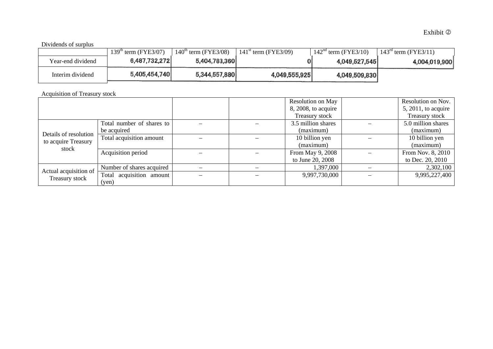# Dividends of surplus

|                   | 139 <sup>th</sup><br>term (FYE3/07) | $140^{\text{th}}$ term (FYE3/08) | $141^{st}$<br>term (FYE3/09) | $142^{\text{na}}$<br>$^{\circ}$ term (FYE3/10) | $143^{\text{rd}}$ term (FYE3/11) |
|-------------------|-------------------------------------|----------------------------------|------------------------------|------------------------------------------------|----------------------------------|
| Year-end dividend | 6,487,732,272                       | 5,404,783,360                    |                              | 4,049,527,545                                  | 4,004,019,900                    |
| Interim dividend  | 5,405,454,740                       | 5,344,557,880                    | 4,049,555,925                | 4,049,509,830                                  |                                  |

Acquisition of Treasury stock

|                                                       |                           |  | <b>Resolution on May</b> | Resolution on Nov.     |
|-------------------------------------------------------|---------------------------|--|--------------------------|------------------------|
|                                                       |                           |  | 8, 2008, to acquire      | $5, 2011$ , to acquire |
|                                                       |                           |  | Treasury stock           | Treasury stock         |
|                                                       | Total number of shares to |  | 3.5 million shares       | 5.0 million shares     |
|                                                       | be acquired               |  | (maximum)                | (maximum)              |
| Details of resolution<br>to acquire Treasury<br>stock | Total acquisition amount  |  | 10 billion yen           | 10 billion yen         |
|                                                       |                           |  | (maximum)                | (maximum)              |
|                                                       | Acquisition period        |  | From May 9, 2008         | From Nov. 8, 2010      |
|                                                       |                           |  | to June 20, 2008         | to Dec. 20, 2010       |
| Actual acquisition of                                 | Number of shares acquired |  | 1,397,000                | 2,302,100              |
|                                                       | Total acquisition amount  |  | 9,997,730,000            | 9,995,227,400          |
| Treasury stock                                        | (yen)                     |  |                          |                        |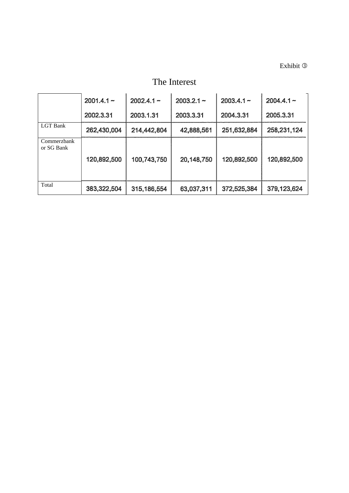Exhibit <sup>3</sup>

The Interest

|                           | $2001.4.1 -$ | $2002.4.1 -$ | $2003.2.1 -$ | $2003.4.1 -$ | $2004.4.1 -$ |
|---------------------------|--------------|--------------|--------------|--------------|--------------|
|                           | 2002.3.31    | 2003.1.31    | 2003.3.31    | 2004.3.31    | 2005.3.31    |
| <b>LGT</b> Bank           | 262,430,004  | 214,442,804  | 42,888,561   | 251,632,884  | 258,231,124  |
| Commerzbank<br>or SG Bank | 120,892,500  | 100,743,750  | 20,148,750   | 120,892,500  | 120,892,500  |
| Total                     | 383,322,504  | 315,186,554  | 63,037,311   | 372,525,384  | 379,123,624  |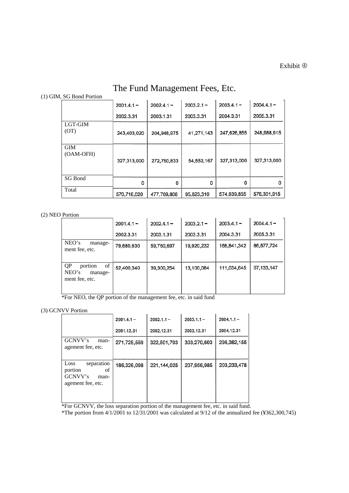# The Fund Management Fees, Etc.

# (1) GIM, SG Bond Portion

|                         | $2001.4.1 -$ | $2002.4.1 -$ | $2003.2.1 -$ | $2003.4.1 -$ | $2004.4.1 -$ |
|-------------------------|--------------|--------------|--------------|--------------|--------------|
|                         | 2002.3.31    | 2003.1.31    | 2003.3.31    | 2004.3.31    | 2005.3.31    |
| LGT-GIM<br>(OT)         | 243,403,020  | 204,948,975  | 41,271,143   | 247,626,855  | 248,988,915  |
| <b>GIM</b><br>(OAM-OFH) | 327,313,000  | 272,760,833  | 54,552,167   | 327,313,000  | 327,313,000  |
| SG Bond                 | 0            | 0            | 0            | 0            | n            |
| Total                   | 570,716,020  | 477,709,808  | 95,823,310   | 574,939,855  | 576,301,915  |

## (2) NEO Portion

|                                                           | $2001.4.1 -$ | $2002.4.1 -$ | $2003.2.1 -$ | $2003.4.1 -$ | $2004.4.1 -$ |
|-----------------------------------------------------------|--------------|--------------|--------------|--------------|--------------|
|                                                           | 2002.3.31    | 2003.1.31    | 2003.3.31    | 2004.3.31    | 2005.3.31    |
| NEO's<br>manage-<br>ment fee, etc.                        | 79,680,930   | 59,760,697   | 19,920,232   | 168,841,342  | 86,877,724   |
| QP<br>of<br>portion<br>NEO's<br>manage-<br>ment fee, etc. | 52,400,340   | 39,300,254   | 13,100,084   | 111,034,645  | 57, 133, 147 |

\*For NEO, the QP portion of the management fee, etc. in said fund

# (3) GCNVV Portion

|                                                                             | $2001.4.1 -$ | $2002.1.1 -$ | $2003.1.1 -$ | $2004.1.1 -$ |
|-----------------------------------------------------------------------------|--------------|--------------|--------------|--------------|
|                                                                             | 2001.12.31   | 2002.12.31   | 2003.12.31   | 2004.12.31   |
| GCNVV's<br>man-<br>agement fee, etc.                                        | 271,725,559  | 322,501,703  | 303,270,603  | 296,382,155  |
| Loss<br>separation<br>of<br>portion<br>GCNVV's<br>man-<br>agement fee, etc. | 186,326,098  | 221,144,025  | 207,956,985  | 203.233,478  |

\*For GCNVV, the loss separation portion of the management fee, etc. in said fund.

\*The portion from 4/1/2001 to 12/31/2001 was calculated at 9/12 of the annualized fee (¥362,300,745)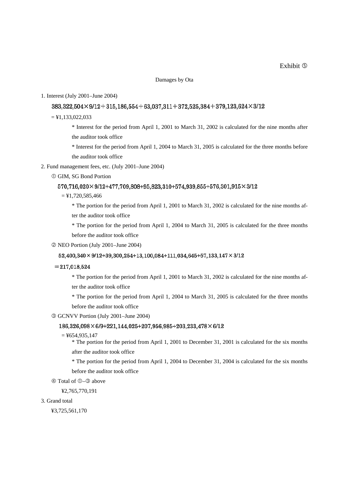#### Damages by Ota

#### 1. Interest (July 2001–June 2004)

# $383.322.504 \times 9/12 + 315.186.554 + 63.037.311 + 372.525.384 + 379.123.624 \times 3/12$

 $=$  ¥1,133,022,033

 \* Interest for the period from April 1, 2001 to March 31, 2002 is calculated for the nine months after the auditor took office

 \* Interest for the period from April 1, 2004 to March 31, 2005 is calculated for the three months before the auditor took office

2. Fund management fees, etc. (July 2001–June 2004)

GIM, SG Bond Portion

#### $570,716,020 \times 9/12 + 477,709,808 + 95,823,310 + 574,939,855 + 576,301,915 \times 3/12$

 $=$  ¥1,720,585,466

\* The portion for the period from April 1, 2001 to March 31, 2002 is calculated for the nine months after the auditor took office

\* The portion for the period from April 1, 2004 to March 31, 2005 is calculated for the three months before the auditor took office

NEO Portion (July 2001–June 2004)

#### $52,400,340 \times 9/12 + 39,300,254 + 13,100,084 + 111,034,645 + 57,133,147 \times 3/12$

 $= 217,018,524$ 

\* The portion for the period from April 1, 2001 to March 31, 2002 is calculated for the nine months af-

ter the auditor took office

\* The portion for the period from April 1, 2004 to March 31, 2005 is calculated for the three months before the auditor took office

GCNVV Portion (July 2001–June 2004)

## 186,326,098×6/9+221,144,025+207,956,985+203,233,478×6/12

 $=$  ¥654,935,147

\* The portion for the period from April 1, 2001 to December 31, 2001 is calculated for the six months after the auditor took office

\* The portion for the period from April 1, 2004 to December 31, 2004 is calculated for the six months before the auditor took office

⊕ Total of ①–③ above

¥2,765,770,191

#### 3. Grand total

¥3,725,561,170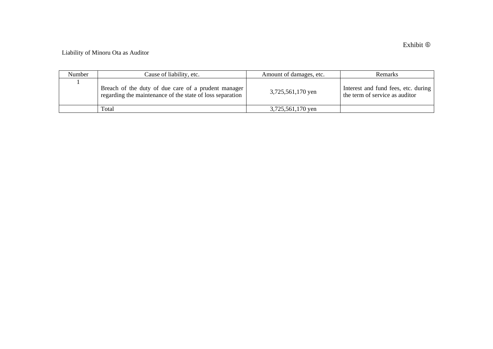# Liability of Minoru Ota as Auditor

| Number | Cause of liability, etc.                                                                                         | Amount of damages, etc. | Remarks                                                               |
|--------|------------------------------------------------------------------------------------------------------------------|-------------------------|-----------------------------------------------------------------------|
|        | Breach of the duty of due care of a prudent manager<br>regarding the maintenance of the state of loss separation | 3,725,561,170 yen       | Interest and fund fees, etc. during<br>the term of service as auditor |
|        | Total                                                                                                            | 3,725,561,170 yen       |                                                                       |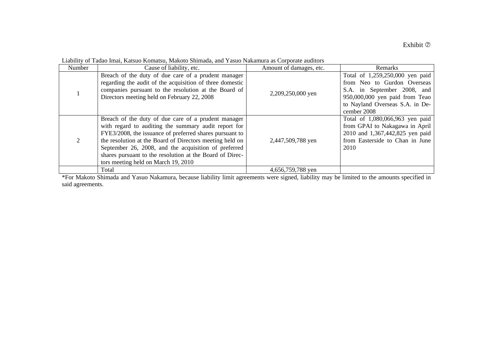| Number | Cause of liability, etc.                                                                                                                                                                                                                                                                                                                                                                      | Amount of damages, etc. | Remarks                                                                                                                                                                           |
|--------|-----------------------------------------------------------------------------------------------------------------------------------------------------------------------------------------------------------------------------------------------------------------------------------------------------------------------------------------------------------------------------------------------|-------------------------|-----------------------------------------------------------------------------------------------------------------------------------------------------------------------------------|
|        | Breach of the duty of due care of a prudent manager<br>regarding the audit of the acquisition of three domestic<br>companies pursuant to the resolution at the Board of<br>Directors meeting held on February 22, 2008                                                                                                                                                                        | 2,209,250,000 yen       | Total of 1,259,250,000 yen paid<br>from Neo to Gurdon Overseas<br>S.A. in September 2008, and<br>950,000,000 yen paid from Teao<br>to Nayland Overseas S.A. in De-<br>cember 2008 |
|        | Breach of the duty of due care of a prudent manager<br>with regard to auditing the summary audit report for<br>FYE3/2008, the issuance of preferred shares pursuant to<br>the resolution at the Board of Directors meeting held on<br>September 26, 2008, and the acquisition of preferred<br>shares pursuant to the resolution at the Board of Direc-<br>tors meeting held on March 19, 2010 | 2,447,509,788 yen       | Total of 1,080,066,963 yen paid<br>from GPAI to Nakagawa in April<br>2010 and 1,367,442,825 yen paid<br>from Easterside to Chan in June<br>2010                                   |
|        | Total                                                                                                                                                                                                                                                                                                                                                                                         | 4,656,759,788 yen       |                                                                                                                                                                                   |

Liability of Tadao Imai, Katsuo Komatsu, Makoto Shimada, and Yasuo Nakamura as Corporate auditors

\*For Makoto Shimada and Yasuo Nakamura, because liability limit agreements were signed, liability may be limited to the amounts specified in said agreements.